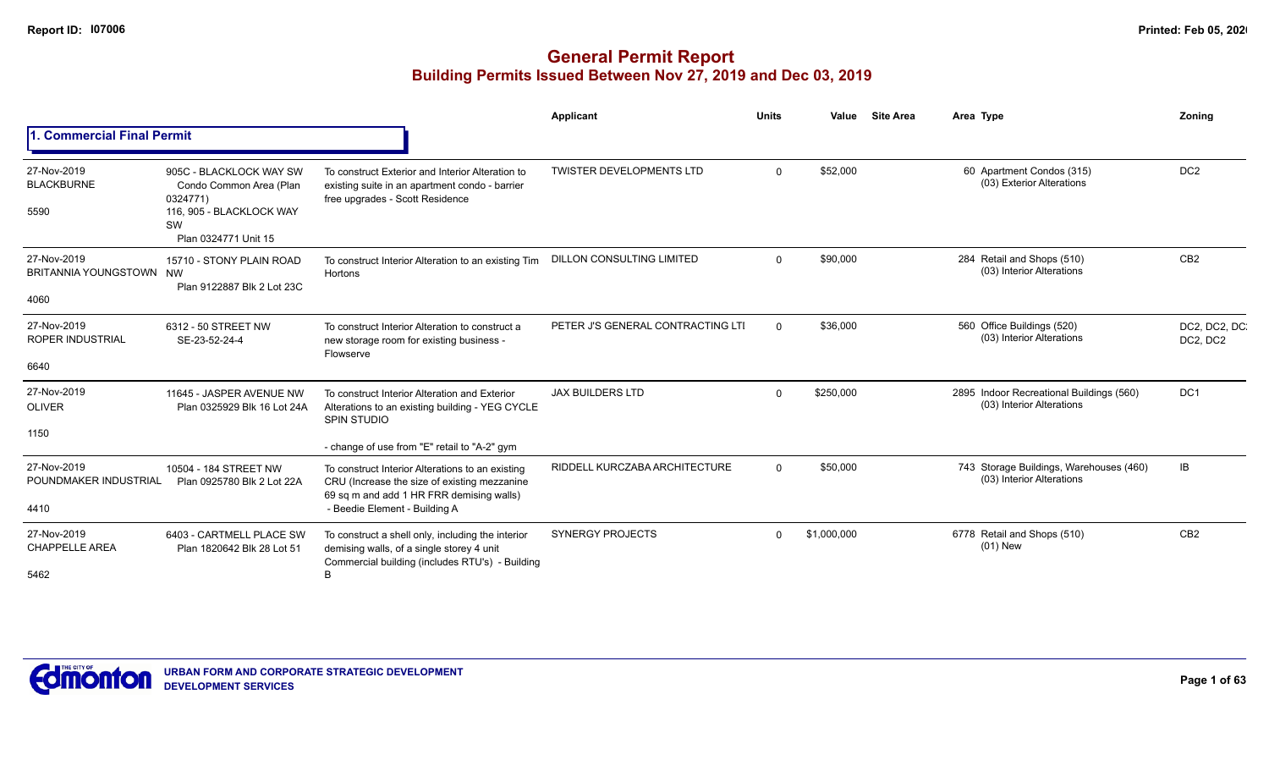|                                                |                                                                                                                          |                                                                                                                                                                               | Applicant                         | <b>Units</b> | Value       | <b>Site Area</b> | Area Type                                                             | <b>Zoning</b>             |
|------------------------------------------------|--------------------------------------------------------------------------------------------------------------------------|-------------------------------------------------------------------------------------------------------------------------------------------------------------------------------|-----------------------------------|--------------|-------------|------------------|-----------------------------------------------------------------------|---------------------------|
| 1. Commercial Final Permit                     |                                                                                                                          |                                                                                                                                                                               |                                   |              |             |                  |                                                                       |                           |
| 27-Nov-2019<br><b>BLACKBURNE</b><br>5590       | 905C - BLACKLOCK WAY SW<br>Condo Common Area (Plan<br>0324771)<br>116, 905 - BLACKLOCK WAY<br>SW<br>Plan 0324771 Unit 15 | To construct Exterior and Interior Alteration to<br>existing suite in an apartment condo - barrier<br>free upgrades - Scott Residence                                         | <b>TWISTER DEVELOPMENTS LTD</b>   | $\Omega$     | \$52,000    |                  | 60 Apartment Condos (315)<br>(03) Exterior Alterations                | DC <sub>2</sub>           |
| 27-Nov-2019<br>BRITANNIA YOUNGSTOWN NW<br>4060 | 15710 - STONY PLAIN ROAD<br>Plan 9122887 Blk 2 Lot 23C                                                                   | To construct Interior Alteration to an existing Tim<br>Hortons                                                                                                                | <b>DILLON CONSULTING LIMITED</b>  | $\Omega$     | \$90,000    |                  | 284 Retail and Shops (510)<br>(03) Interior Alterations               | CB <sub>2</sub>           |
| 27-Nov-2019<br><b>ROPER INDUSTRIAL</b><br>6640 | 6312 - 50 STREET NW<br>SE-23-52-24-4                                                                                     | To construct Interior Alteration to construct a<br>new storage room for existing business -<br>Flowserve                                                                      | PETER J'S GENERAL CONTRACTING LTI | $\Omega$     | \$36,000    |                  | 560 Office Buildings (520)<br>(03) Interior Alterations               | DC2, DC2, DC.<br>DC2, DC2 |
| 27-Nov-2019<br><b>OLIVER</b><br>1150           | 11645 - JASPER AVENUE NW<br>Plan 0325929 Blk 16 Lot 24A                                                                  | To construct Interior Alteration and Exterior<br>Alterations to an existing building - YEG CYCLE<br><b>SPIN STUDIO</b><br>- change of use from "E" retail to "A-2" gym        | <b>JAX BUILDERS LTD</b>           | $\Omega$     | \$250,000   |                  | 2895 Indoor Recreational Buildings (560)<br>(03) Interior Alterations | DC <sub>1</sub>           |
| 27-Nov-2019<br>POUNDMAKER INDUSTRIAL<br>4410   | 10504 - 184 STREET NW<br>Plan 0925780 Blk 2 Lot 22A                                                                      | To construct Interior Alterations to an existing<br>CRU (Increase the size of existing mezzanine<br>69 sq m and add 1 HR FRR demising walls)<br>- Beedie Element - Building A | RIDDELL KURCZABA ARCHITECTURE     | $\Omega$     | \$50,000    |                  | 743 Storage Buildings, Warehouses (460)<br>(03) Interior Alterations  | IB                        |
| 27-Nov-2019<br><b>CHAPPELLE AREA</b><br>5462   | 6403 - CARTMELL PLACE SW<br>Plan 1820642 Blk 28 Lot 51                                                                   | To construct a shell only, including the interior<br>demising walls, of a single storey 4 unit<br>Commercial building (includes RTU's) - Building<br>B                        | <b>SYNERGY PROJECTS</b>           | $\Omega$     | \$1,000,000 |                  | 6778 Retail and Shops (510)<br>$(01)$ New                             | CB <sub>2</sub>           |

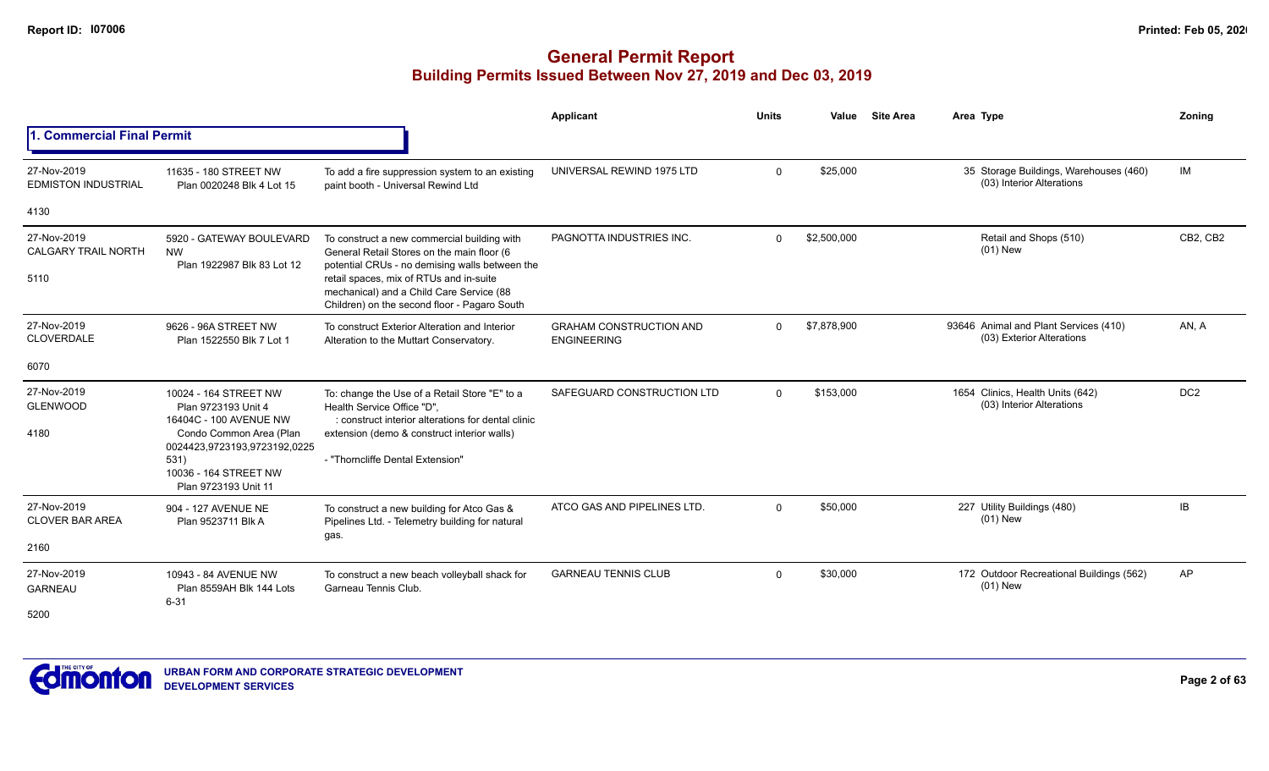|                                                   |                                                                                                                                                                                            |                                                                                                                                                                                                                                                                                    | <b>Applicant</b>                                     | <b>Units</b> | Value       | <b>Site Area</b> | Area Type                                                           | Zonina          |
|---------------------------------------------------|--------------------------------------------------------------------------------------------------------------------------------------------------------------------------------------------|------------------------------------------------------------------------------------------------------------------------------------------------------------------------------------------------------------------------------------------------------------------------------------|------------------------------------------------------|--------------|-------------|------------------|---------------------------------------------------------------------|-----------------|
| <b>1. Commercial Final Permit</b>                 |                                                                                                                                                                                            |                                                                                                                                                                                                                                                                                    |                                                      |              |             |                  |                                                                     |                 |
| 27-Nov-2019<br><b>EDMISTON INDUSTRIAL</b>         | 11635 - 180 STREET NW<br>Plan 0020248 Blk 4 Lot 15                                                                                                                                         | To add a fire suppression system to an existing<br>paint booth - Universal Rewind Ltd                                                                                                                                                                                              | UNIVERSAL REWIND 1975 LTD                            | $\Omega$     | \$25,000    |                  | 35 Storage Buildings, Warehouses (460)<br>(03) Interior Alterations | IM              |
| 4130                                              |                                                                                                                                                                                            |                                                                                                                                                                                                                                                                                    |                                                      |              |             |                  |                                                                     |                 |
| 27-Nov-2019<br><b>CALGARY TRAIL NORTH</b><br>5110 | 5920 - GATEWAY BOULEVARD<br><b>NW</b><br>Plan 1922987 Blk 83 Lot 12                                                                                                                        | To construct a new commercial building with<br>General Retail Stores on the main floor (6<br>potential CRUs - no demising walls between the<br>retail spaces, mix of RTUs and in-suite<br>mechanical) and a Child Care Service (88<br>Children) on the second floor - Pagaro South | PAGNOTTA INDUSTRIES INC.                             | $\Omega$     | \$2,500,000 |                  | Retail and Shops (510)<br>$(01)$ New                                | CB2, CB2        |
| 27-Nov-2019<br><b>CLOVERDALE</b>                  | 9626 - 96A STREET NW<br>Plan 1522550 Blk 7 Lot 1                                                                                                                                           | To construct Exterior Alteration and Interior<br>Alteration to the Muttart Conservatory.                                                                                                                                                                                           | <b>GRAHAM CONSTRUCTION AND</b><br><b>ENGINEERING</b> | $\mathbf{0}$ | \$7,878,900 |                  | 93646 Animal and Plant Services (410)<br>(03) Exterior Alterations  | AN, A           |
| 6070                                              |                                                                                                                                                                                            |                                                                                                                                                                                                                                                                                    |                                                      |              |             |                  |                                                                     |                 |
| 27-Nov-2019<br><b>GLENWOOD</b><br>4180            | 10024 - 164 STREET NW<br>Plan 9723193 Unit 4<br>16404C - 100 AVENUE NW<br>Condo Common Area (Plan<br>0024423,9723193,9723192,0225<br>531)<br>10036 - 164 STREET NW<br>Plan 9723193 Unit 11 | To: change the Use of a Retail Store "E" to a<br>Health Service Office "D",<br>construct interior alterations for dental clinic<br>extension (demo & construct interior walls)<br>- "Thorncliffe Dental Extension"                                                                 | SAFEGUARD CONSTRUCTION LTD                           | $\Omega$     | \$153,000   |                  | 1654 Clinics, Health Units (642)<br>(03) Interior Alterations       | DC <sub>2</sub> |
| 27-Nov-2019<br><b>CLOVER BAR AREA</b><br>2160     | 904 - 127 AVENUE NE<br>Plan 9523711 Blk A                                                                                                                                                  | To construct a new building for Atco Gas &<br>Pipelines Ltd. - Telemetry building for natural<br>gas.                                                                                                                                                                              | ATCO GAS AND PIPELINES LTD.                          | $\Omega$     | \$50,000    |                  | 227 Utility Buildings (480)<br>$(01)$ New                           | IB              |
| 27-Nov-2019<br><b>GARNEAU</b><br>5200             | 10943 - 84 AVENUE NW<br>Plan 8559AH Blk 144 Lots<br>$6 - 31$                                                                                                                               | To construct a new beach volleyball shack for<br>Garneau Tennis Club.                                                                                                                                                                                                              | <b>GARNEAU TENNIS CLUB</b>                           | $\Omega$     | \$30,000    |                  | 172 Outdoor Recreational Buildings (562)<br>$(01)$ New              | AP              |

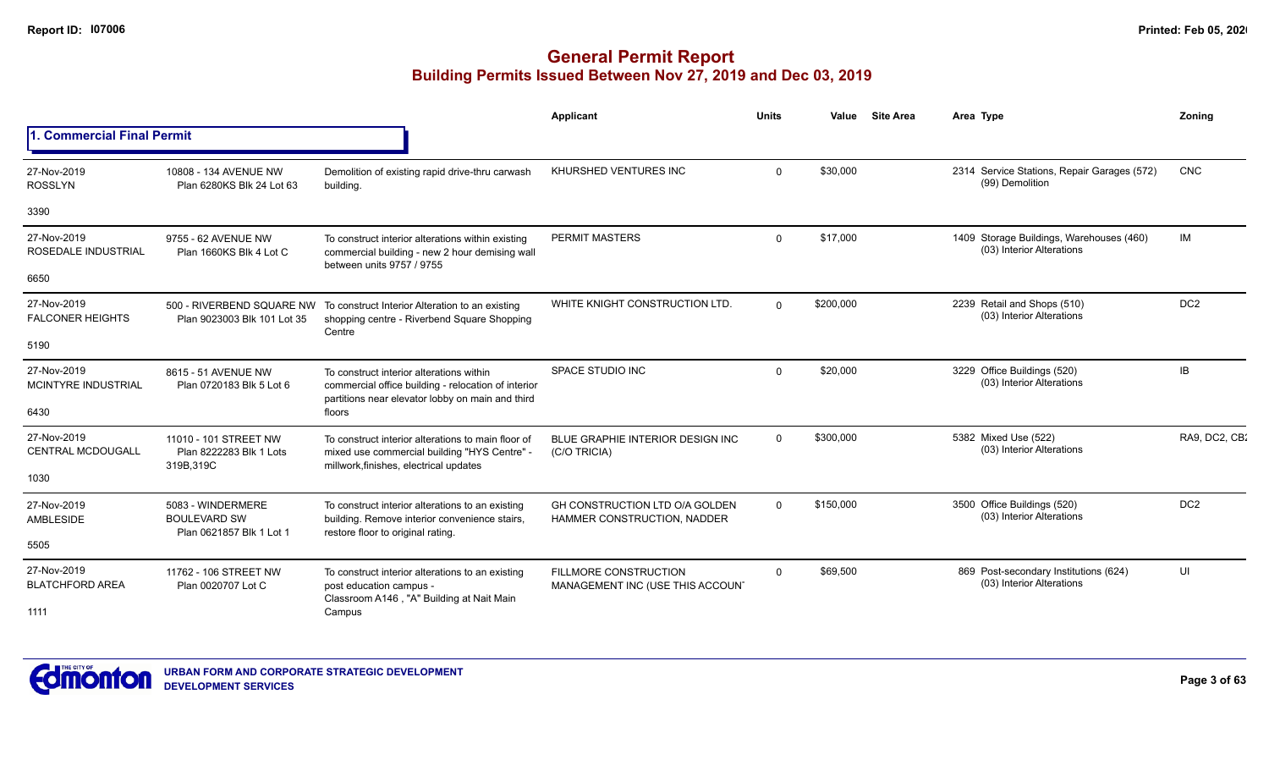|                                           |                                                                      |                                                                                                                                                     | Applicant                                                        | <b>Units</b> | Value     | <b>Site Area</b> | Area Type                                                             | Zoning          |
|-------------------------------------------|----------------------------------------------------------------------|-----------------------------------------------------------------------------------------------------------------------------------------------------|------------------------------------------------------------------|--------------|-----------|------------------|-----------------------------------------------------------------------|-----------------|
| 1. Commercial Final Permit                |                                                                      |                                                                                                                                                     |                                                                  |              |           |                  |                                                                       |                 |
| 27-Nov-2019<br><b>ROSSLYN</b>             | 10808 - 134 AVENUE NW<br>Plan 6280KS Blk 24 Lot 63                   | Demolition of existing rapid drive-thru carwash<br>building.                                                                                        | KHURSHED VENTURES INC                                            | $\Omega$     | \$30,000  |                  | 2314 Service Stations, Repair Garages (572)<br>(99) Demolition        | <b>CNC</b>      |
| 3390                                      |                                                                      |                                                                                                                                                     |                                                                  |              |           |                  |                                                                       |                 |
| 27-Nov-2019<br>ROSEDALE INDUSTRIAL        | 9755 - 62 AVENUE NW<br>Plan 1660KS Blk 4 Lot C                       | To construct interior alterations within existing<br>commercial building - new 2 hour demising wall<br>between units 9757 / 9755                    | PERMIT MASTERS                                                   | $\Omega$     | \$17,000  |                  | 1409 Storage Buildings, Warehouses (460)<br>(03) Interior Alterations | IM              |
| 6650                                      |                                                                      |                                                                                                                                                     |                                                                  |              |           |                  |                                                                       |                 |
| 27-Nov-2019<br><b>FALCONER HEIGHTS</b>    | 500 - RIVERBEND SQUARE NW<br>Plan 9023003 Blk 101 Lot 35             | To construct Interior Alteration to an existing<br>shopping centre - Riverbend Square Shopping<br>Centre                                            | WHITE KNIGHT CONSTRUCTION LTD.                                   | $\Omega$     | \$200,000 |                  | 2239 Retail and Shops (510)<br>(03) Interior Alterations              | DC <sub>2</sub> |
| 5190                                      |                                                                      |                                                                                                                                                     |                                                                  |              |           |                  |                                                                       |                 |
| 27-Nov-2019<br><b>MCINTYRE INDUSTRIAL</b> | 8615 - 51 AVENUE NW<br>Plan 0720183 Blk 5 Lot 6                      | To construct interior alterations within<br>commercial office building - relocation of interior<br>partitions near elevator lobby on main and third | <b>SPACE STUDIO INC</b>                                          | $\Omega$     | \$20,000  |                  | 3229 Office Buildings (520)<br>(03) Interior Alterations              | <b>IB</b>       |
| 6430                                      |                                                                      | floors                                                                                                                                              |                                                                  |              |           |                  |                                                                       |                 |
| 27-Nov-2019<br>CENTRAL MCDOUGALL          | 11010 - 101 STREET NW<br>Plan 8222283 Blk 1 Lots<br>319B, 319C       | To construct interior alterations to main floor of<br>mixed use commercial building "HYS Centre" -<br>millwork, finishes, electrical updates        | BLUE GRAPHIE INTERIOR DESIGN INC<br>(C/O TRICIA)                 | $\Omega$     | \$300,000 |                  | 5382 Mixed Use (522)<br>(03) Interior Alterations                     | RA9, DC2, CB:   |
| 1030                                      |                                                                      |                                                                                                                                                     |                                                                  |              |           |                  |                                                                       |                 |
| 27-Nov-2019<br>AMBLESIDE                  | 5083 - WINDERMERE<br><b>BOULEVARD SW</b><br>Plan 0621857 Blk 1 Lot 1 | To construct interior alterations to an existing<br>building. Remove interior convenience stairs,                                                   | GH CONSTRUCTION LTD O/A GOLDEN<br>HAMMER CONSTRUCTION, NADDER    | $\Omega$     | \$150,000 |                  | 3500 Office Buildings (520)<br>(03) Interior Alterations              | DC <sub>2</sub> |
| 5505                                      |                                                                      | restore floor to original rating.                                                                                                                   |                                                                  |              |           |                  |                                                                       |                 |
| 27-Nov-2019<br><b>BLATCHFORD AREA</b>     | 11762 - 106 STREET NW<br>Plan 0020707 Lot C                          | To construct interior alterations to an existing<br>post education campus -                                                                         | <b>FILLMORE CONSTRUCTION</b><br>MANAGEMENT INC (USE THIS ACCOUN' | $\Omega$     | \$69,500  |                  | 869 Post-secondary Institutions (624)<br>(03) Interior Alterations    | UI              |
| 1111                                      |                                                                      | Classroom A146, "A" Building at Nait Main<br>Campus                                                                                                 |                                                                  |              |           |                  |                                                                       |                 |

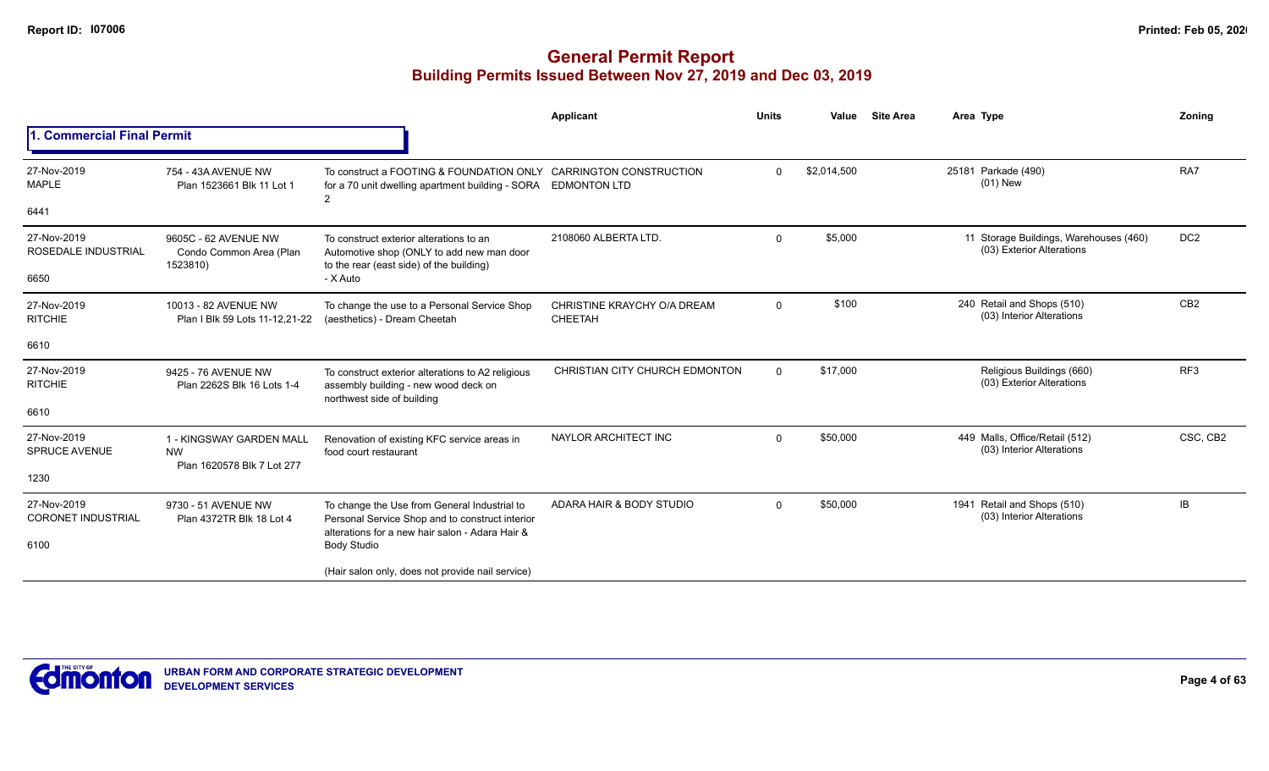|                                          |                                                                     |                                                                                                                                                    | Applicant                                     | <b>Units</b> | Value       | <b>Site Area</b> | Area Type                                                           | Zoning          |
|------------------------------------------|---------------------------------------------------------------------|----------------------------------------------------------------------------------------------------------------------------------------------------|-----------------------------------------------|--------------|-------------|------------------|---------------------------------------------------------------------|-----------------|
| 1. Commercial Final Permit               |                                                                     |                                                                                                                                                    |                                               |              |             |                  |                                                                     |                 |
| 27-Nov-2019<br><b>MAPLE</b>              | 754 - 43A AVENUE NW<br>Plan 1523661 Blk 11 Lot 1                    | To construct a FOOTING & FOUNDATION ONLY CARRINGTON CONSTRUCTION<br>for a 70 unit dwelling apartment building - SORA EDMONTON LTD<br>2             |                                               | 0            | \$2,014,500 |                  | 25181 Parkade (490)<br>$(01)$ New                                   | RA7             |
| 6441                                     |                                                                     |                                                                                                                                                    |                                               |              |             |                  |                                                                     |                 |
| 27-Nov-2019<br>ROSEDALE INDUSTRIAL       | 9605C - 62 AVENUE NW<br>Condo Common Area (Plan<br>1523810)         | To construct exterior alterations to an<br>Automotive shop (ONLY to add new man door<br>to the rear (east side) of the building)                   | 2108060 ALBERTA LTD.                          | $\Omega$     | \$5,000     |                  | 11 Storage Buildings, Warehouses (460)<br>(03) Exterior Alterations | DC <sub>2</sub> |
| 6650                                     |                                                                     | - X Auto                                                                                                                                           |                                               |              |             |                  |                                                                     |                 |
| 27-Nov-2019<br><b>RITCHIE</b>            | 10013 - 82 AVENUE NW<br>Plan I Blk 59 Lots 11-12,21-22              | To change the use to a Personal Service Shop<br>(aesthetics) - Dream Cheetah                                                                       | CHRISTINE KRAYCHY O/A DREAM<br><b>CHEETAH</b> | $\mathbf{0}$ | \$100       |                  | 240 Retail and Shops (510)<br>(03) Interior Alterations             | CB <sub>2</sub> |
| 6610                                     |                                                                     |                                                                                                                                                    |                                               |              |             |                  |                                                                     |                 |
| 27-Nov-2019<br><b>RITCHIE</b>            | 9425 - 76 AVENUE NW<br>Plan 2262S Blk 16 Lots 1-4                   | To construct exterior alterations to A2 religious<br>assembly building - new wood deck on<br>northwest side of building                            | CHRISTIAN CITY CHURCH EDMONTON                | $\mathbf{0}$ | \$17,000    |                  | Religious Buildings (660)<br>(03) Exterior Alterations              | RF3             |
| 6610                                     |                                                                     |                                                                                                                                                    |                                               |              |             |                  |                                                                     |                 |
| 27-Nov-2019<br><b>SPRUCE AVENUE</b>      | 1 - KINGSWAY GARDEN MALL<br><b>NW</b><br>Plan 1620578 Blk 7 Lot 277 | Renovation of existing KFC service areas in<br>food court restaurant                                                                               | NAYLOR ARCHITECT INC                          | $\Omega$     | \$50,000    |                  | 449 Malls, Office/Retail (512)<br>(03) Interior Alterations         | CSC, CB2        |
| 1230                                     |                                                                     |                                                                                                                                                    |                                               |              |             |                  |                                                                     |                 |
| 27-Nov-2019<br><b>CORONET INDUSTRIAL</b> | 9730 - 51 AVENUE NW<br>Plan 4372TR Blk 18 Lot 4                     | To change the Use from General Industrial to<br>Personal Service Shop and to construct interior<br>alterations for a new hair salon - Adara Hair & | ADARA HAIR & BODY STUDIO                      | $\Omega$     | \$50,000    |                  | 1941 Retail and Shops (510)<br>(03) Interior Alterations            | IB              |
| 6100                                     |                                                                     | <b>Body Studio</b>                                                                                                                                 |                                               |              |             |                  |                                                                     |                 |
|                                          |                                                                     | (Hair salon only, does not provide nail service)                                                                                                   |                                               |              |             |                  |                                                                     |                 |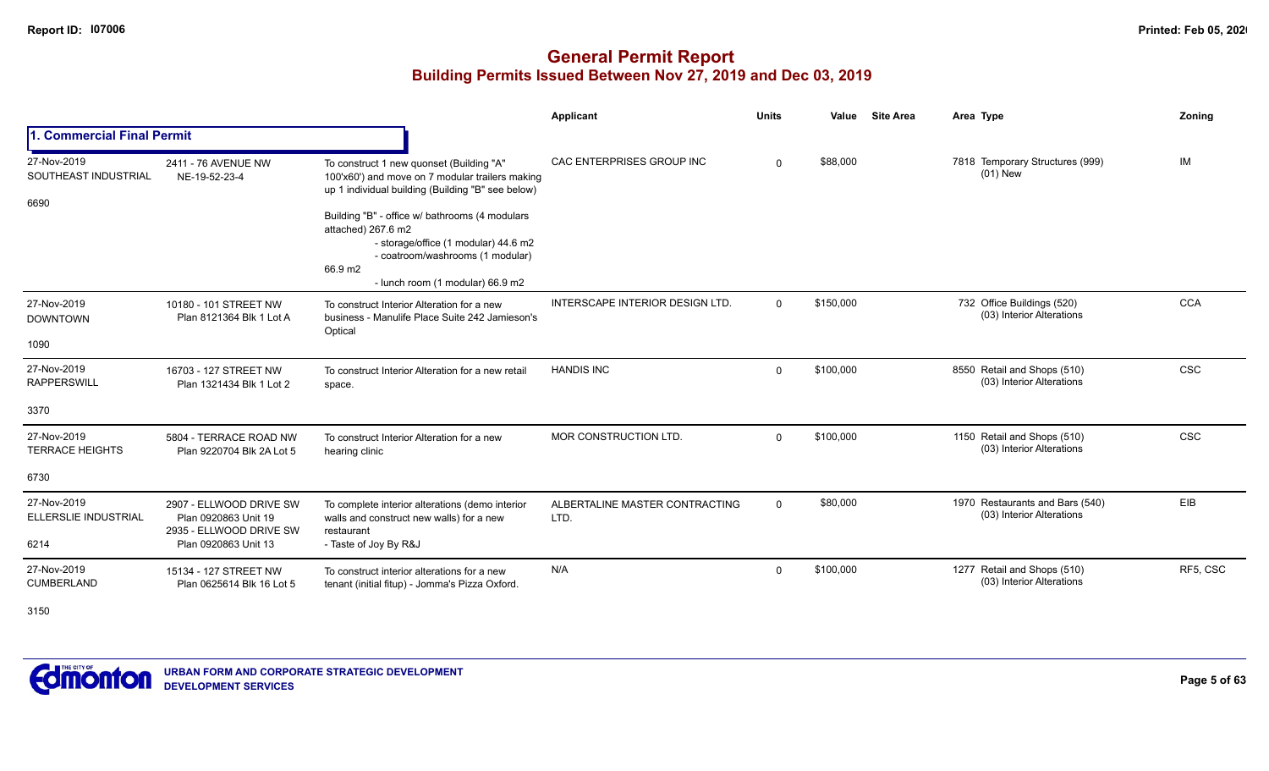|                                               |                                                                                                    |                                                                                                                                                                                                                                                                                                                                                     | Applicant                              | <b>Units</b> | Value     | <b>Site Area</b> | Area Type                                                    | Zoning     |
|-----------------------------------------------|----------------------------------------------------------------------------------------------------|-----------------------------------------------------------------------------------------------------------------------------------------------------------------------------------------------------------------------------------------------------------------------------------------------------------------------------------------------------|----------------------------------------|--------------|-----------|------------------|--------------------------------------------------------------|------------|
| 1. Commercial Final Permit                    |                                                                                                    |                                                                                                                                                                                                                                                                                                                                                     |                                        |              |           |                  |                                                              |            |
| 27-Nov-2019<br>SOUTHEAST INDUSTRIAL<br>6690   | 2411 - 76 AVENUE NW<br>NE-19-52-23-4                                                               | To construct 1 new quonset (Building "A"<br>100'x60') and move on 7 modular trailers making<br>up 1 individual building (Building "B" see below)<br>Building "B" - office w/ bathrooms (4 modulars<br>attached) 267.6 m2<br>- storage/office (1 modular) 44.6 m2<br>- coatroom/washrooms (1 modular)<br>66.9 m2<br>- lunch room (1 modular) 66.9 m2 | CAC ENTERPRISES GROUP INC              | $\Omega$     | \$88,000  |                  | 7818 Temporary Structures (999)<br>$(01)$ New                | IM         |
| 27-Nov-2019<br><b>DOWNTOWN</b><br>1090        | 10180 - 101 STREET NW<br>Plan 8121364 Blk 1 Lot A                                                  | To construct Interior Alteration for a new<br>business - Manulife Place Suite 242 Jamieson's<br>Optical                                                                                                                                                                                                                                             | <b>INTERSCAPE INTERIOR DESIGN LTD.</b> | $\mathbf{0}$ | \$150,000 |                  | 732 Office Buildings (520)<br>(03) Interior Alterations      | <b>CCA</b> |
| 27-Nov-2019<br><b>RAPPERSWILL</b><br>3370     | 16703 - 127 STREET NW<br>Plan 1321434 Blk 1 Lot 2                                                  | To construct Interior Alteration for a new retail<br>space.                                                                                                                                                                                                                                                                                         | <b>HANDIS INC</b>                      | $\mathbf{0}$ | \$100,000 |                  | 8550 Retail and Shops (510)<br>(03) Interior Alterations     | <b>CSC</b> |
| 27-Nov-2019<br><b>TERRACE HEIGHTS</b><br>6730 | 5804 - TERRACE ROAD NW<br>Plan 9220704 Blk 2A Lot 5                                                | To construct Interior Alteration for a new<br>hearing clinic                                                                                                                                                                                                                                                                                        | MOR CONSTRUCTION LTD.                  | $\Omega$     | \$100,000 |                  | 1150 Retail and Shops (510)<br>(03) Interior Alterations     | <b>CSC</b> |
| 27-Nov-2019<br>ELLERSLIE INDUSTRIAL<br>6214   | 2907 - ELLWOOD DRIVE SW<br>Plan 0920863 Unit 19<br>2935 - ELLWOOD DRIVE SW<br>Plan 0920863 Unit 13 | To complete interior alterations (demo interior<br>walls and construct new walls) for a new<br>restaurant<br>- Taste of Joy By R&J                                                                                                                                                                                                                  | ALBERTALINE MASTER CONTRACTING<br>LTD. | 0            | \$80,000  |                  | 1970 Restaurants and Bars (540)<br>(03) Interior Alterations | EIB        |
| 27-Nov-2019<br><b>CUMBERLAND</b>              | 15134 - 127 STREET NW<br>Plan 0625614 Blk 16 Lot 5                                                 | To construct interior alterations for a new<br>tenant (initial fitup) - Jomma's Pizza Oxford.                                                                                                                                                                                                                                                       | N/A                                    | $\Omega$     | \$100,000 |                  | 1277 Retail and Shops (510)<br>(03) Interior Alterations     | RF5, CSC   |

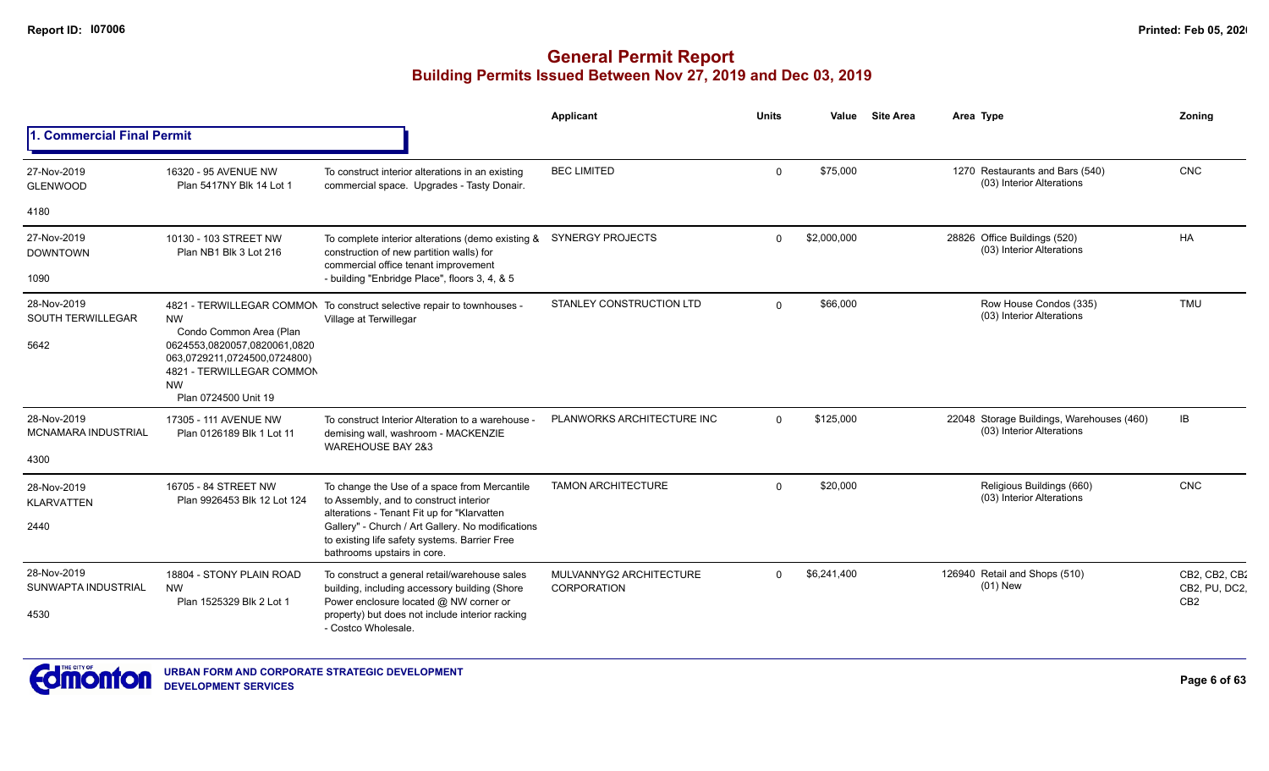|                                                 |                                                                                                                                                                        |                                                                                                                                                                                  | <b>Applicant</b>                       | <b>Units</b> | Value       | <b>Site Area</b> | Area Type                                                              | Zoning                                            |
|-------------------------------------------------|------------------------------------------------------------------------------------------------------------------------------------------------------------------------|----------------------------------------------------------------------------------------------------------------------------------------------------------------------------------|----------------------------------------|--------------|-------------|------------------|------------------------------------------------------------------------|---------------------------------------------------|
| 1. Commercial Final Permit                      |                                                                                                                                                                        |                                                                                                                                                                                  |                                        |              |             |                  |                                                                        |                                                   |
| 27-Nov-2019<br><b>GLENWOOD</b>                  | 16320 - 95 AVENUE NW<br>Plan 5417NY Blk 14 Lot 1                                                                                                                       | To construct interior alterations in an existing<br>commercial space. Upgrades - Tasty Donair.                                                                                   | <b>BEC LIMITED</b>                     | $\Omega$     | \$75,000    |                  | 1270 Restaurants and Bars (540)<br>(03) Interior Alterations           | CNC                                               |
| 4180                                            |                                                                                                                                                                        |                                                                                                                                                                                  |                                        |              |             |                  |                                                                        |                                                   |
| 27-Nov-2019<br><b>DOWNTOWN</b>                  | 10130 - 103 STREET NW<br>Plan NB1 Blk 3 Lot 216                                                                                                                        | To complete interior alterations (demo existing &<br>construction of new partition walls) for<br>commercial office tenant improvement                                            | <b>SYNERGY PROJECTS</b>                | $\Omega$     | \$2,000,000 |                  | 28826 Office Buildings (520)<br>(03) Interior Alterations              | <b>HA</b>                                         |
| 1090                                            |                                                                                                                                                                        | - building "Enbridge Place", floors 3, 4, & 5                                                                                                                                    |                                        |              |             |                  |                                                                        |                                                   |
| 28-Nov-2019<br><b>SOUTH TERWILLEGAR</b><br>5642 | <b>NW</b><br>Condo Common Area (Plan<br>0624553,0820057,0820061,0820<br>063,0729211,0724500,0724800)<br>4821 - TERWILLEGAR COMMON<br><b>NW</b><br>Plan 0724500 Unit 19 | 4821 - TERWILLEGAR COMMON To construct selective repair to townhouses -<br>Village at Terwillegar                                                                                | STANLEY CONSTRUCTION LTD               | $\Omega$     | \$66,000    |                  | Row House Condos (335)<br>(03) Interior Alterations                    | <b>TMU</b>                                        |
| 28-Nov-2019<br><b>MCNAMARA INDUSTRIAL</b>       | 17305 - 111 AVENUE NW<br>Plan 0126189 Blk 1 Lot 11                                                                                                                     | To construct Interior Alteration to a warehouse -<br>demising wall, washroom - MACKENZIE<br><b>WAREHOUSE BAY 2&amp;3</b>                                                         | PLANWORKS ARCHITECTURE INC             | $\Omega$     | \$125,000   |                  | 22048 Storage Buildings, Warehouses (460)<br>(03) Interior Alterations | IB                                                |
| 4300                                            |                                                                                                                                                                        |                                                                                                                                                                                  |                                        |              |             |                  |                                                                        |                                                   |
| 28-Nov-2019<br><b>KLARVATTEN</b>                | 16705 - 84 STREET NW<br>Plan 9926453 Blk 12 Lot 124                                                                                                                    | To change the Use of a space from Mercantile<br>to Assembly, and to construct interior                                                                                           | <b>TAMON ARCHITECTURE</b>              | $\Omega$     | \$20,000    |                  | Religious Buildings (660)<br>(03) Interior Alterations                 | <b>CNC</b>                                        |
| 2440                                            |                                                                                                                                                                        | alterations - Tenant Fit up for "Klarvatten<br>Gallery" - Church / Art Gallery. No modifications<br>to existing life safety systems. Barrier Free<br>bathrooms upstairs in core. |                                        |              |             |                  |                                                                        |                                                   |
| 28-Nov-2019<br>SUNWAPTA INDUSTRIAL              | 18804 - STONY PLAIN ROAD<br><b>NW</b><br>Plan 1525329 Blk 2 Lot 1                                                                                                      | To construct a general retail/warehouse sales<br>building, including accessory building (Shore<br>Power enclosure located @ NW corner or                                         | MULVANNYG2 ARCHITECTURE<br>CORPORATION | $\Omega$     | \$6,241,400 |                  | 126940 Retail and Shops (510)<br>$(01)$ New                            | CB2, CB2, CB2<br>CB2, PU, DC2,<br>CB <sub>2</sub> |
| 4530                                            |                                                                                                                                                                        | property) but does not include interior racking<br>- Costco Wholesale.                                                                                                           |                                        |              |             |                  |                                                                        |                                                   |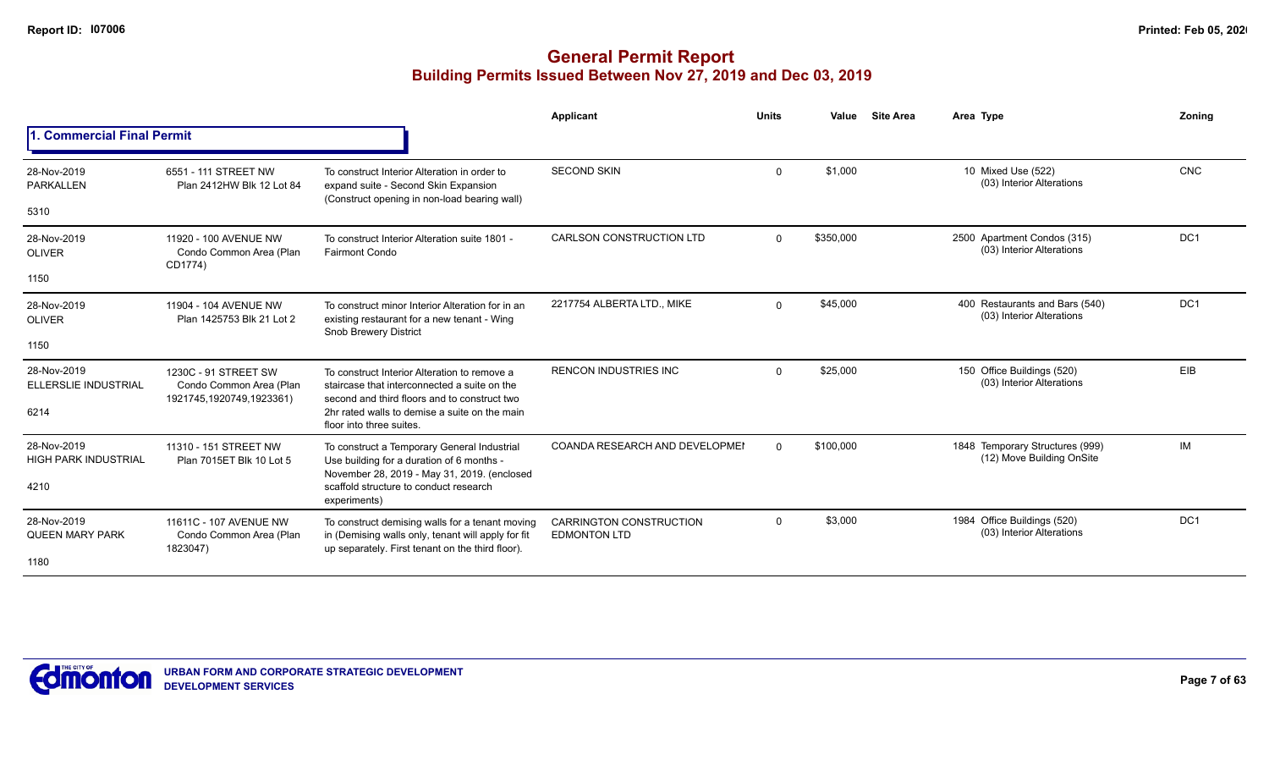|                                            |                                                                             |                                                                                                                                                           | Applicant                                             | <b>Units</b> | Value     | <b>Site Area</b> | Area Type                                                    | Zoning          |
|--------------------------------------------|-----------------------------------------------------------------------------|-----------------------------------------------------------------------------------------------------------------------------------------------------------|-------------------------------------------------------|--------------|-----------|------------------|--------------------------------------------------------------|-----------------|
| <b>Commercial Final Permit</b>             |                                                                             |                                                                                                                                                           |                                                       |              |           |                  |                                                              |                 |
| 28-Nov-2019<br><b>PARKALLEN</b>            | 6551 - 111 STREET NW<br>Plan 2412HW Blk 12 Lot 84                           | To construct Interior Alteration in order to<br>expand suite - Second Skin Expansion<br>(Construct opening in non-load bearing wall)                      | <b>SECOND SKIN</b>                                    | $\Omega$     | \$1,000   |                  | 10 Mixed Use (522)<br>(03) Interior Alterations              | <b>CNC</b>      |
| 5310                                       |                                                                             |                                                                                                                                                           |                                                       |              |           |                  |                                                              |                 |
| 28-Nov-2019<br><b>OLIVER</b>               | 11920 - 100 AVENUE NW<br>Condo Common Area (Plan<br>CD1774)                 | To construct Interior Alteration suite 1801 -<br><b>Fairmont Condo</b>                                                                                    | <b>CARLSON CONSTRUCTION LTD</b>                       | $\Omega$     | \$350,000 |                  | 2500 Apartment Condos (315)<br>(03) Interior Alterations     | DC <sub>1</sub> |
| 1150                                       |                                                                             |                                                                                                                                                           |                                                       |              |           |                  |                                                              |                 |
| 28-Nov-2019<br><b>OLIVER</b>               | 11904 - 104 AVENUE NW<br>Plan 1425753 Blk 21 Lot 2                          | To construct minor Interior Alteration for in an<br>existing restaurant for a new tenant - Wing<br>Snob Brewery District                                  | 2217754 ALBERTA LTD., MIKE                            | $\Omega$     | \$45,000  |                  | 400 Restaurants and Bars (540)<br>(03) Interior Alterations  | DC <sub>1</sub> |
| 1150                                       |                                                                             |                                                                                                                                                           |                                                       |              |           |                  |                                                              |                 |
| 28-Nov-2019<br><b>ELLERSLIE INDUSTRIAL</b> | 1230C - 91 STREET SW<br>Condo Common Area (Plan<br>1921745,1920749,1923361) | To construct Interior Alteration to remove a<br>staircase that interconnected a suite on the<br>second and third floors and to construct two              | <b>RENCON INDUSTRIES INC</b>                          | $\Omega$     | \$25,000  |                  | 150 Office Buildings (520)<br>(03) Interior Alterations      | EIB             |
| 6214                                       |                                                                             | 2hr rated walls to demise a suite on the main<br>floor into three suites.                                                                                 |                                                       |              |           |                  |                                                              |                 |
| 28-Nov-2019<br><b>HIGH PARK INDUSTRIAL</b> | 11310 - 151 STREET NW<br>Plan 7015ET Blk 10 Lot 5                           | To construct a Temporary General Industrial<br>Use building for a duration of 6 months -<br>November 28, 2019 - May 31, 2019. (enclosed                   | COANDA RESEARCH AND DEVELOPMEI                        | $\Omega$     | \$100,000 |                  | 1848 Temporary Structures (999)<br>(12) Move Building OnSite | <b>IM</b>       |
| 4210                                       |                                                                             | scaffold structure to conduct research<br>experiments)                                                                                                    |                                                       |              |           |                  |                                                              |                 |
| 28-Nov-2019<br><b>QUEEN MARY PARK</b>      | 11611C - 107 AVENUE NW<br>Condo Common Area (Plan<br>1823047)               | To construct demising walls for a tenant moving<br>in (Demising walls only, tenant will apply for fit<br>up separately. First tenant on the third floor). | <b>CARRINGTON CONSTRUCTION</b><br><b>EDMONTON LTD</b> | $\Omega$     | \$3,000   |                  | 1984 Office Buildings (520)<br>(03) Interior Alterations     | DC1             |
| 1180                                       |                                                                             |                                                                                                                                                           |                                                       |              |           |                  |                                                              |                 |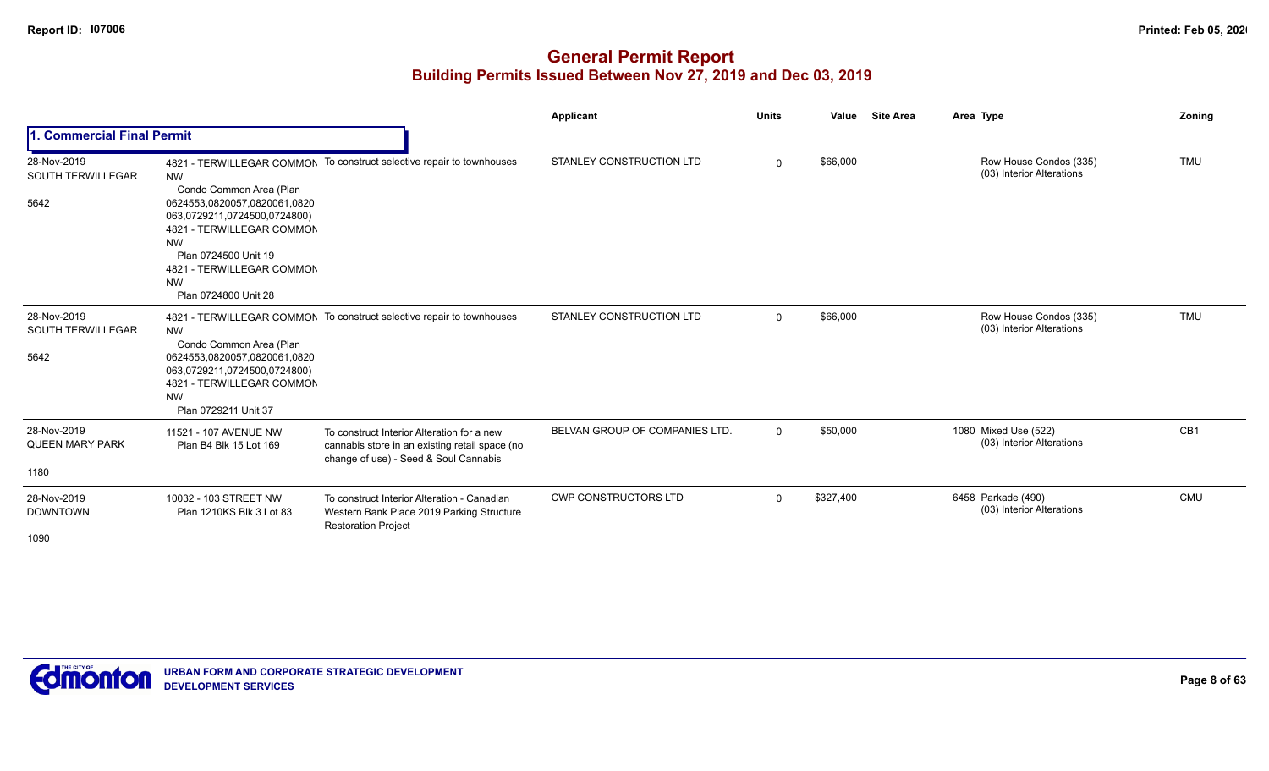|                                                 |                                                                                                                                                                                                                                          |                                                                                                                                       | <b>Applicant</b>               | <b>Units</b> | Value     | <b>Site Area</b> | Area Type                                           | Zoning          |
|-------------------------------------------------|------------------------------------------------------------------------------------------------------------------------------------------------------------------------------------------------------------------------------------------|---------------------------------------------------------------------------------------------------------------------------------------|--------------------------------|--------------|-----------|------------------|-----------------------------------------------------|-----------------|
| <b>Commercial Final Permit</b>                  |                                                                                                                                                                                                                                          |                                                                                                                                       |                                |              |           |                  |                                                     |                 |
| 28-Nov-2019<br><b>SOUTH TERWILLEGAR</b><br>5642 | <b>NW</b><br>Condo Common Area (Plan<br>0624553,0820057,0820061,0820<br>063,0729211,0724500,0724800)<br>4821 - TERWILLEGAR COMMON<br><b>NW</b><br>Plan 0724500 Unit 19<br>4821 - TERWILLEGAR COMMON<br><b>NW</b><br>Plan 0724800 Unit 28 | 4821 - TERWILLEGAR COMMON To construct selective repair to townhouses                                                                 | STANLEY CONSTRUCTION LTD       | $\mathbf 0$  | \$66,000  |                  | Row House Condos (335)<br>(03) Interior Alterations | <b>TMU</b>      |
| 28-Nov-2019<br><b>SOUTH TERWILLEGAR</b><br>5642 | <b>NW</b><br>Condo Common Area (Plan<br>0624553,0820057,0820061,0820<br>063,0729211,0724500,0724800)<br>4821 - TERWILLEGAR COMMON<br><b>NW</b><br>Plan 0729211 Unit 37                                                                   | 4821 - TERWILLEGAR COMMON To construct selective repair to townhouses                                                                 | STANLEY CONSTRUCTION LTD       | $\mathbf 0$  | \$66,000  |                  | Row House Condos (335)<br>(03) Interior Alterations | <b>TMU</b>      |
| 28-Nov-2019<br><b>QUEEN MARY PARK</b><br>1180   | 11521 - 107 AVENUE NW<br>Plan B4 Blk 15 Lot 169                                                                                                                                                                                          | To construct Interior Alteration for a new<br>cannabis store in an existing retail space (no<br>change of use) - Seed & Soul Cannabis | BELVAN GROUP OF COMPANIES LTD. | $\Omega$     | \$50,000  |                  | 1080 Mixed Use (522)<br>(03) Interior Alterations   | CB <sub>1</sub> |
| 28-Nov-2019<br><b>DOWNTOWN</b><br>1090          | 10032 - 103 STREET NW<br>Plan 1210KS Blk 3 Lot 83                                                                                                                                                                                        | To construct Interior Alteration - Canadian<br>Western Bank Place 2019 Parking Structure<br><b>Restoration Project</b>                | <b>CWP CONSTRUCTORS LTD</b>    | $\Omega$     | \$327,400 |                  | 6458 Parkade (490)<br>(03) Interior Alterations     | CMU             |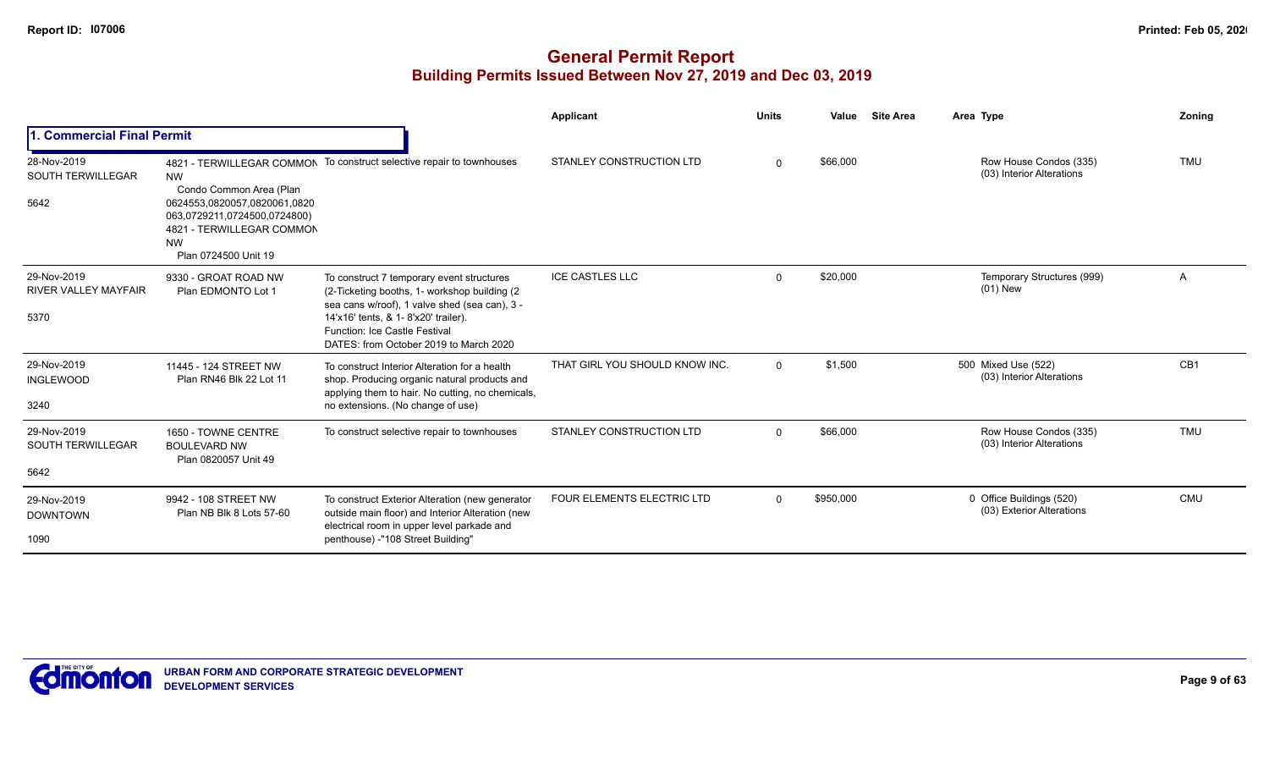|                                                    |                                                                                                                                                |                                                                                                                                                                                                                      | Applicant                       | <b>Units</b> | Value     | <b>Site Area</b> | Area Type                                             | Zoning          |
|----------------------------------------------------|------------------------------------------------------------------------------------------------------------------------------------------------|----------------------------------------------------------------------------------------------------------------------------------------------------------------------------------------------------------------------|---------------------------------|--------------|-----------|------------------|-------------------------------------------------------|-----------------|
| I. Commercial Final Permit                         |                                                                                                                                                |                                                                                                                                                                                                                      |                                 |              |           |                  |                                                       |                 |
| 28-Nov-2019<br><b>SOUTH TERWILLEGAR</b><br>5642    | <b>NW</b><br>Condo Common Area (Plan<br>0624553,0820057,0820061,0820<br>063,0729211,0724500,0724800)<br>4821 - TERWILLEGAR COMMON<br><b>NW</b> | 4821 - TERWILLEGAR COMMON To construct selective repair to townhouses                                                                                                                                                | STANLEY CONSTRUCTION LTD        | $\Omega$     | \$66,000  |                  | Row House Condos (335)<br>(03) Interior Alterations   | <b>TMU</b>      |
|                                                    | Plan 0724500 Unit 19                                                                                                                           |                                                                                                                                                                                                                      |                                 |              |           |                  |                                                       |                 |
| 29-Nov-2019<br><b>RIVER VALLEY MAYFAIR</b><br>5370 | 9330 - GROAT ROAD NW<br>Plan EDMONTO Lot 1                                                                                                     | To construct 7 temporary event structures<br>(2-Ticketing booths, 1- workshop building (2)<br>sea cans w/roof), 1 valve shed (sea can), 3 -<br>14'x16' tents, & 1- 8'x20' trailer).<br>Function: Ice Castle Festival | <b>ICE CASTLES LLC</b>          | $\Omega$     | \$20,000  |                  | Temporary Structures (999)<br>(01) New                | A               |
|                                                    |                                                                                                                                                | DATES: from October 2019 to March 2020                                                                                                                                                                               |                                 |              |           |                  |                                                       |                 |
| 29-Nov-2019<br><b>INGLEWOOD</b>                    | 11445 - 124 STREET NW<br>Plan RN46 Blk 22 Lot 11                                                                                               | To construct Interior Alteration for a health<br>shop. Producing organic natural products and<br>applying them to hair. No cutting, no chemicals,                                                                    | THAT GIRL YOU SHOULD KNOW INC.  | $\Omega$     | \$1,500   |                  | 500 Mixed Use (522)<br>(03) Interior Alterations      | CB <sub>1</sub> |
| 3240                                               |                                                                                                                                                | no extensions. (No change of use)                                                                                                                                                                                    |                                 |              |           |                  |                                                       |                 |
| 29-Nov-2019<br><b>SOUTH TERWILLEGAR</b>            | 1650 - TOWNE CENTRE<br><b>BOULEVARD NW</b><br>Plan 0820057 Unit 49                                                                             | To construct selective repair to townhouses                                                                                                                                                                          | <b>STANLEY CONSTRUCTION LTD</b> | $\Omega$     | \$66,000  |                  | Row House Condos (335)<br>(03) Interior Alterations   | <b>TMU</b>      |
| 5642                                               |                                                                                                                                                |                                                                                                                                                                                                                      |                                 |              |           |                  |                                                       |                 |
| 29-Nov-2019<br><b>DOWNTOWN</b>                     | 9942 - 108 STREET NW<br>Plan NB Blk 8 Lots 57-60                                                                                               | To construct Exterior Alteration (new generator<br>outside main floor) and Interior Alteration (new<br>electrical room in upper level parkade and                                                                    | FOUR ELEMENTS ELECTRIC LTD      | $\mathbf{0}$ | \$950,000 |                  | 0 Office Buildings (520)<br>(03) Exterior Alterations | <b>CMU</b>      |
| 1090                                               |                                                                                                                                                | penthouse) -"108 Street Building"                                                                                                                                                                                    |                                 |              |           |                  |                                                       |                 |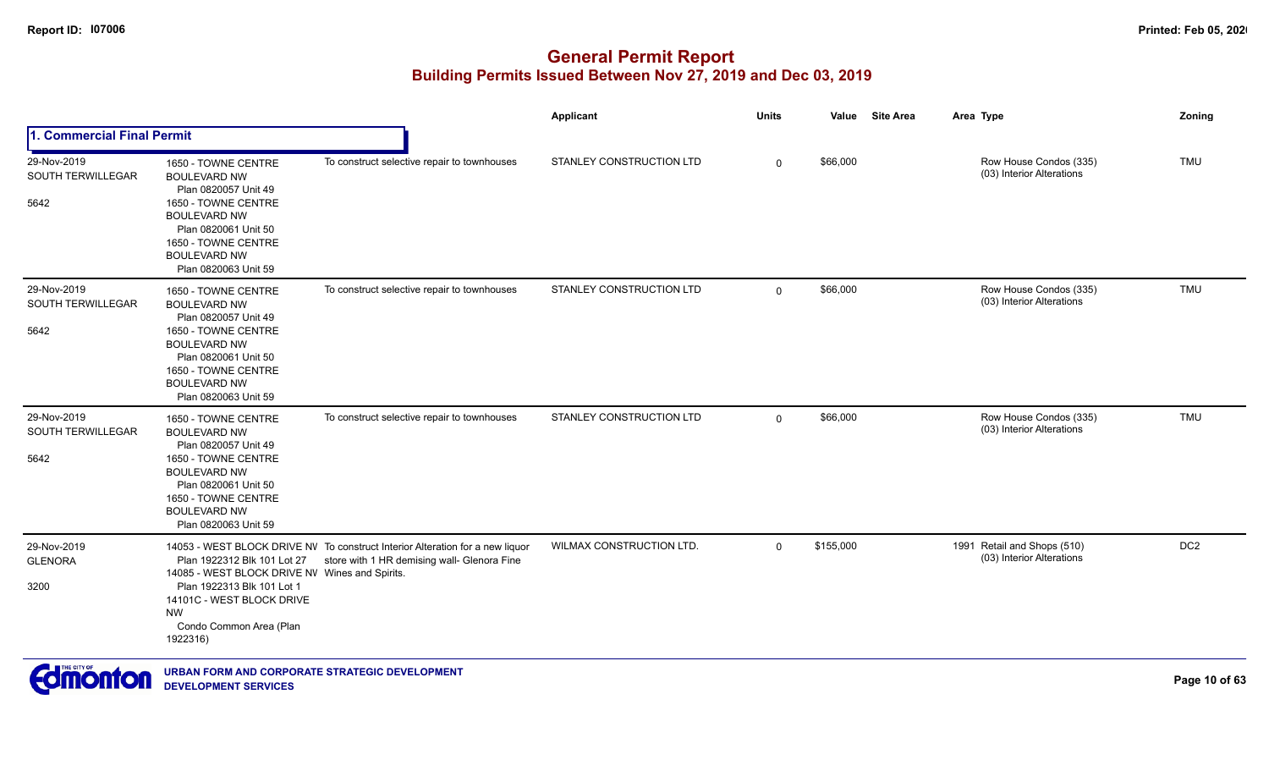|                                                 |                                                                                                                                                                                                                |                                                                                                                              | Applicant                | <b>Units</b> | Value     | <b>Site Area</b> | Area Type                                                | Zoning          |
|-------------------------------------------------|----------------------------------------------------------------------------------------------------------------------------------------------------------------------------------------------------------------|------------------------------------------------------------------------------------------------------------------------------|--------------------------|--------------|-----------|------------------|----------------------------------------------------------|-----------------|
| 1. Commercial Final Permit                      |                                                                                                                                                                                                                |                                                                                                                              |                          |              |           |                  |                                                          |                 |
| 29-Nov-2019<br><b>SOUTH TERWILLEGAR</b><br>5642 | 1650 - TOWNE CENTRE<br><b>BOULEVARD NW</b><br>Plan 0820057 Unit 49<br>1650 - TOWNE CENTRE<br><b>BOULEVARD NW</b><br>Plan 0820061 Unit 50<br>1650 - TOWNE CENTRE<br><b>BOULEVARD NW</b><br>Plan 0820063 Unit 59 | To construct selective repair to townhouses                                                                                  | STANLEY CONSTRUCTION LTD | $\mathbf 0$  | \$66,000  |                  | Row House Condos (335)<br>(03) Interior Alterations      | <b>TMU</b>      |
| 29-Nov-2019<br><b>SOUTH TERWILLEGAR</b><br>5642 | 1650 - TOWNE CENTRE<br><b>BOULEVARD NW</b><br>Plan 0820057 Unit 49<br>1650 - TOWNE CENTRE<br><b>BOULEVARD NW</b><br>Plan 0820061 Unit 50<br>1650 - TOWNE CENTRE<br><b>BOULEVARD NW</b><br>Plan 0820063 Unit 59 | To construct selective repair to townhouses                                                                                  | STANLEY CONSTRUCTION LTD | $\mathbf 0$  | \$66,000  |                  | Row House Condos (335)<br>(03) Interior Alterations      | <b>TMU</b>      |
| 29-Nov-2019<br>SOUTH TERWILLEGAR<br>5642        | 1650 - TOWNE CENTRE<br><b>BOULEVARD NW</b><br>Plan 0820057 Unit 49<br>1650 - TOWNE CENTRE<br><b>BOULEVARD NW</b><br>Plan 0820061 Unit 50<br>1650 - TOWNE CENTRE<br><b>BOULEVARD NW</b><br>Plan 0820063 Unit 59 | To construct selective repair to townhouses                                                                                  | STANLEY CONSTRUCTION LTD | $\mathbf 0$  | \$66,000  |                  | Row House Condos (335)<br>(03) Interior Alterations      | <b>TMU</b>      |
| 29-Nov-2019<br><b>GLENORA</b><br>3200           | Plan 1922312 Blk 101 Lot 27<br>14085 - WEST BLOCK DRIVE NV Wines and Spirits.<br>Plan 1922313 Blk 101 Lot 1<br>14101C - WEST BLOCK DRIVE<br><b>NW</b><br>Condo Common Area (Plan<br>1922316)                   | 14053 - WEST BLOCK DRIVE NV To construct Interior Alteration for a new liquor<br>store with 1 HR demising wall- Glenora Fine | WILMAX CONSTRUCTION LTD. | $\mathbf 0$  | \$155,000 |                  | 1991 Retail and Shops (510)<br>(03) Interior Alterations | DC <sub>2</sub> |

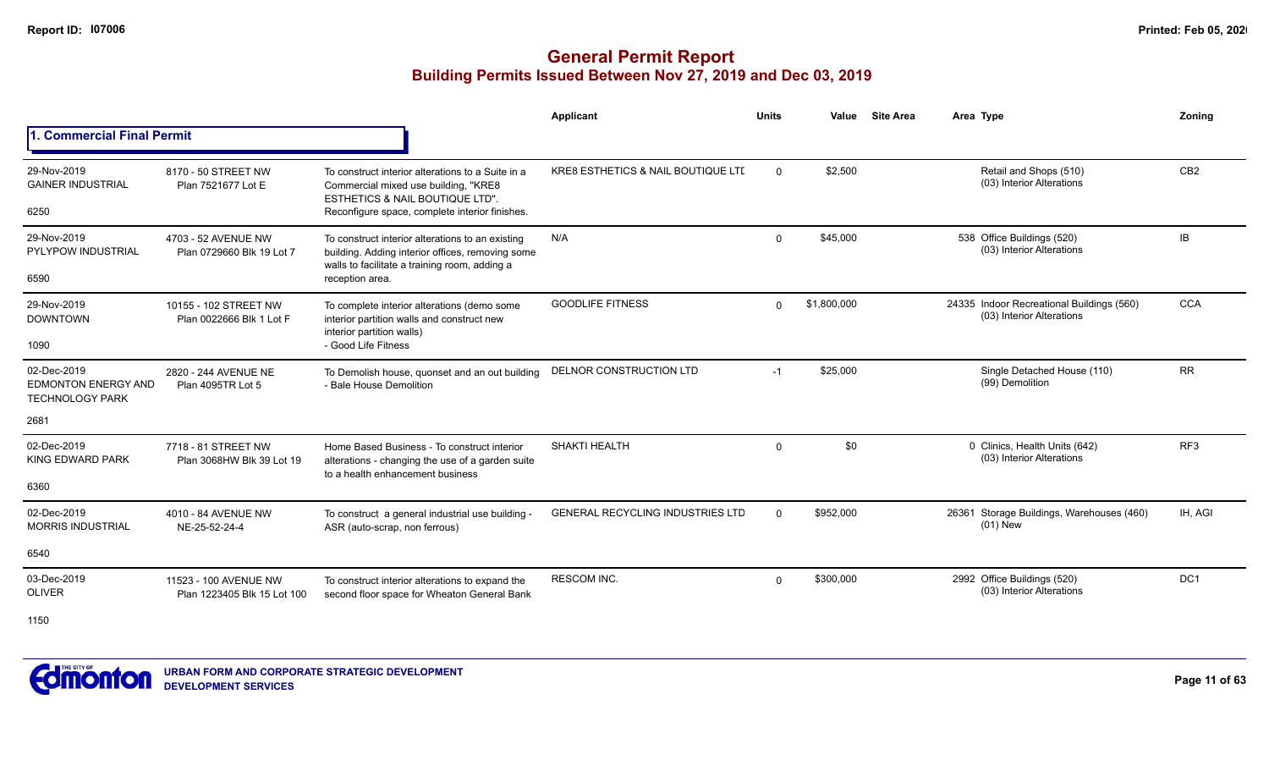|                                                                     |                                                      |                                                                                                                                                                                           | <b>Applicant</b>                        | <b>Units</b> | Value       | <b>Site Area</b> | Area Type                                                              | Zoning          |
|---------------------------------------------------------------------|------------------------------------------------------|-------------------------------------------------------------------------------------------------------------------------------------------------------------------------------------------|-----------------------------------------|--------------|-------------|------------------|------------------------------------------------------------------------|-----------------|
| <b>1. Commercial Final Permit</b>                                   |                                                      |                                                                                                                                                                                           |                                         |              |             |                  |                                                                        |                 |
| 29-Nov-2019<br><b>GAINER INDUSTRIAL</b><br>6250                     | 8170 - 50 STREET NW<br>Plan 7521677 Lot E            | To construct interior alterations to a Suite in a<br>Commercial mixed use building, "KRE8<br><b>ESTHETICS &amp; NAIL BOUTIQUE LTD".</b><br>Reconfigure space, complete interior finishes. | KRE8 ESTHETICS & NAIL BOUTIQUE LTI      | $\Omega$     | \$2,500     |                  | Retail and Shops (510)<br>(03) Interior Alterations                    | CB <sub>2</sub> |
| 29-Nov-2019<br>PYLYPOW INDUSTRIAL<br>6590                           | 4703 - 52 AVENUE NW<br>Plan 0729660 Blk 19 Lot 7     | To construct interior alterations to an existing<br>building. Adding interior offices, removing some<br>walls to facilitate a training room, adding a<br>reception area.                  | N/A                                     | $\Omega$     | \$45,000    |                  | 538 Office Buildings (520)<br>(03) Interior Alterations                | IB              |
| 29-Nov-2019<br><b>DOWNTOWN</b><br>1090                              | 10155 - 102 STREET NW<br>Plan 0022666 Blk 1 Lot F    | To complete interior alterations (demo some<br>interior partition walls and construct new<br>interior partition walls)<br>- Good Life Fitness                                             | <b>GOODLIFE FITNESS</b>                 | $\Omega$     | \$1,800,000 |                  | 24335 Indoor Recreational Buildings (560)<br>(03) Interior Alterations | <b>CCA</b>      |
| 02-Dec-2019<br><b>EDMONTON ENERGY AND</b><br><b>TECHNOLOGY PARK</b> | 2820 - 244 AVENUE NE<br>Plan 4095TR Lot 5            | To Demolish house, quonset and an out building<br>- Bale House Demolition                                                                                                                 | DELNOR CONSTRUCTION LTD                 | $-1$         | \$25,000    |                  | Single Detached House (110)<br>(99) Demolition                         | <b>RR</b>       |
| 2681                                                                |                                                      |                                                                                                                                                                                           |                                         |              |             |                  |                                                                        |                 |
| 02-Dec-2019<br>KING EDWARD PARK                                     | 7718 - 81 STREET NW<br>Plan 3068HW Blk 39 Lot 19     | Home Based Business - To construct interior<br>alterations - changing the use of a garden suite<br>to a health enhancement business                                                       | SHAKTI HEALTH                           | $\Omega$     | \$0         |                  | 0 Clinics, Health Units (642)<br>(03) Interior Alterations             | RF <sub>3</sub> |
| 6360                                                                |                                                      |                                                                                                                                                                                           |                                         |              |             |                  |                                                                        |                 |
| 02-Dec-2019<br><b>MORRIS INDUSTRIAL</b>                             | 4010 - 84 AVENUE NW<br>NE-25-52-24-4                 | To construct a general industrial use building -<br>ASR (auto-scrap, non ferrous)                                                                                                         | <b>GENERAL RECYCLING INDUSTRIES LTD</b> | $\Omega$     | \$952,000   |                  | 26361 Storage Buildings, Warehouses (460)<br>$(01)$ New                | IH, AGI         |
| 6540                                                                |                                                      |                                                                                                                                                                                           |                                         |              |             |                  |                                                                        |                 |
| 03-Dec-2019<br><b>OLIVER</b>                                        | 11523 - 100 AVENUE NW<br>Plan 1223405 Blk 15 Lot 100 | To construct interior alterations to expand the<br>second floor space for Wheaton General Bank                                                                                            | <b>RESCOM INC.</b>                      | $\Omega$     | \$300,000   |                  | 2992 Office Buildings (520)<br>(03) Interior Alterations               | DC <sub>1</sub> |
| 1150                                                                |                                                      |                                                                                                                                                                                           |                                         |              |             |                  |                                                                        |                 |

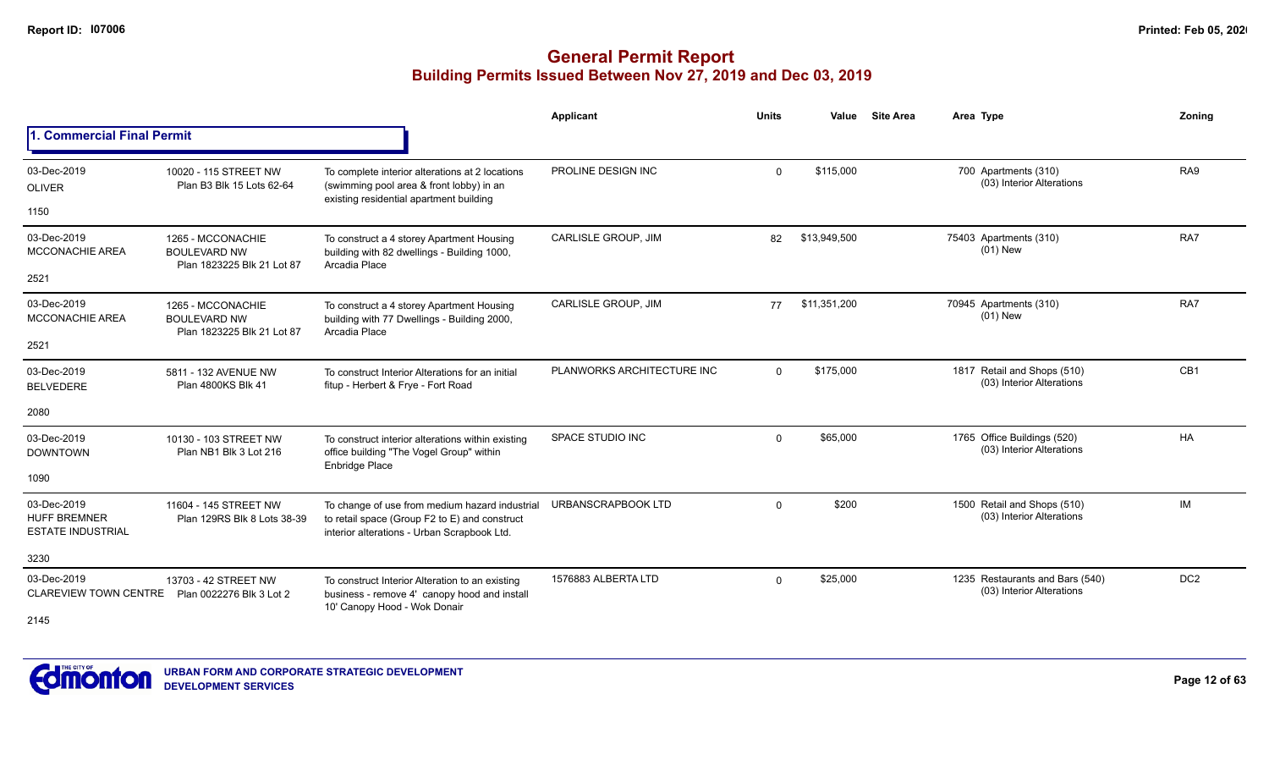|                                                                |                                                                        |                                                                                                                                                | Applicant                  | <b>Units</b> | Value        | <b>Site Area</b> | Area Type                                                    | Zoning          |
|----------------------------------------------------------------|------------------------------------------------------------------------|------------------------------------------------------------------------------------------------------------------------------------------------|----------------------------|--------------|--------------|------------------|--------------------------------------------------------------|-----------------|
| 1. Commercial Final Permit                                     |                                                                        |                                                                                                                                                |                            |              |              |                  |                                                              |                 |
| 03-Dec-2019<br><b>OLIVER</b>                                   | 10020 - 115 STREET NW<br>Plan B3 Blk 15 Lots 62-64                     | To complete interior alterations at 2 locations<br>(swimming pool area & front lobby) in an                                                    | PROLINE DESIGN INC         | $\Omega$     | \$115.000    |                  | 700 Apartments (310)<br>(03) Interior Alterations            | RA <sub>9</sub> |
| 1150                                                           |                                                                        | existing residential apartment building                                                                                                        |                            |              |              |                  |                                                              |                 |
| 03-Dec-2019<br><b>MCCONACHIE AREA</b>                          | 1265 - MCCONACHIE<br><b>BOULEVARD NW</b><br>Plan 1823225 Blk 21 Lot 87 | To construct a 4 storey Apartment Housing<br>building with 82 dwellings - Building 1000,<br>Arcadia Place                                      | CARLISLE GROUP, JIM        | 82           | \$13,949,500 |                  | 75403 Apartments (310)<br>$(01)$ New                         | RA7             |
| 2521                                                           |                                                                        |                                                                                                                                                |                            |              |              |                  |                                                              |                 |
| 03-Dec-2019<br><b>MCCONACHIE AREA</b>                          | 1265 - MCCONACHIE<br><b>BOULEVARD NW</b><br>Plan 1823225 Blk 21 Lot 87 | To construct a 4 storey Apartment Housing<br>building with 77 Dwellings - Building 2000,<br>Arcadia Place                                      | CARLISLE GROUP, JIM        | 77           | \$11,351,200 |                  | 70945 Apartments (310)<br>$(01)$ New                         | RA7             |
| 2521                                                           |                                                                        |                                                                                                                                                |                            |              |              |                  |                                                              |                 |
| 03-Dec-2019<br><b>BELVEDERE</b>                                | 5811 - 132 AVENUE NW<br>Plan 4800KS Blk 41                             | To construct Interior Alterations for an initial<br>fitup - Herbert & Frye - Fort Road                                                         | PLANWORKS ARCHITECTURE INC | $\Omega$     | \$175.000    |                  | 1817 Retail and Shops (510)<br>(03) Interior Alterations     | CB1             |
| 2080                                                           |                                                                        |                                                                                                                                                |                            |              |              |                  |                                                              |                 |
| 03-Dec-2019<br><b>DOWNTOWN</b>                                 | 10130 - 103 STREET NW<br>Plan NB1 Blk 3 Lot 216                        | To construct interior alterations within existing<br>office building "The Vogel Group" within<br>Enbridge Place                                | SPACE STUDIO INC           | $\Omega$     | \$65,000     |                  | 1765 Office Buildings (520)<br>(03) Interior Alterations     | <b>HA</b>       |
| 1090                                                           |                                                                        |                                                                                                                                                |                            |              |              |                  |                                                              |                 |
| 03-Dec-2019<br><b>HUFF BREMNER</b><br><b>ESTATE INDUSTRIAL</b> | 11604 - 145 STREET NW<br>Plan 129RS Blk 8 Lots 38-39                   | To change of use from medium hazard industrial<br>to retail space (Group F2 to E) and construct<br>interior alterations - Urban Scrapbook Ltd. | URBANSCRAPBOOK LTD         | $\Omega$     | \$200        |                  | 1500 Retail and Shops (510)<br>(03) Interior Alterations     | <b>IM</b>       |
| 3230                                                           |                                                                        |                                                                                                                                                |                            |              |              |                  |                                                              |                 |
| 03-Dec-2019<br><b>CLAREVIEW TOWN CENTRE</b>                    | 13703 - 42 STREET NW<br>Plan 0022276 Blk 3 Lot 2                       | To construct Interior Alteration to an existing<br>business - remove 4' canopy hood and install<br>10' Canopy Hood - Wok Donair                | 1576883 ALBERTA LTD        | $\Omega$     | \$25,000     |                  | 1235 Restaurants and Bars (540)<br>(03) Interior Alterations | DC <sub>2</sub> |
| 2145                                                           |                                                                        |                                                                                                                                                |                            |              |              |                  |                                                              |                 |

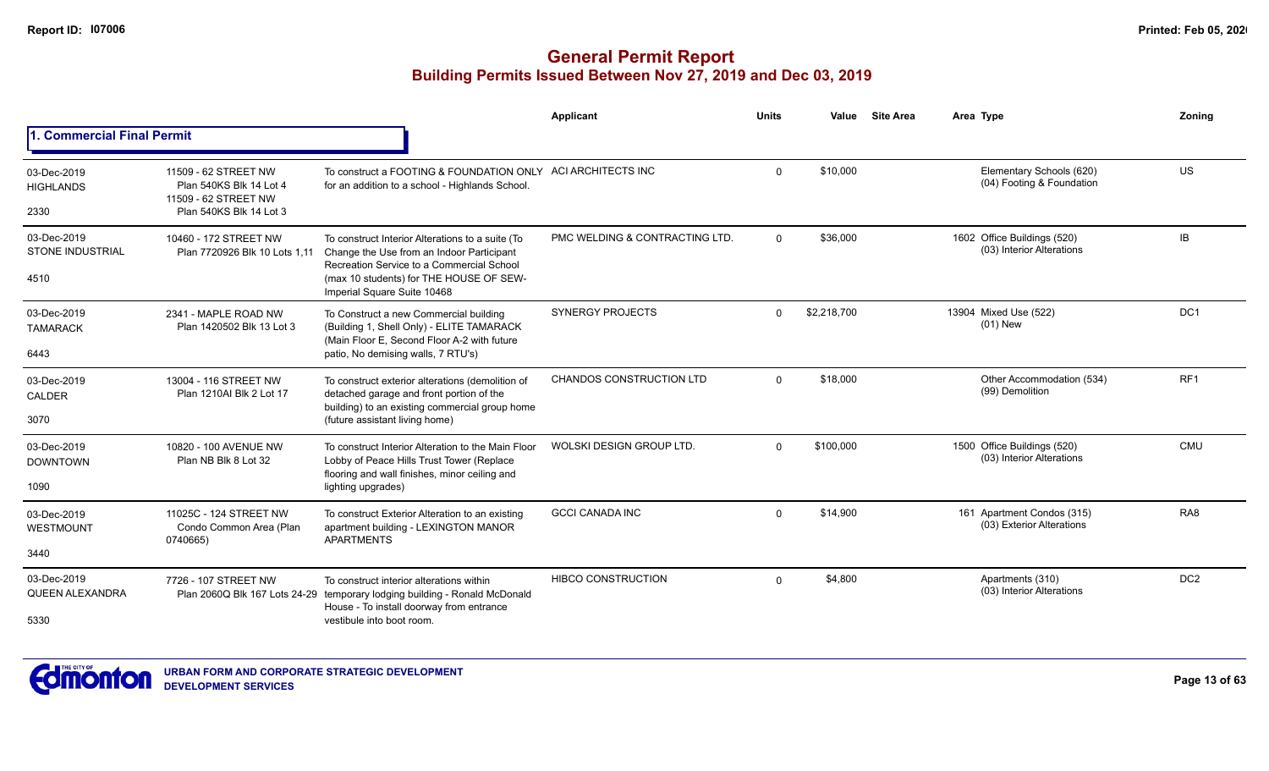|                                                |                                                                                                    |                                                                                                                                                                                                                      | Applicant                      | <b>Units</b> | Value       | <b>Site Area</b> | Area Type                                                | Zoning          |
|------------------------------------------------|----------------------------------------------------------------------------------------------------|----------------------------------------------------------------------------------------------------------------------------------------------------------------------------------------------------------------------|--------------------------------|--------------|-------------|------------------|----------------------------------------------------------|-----------------|
| 1. Commercial Final Permit                     |                                                                                                    |                                                                                                                                                                                                                      |                                |              |             |                  |                                                          |                 |
| 03-Dec-2019<br><b>HIGHLANDS</b><br>2330        | 11509 - 62 STREET NW<br>Plan 540KS Blk 14 Lot 4<br>11509 - 62 STREET NW<br>Plan 540KS Blk 14 Lot 3 | To construct a FOOTING & FOUNDATION ONLY<br>for an addition to a school - Highlands School.                                                                                                                          | ACI ARCHITECTS INC             | $\Omega$     | \$10.000    |                  | Elementary Schools (620)<br>(04) Footing & Foundation    | US              |
| 03-Dec-2019<br><b>STONE INDUSTRIAL</b><br>4510 | 10460 - 172 STREET NW<br>Plan 7720926 Blk 10 Lots 1.11                                             | To construct Interior Alterations to a suite (To<br>Change the Use from an Indoor Participant<br>Recreation Service to a Commercial School<br>(max 10 students) for THE HOUSE OF SEW-<br>Imperial Square Suite 10468 | PMC WELDING & CONTRACTING LTD. | $\Omega$     | \$36,000    |                  | 1602 Office Buildings (520)<br>(03) Interior Alterations | IB.             |
| 03-Dec-2019<br><b>TAMARACK</b><br>6443         | 2341 - MAPLE ROAD NW<br>Plan 1420502 Blk 13 Lot 3                                                  | To Construct a new Commercial building<br>(Building 1, Shell Only) - ELITE TAMARACK<br>(Main Floor E, Second Floor A-2 with future<br>patio, No demising walls, 7 RTU's)                                             | <b>SYNERGY PROJECTS</b>        | $\Omega$     | \$2,218,700 |                  | 13904 Mixed Use (522)<br>$(01)$ New                      | DC <sub>1</sub> |
| 03-Dec-2019<br><b>CALDER</b><br>3070           | 13004 - 116 STREET NW<br>Plan 1210AI Blk 2 Lot 17                                                  | To construct exterior alterations (demolition of<br>detached garage and front portion of the<br>building) to an existing commercial group home<br>(future assistant living home)                                     | CHANDOS CONSTRUCTION LTD       | $\Omega$     | \$18,000    |                  | Other Accommodation (534)<br>(99) Demolition             | RF1             |
| 03-Dec-2019<br><b>DOWNTOWN</b><br>1090         | 10820 - 100 AVENUE NW<br>Plan NB Blk 8 Lot 32                                                      | To construct Interior Alteration to the Main Floor<br>Lobby of Peace Hills Trust Tower (Replace<br>flooring and wall finishes, minor ceiling and<br>lighting upgrades)                                               | WOLSKI DESIGN GROUP LTD        | $\Omega$     | \$100,000   |                  | 1500 Office Buildings (520)<br>(03) Interior Alterations | <b>CMU</b>      |
| 03-Dec-2019<br>WESTMOUNT<br>3440               | 11025C - 124 STREET NW<br>Condo Common Area (Plan<br>0740665)                                      | To construct Exterior Alteration to an existing<br>apartment building - LEXINGTON MANOR<br><b>APARTMENTS</b>                                                                                                         | <b>GCCI CANADA INC</b>         | $\Omega$     | \$14,900    |                  | 161 Apartment Condos (315)<br>(03) Exterior Alterations  | RA <sub>8</sub> |
| 03-Dec-2019<br><b>QUEEN ALEXANDRA</b><br>5330  | 7726 - 107 STREET NW                                                                               | To construct interior alterations within<br>Plan 2060Q Blk 167 Lots 24-29 temporary lodging building - Ronald McDonald<br>House - To install doorway from entrance<br>vestibule into boot room.                      | <b>HIBCO CONSTRUCTION</b>      | $\Omega$     | \$4,800     |                  | Apartments (310)<br>(03) Interior Alterations            | DC <sub>2</sub> |

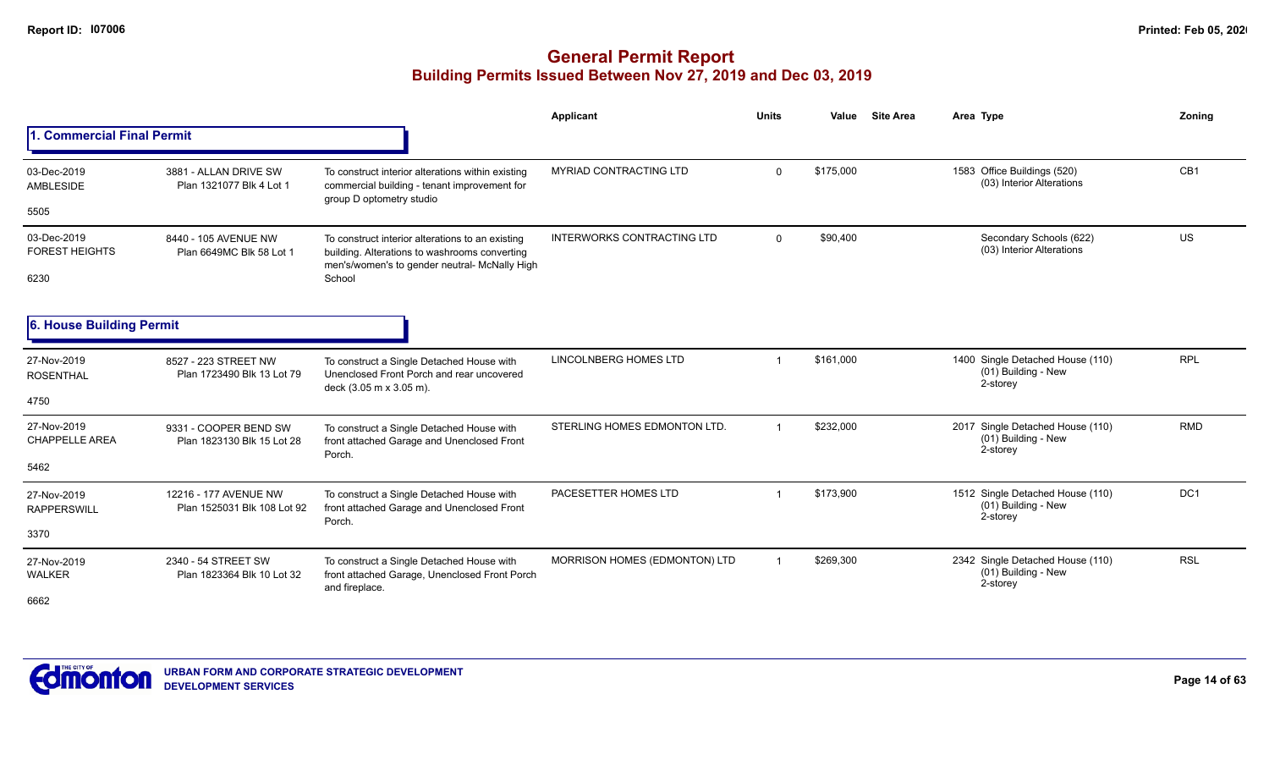|                                      |                                                      |                                                                                                                                                    | Applicant                         | <b>Units</b>                                                                                                                                                                                                                                                                                                                                                                                                                                                                                                                           | Value | <b>Site Area</b> | Area Type                       | Zonina          |
|--------------------------------------|------------------------------------------------------|----------------------------------------------------------------------------------------------------------------------------------------------------|-----------------------------------|----------------------------------------------------------------------------------------------------------------------------------------------------------------------------------------------------------------------------------------------------------------------------------------------------------------------------------------------------------------------------------------------------------------------------------------------------------------------------------------------------------------------------------------|-------|------------------|---------------------------------|-----------------|
| 1. Commercial Final Permit           |                                                      |                                                                                                                                                    |                                   | \$175,000<br>1583 Office Buildings (520)<br>$\mathbf{0}$<br>(03) Interior Alterations<br>\$90,400<br>Secondary Schools (622)<br>$\mathbf{0}$<br>(03) Interior Alterations<br>\$161,000<br>1400 Single Detached House (110)<br>$\overline{1}$<br>(01) Building - New<br>2-storey<br>\$232,000<br>2017 Single Detached House (110)<br>$\overline{1}$<br>(01) Building - New<br>2-storey<br>\$173,900<br>1512 Single Detached House (110)<br>-1<br>(01) Building - New<br>2-storey<br>\$269,300<br>2342 Single Detached House (110)<br>-1 |       |                  |                                 |                 |
| 03-Dec-2019<br>AMBLESIDE<br>5505     | 3881 - ALLAN DRIVE SW<br>Plan 1321077 Blk 4 Lot 1    | To construct interior alterations within existing<br>commercial building - tenant improvement for<br>group D optometry studio                      | <b>MYRIAD CONTRACTING LTD</b>     |                                                                                                                                                                                                                                                                                                                                                                                                                                                                                                                                        |       |                  |                                 | CB <sub>1</sub> |
|                                      |                                                      |                                                                                                                                                    |                                   |                                                                                                                                                                                                                                                                                                                                                                                                                                                                                                                                        |       |                  |                                 |                 |
| 03-Dec-2019<br><b>FOREST HEIGHTS</b> | 8440 - 105 AVENUE NW<br>Plan 6649MC Blk 58 Lot 1     | To construct interior alterations to an existing<br>building. Alterations to washrooms converting<br>men's/women's to gender neutral- McNally High | <b>INTERWORKS CONTRACTING LTD</b> |                                                                                                                                                                                                                                                                                                                                                                                                                                                                                                                                        |       |                  |                                 | US              |
| 6230                                 |                                                      | School                                                                                                                                             |                                   |                                                                                                                                                                                                                                                                                                                                                                                                                                                                                                                                        |       |                  |                                 |                 |
| 6. House Building Permit             |                                                      |                                                                                                                                                    |                                   |                                                                                                                                                                                                                                                                                                                                                                                                                                                                                                                                        |       |                  |                                 |                 |
| 27-Nov-2019<br><b>ROSENTHAL</b>      | 8527 - 223 STREET NW<br>Plan 1723490 Blk 13 Lot 79   | To construct a Single Detached House with<br>Unenclosed Front Porch and rear uncovered<br>deck (3.05 m x 3.05 m).                                  | LINCOLNBERG HOMES LTD             |                                                                                                                                                                                                                                                                                                                                                                                                                                                                                                                                        |       |                  |                                 | <b>RPL</b>      |
| 4750                                 |                                                      |                                                                                                                                                    |                                   |                                                                                                                                                                                                                                                                                                                                                                                                                                                                                                                                        |       |                  |                                 |                 |
| 27-Nov-2019<br><b>CHAPPELLE AREA</b> | 9331 - COOPER BEND SW<br>Plan 1823130 Blk 15 Lot 28  | To construct a Single Detached House with<br>front attached Garage and Unenclosed Front<br>Porch.                                                  | STERLING HOMES EDMONTON LTD.      |                                                                                                                                                                                                                                                                                                                                                                                                                                                                                                                                        |       |                  |                                 | <b>RMD</b>      |
| 5462                                 |                                                      |                                                                                                                                                    |                                   |                                                                                                                                                                                                                                                                                                                                                                                                                                                                                                                                        |       |                  |                                 |                 |
| 27-Nov-2019<br><b>RAPPERSWILL</b>    | 12216 - 177 AVENUE NW<br>Plan 1525031 Blk 108 Lot 92 | To construct a Single Detached House with<br>front attached Garage and Unenclosed Front<br>Porch.                                                  | PACESETTER HOMES LTD              |                                                                                                                                                                                                                                                                                                                                                                                                                                                                                                                                        |       |                  |                                 | DC <sub>1</sub> |
| 3370                                 |                                                      |                                                                                                                                                    |                                   |                                                                                                                                                                                                                                                                                                                                                                                                                                                                                                                                        |       |                  |                                 |                 |
| 27-Nov-2019<br><b>WALKER</b>         | 2340 - 54 STREET SW<br>Plan 1823364 Blk 10 Lot 32    | To construct a Single Detached House with<br>front attached Garage, Unenclosed Front Porch<br>and fireplace.                                       | MORRISON HOMES (EDMONTON) LTD     |                                                                                                                                                                                                                                                                                                                                                                                                                                                                                                                                        |       |                  | (01) Building - New<br>2-storey | <b>RSL</b>      |
| 6662                                 |                                                      |                                                                                                                                                    |                                   |                                                                                                                                                                                                                                                                                                                                                                                                                                                                                                                                        |       |                  |                                 |                 |

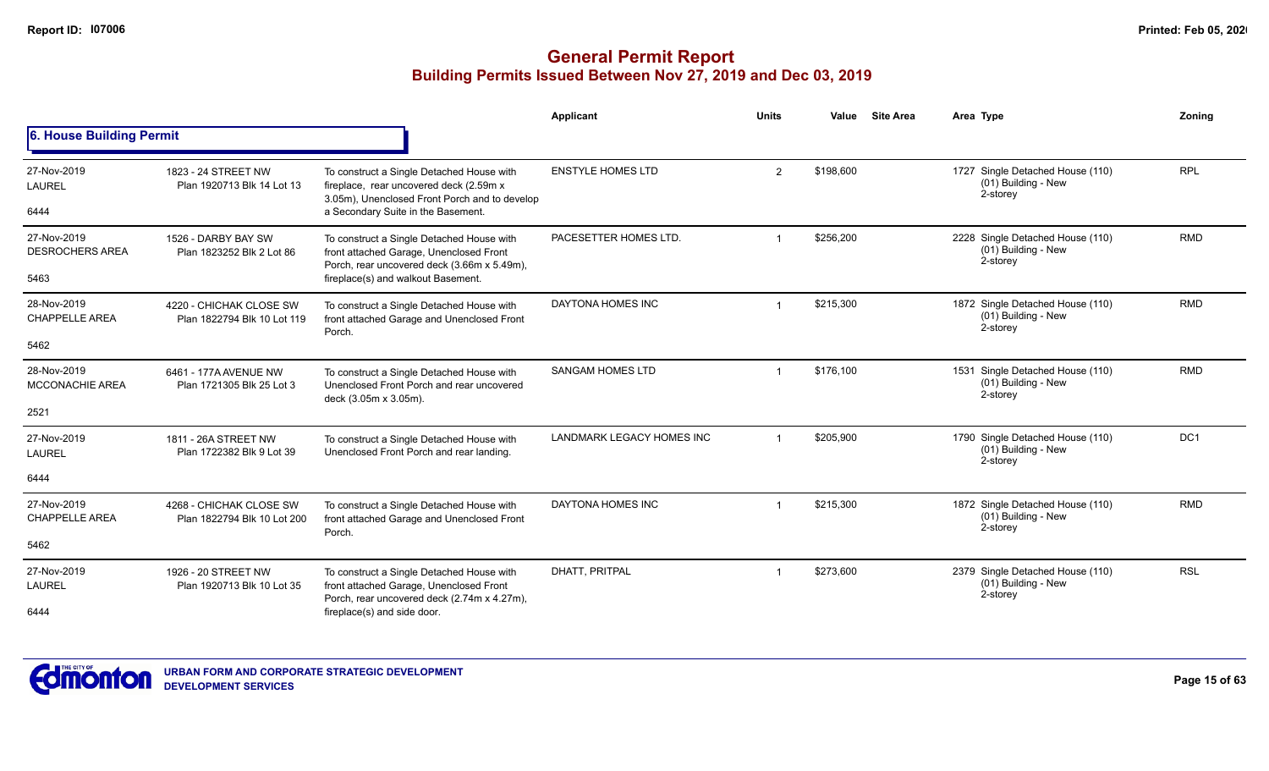|                                       |                                                        |                                                                                                                                       | Applicant                        | <b>Units</b>   | Value     | <b>Site Area</b> | Area Type                                                           | Zoning          |
|---------------------------------------|--------------------------------------------------------|---------------------------------------------------------------------------------------------------------------------------------------|----------------------------------|----------------|-----------|------------------|---------------------------------------------------------------------|-----------------|
| 6. House Building Permit              |                                                        |                                                                                                                                       |                                  |                |           |                  |                                                                     |                 |
| 27-Nov-2019<br><b>LAUREL</b>          | 1823 - 24 STREET NW<br>Plan 1920713 Blk 14 Lot 13      | To construct a Single Detached House with<br>fireplace, rear uncovered deck (2.59m x<br>3.05m), Unenclosed Front Porch and to develop | <b>ENSTYLE HOMES LTD</b>         | $\overline{2}$ | \$198,600 |                  | 1727 Single Detached House (110)<br>(01) Building - New<br>2-storey | <b>RPL</b>      |
| 6444                                  |                                                        | a Secondary Suite in the Basement.                                                                                                    |                                  |                |           |                  |                                                                     |                 |
| 27-Nov-2019<br><b>DESROCHERS AREA</b> | 1526 - DARBY BAY SW<br>Plan 1823252 Blk 2 Lot 86       | To construct a Single Detached House with<br>front attached Garage, Unenclosed Front<br>Porch, rear uncovered deck (3.66m x 5.49m),   | PACESETTER HOMES LTD.            | -1             | \$256,200 |                  | 2228 Single Detached House (110)<br>(01) Building - New<br>2-storey | <b>RMD</b>      |
| 5463                                  |                                                        | fireplace(s) and walkout Basement.                                                                                                    |                                  |                |           |                  |                                                                     |                 |
| 28-Nov-2019<br><b>CHAPPELLE AREA</b>  | 4220 - CHICHAK CLOSE SW<br>Plan 1822794 Blk 10 Lot 119 | To construct a Single Detached House with<br>front attached Garage and Unenclosed Front<br>Porch.                                     | DAYTONA HOMES INC                |                | \$215,300 |                  | 1872 Single Detached House (110)<br>(01) Building - New<br>2-storey | <b>RMD</b>      |
| 5462                                  |                                                        |                                                                                                                                       |                                  |                |           |                  |                                                                     |                 |
| 28-Nov-2019<br><b>MCCONACHIE AREA</b> | 6461 - 177A AVENUE NW<br>Plan 1721305 Blk 25 Lot 3     | To construct a Single Detached House with<br>Unenclosed Front Porch and rear uncovered<br>deck (3.05m x 3.05m).                       | <b>SANGAM HOMES LTD</b>          |                | \$176,100 |                  | 1531 Single Detached House (110)<br>(01) Building - New<br>2-storey | <b>RMD</b>      |
| 2521                                  |                                                        |                                                                                                                                       |                                  |                |           |                  |                                                                     |                 |
| 27-Nov-2019<br><b>LAUREL</b>          | 1811 - 26A STREET NW<br>Plan 1722382 Blk 9 Lot 39      | To construct a Single Detached House with<br>Unenclosed Front Porch and rear landing.                                                 | <b>LANDMARK LEGACY HOMES INC</b> | -1             | \$205,900 |                  | 1790 Single Detached House (110)<br>(01) Building - New<br>2-storey | DC <sub>1</sub> |
| 6444                                  |                                                        |                                                                                                                                       |                                  |                |           |                  |                                                                     |                 |
| 27-Nov-2019<br><b>CHAPPELLE AREA</b>  | 4268 - CHICHAK CLOSE SW<br>Plan 1822794 Blk 10 Lot 200 | To construct a Single Detached House with<br>front attached Garage and Unenclosed Front<br>Porch.                                     | DAYTONA HOMES INC                |                | \$215,300 |                  | 1872 Single Detached House (110)<br>(01) Building - New<br>2-storey | <b>RMD</b>      |
| 5462                                  |                                                        |                                                                                                                                       |                                  |                |           |                  |                                                                     |                 |
| 27-Nov-2019<br><b>LAUREL</b>          | 1926 - 20 STREET NW<br>Plan 1920713 Blk 10 Lot 35      | To construct a Single Detached House with<br>front attached Garage, Unenclosed Front<br>Porch, rear uncovered deck (2.74m x 4.27m),   | DHATT, PRITPAL                   |                | \$273,600 |                  | 2379 Single Detached House (110)<br>(01) Building - New<br>2-storey | <b>RSL</b>      |
| 6444                                  |                                                        | fireplace(s) and side door.                                                                                                           |                                  |                |           |                  |                                                                     |                 |

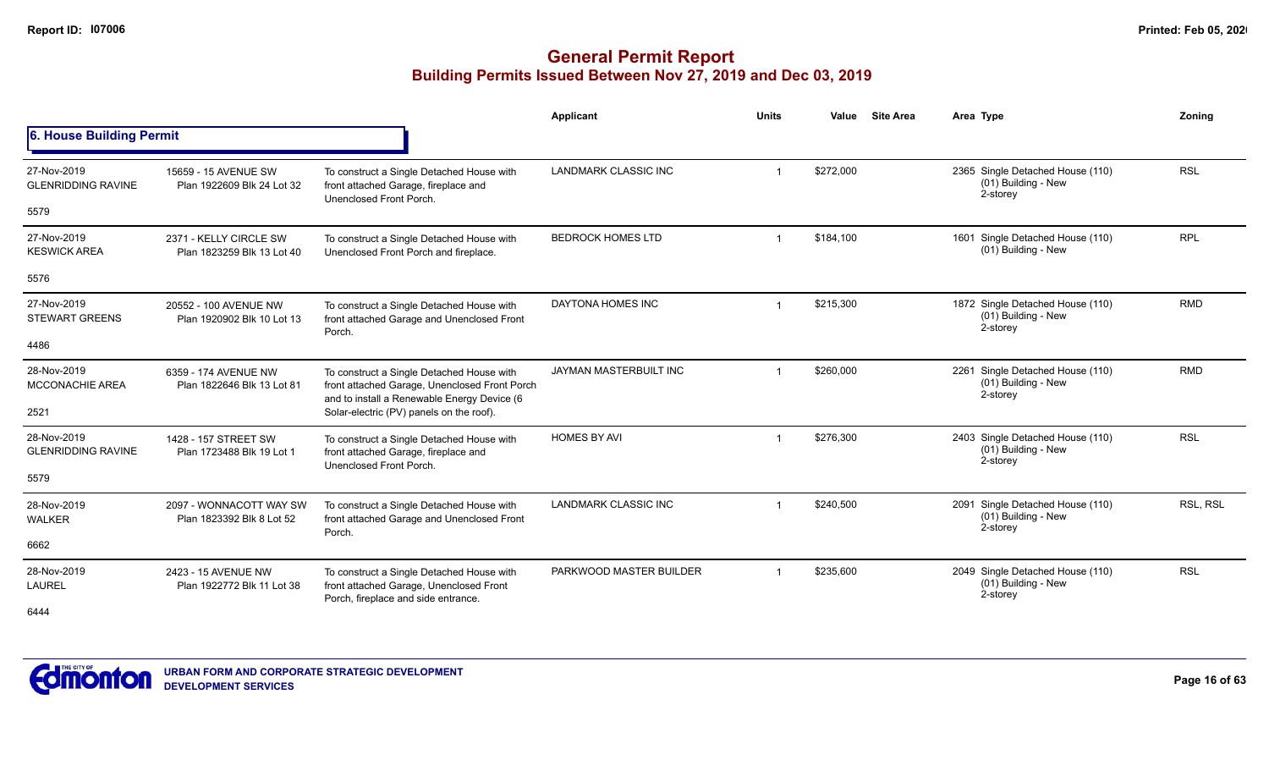|                                          |                                                      |                                                                                                                                           | Applicant                   | <b>Units</b>   | <b>Site Area</b><br>Value | Area Type                                                           | Zoning     |
|------------------------------------------|------------------------------------------------------|-------------------------------------------------------------------------------------------------------------------------------------------|-----------------------------|----------------|---------------------------|---------------------------------------------------------------------|------------|
| 6. House Building Permit                 |                                                      |                                                                                                                                           |                             |                |                           |                                                                     |            |
| 27-Nov-2019<br><b>GLENRIDDING RAVINE</b> | 15659 - 15 AVENUE SW<br>Plan 1922609 Blk 24 Lot 32   | To construct a Single Detached House with<br>front attached Garage, fireplace and<br>Unenclosed Front Porch.                              | <b>LANDMARK CLASSIC INC</b> |                | \$272,000                 | 2365 Single Detached House (110)<br>(01) Building - New<br>2-storey | <b>RSL</b> |
| 5579                                     |                                                      |                                                                                                                                           |                             |                |                           |                                                                     |            |
| 27-Nov-2019<br><b>KESWICK AREA</b>       | 2371 - KELLY CIRCLE SW<br>Plan 1823259 Blk 13 Lot 40 | To construct a Single Detached House with<br>Unenclosed Front Porch and fireplace.                                                        | <b>BEDROCK HOMES LTD</b>    |                | \$184,100                 | 1601 Single Detached House (110)<br>(01) Building - New             | <b>RPL</b> |
| 5576                                     |                                                      |                                                                                                                                           |                             |                |                           |                                                                     |            |
| 27-Nov-2019<br><b>STEWART GREENS</b>     | 20552 - 100 AVENUE NW<br>Plan 1920902 Blk 10 Lot 13  | To construct a Single Detached House with<br>front attached Garage and Unenclosed Front<br>Porch.                                         | DAYTONA HOMES INC           |                | \$215,300                 | 1872 Single Detached House (110)<br>(01) Building - New<br>2-storey | <b>RMD</b> |
| 4486                                     |                                                      |                                                                                                                                           |                             |                |                           |                                                                     |            |
| 28-Nov-2019<br><b>MCCONACHIE AREA</b>    | 6359 - 174 AVENUE NW<br>Plan 1822646 Blk 13 Lot 81   | To construct a Single Detached House with<br>front attached Garage, Unenclosed Front Porch<br>and to install a Renewable Energy Device (6 | JAYMAN MASTERBUILT INC      |                | \$260,000                 | 2261 Single Detached House (110)<br>(01) Building - New<br>2-storey | <b>RMD</b> |
| 2521                                     |                                                      | Solar-electric (PV) panels on the roof).                                                                                                  |                             |                |                           |                                                                     |            |
| 28-Nov-2019<br><b>GLENRIDDING RAVINE</b> | 1428 - 157 STREET SW<br>Plan 1723488 Blk 19 Lot 1    | To construct a Single Detached House with<br>front attached Garage, fireplace and<br>Unenclosed Front Porch.                              | <b>HOMES BY AVI</b>         | $\overline{1}$ | \$276,300                 | 2403 Single Detached House (110)<br>(01) Building - New<br>2-storey | <b>RSL</b> |
| 5579                                     |                                                      |                                                                                                                                           |                             |                |                           |                                                                     |            |
| 28-Nov-2019<br><b>WALKER</b>             | 2097 - WONNACOTT WAY SW<br>Plan 1823392 Blk 8 Lot 52 | To construct a Single Detached House with<br>front attached Garage and Unenclosed Front<br>Porch.                                         | <b>LANDMARK CLASSIC INC</b> |                | \$240,500                 | 2091 Single Detached House (110)<br>(01) Building - New<br>2-storey | RSL, RSL   |
| 6662                                     |                                                      |                                                                                                                                           |                             |                |                           |                                                                     |            |
| 28-Nov-2019<br><b>LAUREL</b>             | 2423 - 15 AVENUE NW<br>Plan 1922772 Blk 11 Lot 38    | To construct a Single Detached House with<br>front attached Garage, Unenclosed Front<br>Porch, fireplace and side entrance.               | PARKWOOD MASTER BUILDER     | -1             | \$235,600                 | 2049 Single Detached House (110)<br>(01) Building - New<br>2-storey | <b>RSL</b> |
| 6444                                     |                                                      |                                                                                                                                           |                             |                |                           |                                                                     |            |

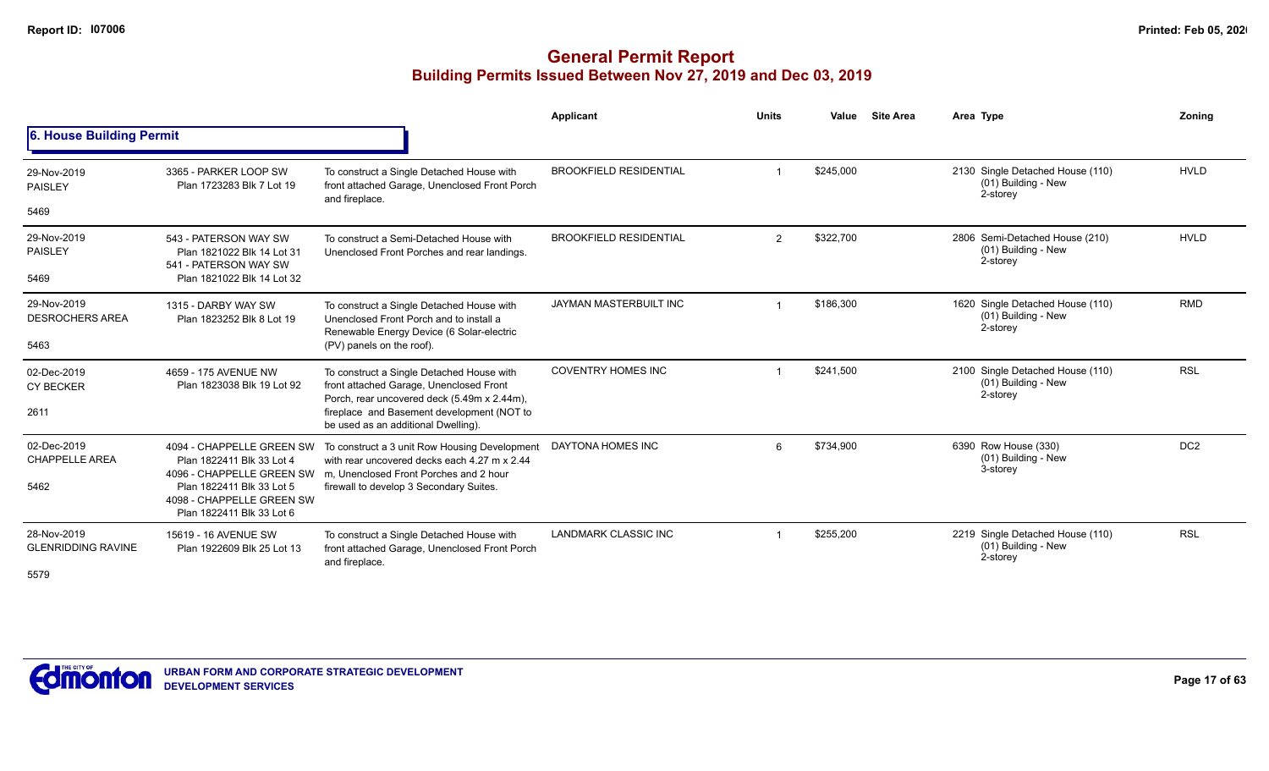|                                          |                                                                                     |                                                                                                                                                                                             | Applicant                     | <b>Units</b> | Value     | <b>Site Area</b> | Area Type                                                           | Zoning          |
|------------------------------------------|-------------------------------------------------------------------------------------|---------------------------------------------------------------------------------------------------------------------------------------------------------------------------------------------|-------------------------------|--------------|-----------|------------------|---------------------------------------------------------------------|-----------------|
| 6. House Building Permit                 |                                                                                     |                                                                                                                                                                                             |                               |              |           |                  |                                                                     |                 |
| 29-Nov-2019<br><b>PAISLEY</b>            | 3365 - PARKER LOOP SW<br>Plan 1723283 Blk 7 Lot 19                                  | To construct a Single Detached House with<br>front attached Garage, Unenclosed Front Porch<br>and fireplace.                                                                                | <b>BROOKFIELD RESIDENTIAL</b> |              | \$245,000 |                  | 2130 Single Detached House (110)<br>(01) Building - New<br>2-storey | <b>HVLD</b>     |
| 5469                                     |                                                                                     |                                                                                                                                                                                             |                               |              |           |                  |                                                                     |                 |
| 29-Nov-2019<br><b>PAISLEY</b>            | 543 - PATERSON WAY SW<br>Plan 1821022 Blk 14 Lot 31<br>541 - PATERSON WAY SW        | To construct a Semi-Detached House with<br>Unenclosed Front Porches and rear landings.                                                                                                      | <b>BROOKFIELD RESIDENTIAL</b> | 2            | \$322,700 |                  | 2806 Semi-Detached House (210)<br>(01) Building - New<br>2-storey   | <b>HVLD</b>     |
| 5469                                     | Plan 1821022 Blk 14 Lot 32                                                          |                                                                                                                                                                                             |                               |              |           |                  |                                                                     |                 |
| 29-Nov-2019<br><b>DESROCHERS AREA</b>    | 1315 - DARBY WAY SW<br>Plan 1823252 Blk 8 Lot 19                                    | To construct a Single Detached House with<br>Unenclosed Front Porch and to install a<br>Renewable Energy Device (6 Solar-electric                                                           | JAYMAN MASTERBUILT INC        |              | \$186,300 |                  | 1620 Single Detached House (110)<br>(01) Building - New<br>2-storey | <b>RMD</b>      |
| 5463                                     |                                                                                     | (PV) panels on the roof).                                                                                                                                                                   |                               |              |           |                  |                                                                     |                 |
| 02-Dec-2019<br><b>CY BECKER</b>          | 4659 - 175 AVENUE NW<br>Plan 1823038 Blk 19 Lot 92                                  | To construct a Single Detached House with<br>front attached Garage, Unenclosed Front                                                                                                        | <b>COVENTRY HOMES INC</b>     |              | \$241.500 |                  | 2100 Single Detached House (110)<br>(01) Building - New<br>2-storey | <b>RSL</b>      |
| 2611                                     |                                                                                     | Porch, rear uncovered deck (5.49m x 2.44m),<br>fireplace and Basement development (NOT to<br>be used as an additional Dwelling).                                                            |                               |              |           |                  |                                                                     |                 |
| 02-Dec-2019<br><b>CHAPPELLE AREA</b>     | Plan 1822411 Blk 33 Lot 4                                                           | 4094 - CHAPPELLE GREEN SW To construct a 3 unit Row Housing Development<br>with rear uncovered decks each 4.27 m x 2.44<br>4096 - CHAPPELLE GREEN SW m. Unenclosed Front Porches and 2 hour | DAYTONA HOMES INC             | $\epsilon$   | \$734,900 |                  | 6390 Row House (330)<br>(01) Building - New<br>3-storey             | DC <sub>2</sub> |
| 5462                                     | Plan 1822411 Blk 33 Lot 5<br>4098 - CHAPPELLE GREEN SW<br>Plan 1822411 Blk 33 Lot 6 | firewall to develop 3 Secondary Suites.                                                                                                                                                     |                               |              |           |                  |                                                                     |                 |
| 28-Nov-2019<br><b>GLENRIDDING RAVINE</b> | 15619 - 16 AVENUE SW<br>Plan 1922609 Blk 25 Lot 13                                  | To construct a Single Detached House with<br>front attached Garage, Unenclosed Front Porch<br>and fireplace.                                                                                | <b>LANDMARK CLASSIC INC</b>   |              | \$255,200 |                  | 2219 Single Detached House (110)<br>(01) Building - New<br>2-storey | <b>RSL</b>      |
| 5579                                     |                                                                                     |                                                                                                                                                                                             |                               |              |           |                  |                                                                     |                 |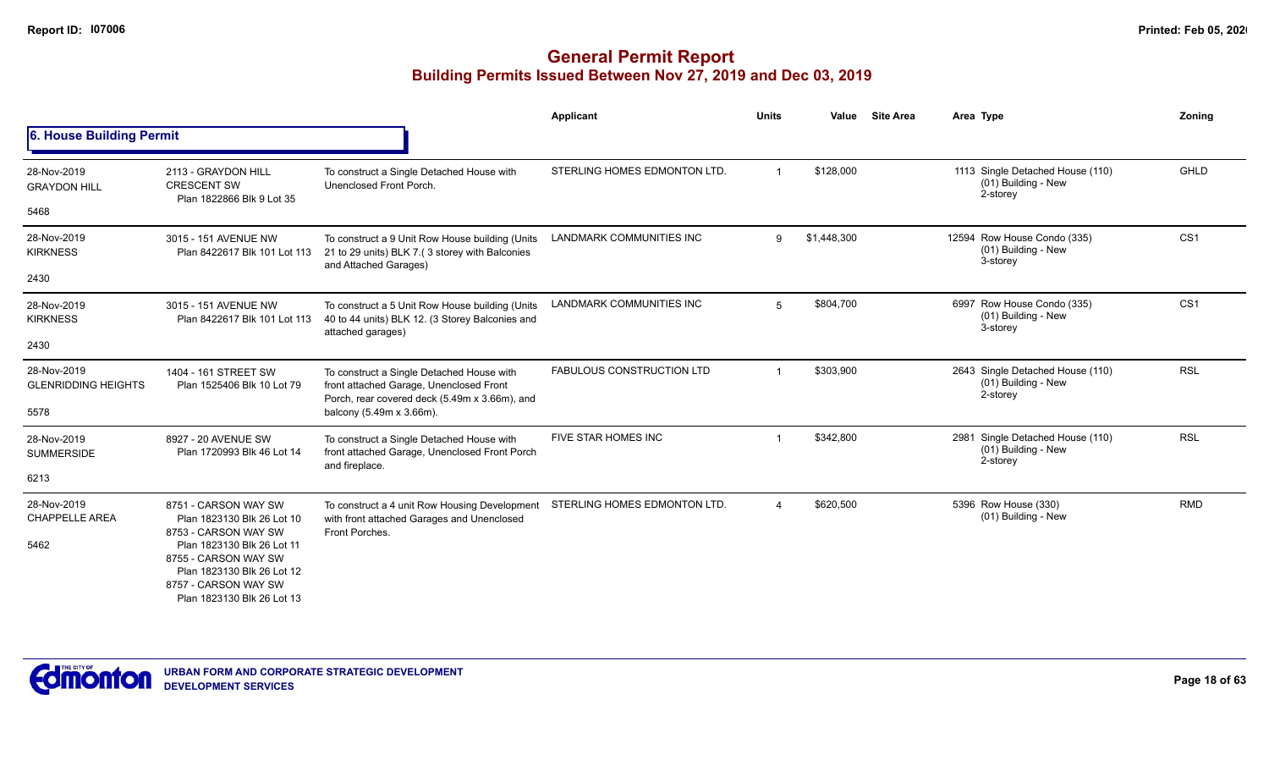| Zoning          | Area Type                                                           | <b>Site Area</b> | Value       | <b>Units</b> | Applicant                        |                                                                                                                                       |                                                                            |                                           |
|-----------------|---------------------------------------------------------------------|------------------|-------------|--------------|----------------------------------|---------------------------------------------------------------------------------------------------------------------------------------|----------------------------------------------------------------------------|-------------------------------------------|
|                 |                                                                     |                  |             |              |                                  |                                                                                                                                       |                                                                            | 6. House Building Permit                  |
| <b>GHLD</b>     | 1113 Single Detached House (110)<br>(01) Building - New<br>2-storey |                  | \$128,000   | $\mathbf{1}$ | STERLING HOMES EDMONTON LTD.     | To construct a Single Detached House with<br>Unenclosed Front Porch.                                                                  | 2113 - GRAYDON HILL<br><b>CRESCENT SW</b><br>Plan 1822866 Blk 9 Lot 35     | 28-Nov-2019<br><b>GRAYDON HILL</b>        |
|                 |                                                                     |                  |             |              |                                  |                                                                                                                                       |                                                                            | 5468                                      |
| CS <sub>1</sub> | 12594 Row House Condo (335)<br>(01) Building - New<br>3-storey      |                  | \$1,448,300 | 9            | <b>LANDMARK COMMUNITIES INC</b>  | To construct a 9 Unit Row House building (Units<br>21 to 29 units) BLK 7.(3 storey with Balconies<br>and Attached Garages)            | 3015 - 151 AVENUE NW<br>Plan 8422617 Blk 101 Lot 113                       | 28-Nov-2019<br><b>KIRKNESS</b>            |
|                 |                                                                     |                  |             |              |                                  |                                                                                                                                       |                                                                            | 2430                                      |
| CS <sub>1</sub> | 6997 Row House Condo (335)<br>(01) Building - New<br>3-storey       |                  | \$804,700   | 5            | <b>LANDMARK COMMUNITIES INC</b>  | To construct a 5 Unit Row House building (Units<br>40 to 44 units) BLK 12. (3 Storey Balconies and<br>attached garages)               | 3015 - 151 AVENUE NW<br>Plan 8422617 Blk 101 Lot 113                       | 28-Nov-2019<br><b>KIRKNESS</b>            |
|                 |                                                                     |                  |             |              |                                  |                                                                                                                                       |                                                                            | 2430                                      |
| <b>RSL</b>      | 2643 Single Detached House (110)<br>(01) Building - New<br>2-storey |                  | \$303,900   | $\mathbf{1}$ | <b>FABULOUS CONSTRUCTION LTD</b> | To construct a Single Detached House with<br>front attached Garage, Unenclosed Front<br>Porch, rear covered deck (5.49m x 3.66m), and | 1404 - 161 STREET SW<br>Plan 1525406 Blk 10 Lot 79                         | 28-Nov-2019<br><b>GLENRIDDING HEIGHTS</b> |
|                 |                                                                     |                  |             |              |                                  | balcony (5.49m x 3.66m).                                                                                                              |                                                                            | 5578                                      |
| <b>RSL</b>      | 2981 Single Detached House (110)<br>(01) Building - New<br>2-storey |                  | \$342,800   |              | FIVE STAR HOMES INC              | To construct a Single Detached House with<br>front attached Garage, Unenclosed Front Porch                                            | 8927 - 20 AVENUE SW<br>Plan 1720993 Blk 46 Lot 14                          | 28-Nov-2019<br><b>SUMMERSIDE</b>          |
|                 |                                                                     |                  |             |              |                                  | and fireplace.                                                                                                                        |                                                                            | 6213                                      |
| <b>RMD</b>      | 5396 Row House (330)<br>(01) Building - New                         |                  | \$620,500   |              | STERLING HOMES EDMONTON LTD.     | To construct a 4 unit Row Housing Development<br>with front attached Garages and Unenclosed<br>Front Porches.                         | 8751 - CARSON WAY SW<br>Plan 1823130 Blk 26 Lot 10<br>8753 - CARSON WAY SW | 28-Nov-2019<br><b>CHAPPELLE AREA</b>      |
|                 |                                                                     |                  |             |              |                                  |                                                                                                                                       | 8755 - CARSON WAY SW<br>Plan 1823130 Blk 26 Lot 12<br>8757 - CARSON WAY SW |                                           |
|                 |                                                                     |                  |             |              |                                  |                                                                                                                                       | Plan 1823130 Blk 26 Lot 11<br>Plan 1823130 Blk 26 Lot 13                   | 5462                                      |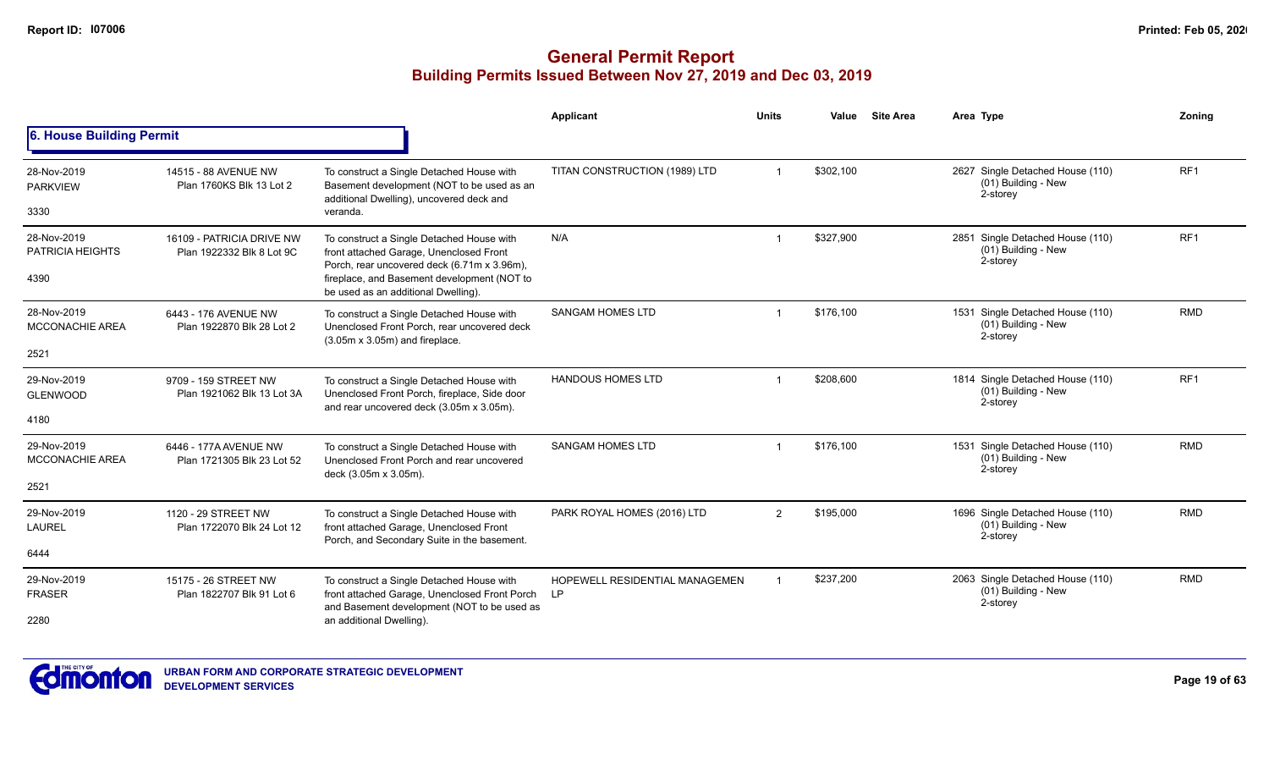|                                        |                                                        |                                                                                                                                           | Applicant                                   | <b>Units</b> | Value     | <b>Site Area</b> | Area Type                                                                | Zoning          |
|----------------------------------------|--------------------------------------------------------|-------------------------------------------------------------------------------------------------------------------------------------------|---------------------------------------------|--------------|-----------|------------------|--------------------------------------------------------------------------|-----------------|
| 6. House Building Permit               |                                                        |                                                                                                                                           |                                             |              |           |                  |                                                                          |                 |
| 28-Nov-2019<br><b>PARKVIEW</b>         | 14515 - 88 AVENUE NW<br>Plan 1760KS Blk 13 Lot 2       | To construct a Single Detached House with<br>Basement development (NOT to be used as an<br>additional Dwelling), uncovered deck and       | TITAN CONSTRUCTION (1989) LTD               |              | \$302,100 |                  | 2627 Single Detached House (110)<br>(01) Building - New<br>2-storey      | RF <sub>1</sub> |
| 3330                                   |                                                        | veranda.                                                                                                                                  |                                             |              |           |                  |                                                                          |                 |
| 28-Nov-2019<br><b>PATRICIA HEIGHTS</b> | 16109 - PATRICIA DRIVE NW<br>Plan 1922332 Blk 8 Lot 9C | To construct a Single Detached House with<br>front attached Garage, Unenclosed Front<br>Porch, rear uncovered deck (6.71m x 3.96m),       | N/A                                         |              | \$327,900 |                  | Single Detached House (110)<br>2851<br>$(01)$ Building - New<br>2-storey | RF <sub>1</sub> |
| 4390                                   |                                                        | fireplace, and Basement development (NOT to<br>be used as an additional Dwelling).                                                        |                                             |              |           |                  |                                                                          |                 |
| 28-Nov-2019<br><b>MCCONACHIE AREA</b>  | 6443 - 176 AVENUE NW<br>Plan 1922870 Blk 28 Lot 2      | To construct a Single Detached House with<br>Unenclosed Front Porch, rear uncovered deck<br>$(3.05m \times 3.05m)$ and fireplace.         | <b>SANGAM HOMES LTD</b>                     |              | \$176,100 |                  | 1531 Single Detached House (110)<br>$(01)$ Building - New<br>2-storey    | <b>RMD</b>      |
| 2521                                   |                                                        |                                                                                                                                           |                                             |              |           |                  |                                                                          |                 |
| 29-Nov-2019<br><b>GLENWOOD</b>         | 9709 - 159 STREET NW<br>Plan 1921062 Blk 13 Lot 3A     | To construct a Single Detached House with<br>Unenclosed Front Porch, fireplace, Side door<br>and rear uncovered deck (3.05m x 3.05m).     | <b>HANDOUS HOMES LTD</b>                    |              | \$208,600 |                  | 1814 Single Detached House (110)<br>(01) Building - New<br>2-storey      | RF <sub>1</sub> |
| 4180                                   |                                                        |                                                                                                                                           |                                             |              |           |                  |                                                                          |                 |
| 29-Nov-2019<br><b>MCCONACHIE AREA</b>  | 6446 - 177A AVENUE NW<br>Plan 1721305 Blk 23 Lot 52    | To construct a Single Detached House with<br>Unenclosed Front Porch and rear uncovered<br>deck (3.05m x 3.05m).                           | <b>SANGAM HOMES LTD</b>                     |              | \$176,100 |                  | 1531 Single Detached House (110)<br>$(01)$ Building - New<br>2-storey    | <b>RMD</b>      |
| 2521                                   |                                                        |                                                                                                                                           |                                             |              |           |                  |                                                                          |                 |
| 29-Nov-2019<br><b>LAUREL</b>           | 1120 - 29 STREET NW<br>Plan 1722070 Blk 24 Lot 12      | To construct a Single Detached House with<br>front attached Garage, Unenclosed Front<br>Porch, and Secondary Suite in the basement.       | PARK ROYAL HOMES (2016) LTD                 | 2            | \$195,000 |                  | 1696 Single Detached House (110)<br>$(01)$ Building - New<br>2-storey    | <b>RMD</b>      |
| 6444                                   |                                                        |                                                                                                                                           |                                             |              |           |                  |                                                                          |                 |
| 29-Nov-2019<br><b>FRASER</b>           | 15175 - 26 STREET NW<br>Plan 1822707 Blk 91 Lot 6      | To construct a Single Detached House with<br>front attached Garage, Unenclosed Front Porch<br>and Basement development (NOT to be used as | HOPEWELL RESIDENTIAL MANAGEMEN<br><b>LP</b> |              | \$237,200 |                  | 2063 Single Detached House (110)<br>(01) Building - New<br>2-storey      | <b>RMD</b>      |
| 2280                                   |                                                        | an additional Dwelling).                                                                                                                  |                                             |              |           |                  |                                                                          |                 |

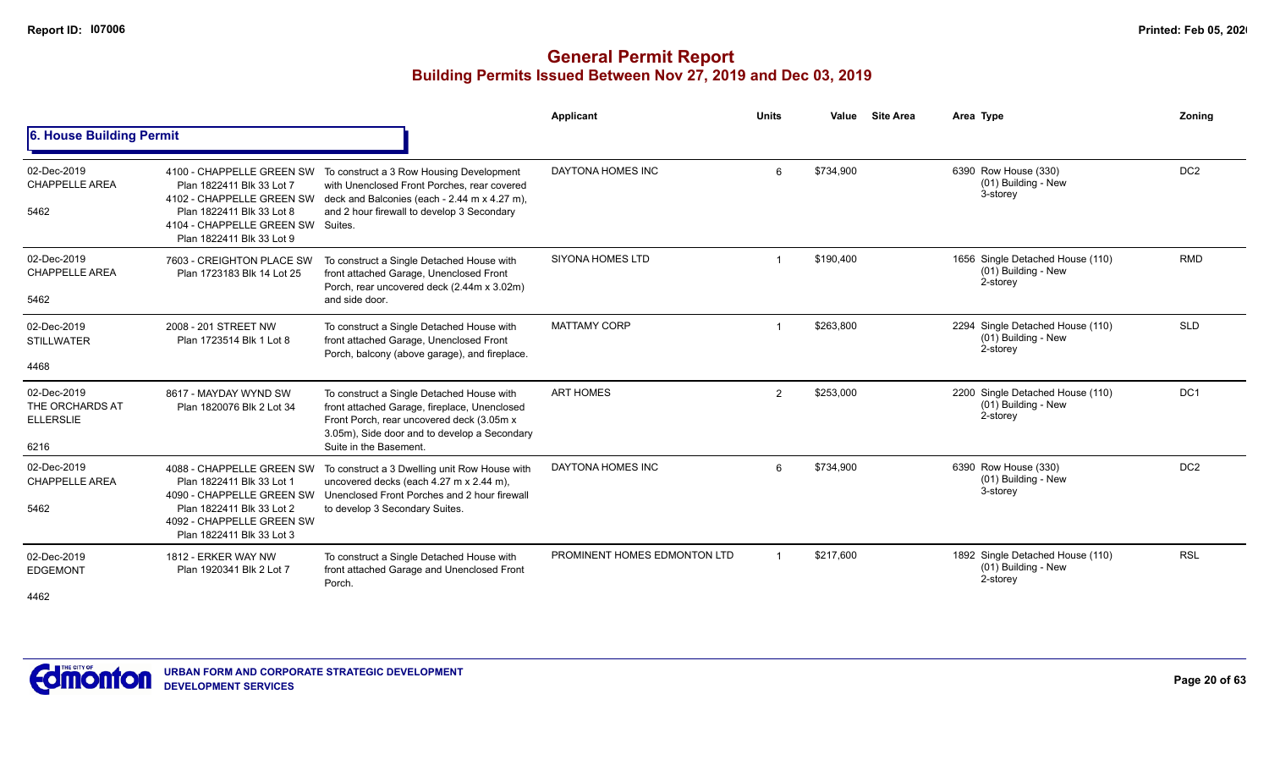|                                                            |                                                                                                                                                                                    |                                                                                                                                                                                                                  | <b>Applicant</b>             | <b>Units</b>   | Value     | <b>Site Area</b> | Area Type                                                           | Zonina          |
|------------------------------------------------------------|------------------------------------------------------------------------------------------------------------------------------------------------------------------------------------|------------------------------------------------------------------------------------------------------------------------------------------------------------------------------------------------------------------|------------------------------|----------------|-----------|------------------|---------------------------------------------------------------------|-----------------|
| 6. House Building Permit                                   |                                                                                                                                                                                    |                                                                                                                                                                                                                  |                              |                |           |                  |                                                                     |                 |
| 02-Dec-2019<br><b>CHAPPELLE AREA</b><br>5462               | 4100 - CHAPPELLE GREEN SW<br>Plan 1822411 Blk 33 Lot 7<br>4102 - CHAPPELLE GREEN SW<br>Plan 1822411 Blk 33 Lot 8<br>4104 - CHAPPELLE GREEN SW Suites.<br>Plan 1822411 Blk 33 Lot 9 | To construct a 3 Row Housing Development<br>with Unenclosed Front Porches, rear covered<br>deck and Balconies (each - 2.44 m x 4.27 m),<br>and 2 hour firewall to develop 3 Secondary                            | DAYTONA HOMES INC            | 6              | \$734,900 |                  | 6390 Row House (330)<br>(01) Building - New<br>3-storey             | DC <sub>2</sub> |
| 02-Dec-2019<br><b>CHAPPELLE AREA</b><br>5462               | 7603 - CREIGHTON PLACE SW<br>Plan 1723183 Blk 14 Lot 25                                                                                                                            | To construct a Single Detached House with<br>front attached Garage, Unenclosed Front<br>Porch, rear uncovered deck (2.44m x 3.02m)<br>and side door.                                                             | <b>SIYONA HOMES LTD</b>      |                | \$190,400 |                  | 1656 Single Detached House (110)<br>(01) Building - New<br>2-storey | <b>RMD</b>      |
| 02-Dec-2019<br><b>STILLWATER</b><br>4468                   | 2008 - 201 STREET NW<br>Plan 1723514 Blk 1 Lot 8                                                                                                                                   | To construct a Single Detached House with<br>front attached Garage, Unenclosed Front<br>Porch, balcony (above garage), and fireplace.                                                                            | <b>MATTAMY CORP</b>          |                | \$263,800 |                  | 2294 Single Detached House (110)<br>(01) Building - New<br>2-storey | <b>SLD</b>      |
| 02-Dec-2019<br>THE ORCHARDS AT<br><b>ELLERSLIE</b><br>6216 | 8617 - MAYDAY WYND SW<br>Plan 1820076 Blk 2 Lot 34                                                                                                                                 | To construct a Single Detached House with<br>front attached Garage, fireplace, Unenclosed<br>Front Porch, rear uncovered deck (3.05m x<br>3.05m), Side door and to develop a Secondary<br>Suite in the Basement. | <b>ART HOMES</b>             | $\overline{2}$ | \$253,000 |                  | 2200 Single Detached House (110)<br>(01) Building - New<br>2-storey | DC <sub>1</sub> |
| 02-Dec-2019<br><b>CHAPPELLE AREA</b><br>5462               | 4088 - CHAPPELLE GREEN SW<br>Plan 1822411 Blk 33 Lot 1<br>4090 - CHAPPELLE GREEN SW<br>Plan 1822411 Blk 33 Lot 2<br>4092 - CHAPPELLE GREEN SW<br>Plan 1822411 Blk 33 Lot 3         | To construct a 3 Dwelling unit Row House with<br>uncovered decks (each 4.27 m x 2.44 m),<br>Unenclosed Front Porches and 2 hour firewall<br>to develop 3 Secondary Suites.                                       | DAYTONA HOMES INC            | 6              | \$734,900 |                  | 6390 Row House (330)<br>(01) Building - New<br>3-storey             | DC <sub>2</sub> |
| 02-Dec-2019<br><b>EDGEMONT</b><br>4462                     | 1812 - ERKER WAY NW<br>Plan 1920341 Blk 2 Lot 7                                                                                                                                    | To construct a Single Detached House with<br>front attached Garage and Unenclosed Front<br>Porch.                                                                                                                | PROMINENT HOMES EDMONTON LTD |                | \$217.600 |                  | 1892 Single Detached House (110)<br>(01) Building - New<br>2-storey | <b>RSL</b>      |

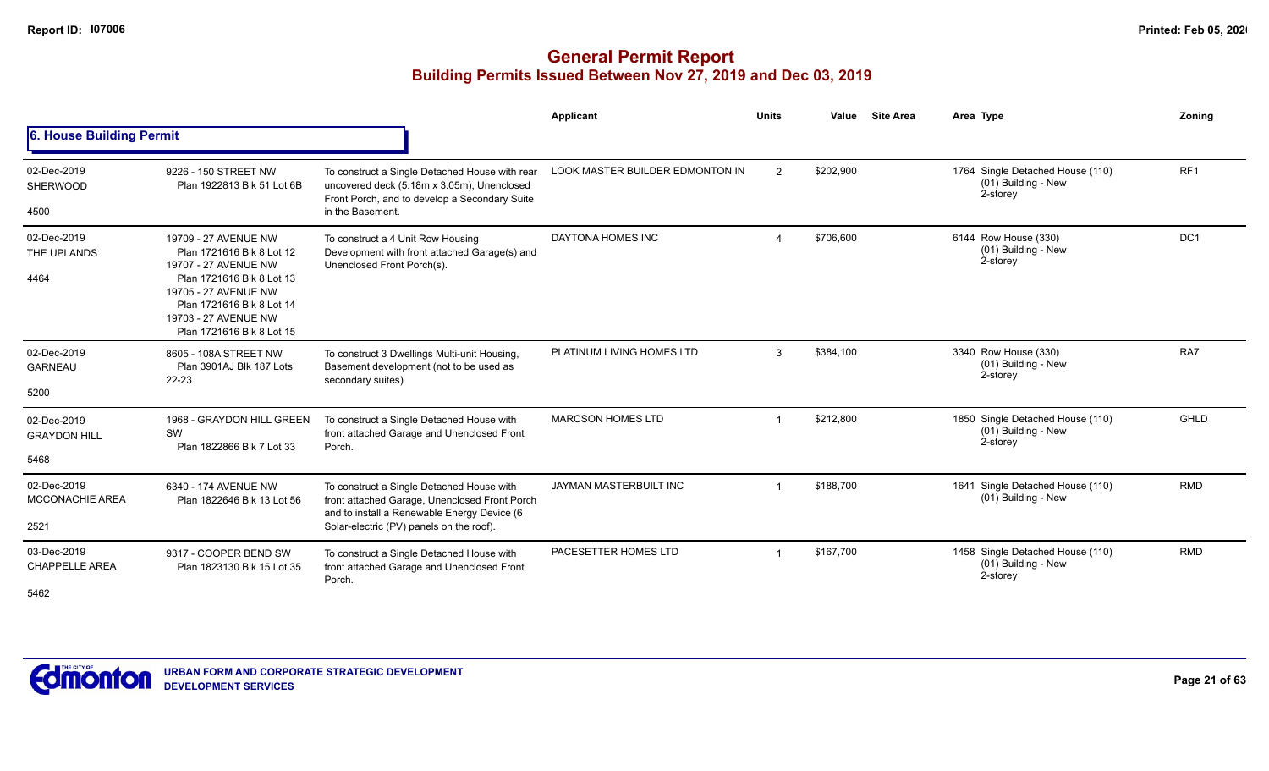|                                               |                                                                                                                                                                                                                  |                                                                                                                                                                                       | <b>Applicant</b>                       | <b>Units</b> | Value     | <b>Site Area</b> | Area Type                                                             | Zonina          |
|-----------------------------------------------|------------------------------------------------------------------------------------------------------------------------------------------------------------------------------------------------------------------|---------------------------------------------------------------------------------------------------------------------------------------------------------------------------------------|----------------------------------------|--------------|-----------|------------------|-----------------------------------------------------------------------|-----------------|
| 6. House Building Permit                      |                                                                                                                                                                                                                  |                                                                                                                                                                                       |                                        |              |           |                  |                                                                       |                 |
| 02-Dec-2019<br><b>SHERWOOD</b><br>4500        | 9226 - 150 STREET NW<br>Plan 1922813 Blk 51 Lot 6B                                                                                                                                                               | To construct a Single Detached House with rear<br>uncovered deck (5.18m x 3.05m), Unenclosed<br>Front Porch, and to develop a Secondary Suite<br>in the Basement.                     | <b>LOOK MASTER BUILDER EDMONTON IN</b> | 2            | \$202,900 |                  | 1764 Single Detached House (110)<br>$(01)$ Building - New<br>2-storey | RF <sub>1</sub> |
| 02-Dec-2019<br>THE UPLANDS<br>4464            | 19709 - 27 AVENUE NW<br>Plan 1721616 Blk 8 Lot 12<br>19707 - 27 AVENUE NW<br>Plan 1721616 Blk 8 Lot 13<br>19705 - 27 AVENUE NW<br>Plan 1721616 Blk 8 Lot 14<br>19703 - 27 AVENUE NW<br>Plan 1721616 Blk 8 Lot 15 | To construct a 4 Unit Row Housing<br>Development with front attached Garage(s) and<br>Unenclosed Front Porch(s).                                                                      | DAYTONA HOMES INC                      |              | \$706,600 |                  | 6144 Row House (330)<br>(01) Building - New<br>2-storey               | DC <sub>1</sub> |
| 02-Dec-2019<br><b>GARNEAU</b><br>5200         | 8605 - 108A STREET NW<br>Plan 3901AJ Blk 187 Lots<br>$22 - 23$                                                                                                                                                   | To construct 3 Dwellings Multi-unit Housing,<br>Basement development (not to be used as<br>secondary suites)                                                                          | PLATINUM LIVING HOMES LTD              | 3            | \$384,100 |                  | 3340 Row House (330)<br>(01) Building - New<br>2-storey               | RA7             |
| 02-Dec-2019<br><b>GRAYDON HILL</b><br>5468    | 1968 - GRAYDON HILL GREEN<br>SW<br>Plan 1822866 Blk 7 Lot 33                                                                                                                                                     | To construct a Single Detached House with<br>front attached Garage and Unenclosed Front<br>Porch.                                                                                     | <b>MARCSON HOMES LTD</b>               |              | \$212.800 |                  | 1850 Single Detached House (110)<br>(01) Building - New<br>2-storey   | GHLD            |
| 02-Dec-2019<br><b>MCCONACHIE AREA</b><br>2521 | 6340 - 174 AVENUE NW<br>Plan 1822646 Blk 13 Lot 56                                                                                                                                                               | To construct a Single Detached House with<br>front attached Garage, Unenclosed Front Porch<br>and to install a Renewable Energy Device (6<br>Solar-electric (PV) panels on the roof). | <b>JAYMAN MASTERBUILT INC</b>          |              | \$188,700 |                  | 1641 Single Detached House (110)<br>$(01)$ Building - New             | <b>RMD</b>      |
| 03-Dec-2019<br><b>CHAPPELLE AREA</b><br>5462  | 9317 - COOPER BEND SW<br>Plan 1823130 Blk 15 Lot 35                                                                                                                                                              | To construct a Single Detached House with<br>front attached Garage and Unenclosed Front<br>Porch.                                                                                     | PACESETTER HOMES LTD                   |              | \$167.700 |                  | 1458 Single Detached House (110)<br>(01) Building - New<br>2-storey   | <b>RMD</b>      |

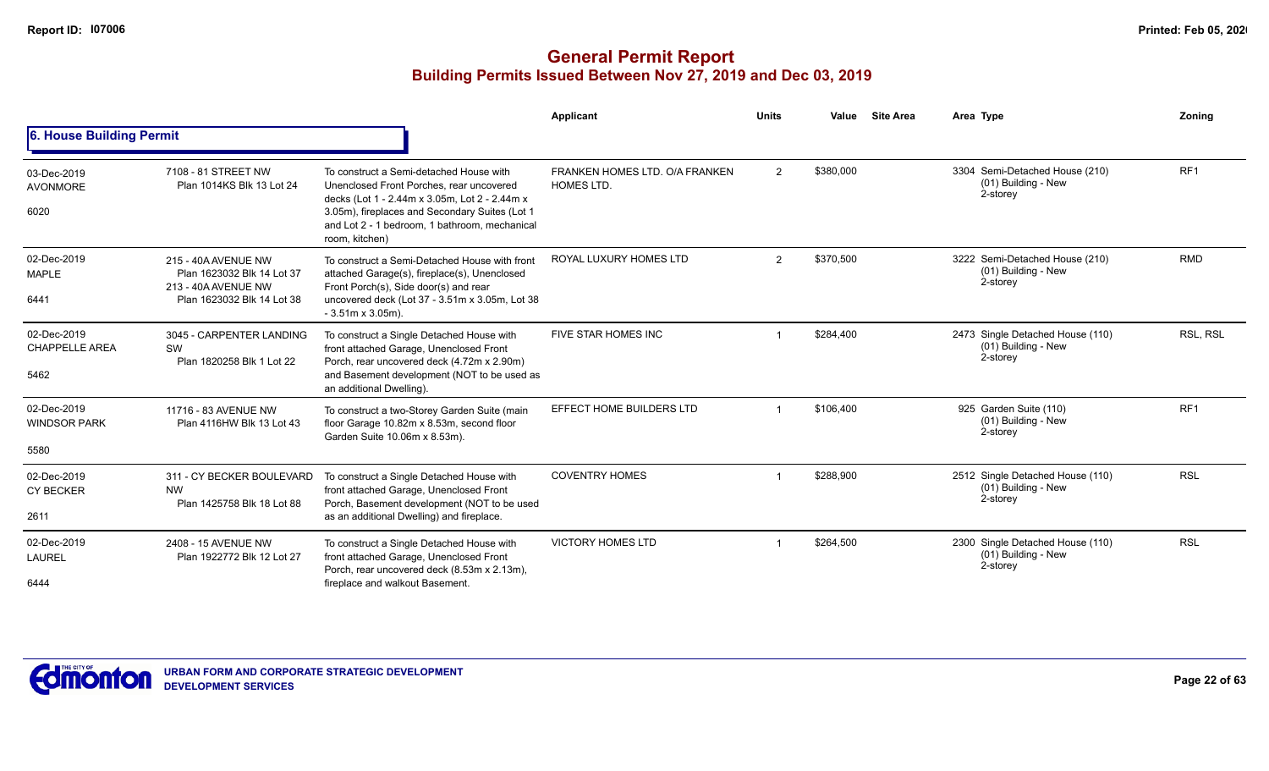|                                              |                                                                                                        |                                                                                                                                                                                                                                                           | Applicant                                           | <b>Units</b> | Value     | <b>Site Area</b> | Area Type                                                           | Zoning          |
|----------------------------------------------|--------------------------------------------------------------------------------------------------------|-----------------------------------------------------------------------------------------------------------------------------------------------------------------------------------------------------------------------------------------------------------|-----------------------------------------------------|--------------|-----------|------------------|---------------------------------------------------------------------|-----------------|
| 6. House Building Permit                     |                                                                                                        |                                                                                                                                                                                                                                                           |                                                     |              |           |                  |                                                                     |                 |
| 03-Dec-2019<br><b>AVONMORE</b><br>6020       | 7108 - 81 STREET NW<br>Plan 1014KS Blk 13 Lot 24                                                       | To construct a Semi-detached House with<br>Unenclosed Front Porches, rear uncovered<br>decks (Lot 1 - 2.44m x 3.05m, Lot 2 - 2.44m x<br>3.05m), fireplaces and Secondary Suites (Lot 1<br>and Lot 2 - 1 bedroom, 1 bathroom, mechanical<br>room, kitchen) | FRANKEN HOMES LTD, O/A FRANKEN<br><b>HOMES LTD.</b> | 2            | \$380,000 |                  | 3304 Semi-Detached House (210)<br>(01) Building - New<br>2-storey   | RF <sub>1</sub> |
| 02-Dec-2019<br><b>MAPLE</b><br>6441          | 215 - 40A AVENUE NW<br>Plan 1623032 Blk 14 Lot 37<br>213 - 40A AVENUE NW<br>Plan 1623032 Blk 14 Lot 38 | To construct a Semi-Detached House with front<br>attached Garage(s), fireplace(s), Unenclosed<br>Front Porch(s), Side door(s) and rear<br>uncovered deck (Lot 37 - 3.51m x 3.05m, Lot 38<br>$-3.51m \times 3.05m$ ).                                      | ROYAL LUXURY HOMES LTD                              | 2            | \$370,500 |                  | 3222 Semi-Detached House (210)<br>(01) Building - New<br>2-storey   | <b>RMD</b>      |
| 02-Dec-2019<br><b>CHAPPELLE AREA</b><br>5462 | 3045 - CARPENTER LANDING<br>SW<br>Plan 1820258 Blk 1 Lot 22                                            | To construct a Single Detached House with<br>front attached Garage, Unenclosed Front<br>Porch, rear uncovered deck (4.72m x 2.90m)<br>and Basement development (NOT to be used as<br>an additional Dwelling).                                             | FIVE STAR HOMES INC                                 |              | \$284,400 |                  | 2473 Single Detached House (110)<br>(01) Building - New<br>2-storey | RSL, RSL        |
| 02-Dec-2019<br><b>WINDSOR PARK</b><br>5580   | 11716 - 83 AVENUE NW<br>Plan 4116HW Blk 13 Lot 43                                                      | To construct a two-Storey Garden Suite (main<br>floor Garage 10.82m x 8.53m, second floor<br>Garden Suite 10.06m x 8.53m).                                                                                                                                | EFFECT HOME BUILDERS LTD                            |              | \$106,400 |                  | 925 Garden Suite (110)<br>(01) Building - New<br>2-storey           | RF <sub>1</sub> |
| 02-Dec-2019<br><b>CY BECKER</b><br>2611      | 311 - CY BECKER BOULEVARD<br><b>NW</b><br>Plan 1425758 Blk 18 Lot 88                                   | To construct a Single Detached House with<br>front attached Garage, Unenclosed Front<br>Porch, Basement development (NOT to be used<br>as an additional Dwelling) and fireplace.                                                                          | <b>COVENTRY HOMES</b>                               |              | \$288,900 |                  | 2512 Single Detached House (110)<br>(01) Building - New<br>2-storey | <b>RSL</b>      |
| 02-Dec-2019<br><b>LAUREL</b><br>6444         | 2408 - 15 AVENUE NW<br>Plan 1922772 Blk 12 Lot 27                                                      | To construct a Single Detached House with<br>front attached Garage, Unenclosed Front<br>Porch, rear uncovered deck (8.53m x 2.13m),<br>fireplace and walkout Basement.                                                                                    | <b>VICTORY HOMES LTD</b>                            |              | \$264,500 |                  | 2300 Single Detached House (110)<br>(01) Building - New<br>2-storey | <b>RSL</b>      |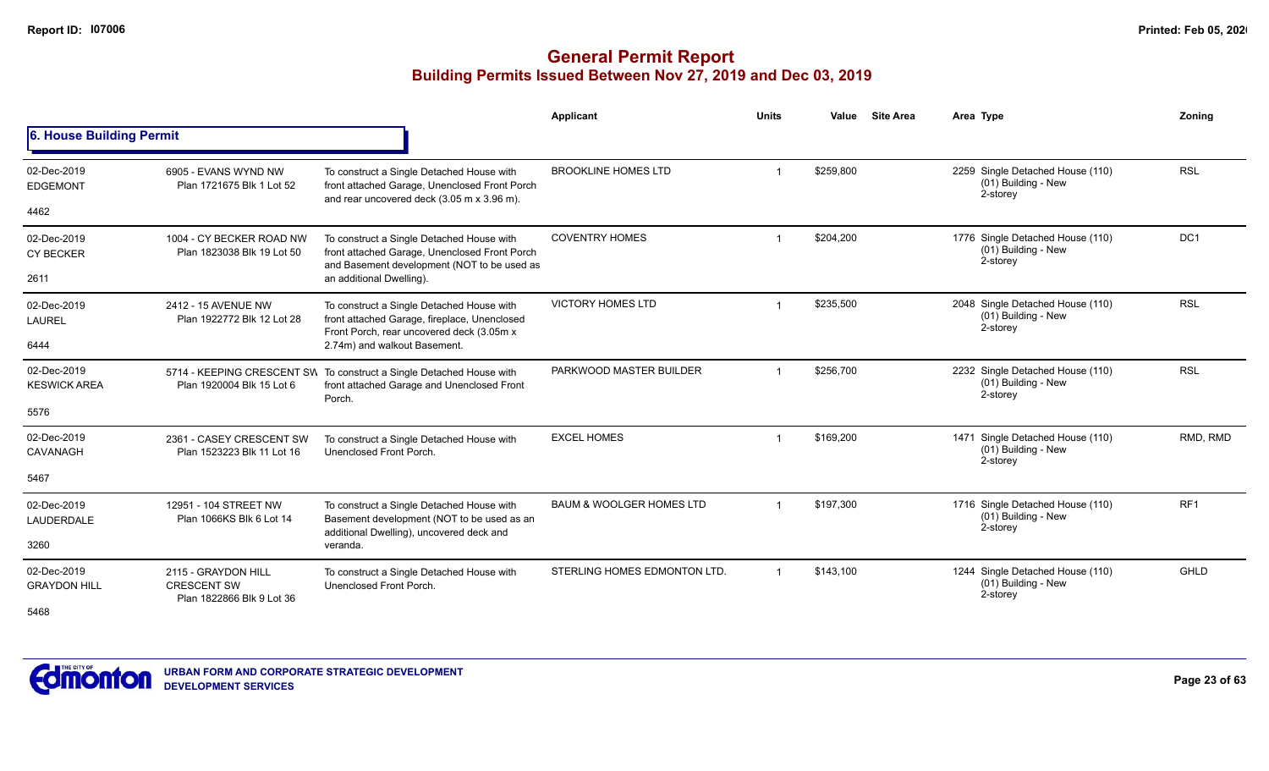|                                    |                                                                        |                                                                                                                                           | <b>Applicant</b>                    | <b>Units</b> | Value     | <b>Site Area</b> | Area Type                                                           | Zonina          |
|------------------------------------|------------------------------------------------------------------------|-------------------------------------------------------------------------------------------------------------------------------------------|-------------------------------------|--------------|-----------|------------------|---------------------------------------------------------------------|-----------------|
| 6. House Building Permit           |                                                                        |                                                                                                                                           |                                     |              |           |                  |                                                                     |                 |
| 02-Dec-2019<br><b>EDGEMONT</b>     | 6905 - EVANS WYND NW<br>Plan 1721675 Blk 1 Lot 52                      | To construct a Single Detached House with<br>front attached Garage, Unenclosed Front Porch<br>and rear uncovered deck (3.05 m x 3.96 m).  | <b>BROOKLINE HOMES LTD</b>          |              | \$259,800 |                  | 2259 Single Detached House (110)<br>(01) Building - New<br>2-storey | <b>RSL</b>      |
| 4462                               |                                                                        |                                                                                                                                           |                                     |              |           |                  |                                                                     |                 |
| 02-Dec-2019<br><b>CY BECKER</b>    | 1004 - CY BECKER ROAD NW<br>Plan 1823038 Blk 19 Lot 50                 | To construct a Single Detached House with<br>front attached Garage, Unenclosed Front Porch<br>and Basement development (NOT to be used as | <b>COVENTRY HOMES</b>               |              | \$204,200 |                  | 1776 Single Detached House (110)<br>(01) Building - New<br>2-storey | DC1             |
| 2611                               |                                                                        | an additional Dwelling).                                                                                                                  |                                     |              |           |                  |                                                                     |                 |
| 02-Dec-2019<br><b>LAUREL</b>       | 2412 - 15 AVENUE NW<br>Plan 1922772 Blk 12 Lot 28                      | To construct a Single Detached House with<br>front attached Garage, fireplace, Unenclosed<br>Front Porch, rear uncovered deck (3.05m x    | <b>VICTORY HOMES LTD</b>            |              | \$235,500 |                  | 2048 Single Detached House (110)<br>(01) Building - New<br>2-storey | <b>RSL</b>      |
| 6444                               |                                                                        | 2.74m) and walkout Basement.                                                                                                              |                                     |              |           |                  |                                                                     |                 |
| 02-Dec-2019<br><b>KESWICK AREA</b> | Plan 1920004 Blk 15 Lot 6                                              | 5714 - KEEPING CRESCENT SW To construct a Single Detached House with<br>front attached Garage and Unenclosed Front<br>Porch.              | PARKWOOD MASTER BUILDER             |              | \$256,700 |                  | 2232 Single Detached House (110)<br>(01) Building - New<br>2-storey | <b>RSL</b>      |
| 5576                               |                                                                        |                                                                                                                                           |                                     |              |           |                  |                                                                     |                 |
| 02-Dec-2019<br><b>CAVANAGH</b>     | 2361 - CASEY CRESCENT SW<br>Plan 1523223 Blk 11 Lot 16                 | To construct a Single Detached House with<br>Unenclosed Front Porch.                                                                      | <b>EXCEL HOMES</b>                  |              | \$169,200 |                  | 1471 Single Detached House (110)<br>(01) Building - New<br>2-storey | RMD, RMD        |
| 5467                               |                                                                        |                                                                                                                                           |                                     |              |           |                  |                                                                     |                 |
| 02-Dec-2019<br>LAUDERDALE          | 12951 - 104 STREET NW<br>Plan 1066KS Blk 6 Lot 14                      | To construct a Single Detached House with<br>Basement development (NOT to be used as an<br>additional Dwelling), uncovered deck and       | <b>BAUM &amp; WOOLGER HOMES LTD</b> |              | \$197,300 |                  | 1716 Single Detached House (110)<br>(01) Building - New<br>2-storey | RF <sub>1</sub> |
| 3260                               |                                                                        | veranda.                                                                                                                                  |                                     |              |           |                  |                                                                     |                 |
| 02-Dec-2019<br><b>GRAYDON HILL</b> | 2115 - GRAYDON HILL<br><b>CRESCENT SW</b><br>Plan 1822866 Blk 9 Lot 36 | To construct a Single Detached House with<br>Unenclosed Front Porch.                                                                      | STERLING HOMES EDMONTON LTD.        |              | \$143,100 |                  | 1244 Single Detached House (110)<br>(01) Building - New<br>2-storey | GHLD            |
| 5468                               |                                                                        |                                                                                                                                           |                                     |              |           |                  |                                                                     |                 |

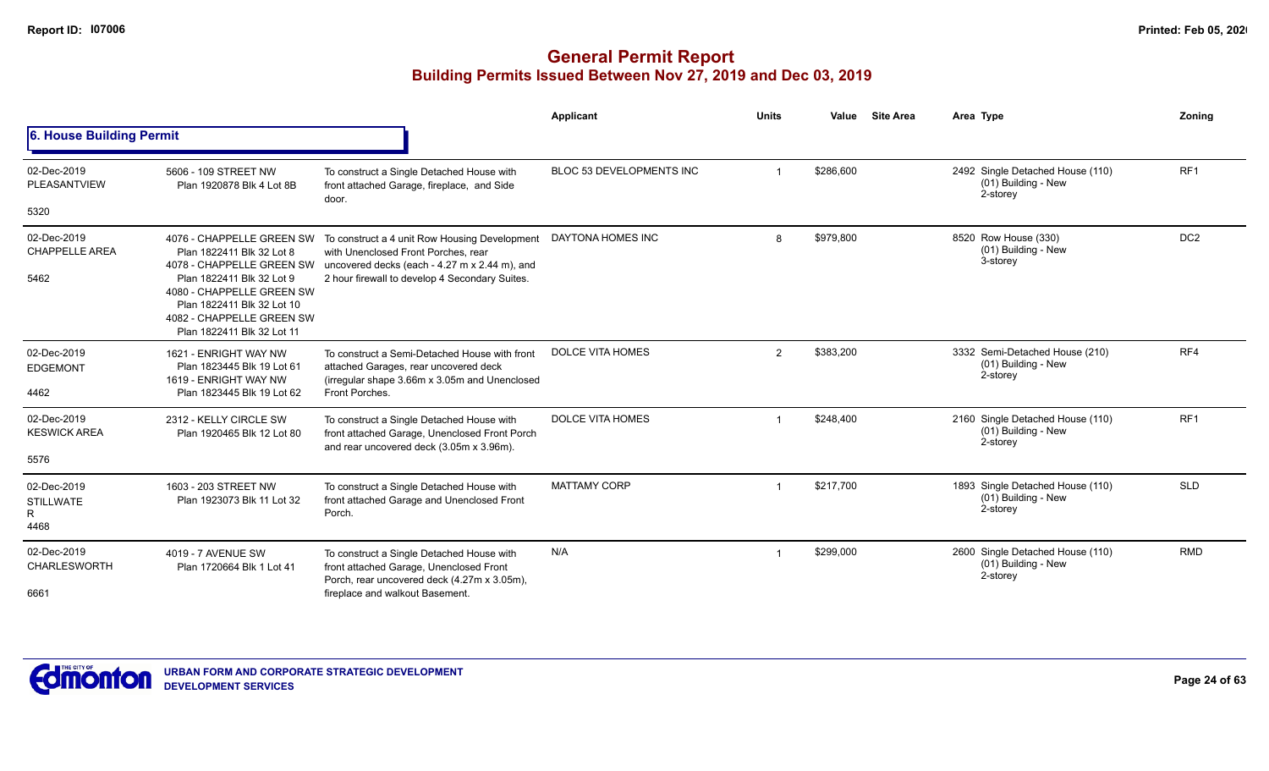|                                              |                                                                                                                                                                                                                                        |                                                                                                                                                                                         | Applicant                | <b>Units</b>   | Value     | <b>Site Area</b> | Area Type                                                           | Zoning          |
|----------------------------------------------|----------------------------------------------------------------------------------------------------------------------------------------------------------------------------------------------------------------------------------------|-----------------------------------------------------------------------------------------------------------------------------------------------------------------------------------------|--------------------------|----------------|-----------|------------------|---------------------------------------------------------------------|-----------------|
| 6. House Building Permit                     |                                                                                                                                                                                                                                        |                                                                                                                                                                                         |                          |                |           |                  |                                                                     |                 |
| 02-Dec-2019<br>PLEASANTVIEW<br>5320          | 5606 - 109 STREET NW<br>Plan 1920878 Blk 4 Lot 8B                                                                                                                                                                                      | To construct a Single Detached House with<br>front attached Garage, fireplace, and Side<br>door.                                                                                        | BLOC 53 DEVELOPMENTS INC |                | \$286,600 |                  | 2492 Single Detached House (110)<br>(01) Building - New<br>2-storey | RF <sub>1</sub> |
| 02-Dec-2019<br><b>CHAPPELLE AREA</b><br>5462 | 4076 - CHAPPELLE GREEN SW<br>Plan 1822411 Blk 32 Lot 8<br>4078 - CHAPPELLE GREEN SW<br>Plan 1822411 Blk 32 Lot 9<br>4080 - CHAPPELLE GREEN SW<br>Plan 1822411 Blk 32 Lot 10<br>4082 - CHAPPELLE GREEN SW<br>Plan 1822411 Blk 32 Lot 11 | To construct a 4 unit Row Housing Development<br>with Unenclosed Front Porches, rear<br>uncovered decks (each - 4.27 m x 2.44 m), and<br>2 hour firewall to develop 4 Secondary Suites. | DAYTONA HOMES INC        | 8              | \$979,800 |                  | 8520 Row House (330)<br>(01) Building - New<br>3-storey             | DC <sub>2</sub> |
| 02-Dec-2019<br><b>EDGEMONT</b><br>4462       | 1621 - ENRIGHT WAY NW<br>Plan 1823445 Blk 19 Lot 61<br>1619 - ENRIGHT WAY NW<br>Plan 1823445 Blk 19 Lot 62                                                                                                                             | To construct a Semi-Detached House with front<br>attached Garages, rear uncovered deck<br>(irregular shape 3.66m x 3.05m and Unenclosed<br>Front Porches.                               | <b>DOLCE VITA HOMES</b>  | $\overline{2}$ | \$383,200 |                  | 3332 Semi-Detached House (210)<br>(01) Building - New<br>2-storey   | RF4             |
| 02-Dec-2019<br><b>KESWICK AREA</b><br>5576   | 2312 - KELLY CIRCLE SW<br>Plan 1920465 Blk 12 Lot 80                                                                                                                                                                                   | To construct a Single Detached House with<br>front attached Garage, Unenclosed Front Porch<br>and rear uncovered deck (3.05m x 3.96m).                                                  | <b>DOLCE VITA HOMES</b>  |                | \$248,400 |                  | 2160 Single Detached House (110)<br>(01) Building - New<br>2-storey | RF <sub>1</sub> |
| 02-Dec-2019<br><b>STILLWATE</b><br>R<br>4468 | 1603 - 203 STREET NW<br>Plan 1923073 Blk 11 Lot 32                                                                                                                                                                                     | To construct a Single Detached House with<br>front attached Garage and Unenclosed Front<br>Porch.                                                                                       | <b>MATTAMY CORP</b>      |                | \$217,700 |                  | 1893 Single Detached House (110)<br>(01) Building - New<br>2-storey | <b>SLD</b>      |
| 02-Dec-2019<br><b>CHARLESWORTH</b><br>6661   | 4019 - 7 AVENUE SW<br>Plan 1720664 Blk 1 Lot 41                                                                                                                                                                                        | To construct a Single Detached House with<br>front attached Garage, Unenclosed Front<br>Porch, rear uncovered deck (4.27m x 3.05m),<br>fireplace and walkout Basement.                  | N/A                      |                | \$299,000 |                  | 2600 Single Detached House (110)<br>(01) Building - New<br>2-storey | <b>RMD</b>      |

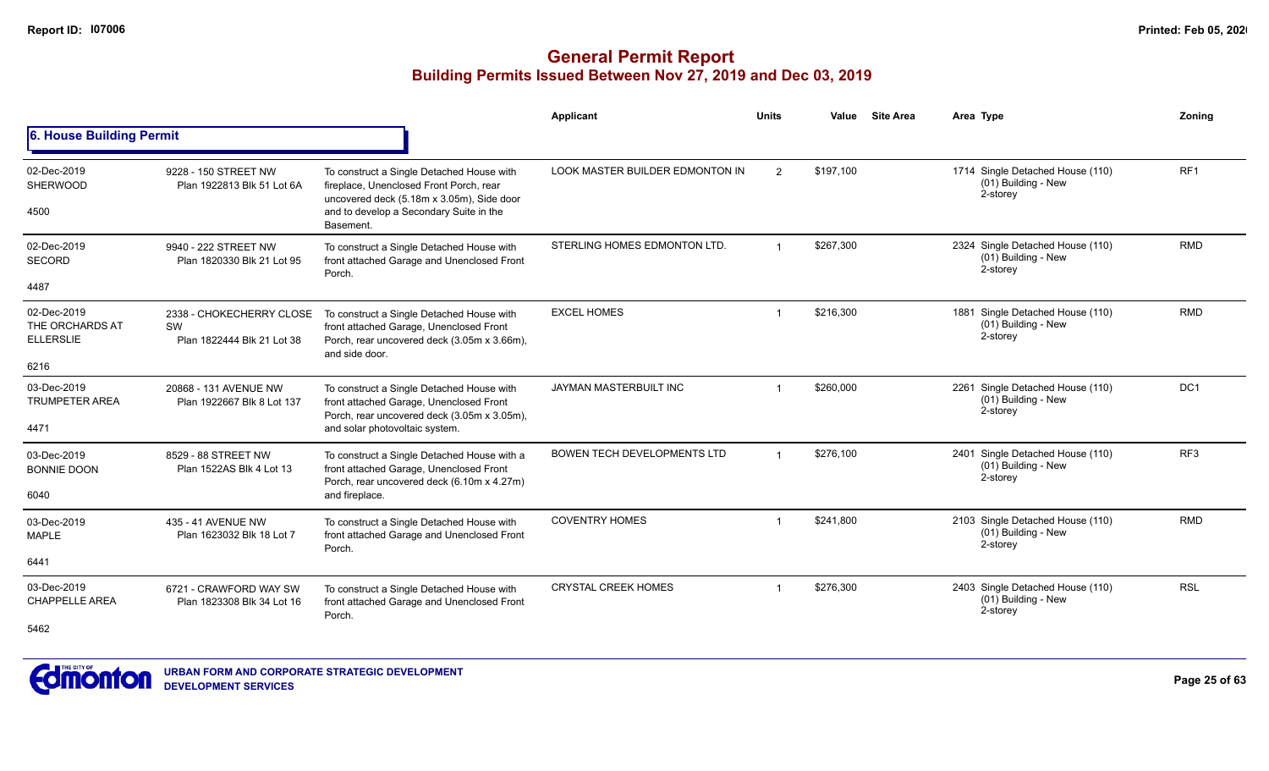|                                                    |                                                              |                                                                                                                                      | Applicant                       | <b>Units</b>   | Value     | <b>Site Area</b> | Area Type                                                           | Zonina          |
|----------------------------------------------------|--------------------------------------------------------------|--------------------------------------------------------------------------------------------------------------------------------------|---------------------------------|----------------|-----------|------------------|---------------------------------------------------------------------|-----------------|
| 6. House Building Permit                           |                                                              |                                                                                                                                      |                                 |                |           |                  |                                                                     |                 |
| 02-Dec-2019<br><b>SHERWOOD</b>                     | 9228 - 150 STREET NW<br>Plan 1922813 Blk 51 Lot 6A           | To construct a Single Detached House with<br>fireplace, Unenclosed Front Porch, rear<br>uncovered deck (5.18m x 3.05m), Side door    | LOOK MASTER BUILDER EDMONTON IN | $\overline{2}$ | \$197,100 |                  | 1714 Single Detached House (110)<br>(01) Building - New<br>2-storey | RF <sub>1</sub> |
| 4500                                               |                                                              | and to develop a Secondary Suite in the<br>Basement.                                                                                 |                                 |                |           |                  |                                                                     |                 |
| 02-Dec-2019<br><b>SECORD</b>                       | 9940 - 222 STREET NW<br>Plan 1820330 Blk 21 Lot 95           | To construct a Single Detached House with<br>front attached Garage and Unenclosed Front                                              | STERLING HOMES EDMONTON LTD.    |                | \$267.300 |                  | 2324 Single Detached House (110)<br>(01) Building - New             | <b>RMD</b>      |
| 4487                                               |                                                              | Porch.                                                                                                                               |                                 |                |           |                  | 2-storey                                                            |                 |
| 02-Dec-2019<br>THE ORCHARDS AT<br><b>ELLERSLIE</b> | 2338 - CHOKECHERRY CLOSE<br>SW<br>Plan 1822444 Blk 21 Lot 38 | To construct a Single Detached House with<br>front attached Garage, Unenclosed Front<br>Porch, rear uncovered deck (3.05m x 3.66m),  | <b>EXCEL HOMES</b>              |                | \$216.300 |                  | 1881 Single Detached House (110)<br>(01) Building - New<br>2-storey | <b>RMD</b>      |
| 6216                                               |                                                              | and side door.                                                                                                                       |                                 |                |           |                  |                                                                     |                 |
| 03-Dec-2019<br><b>TRUMPETER AREA</b>               | 20868 - 131 AVENUE NW<br>Plan 1922667 Blk 8 Lot 137          | To construct a Single Detached House with<br>front attached Garage, Unenclosed Front<br>Porch, rear uncovered deck (3.05m x 3.05m),  | JAYMAN MASTERBUILT INC          |                | \$260.000 |                  | 2261 Single Detached House (110)<br>(01) Building - New<br>2-storey | DC <sub>1</sub> |
| 4471                                               |                                                              | and solar photovoltaic system.                                                                                                       |                                 |                |           |                  |                                                                     |                 |
| 03-Dec-2019<br><b>BONNIE DOON</b>                  | 8529 - 88 STREET NW<br>Plan 1522AS Blk 4 Lot 13              | To construct a Single Detached House with a<br>front attached Garage, Unenclosed Front<br>Porch, rear uncovered deck (6.10m x 4.27m) | BOWEN TECH DEVELOPMENTS LTD     |                | \$276,100 |                  | 2401 Single Detached House (110)<br>(01) Building - New<br>2-storey | RF <sub>3</sub> |
| 6040                                               |                                                              | and fireplace.                                                                                                                       |                                 |                |           |                  |                                                                     |                 |
| 03-Dec-2019<br><b>MAPLE</b>                        | 435 - 41 AVENUE NW<br>Plan 1623032 Blk 18 Lot 7              | To construct a Single Detached House with<br>front attached Garage and Unenclosed Front<br>Porch.                                    | <b>COVENTRY HOMES</b>           | -1             | \$241,800 |                  | 2103 Single Detached House (110)<br>(01) Building - New<br>2-storey | <b>RMD</b>      |
| 6441                                               |                                                              |                                                                                                                                      |                                 |                |           |                  |                                                                     |                 |
| 03-Dec-2019<br><b>CHAPPELLE AREA</b>               | 6721 - CRAWFORD WAY SW<br>Plan 1823308 Blk 34 Lot 16         | To construct a Single Detached House with<br>front attached Garage and Unenclosed Front<br>Porch.                                    | <b>CRYSTAL CREEK HOMES</b>      |                | \$276,300 |                  | 2403 Single Detached House (110)<br>(01) Building - New<br>2-storey | <b>RSL</b>      |
| 5462                                               |                                                              |                                                                                                                                      |                                 |                |           |                  |                                                                     |                 |

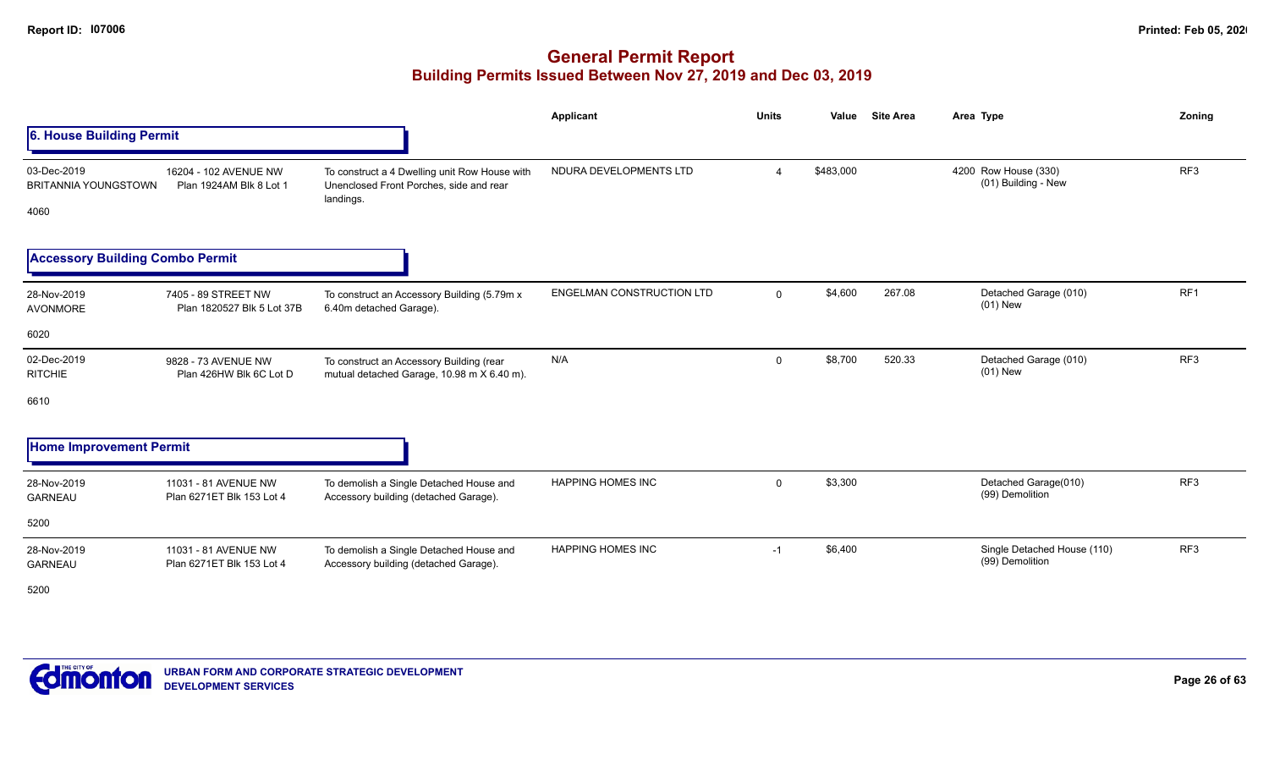|                                                    |                                                   |                                                                                                       | <b>Applicant</b>                 | <b>Units</b>   | Value     | <b>Site Area</b> | Area Type                                      | Zoning          |
|----------------------------------------------------|---------------------------------------------------|-------------------------------------------------------------------------------------------------------|----------------------------------|----------------|-----------|------------------|------------------------------------------------|-----------------|
| 6. House Building Permit                           |                                                   |                                                                                                       |                                  |                |           |                  |                                                |                 |
| 03-Dec-2019<br><b>BRITANNIA YOUNGSTOWN</b><br>4060 | 16204 - 102 AVENUE NW<br>Plan 1924AM Blk 8 Lot 1  | To construct a 4 Dwelling unit Row House with<br>Unenclosed Front Porches, side and rear<br>landings. | NDURA DEVELOPMENTS LTD           | $\overline{4}$ | \$483,000 |                  | 4200 Row House (330)<br>(01) Building - New    | RF3             |
| <b>Accessory Building Combo Permit</b>             |                                                   |                                                                                                       |                                  |                |           |                  |                                                |                 |
| 28-Nov-2019<br>AVONMORE                            | 7405 - 89 STREET NW<br>Plan 1820527 Blk 5 Lot 37B | To construct an Accessory Building (5.79m x<br>6.40m detached Garage).                                | <b>ENGELMAN CONSTRUCTION LTD</b> | $\overline{0}$ | \$4,600   | 267.08           | Detached Garage (010)<br>$(01)$ New            | RF <sub>1</sub> |
| 6020                                               |                                                   |                                                                                                       |                                  |                |           |                  |                                                |                 |
| 02-Dec-2019<br><b>RITCHIE</b>                      | 9828 - 73 AVENUE NW<br>Plan 426HW Blk 6C Lot D    | To construct an Accessory Building (rear<br>mutual detached Garage, 10.98 m X 6.40 m).                | N/A                              | $\mathbf 0$    | \$8,700   | 520.33           | Detached Garage (010)<br>$(01)$ New            | RF3             |
| 6610                                               |                                                   |                                                                                                       |                                  |                |           |                  |                                                |                 |
| <b>Home Improvement Permit</b>                     |                                                   |                                                                                                       |                                  |                |           |                  |                                                |                 |
| 28-Nov-2019<br><b>GARNEAU</b>                      | 11031 - 81 AVENUE NW<br>Plan 6271ET Blk 153 Lot 4 | To demolish a Single Detached House and<br>Accessory building (detached Garage).                      | HAPPING HOMES INC                | $\mathbf 0$    | \$3,300   |                  | Detached Garage(010)<br>(99) Demolition        | RF3             |
| 5200                                               |                                                   |                                                                                                       |                                  |                |           |                  |                                                |                 |
| 28-Nov-2019<br><b>GARNEAU</b>                      | 11031 - 81 AVENUE NW<br>Plan 6271ET Blk 153 Lot 4 | To demolish a Single Detached House and<br>Accessory building (detached Garage).                      | <b>HAPPING HOMES INC</b>         | $-1$           | \$6,400   |                  | Single Detached House (110)<br>(99) Demolition | RF <sub>3</sub> |
| 5200                                               |                                                   |                                                                                                       |                                  |                |           |                  |                                                |                 |

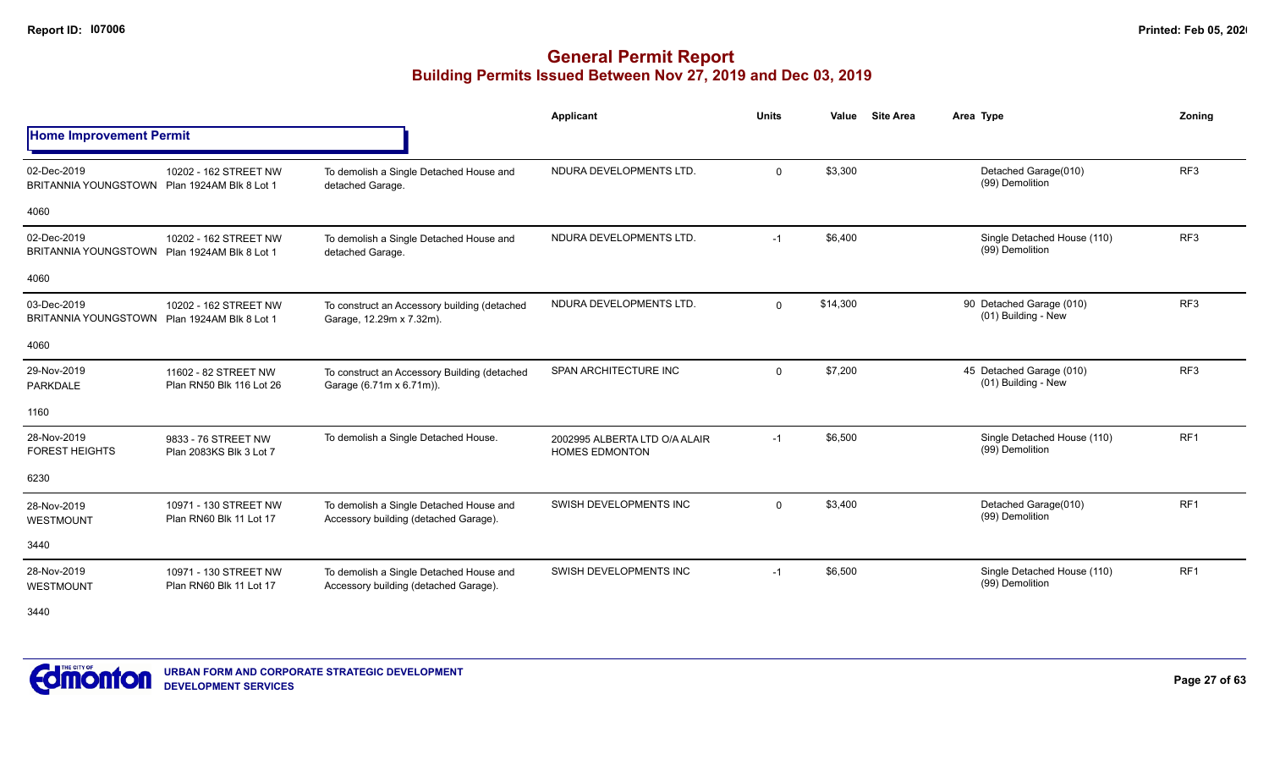|                                            |                                                  |                                                                                  | Applicant                                              | <b>Units</b> | <b>Site Area</b><br>Value | Area Type                                       | Zoning          |
|--------------------------------------------|--------------------------------------------------|----------------------------------------------------------------------------------|--------------------------------------------------------|--------------|---------------------------|-------------------------------------------------|-----------------|
| <b>Home Improvement Permit</b>             |                                                  |                                                                                  |                                                        |              |                           |                                                 |                 |
| 02-Dec-2019<br><b>BRITANNIA YOUNGSTOWN</b> | 10202 - 162 STREET NW<br>Plan 1924AM Blk 8 Lot 1 | To demolish a Single Detached House and<br>detached Garage.                      | NDURA DEVELOPMENTS LTD.                                | $\Omega$     | \$3,300                   | Detached Garage(010)<br>(99) Demolition         | RF <sub>3</sub> |
| 4060                                       |                                                  |                                                                                  |                                                        |              |                           |                                                 |                 |
| 02-Dec-2019<br><b>BRITANNIA YOUNGSTOWN</b> | 10202 - 162 STREET NW<br>Plan 1924AM Blk 8 Lot 1 | To demolish a Single Detached House and<br>detached Garage.                      | NDURA DEVELOPMENTS LTD.                                | $-1$         | \$6,400                   | Single Detached House (110)<br>(99) Demolition  | RF <sub>3</sub> |
| 4060                                       |                                                  |                                                                                  |                                                        |              |                           |                                                 |                 |
| 03-Dec-2019<br><b>BRITANNIA YOUNGSTOWN</b> | 10202 - 162 STREET NW<br>Plan 1924AM Blk 8 Lot 1 | To construct an Accessory building (detached<br>Garage, 12.29m x 7.32m).         | NDURA DEVELOPMENTS LTD.                                | $\Omega$     | \$14.300                  | 90 Detached Garage (010)<br>(01) Building - New | RF <sub>3</sub> |
| 4060                                       |                                                  |                                                                                  |                                                        |              |                           |                                                 |                 |
| 29-Nov-2019<br><b>PARKDALE</b>             | 11602 - 82 STREET NW<br>Plan RN50 Blk 116 Lot 26 | To construct an Accessory Building (detached<br>Garage (6.71m x 6.71m)).         | <b>SPAN ARCHITECTURE INC</b>                           | $\Omega$     | \$7,200                   | 45 Detached Garage (010)<br>(01) Building - New | RF <sub>3</sub> |
| 1160                                       |                                                  |                                                                                  |                                                        |              |                           |                                                 |                 |
| 28-Nov-2019<br><b>FOREST HEIGHTS</b>       | 9833 - 76 STREET NW<br>Plan 2083KS Blk 3 Lot 7   | To demolish a Single Detached House.                                             | 2002995 ALBERTA LTD O/A ALAIR<br><b>HOMES EDMONTON</b> | $-1$         | \$6,500                   | Single Detached House (110)<br>(99) Demolition  | RF <sub>1</sub> |
| 6230                                       |                                                  |                                                                                  |                                                        |              |                           |                                                 |                 |
| 28-Nov-2019<br>WESTMOUNT                   | 10971 - 130 STREET NW<br>Plan RN60 Blk 11 Lot 17 | To demolish a Single Detached House and<br>Accessory building (detached Garage). | SWISH DEVELOPMENTS INC                                 | $\Omega$     | \$3,400                   | Detached Garage(010)<br>(99) Demolition         | RF <sub>1</sub> |
| 3440                                       |                                                  |                                                                                  |                                                        |              |                           |                                                 |                 |
| 28-Nov-2019<br>WESTMOUNT                   | 10971 - 130 STREET NW<br>Plan RN60 Blk 11 Lot 17 | To demolish a Single Detached House and<br>Accessory building (detached Garage). | SWISH DEVELOPMENTS INC                                 | $-1$         | \$6,500                   | Single Detached House (110)<br>(99) Demolition  | RF <sub>1</sub> |

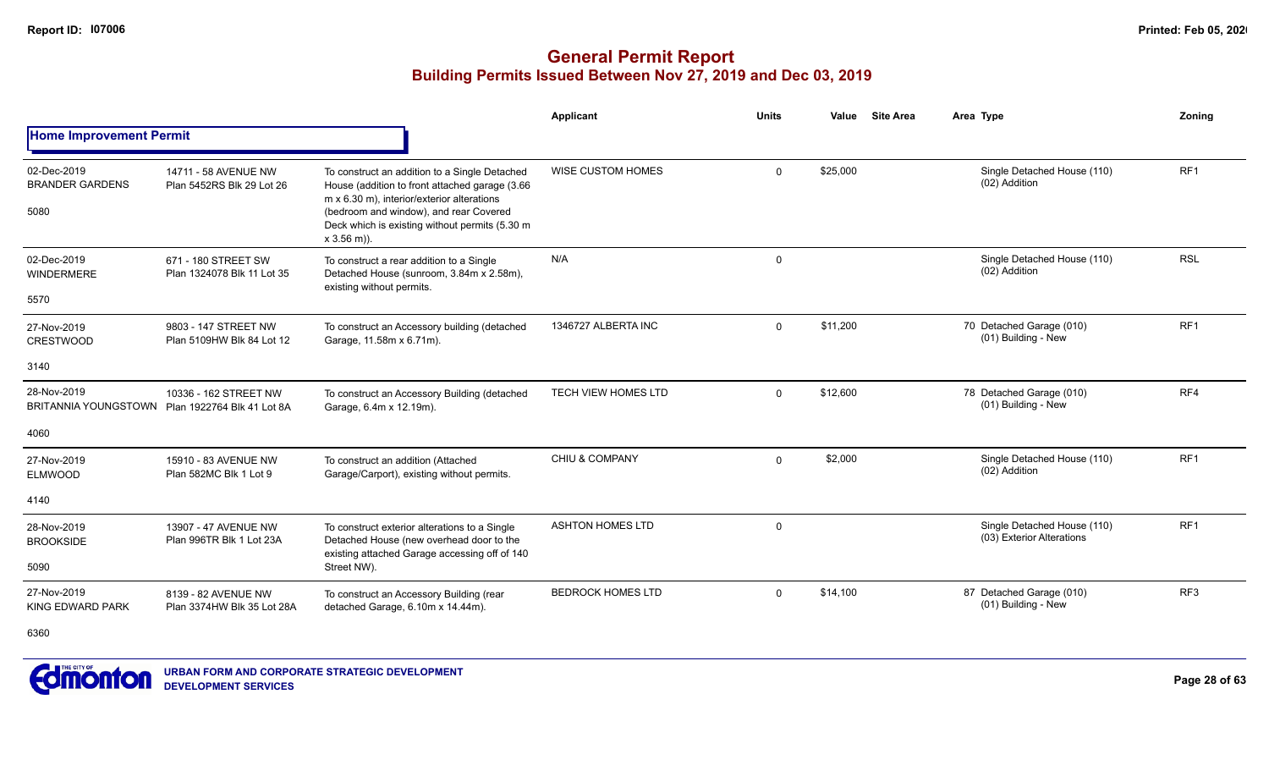|                                               |                                                     |                                                                                                                                                                                                                                                            | Applicant                  | Units       | Value    | <b>Site Area</b> | Area Type                                                | Zoning          |
|-----------------------------------------------|-----------------------------------------------------|------------------------------------------------------------------------------------------------------------------------------------------------------------------------------------------------------------------------------------------------------------|----------------------------|-------------|----------|------------------|----------------------------------------------------------|-----------------|
| <b>Home Improvement Permit</b>                |                                                     |                                                                                                                                                                                                                                                            |                            |             |          |                  |                                                          |                 |
| 02-Dec-2019<br><b>BRANDER GARDENS</b><br>5080 | 14711 - 58 AVENUE NW<br>Plan 5452RS Blk 29 Lot 26   | To construct an addition to a Single Detached<br>House (addition to front attached garage (3.66<br>m x 6.30 m), interior/exterior alterations<br>(bedroom and window), and rear Covered<br>Deck which is existing without permits (5.30 m<br>$x 3.56$ m)). | <b>WISE CUSTOM HOMES</b>   | $\Omega$    | \$25,000 |                  | Single Detached House (110)<br>(02) Addition             | RF <sub>1</sub> |
| 02-Dec-2019<br><b>WINDERMERE</b><br>5570      | 671 - 180 STREET SW<br>Plan 1324078 Blk 11 Lot 35   | To construct a rear addition to a Single<br>Detached House (sunroom, 3.84m x 2.58m),<br>existing without permits.                                                                                                                                          | N/A                        | $\mathbf 0$ |          |                  | Single Detached House (110)<br>(02) Addition             | <b>RSL</b>      |
| 27-Nov-2019<br><b>CRESTWOOD</b>               | 9803 - 147 STREET NW<br>Plan 5109HW Blk 84 Lot 12   | To construct an Accessory building (detached<br>Garage, 11.58m x 6.71m).                                                                                                                                                                                   | 1346727 ALBERTA INC        | $\Omega$    | \$11,200 |                  | 70 Detached Garage (010)<br>(01) Building - New          | RF <sub>1</sub> |
| 3140                                          |                                                     |                                                                                                                                                                                                                                                            |                            |             |          |                  |                                                          |                 |
| 28-Nov-2019<br>BRITANNIA YOUNGSTOWN           | 10336 - 162 STREET NW<br>Plan 1922764 Blk 41 Lot 8A | To construct an Accessory Building (detached<br>Garage, 6.4m x 12.19m).                                                                                                                                                                                    | <b>TECH VIEW HOMES LTD</b> | $\Omega$    | \$12,600 |                  | 78 Detached Garage (010)<br>(01) Building - New          | RF4             |
| 4060                                          |                                                     |                                                                                                                                                                                                                                                            |                            |             |          |                  |                                                          |                 |
| 27-Nov-2019<br><b>ELMWOOD</b>                 | 15910 - 83 AVENUE NW<br>Plan 582MC Blk 1 Lot 9      | To construct an addition (Attached<br>Garage/Carport), existing without permits.                                                                                                                                                                           | CHIU & COMPANY             | $\Omega$    | \$2,000  |                  | Single Detached House (110)<br>(02) Addition             | RF <sub>1</sub> |
| 4140                                          |                                                     |                                                                                                                                                                                                                                                            |                            |             |          |                  |                                                          |                 |
| 28-Nov-2019<br><b>BROOKSIDE</b>               | 13907 - 47 AVENUE NW<br>Plan 996TR Blk 1 Lot 23A    | To construct exterior alterations to a Single<br>Detached House (new overhead door to the<br>existing attached Garage accessing off of 140                                                                                                                 | <b>ASHTON HOMES LTD</b>    | $\Omega$    |          |                  | Single Detached House (110)<br>(03) Exterior Alterations | RF1             |
| 5090                                          |                                                     | Street NW).                                                                                                                                                                                                                                                |                            |             |          |                  |                                                          |                 |
| 27-Nov-2019<br><b>KING EDWARD PARK</b>        | 8139 - 82 AVENUE NW<br>Plan 3374HW Blk 35 Lot 28A   | To construct an Accessory Building (rear<br>detached Garage, 6.10m x 14.44m).                                                                                                                                                                              | <b>BEDROCK HOMES LTD</b>   | $\Omega$    | \$14,100 |                  | 87 Detached Garage (010)<br>(01) Building - New          | RF <sub>3</sub> |
| 6360                                          |                                                     |                                                                                                                                                                                                                                                            |                            |             |          |                  |                                                          |                 |

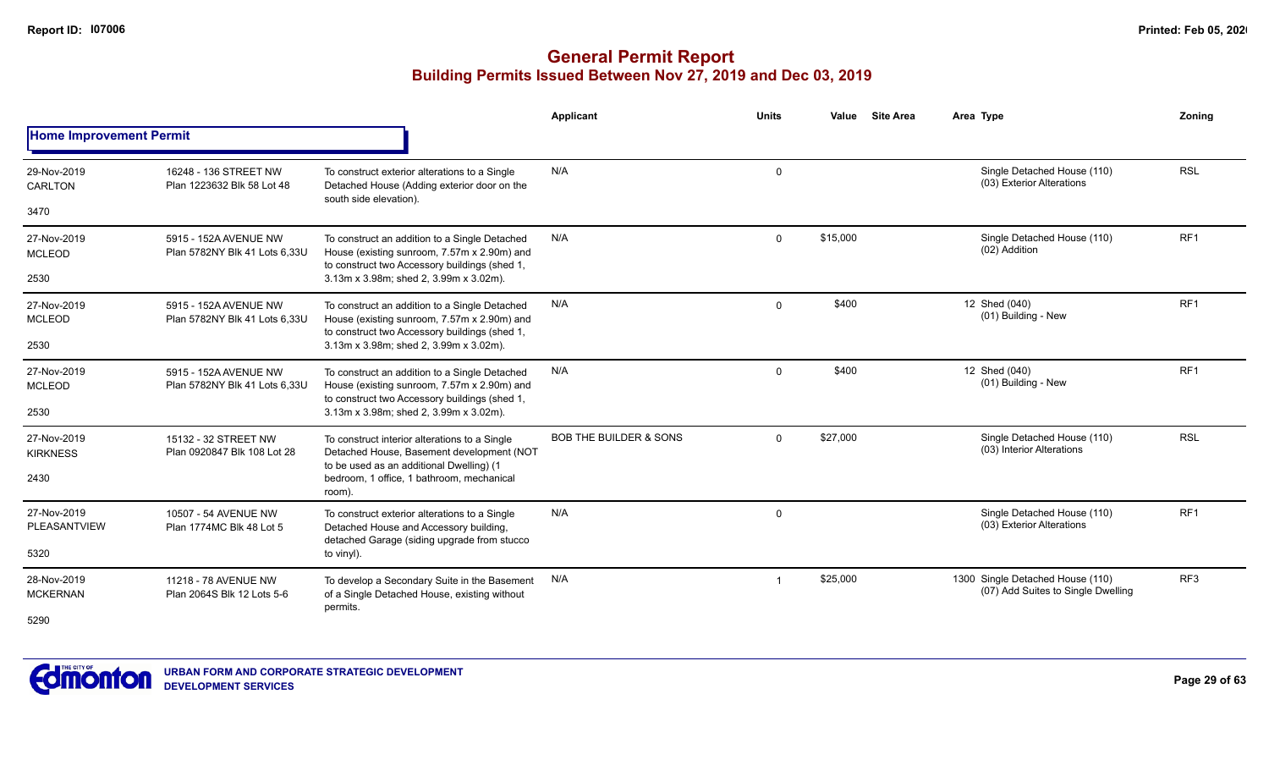|                                    |                                                        |                                                                                                                                               | Applicant                         | <b>Units</b>   | <b>Site Area</b><br>Value | Area Type                                                              | Zoning          |
|------------------------------------|--------------------------------------------------------|-----------------------------------------------------------------------------------------------------------------------------------------------|-----------------------------------|----------------|---------------------------|------------------------------------------------------------------------|-----------------|
| <b>Home Improvement Permit</b>     |                                                        |                                                                                                                                               |                                   |                |                           |                                                                        |                 |
| 29-Nov-2019<br>CARLTON             | 16248 - 136 STREET NW<br>Plan 1223632 Blk 58 Lot 48    | To construct exterior alterations to a Single<br>Detached House (Adding exterior door on the<br>south side elevation).                        | N/A                               | $\Omega$       |                           | Single Detached House (110)<br>(03) Exterior Alterations               | <b>RSL</b>      |
| 3470                               |                                                        |                                                                                                                                               |                                   |                |                           |                                                                        |                 |
| 27-Nov-2019<br><b>MCLEOD</b>       | 5915 - 152A AVENUE NW<br>Plan 5782NY Blk 41 Lots 6.33U | To construct an addition to a Single Detached<br>House (existing sunroom, 7.57m x 2.90m) and<br>to construct two Accessory buildings (shed 1, | N/A                               | $\Omega$       | \$15,000                  | Single Detached House (110)<br>(02) Addition                           | RF <sub>1</sub> |
| 2530                               |                                                        | 3.13m x 3.98m; shed 2, 3.99m x 3.02m).                                                                                                        |                                   |                |                           |                                                                        |                 |
| 27-Nov-2019<br><b>MCLEOD</b>       | 5915 - 152A AVENUE NW<br>Plan 5782NY Blk 41 Lots 6.33U | To construct an addition to a Single Detached<br>House (existing sunroom, 7.57m x 2.90m) and<br>to construct two Accessory buildings (shed 1, | N/A                               | $\Omega$       | \$400                     | 12 Shed (040)<br>(01) Building - New                                   | RF <sub>1</sub> |
| 2530                               |                                                        | 3.13m x 3.98m; shed 2, 3.99m x 3.02m).                                                                                                        |                                   |                |                           |                                                                        |                 |
| 27-Nov-2019<br><b>MCLEOD</b>       | 5915 - 152A AVENUE NW<br>Plan 5782NY Blk 41 Lots 6.33U | To construct an addition to a Single Detached<br>House (existing sunroom, 7.57m x 2.90m) and<br>to construct two Accessory buildings (shed 1, | N/A                               | $\Omega$       | \$400                     | 12 Shed (040)<br>(01) Building - New                                   | RF <sub>1</sub> |
| 2530                               |                                                        | 3.13m x 3.98m; shed 2, 3.99m x 3.02m).                                                                                                        |                                   |                |                           |                                                                        |                 |
| 27-Nov-2019<br><b>KIRKNESS</b>     | 15132 - 32 STREET NW<br>Plan 0920847 Blk 108 Lot 28    | To construct interior alterations to a Single<br>Detached House, Basement development (NOT<br>to be used as an additional Dwelling) (1        | <b>BOB THE BUILDER &amp; SONS</b> | $\Omega$       | \$27,000                  | Single Detached House (110)<br>(03) Interior Alterations               | <b>RSL</b>      |
| 2430                               |                                                        | bedroom, 1 office, 1 bathroom, mechanical<br>room).                                                                                           |                                   |                |                           |                                                                        |                 |
| 27-Nov-2019<br><b>PLEASANTVIEW</b> | 10507 - 54 AVENUE NW<br>Plan 1774MC Blk 48 Lot 5       | To construct exterior alterations to a Single<br>Detached House and Accessory building,                                                       | N/A                               | $\mathbf 0$    |                           | Single Detached House (110)<br>(03) Exterior Alterations               | RF <sub>1</sub> |
| 5320                               |                                                        | detached Garage (siding upgrade from stucco<br>to vinyl).                                                                                     |                                   |                |                           |                                                                        |                 |
| 28-Nov-2019<br><b>MCKERNAN</b>     | 11218 - 78 AVENUE NW<br>Plan 2064S Blk 12 Lots 5-6     | To develop a Secondary Suite in the Basement<br>of a Single Detached House, existing without                                                  | N/A                               | $\overline{1}$ | \$25,000                  | 1300 Single Detached House (110)<br>(07) Add Suites to Single Dwelling | RF <sub>3</sub> |
| 5290                               |                                                        | permits.                                                                                                                                      |                                   |                |                           |                                                                        |                 |
|                                    |                                                        |                                                                                                                                               |                                   |                |                           |                                                                        |                 |

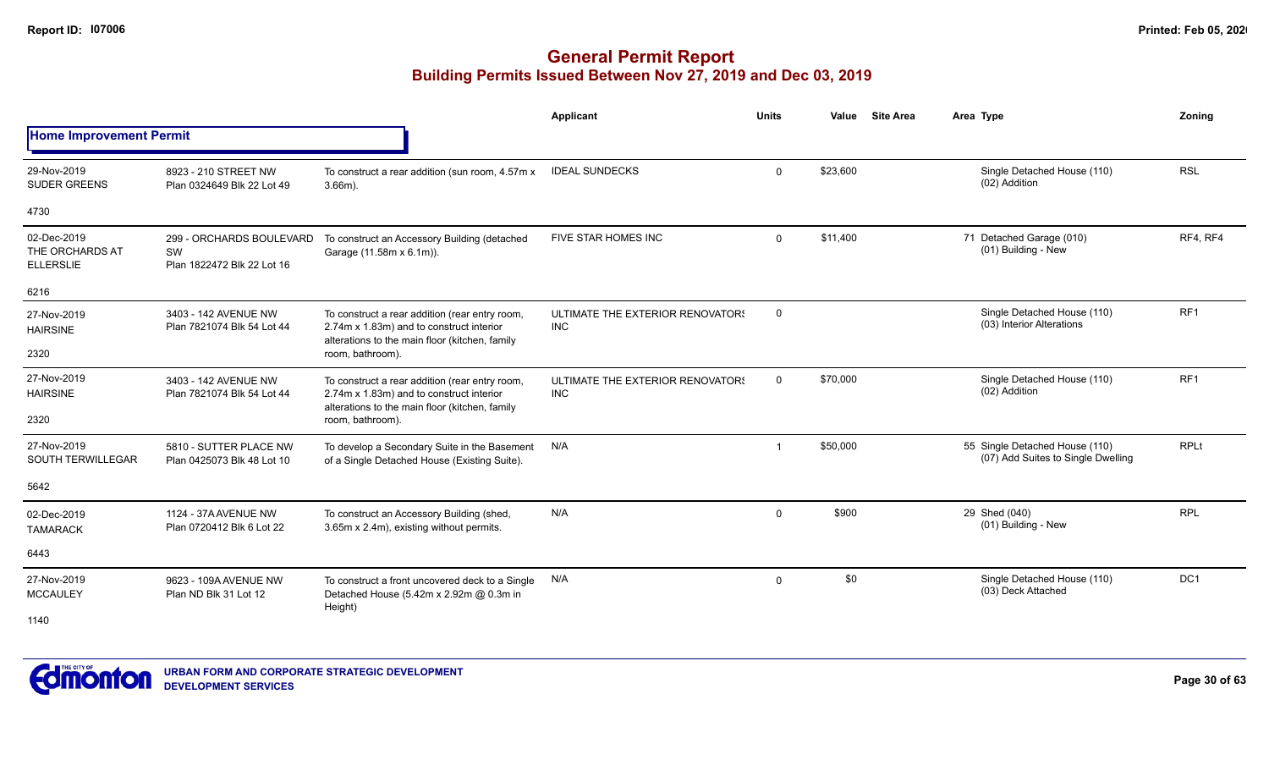|                                                    |                                                              |                                                                                                                                              | Applicant                                      | <b>Units</b> | Value    | <b>Site Area</b> | Area Type                                                            | Zoning          |
|----------------------------------------------------|--------------------------------------------------------------|----------------------------------------------------------------------------------------------------------------------------------------------|------------------------------------------------|--------------|----------|------------------|----------------------------------------------------------------------|-----------------|
| <b>Home Improvement Permit</b>                     |                                                              |                                                                                                                                              |                                                |              |          |                  |                                                                      |                 |
| 29-Nov-2019<br><b>SUDER GREENS</b>                 | 8923 - 210 STREET NW<br>Plan 0324649 Blk 22 Lot 49           | To construct a rear addition (sun room, 4.57m x<br>$3.66m$ ).                                                                                | <b>IDEAL SUNDECKS</b>                          | $\Omega$     | \$23,600 |                  | Single Detached House (110)<br>(02) Addition                         | <b>RSL</b>      |
| 4730                                               |                                                              |                                                                                                                                              |                                                |              |          |                  |                                                                      |                 |
| 02-Dec-2019<br>THE ORCHARDS AT<br><b>ELLERSLIE</b> | 299 - ORCHARDS BOULEVARD<br>SW<br>Plan 1822472 Blk 22 Lot 16 | To construct an Accessory Building (detached<br>Garage (11.58m x 6.1m)).                                                                     | FIVE STAR HOMES INC                            | $\Omega$     | \$11,400 |                  | 71 Detached Garage (010)<br>(01) Building - New                      | RF4, RF4        |
| 6216                                               |                                                              |                                                                                                                                              |                                                |              |          |                  |                                                                      |                 |
| 27-Nov-2019<br><b>HAIRSINE</b>                     | 3403 - 142 AVENUE NW<br>Plan 7821074 Blk 54 Lot 44           | To construct a rear addition (rear entry room,<br>2.74m x 1.83m) and to construct interior<br>alterations to the main floor (kitchen, family | ULTIMATE THE EXTERIOR RENOVATORS<br><b>INC</b> | $\mathbf 0$  |          |                  | Single Detached House (110)<br>(03) Interior Alterations             | RF1             |
| 2320                                               |                                                              | room, bathroom).                                                                                                                             |                                                |              |          |                  |                                                                      |                 |
| 27-Nov-2019<br><b>HAIRSINE</b>                     | 3403 - 142 AVENUE NW<br>Plan 7821074 Blk 54 Lot 44           | To construct a rear addition (rear entry room,<br>2.74m x 1.83m) and to construct interior<br>alterations to the main floor (kitchen, family | ULTIMATE THE EXTERIOR RENOVATORS<br><b>INC</b> | $\mathbf 0$  | \$70,000 |                  | Single Detached House (110)<br>(02) Addition                         | RF <sub>1</sub> |
| 2320                                               |                                                              | room, bathroom).                                                                                                                             |                                                |              |          |                  |                                                                      |                 |
| 27-Nov-2019<br><b>SOUTH TERWILLEGAR</b>            | 5810 - SUTTER PLACE NW<br>Plan 0425073 Blk 48 Lot 10         | To develop a Secondary Suite in the Basement<br>of a Single Detached House (Existing Suite).                                                 | N/A                                            | -1           | \$50,000 |                  | 55 Single Detached House (110)<br>(07) Add Suites to Single Dwelling | <b>RPLt</b>     |
| 5642                                               |                                                              |                                                                                                                                              |                                                |              |          |                  |                                                                      |                 |
| 02-Dec-2019<br><b>TAMARACK</b>                     | 1124 - 37A AVENUE NW<br>Plan 0720412 Blk 6 Lot 22            | To construct an Accessory Building (shed,<br>3.65m x 2.4m), existing without permits.                                                        | N/A                                            | $\Omega$     | \$900    |                  | 29 Shed (040)<br>(01) Building - New                                 | <b>RPL</b>      |
| 6443                                               |                                                              |                                                                                                                                              |                                                |              |          |                  |                                                                      |                 |
| 27-Nov-2019<br><b>MCCAULEY</b>                     | 9623 - 109A AVENUE NW<br>Plan ND Blk 31 Lot 12               | To construct a front uncovered deck to a Single<br>Detached House (5.42m x 2.92m @ 0.3m in<br>Height)                                        | N/A                                            | $\mathbf 0$  | \$0      |                  | Single Detached House (110)<br>(03) Deck Attached                    | DC <sub>1</sub> |
| 1140                                               |                                                              |                                                                                                                                              |                                                |              |          |                  |                                                                      |                 |

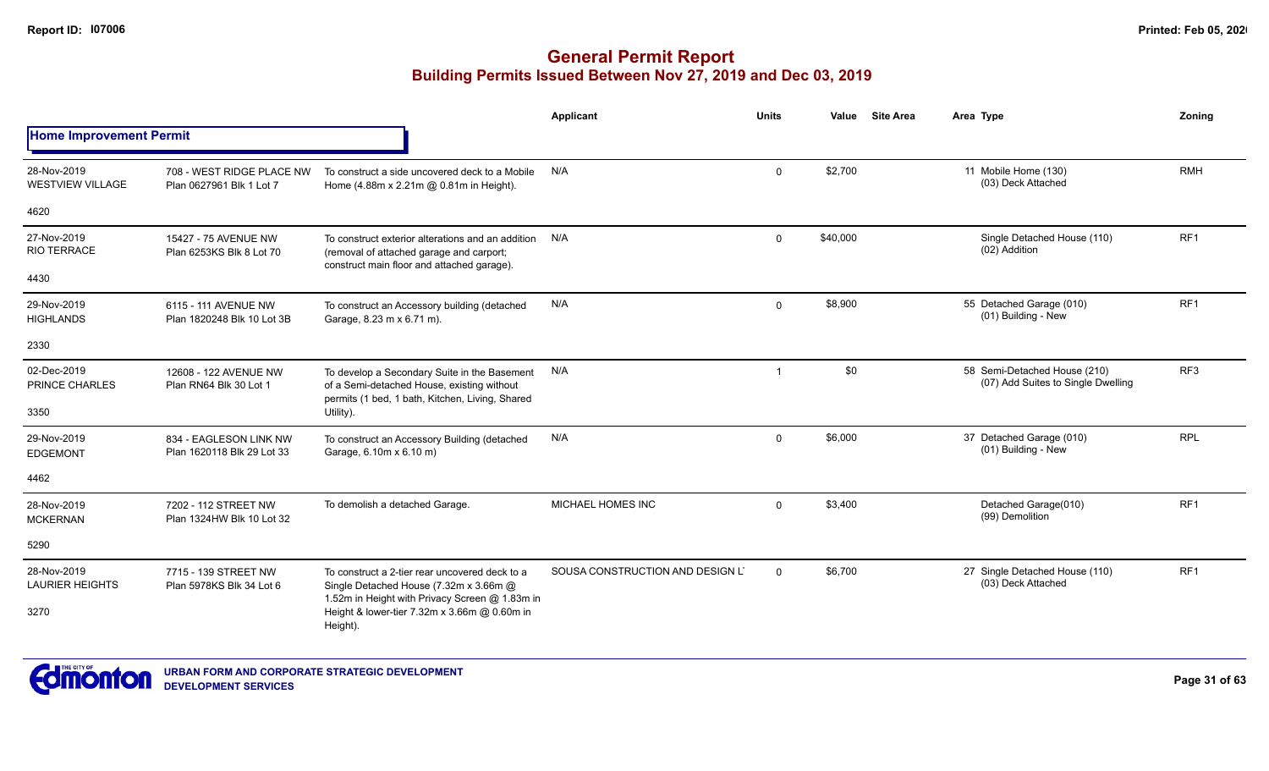|                                        |                                                       |                                                                                                                                               | <b>Applicant</b>                 | <b>Units</b> | Value    | <b>Site Area</b> | Area Type                                                          | Zoning          |
|----------------------------------------|-------------------------------------------------------|-----------------------------------------------------------------------------------------------------------------------------------------------|----------------------------------|--------------|----------|------------------|--------------------------------------------------------------------|-----------------|
| <b>Home Improvement Permit</b>         |                                                       |                                                                                                                                               |                                  |              |          |                  |                                                                    |                 |
| 28-Nov-2019<br><b>WESTVIEW VILLAGE</b> | 708 - WEST RIDGE PLACE NW<br>Plan 0627961 Blk 1 Lot 7 | To construct a side uncovered deck to a Mobile<br>Home (4.88m x 2.21m @ 0.81m in Height).                                                     | N/A                              | $\Omega$     | \$2,700  |                  | 11 Mobile Home (130)<br>(03) Deck Attached                         | <b>RMH</b>      |
| 4620                                   |                                                       |                                                                                                                                               |                                  |              |          |                  |                                                                    |                 |
| 27-Nov-2019<br><b>RIO TERRACE</b>      | 15427 - 75 AVENUE NW<br>Plan 6253KS Blk 8 Lot 70      | To construct exterior alterations and an addition<br>(removal of attached garage and carport;<br>construct main floor and attached garage).   | N/A                              | 0            | \$40,000 |                  | Single Detached House (110)<br>(02) Addition                       | RF <sub>1</sub> |
| 4430                                   |                                                       |                                                                                                                                               |                                  |              |          |                  |                                                                    |                 |
| 29-Nov-2019<br><b>HIGHLANDS</b>        | 6115 - 111 AVENUE NW<br>Plan 1820248 Blk 10 Lot 3B    | To construct an Accessory building (detached<br>Garage, 8.23 m x 6.71 m).                                                                     | N/A                              | $\Omega$     | \$8,900  |                  | 55 Detached Garage (010)<br>(01) Building - New                    | RF <sub>1</sub> |
| 2330                                   |                                                       |                                                                                                                                               |                                  |              |          |                  |                                                                    |                 |
| 02-Dec-2019<br>PRINCE CHARLES          | 12608 - 122 AVENUE NW<br>Plan RN64 Blk 30 Lot 1       | To develop a Secondary Suite in the Basement<br>of a Semi-detached House, existing without<br>permits (1 bed, 1 bath, Kitchen, Living, Shared | N/A                              | $\mathbf 1$  | \$0      |                  | 58 Semi-Detached House (210)<br>(07) Add Suites to Single Dwelling | RF3             |
| 3350                                   |                                                       | Utility).                                                                                                                                     |                                  |              |          |                  |                                                                    |                 |
| 29-Nov-2019<br><b>EDGEMONT</b>         | 834 - EAGLESON LINK NW<br>Plan 1620118 Blk 29 Lot 33  | To construct an Accessory Building (detached<br>Garage, 6.10m x 6.10 m)                                                                       | N/A                              | $\Omega$     | \$6,000  |                  | 37 Detached Garage (010)<br>(01) Building - New                    | <b>RPL</b>      |
| 4462                                   |                                                       |                                                                                                                                               |                                  |              |          |                  |                                                                    |                 |
| 28-Nov-2019<br><b>MCKERNAN</b>         | 7202 - 112 STREET NW<br>Plan 1324HW Blk 10 Lot 32     | To demolish a detached Garage.                                                                                                                | MICHAEL HOMES INC                | $\mathbf 0$  | \$3,400  |                  | Detached Garage(010)<br>(99) Demolition                            | RF1             |
| 5290                                   |                                                       |                                                                                                                                               |                                  |              |          |                  |                                                                    |                 |
| 28-Nov-2019<br><b>LAURIER HEIGHTS</b>  | 7715 - 139 STREET NW<br>Plan 5978KS Blk 34 Lot 6      | To construct a 2-tier rear uncovered deck to a<br>Single Detached House (7.32m x 3.66m @<br>1.52m in Height with Privacy Screen @ 1.83m in    | SOUSA CONSTRUCTION AND DESIGN L' | $\Omega$     | \$6,700  |                  | 27 Single Detached House (110)<br>(03) Deck Attached               | RF <sub>1</sub> |
| 3270                                   |                                                       | Height & lower-tier 7.32m x 3.66m @ 0.60m in<br>Height).                                                                                      |                                  |              |          |                  |                                                                    |                 |

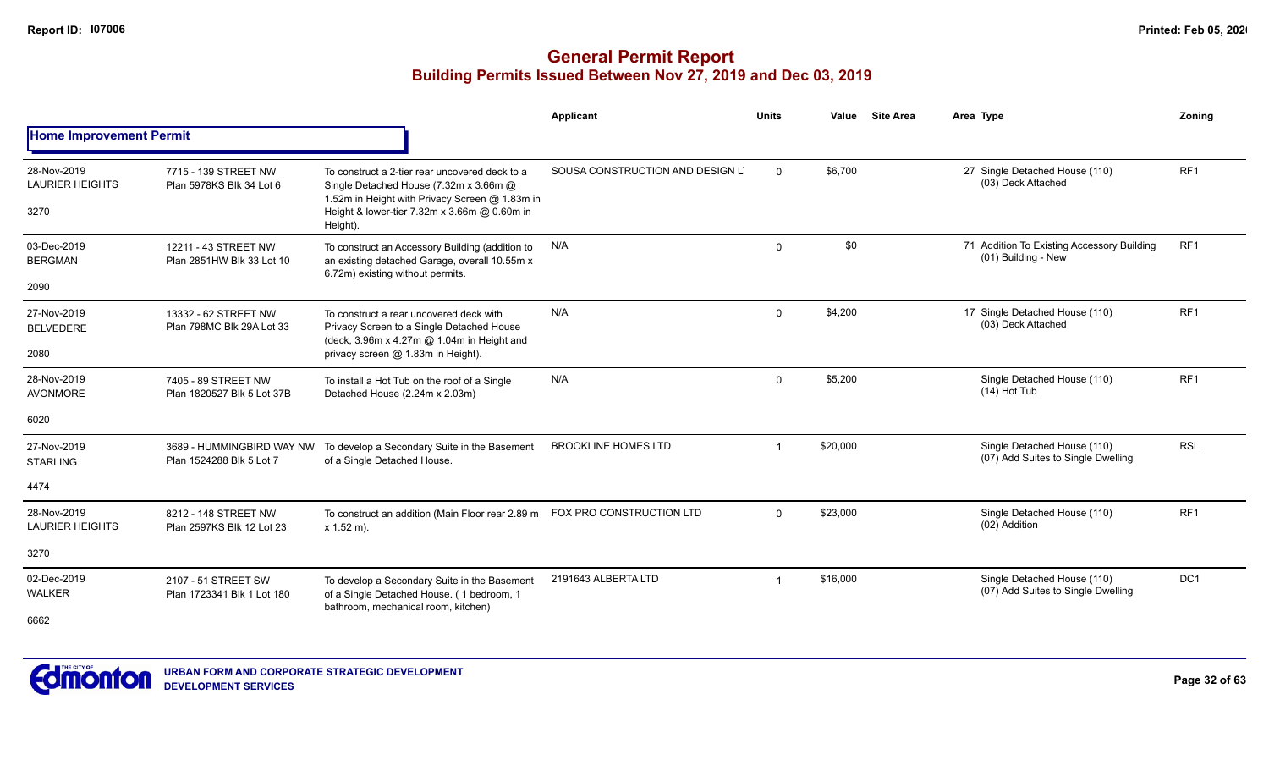|                                               |                                                       |                                                                                                                                                                                            | Applicant                        | <b>Units</b> | Value    | <b>Site Area</b> | Area Type                                                         | <b>Zoning</b>   |
|-----------------------------------------------|-------------------------------------------------------|--------------------------------------------------------------------------------------------------------------------------------------------------------------------------------------------|----------------------------------|--------------|----------|------------------|-------------------------------------------------------------------|-----------------|
| <b>Home Improvement Permit</b>                |                                                       |                                                                                                                                                                                            |                                  |              |          |                  |                                                                   |                 |
| 28-Nov-2019<br><b>LAURIER HEIGHTS</b><br>3270 | 7715 - 139 STREET NW<br>Plan 5978KS Blk 34 Lot 6      | To construct a 2-tier rear uncovered deck to a<br>Single Detached House (7.32m x 3.66m @<br>1.52m in Height with Privacy Screen @ 1.83m in<br>Height & lower-tier 7.32m x 3.66m @ 0.60m in | SOUSA CONSTRUCTION AND DESIGN LT | $\Omega$     | \$6,700  |                  | 27 Single Detached House (110)<br>(03) Deck Attached              | RF <sub>1</sub> |
|                                               |                                                       | Height).                                                                                                                                                                                   |                                  |              |          |                  |                                                                   |                 |
| 03-Dec-2019<br><b>BERGMAN</b>                 | 12211 - 43 STREET NW<br>Plan 2851HW Blk 33 Lot 10     | To construct an Accessory Building (addition to<br>an existing detached Garage, overall 10.55m x                                                                                           | N/A                              | $\Omega$     | \$0      |                  | 71 Addition To Existing Accessory Building<br>(01) Building - New | RF <sub>1</sub> |
| 2090                                          |                                                       | 6.72m) existing without permits.                                                                                                                                                           |                                  |              |          |                  |                                                                   |                 |
| 27-Nov-2019<br><b>BELVEDERE</b>               | 13332 - 62 STREET NW<br>Plan 798MC Blk 29A Lot 33     | To construct a rear uncovered deck with<br>Privacy Screen to a Single Detached House<br>(deck, 3.96m x 4.27m @ 1.04m in Height and                                                         | N/A                              | $\Omega$     | \$4,200  |                  | 17 Single Detached House (110)<br>(03) Deck Attached              | RF <sub>1</sub> |
| 2080                                          |                                                       | privacy screen @ 1.83m in Height).                                                                                                                                                         |                                  |              |          |                  |                                                                   |                 |
| 28-Nov-2019<br><b>AVONMORE</b>                | 7405 - 89 STREET NW<br>Plan 1820527 Blk 5 Lot 37B     | To install a Hot Tub on the roof of a Single<br>Detached House (2.24m x 2.03m)                                                                                                             | N/A                              | $\Omega$     | \$5,200  |                  | Single Detached House (110)<br>$(14)$ Hot Tub                     | RF <sub>1</sub> |
| 6020                                          |                                                       |                                                                                                                                                                                            |                                  |              |          |                  |                                                                   |                 |
| 27-Nov-2019<br><b>STARLING</b>                | 3689 - HUMMINGBIRD WAY NW<br>Plan 1524288 Blk 5 Lot 7 | To develop a Secondary Suite in the Basement<br>of a Single Detached House.                                                                                                                | <b>BROOKLINE HOMES LTD</b>       |              | \$20,000 |                  | Single Detached House (110)<br>(07) Add Suites to Single Dwelling | <b>RSL</b>      |
| 4474                                          |                                                       |                                                                                                                                                                                            |                                  |              |          |                  |                                                                   |                 |
| 28-Nov-2019<br><b>LAURIER HEIGHTS</b>         | 8212 - 148 STREET NW<br>Plan 2597KS Blk 12 Lot 23     | To construct an addition (Main Floor rear 2.89 m<br>$x 1.52 m$ ).                                                                                                                          | FOX PRO CONSTRUCTION LTD         | $\Omega$     | \$23,000 |                  | Single Detached House (110)<br>(02) Addition                      | RF1             |
| 3270                                          |                                                       |                                                                                                                                                                                            |                                  |              |          |                  |                                                                   |                 |
| 02-Dec-2019<br><b>WALKER</b><br>6662          | 2107 - 51 STREET SW<br>Plan 1723341 Blk 1 Lot 180     | To develop a Secondary Suite in the Basement<br>of a Single Detached House. (1 bedroom, 1<br>bathroom, mechanical room, kitchen)                                                           | 2191643 ALBERTA LTD              |              | \$16,000 |                  | Single Detached House (110)<br>(07) Add Suites to Single Dwelling | DC <sub>1</sub> |

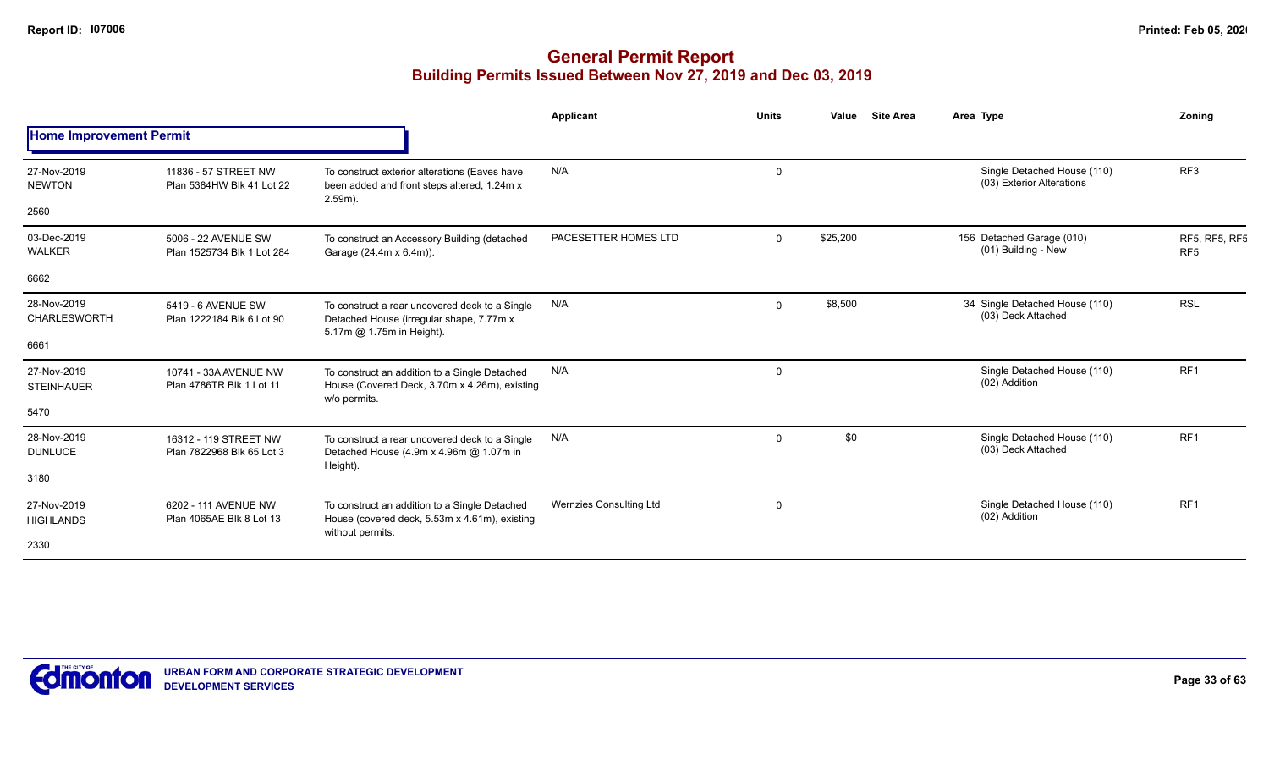|                                    |                                                    |                                                                                                                         | Applicant               | <b>Units</b> | Value    | <b>Site Area</b> | Area Type                                                | Zoning                           |
|------------------------------------|----------------------------------------------------|-------------------------------------------------------------------------------------------------------------------------|-------------------------|--------------|----------|------------------|----------------------------------------------------------|----------------------------------|
| <b>Home Improvement Permit</b>     |                                                    |                                                                                                                         |                         |              |          |                  |                                                          |                                  |
| 27-Nov-2019<br><b>NEWTON</b>       | 11836 - 57 STREET NW<br>Plan 5384HW Blk 41 Lot 22  | To construct exterior alterations (Eaves have<br>been added and front steps altered, 1.24m x<br>$2.59m$ ).              | N/A                     | 0            |          |                  | Single Detached House (110)<br>(03) Exterior Alterations | RF <sub>3</sub>                  |
| 2560                               |                                                    |                                                                                                                         |                         |              |          |                  |                                                          |                                  |
| 03-Dec-2019<br><b>WALKER</b>       | 5006 - 22 AVENUE SW<br>Plan 1525734 Blk 1 Lot 284  | To construct an Accessory Building (detached<br>Garage (24.4m x 6.4m)).                                                 | PACESETTER HOMES LTD    | $\Omega$     | \$25,200 |                  | 156 Detached Garage (010)<br>(01) Building - New         | RF5, RF5, RF5<br>RF <sub>5</sub> |
| 6662                               |                                                    |                                                                                                                         |                         |              |          |                  |                                                          |                                  |
| 28-Nov-2019<br><b>CHARLESWORTH</b> | 5419 - 6 AVENUE SW<br>Plan 1222184 Blk 6 Lot 90    | To construct a rear uncovered deck to a Single<br>Detached House (irregular shape, 7.77m x<br>5.17m @ 1.75m in Height). | N/A                     | $\Omega$     | \$8,500  |                  | 34 Single Detached House (110)<br>(03) Deck Attached     | <b>RSL</b>                       |
| 6661                               |                                                    |                                                                                                                         |                         |              |          |                  |                                                          |                                  |
| 27-Nov-2019<br><b>STEINHAUER</b>   | 10741 - 33A AVENUE NW<br>Plan 4786TR Blk 1 Lot 11  | To construct an addition to a Single Detached<br>House (Covered Deck, 3.70m x 4.26m), existing<br>w/o permits.          | N/A                     | $\mathbf 0$  |          |                  | Single Detached House (110)<br>(02) Addition             | RF <sub>1</sub>                  |
| 5470                               |                                                    |                                                                                                                         |                         |              |          |                  |                                                          |                                  |
| 28-Nov-2019<br><b>DUNLUCE</b>      | 16312 - 119 STREET NW<br>Plan 7822968 Blk 65 Lot 3 | To construct a rear uncovered deck to a Single<br>Detached House (4.9m x 4.96m @ 1.07m in                               | N/A                     | $\Omega$     | \$0      |                  | Single Detached House (110)<br>(03) Deck Attached        | RF <sub>1</sub>                  |
| 3180                               |                                                    | Height).                                                                                                                |                         |              |          |                  |                                                          |                                  |
| 27-Nov-2019<br><b>HIGHLANDS</b>    | 6202 - 111 AVENUE NW<br>Plan 4065AE Blk 8 Lot 13   | To construct an addition to a Single Detached<br>House (covered deck, 5.53m x 4.61m), existing<br>without permits.      | Wernzies Consulting Ltd | $\Omega$     |          |                  | Single Detached House (110)<br>(02) Addition             | RF <sub>1</sub>                  |
| 2330                               |                                                    |                                                                                                                         |                         |              |          |                  |                                                          |                                  |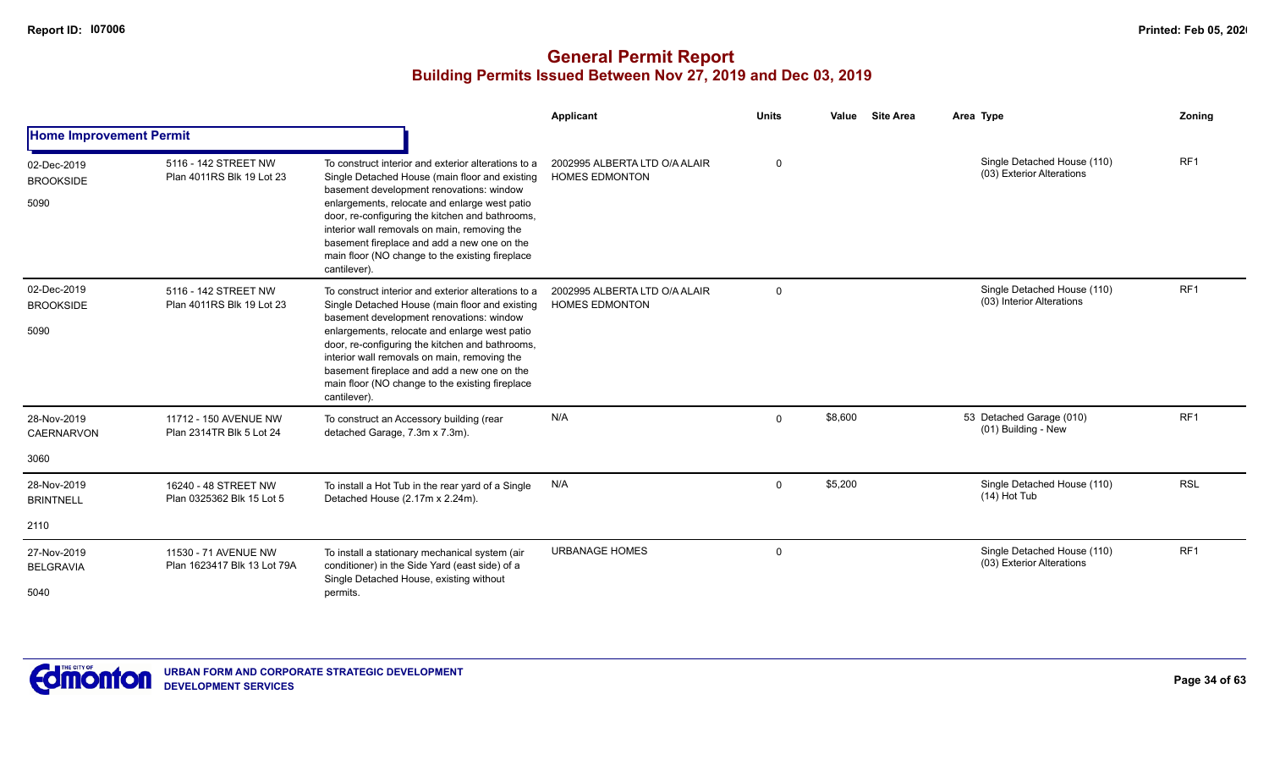|                                          |                                                     |                                                                                                                                                                                                                                                                                                                                                                                                                         | <b>Applicant</b>                                       | <b>Units</b> | <b>Site Area</b><br>Value | Area Type                                                | Zoning          |
|------------------------------------------|-----------------------------------------------------|-------------------------------------------------------------------------------------------------------------------------------------------------------------------------------------------------------------------------------------------------------------------------------------------------------------------------------------------------------------------------------------------------------------------------|--------------------------------------------------------|--------------|---------------------------|----------------------------------------------------------|-----------------|
| <b>Home Improvement Permit</b>           |                                                     |                                                                                                                                                                                                                                                                                                                                                                                                                         |                                                        |              |                           |                                                          |                 |
| 02-Dec-2019<br><b>BROOKSIDE</b><br>5090  | 5116 - 142 STREET NW<br>Plan 4011RS Blk 19 Lot 23   | To construct interior and exterior alterations to a<br>Single Detached House (main floor and existing<br>basement development renovations: window<br>enlargements, relocate and enlarge west patio<br>door, re-configuring the kitchen and bathrooms,<br>interior wall removals on main, removing the<br>basement fireplace and add a new one on the<br>main floor (NO change to the existing fireplace<br>cantilever). | 2002995 ALBERTA LTD O/A ALAIR<br><b>HOMES EDMONTON</b> | $\Omega$     |                           | Single Detached House (110)<br>(03) Exterior Alterations | RF <sub>1</sub> |
| 02-Dec-2019<br><b>BROOKSIDE</b><br>5090  | 5116 - 142 STREET NW<br>Plan 4011RS Blk 19 Lot 23   | To construct interior and exterior alterations to a<br>Single Detached House (main floor and existing<br>basement development renovations: window<br>enlargements, relocate and enlarge west patio<br>door, re-configuring the kitchen and bathrooms,<br>interior wall removals on main, removing the<br>basement fireplace and add a new one on the<br>main floor (NO change to the existing fireplace<br>cantilever). | 2002995 ALBERTA LTD O/A ALAIR<br><b>HOMES EDMONTON</b> | $\Omega$     |                           | Single Detached House (110)<br>(03) Interior Alterations | RF <sub>1</sub> |
| 28-Nov-2019<br><b>CAERNARVON</b><br>3060 | 11712 - 150 AVENUE NW<br>Plan 2314TR Blk 5 Lot 24   | To construct an Accessory building (rear<br>detached Garage, 7.3m x 7.3m).                                                                                                                                                                                                                                                                                                                                              | N/A                                                    | $\Omega$     | \$8,600                   | 53 Detached Garage (010)<br>(01) Building - New          | RF <sub>1</sub> |
| 28-Nov-2019<br><b>BRINTNELL</b>          | 16240 - 48 STREET NW<br>Plan 0325362 Blk 15 Lot 5   | To install a Hot Tub in the rear yard of a Single<br>Detached House (2.17m x 2.24m).                                                                                                                                                                                                                                                                                                                                    | N/A                                                    | $\Omega$     | \$5,200                   | Single Detached House (110)<br>$(14)$ Hot Tub            | <b>RSL</b>      |
| 2110                                     |                                                     |                                                                                                                                                                                                                                                                                                                                                                                                                         |                                                        |              |                           |                                                          |                 |
| 27-Nov-2019<br><b>BELGRAVIA</b>          | 11530 - 71 AVENUE NW<br>Plan 1623417 Blk 13 Lot 79A | To install a stationary mechanical system (air<br>conditioner) in the Side Yard (east side) of a<br>Single Detached House, existing without                                                                                                                                                                                                                                                                             | <b>URBANAGE HOMES</b>                                  | $\mathbf 0$  |                           | Single Detached House (110)<br>(03) Exterior Alterations | RF1             |
| 5040                                     |                                                     | permits.                                                                                                                                                                                                                                                                                                                                                                                                                |                                                        |              |                           |                                                          |                 |

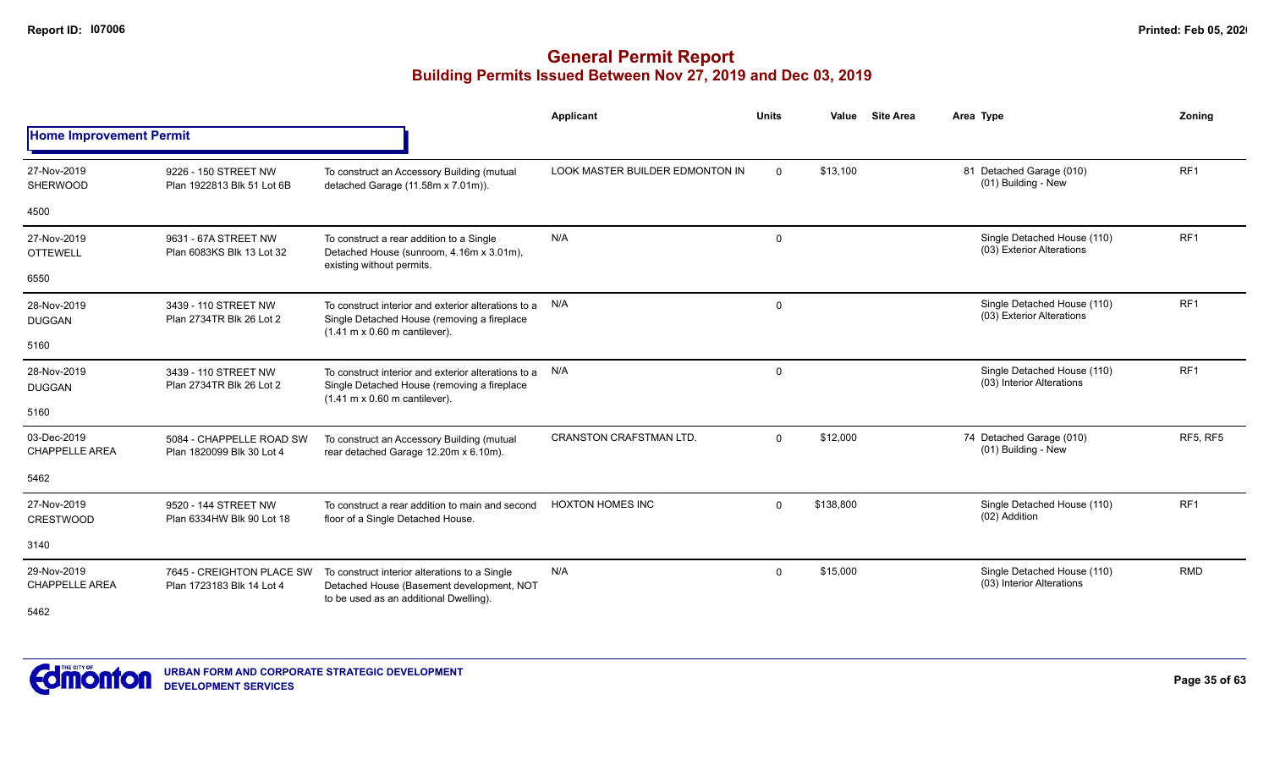|                                      |                                                        |                                                                                                                                                                    | <b>Applicant</b>                | <b>Units</b> | <b>Site Area</b><br>Value | Area Type                                                | Zoning          |
|--------------------------------------|--------------------------------------------------------|--------------------------------------------------------------------------------------------------------------------------------------------------------------------|---------------------------------|--------------|---------------------------|----------------------------------------------------------|-----------------|
| <b>Home Improvement Permit</b>       |                                                        |                                                                                                                                                                    |                                 |              |                           |                                                          |                 |
| 27-Nov-2019<br><b>SHERWOOD</b>       | 9226 - 150 STREET NW<br>Plan 1922813 Blk 51 Lot 6B     | To construct an Accessory Building (mutual<br>detached Garage (11.58m x 7.01m)).                                                                                   | LOOK MASTER BUILDER EDMONTON IN | $\Omega$     | \$13,100                  | 81 Detached Garage (010)<br>(01) Building - New          | RF <sub>1</sub> |
| 4500                                 |                                                        |                                                                                                                                                                    |                                 |              |                           |                                                          |                 |
| 27-Nov-2019<br><b>OTTEWELL</b>       | 9631 - 67A STREET NW<br>Plan 6083KS Blk 13 Lot 32      | To construct a rear addition to a Single<br>Detached House (sunroom, 4.16m x 3.01m),<br>existing without permits.                                                  | N/A                             | $\mathbf 0$  |                           | Single Detached House (110)<br>(03) Exterior Alterations | RF <sub>1</sub> |
| 6550                                 |                                                        |                                                                                                                                                                    |                                 |              |                           |                                                          |                 |
| 28-Nov-2019<br><b>DUGGAN</b>         | 3439 - 110 STREET NW<br>Plan 2734TR Blk 26 Lot 2       | To construct interior and exterior alterations to a<br>Single Detached House (removing a fireplace<br>$(1.41 \text{ m} \times 0.60 \text{ m} \text{ cantilever}).$ | N/A                             | $\mathbf 0$  |                           | Single Detached House (110)<br>(03) Exterior Alterations | RF <sub>1</sub> |
| 5160                                 |                                                        |                                                                                                                                                                    |                                 |              |                           |                                                          |                 |
| 28-Nov-2019<br><b>DUGGAN</b>         | 3439 - 110 STREET NW<br>Plan 2734TR Blk 26 Lot 2       | To construct interior and exterior alterations to a<br>Single Detached House (removing a fireplace<br>$(1.41 \text{ m} \times 0.60 \text{ m} \text{ cantilever}).$ | N/A                             | 0            |                           | Single Detached House (110)<br>(03) Interior Alterations | RF <sub>1</sub> |
| 5160                                 |                                                        |                                                                                                                                                                    |                                 |              |                           |                                                          |                 |
| 03-Dec-2019<br><b>CHAPPELLE AREA</b> | 5084 - CHAPPELLE ROAD SW<br>Plan 1820099 Blk 30 Lot 4  | To construct an Accessory Building (mutual<br>rear detached Garage 12.20m x 6.10m).                                                                                | <b>CRANSTON CRAFSTMAN LTD.</b>  | $\Omega$     | \$12,000                  | 74 Detached Garage (010)<br>(01) Building - New          | <b>RF5, RF5</b> |
| 5462                                 |                                                        |                                                                                                                                                                    |                                 |              |                           |                                                          |                 |
| 27-Nov-2019<br><b>CRESTWOOD</b>      | 9520 - 144 STREET NW<br>Plan 6334HW Blk 90 Lot 18      | To construct a rear addition to main and second<br>floor of a Single Detached House.                                                                               | <b>HOXTON HOMES INC</b>         | $\Omega$     | \$138,800                 | Single Detached House (110)<br>(02) Addition             | RF <sub>1</sub> |
| 3140                                 |                                                        |                                                                                                                                                                    |                                 |              |                           |                                                          |                 |
| 29-Nov-2019<br><b>CHAPPELLE AREA</b> | 7645 - CREIGHTON PLACE SW<br>Plan 1723183 Blk 14 Lot 4 | To construct interior alterations to a Single<br>Detached House (Basement development, NOT                                                                         | N/A                             | $\mathbf 0$  | \$15,000                  | Single Detached House (110)<br>(03) Interior Alterations | RMD             |
| 5462                                 |                                                        | to be used as an additional Dwelling).                                                                                                                             |                                 |              |                           |                                                          |                 |

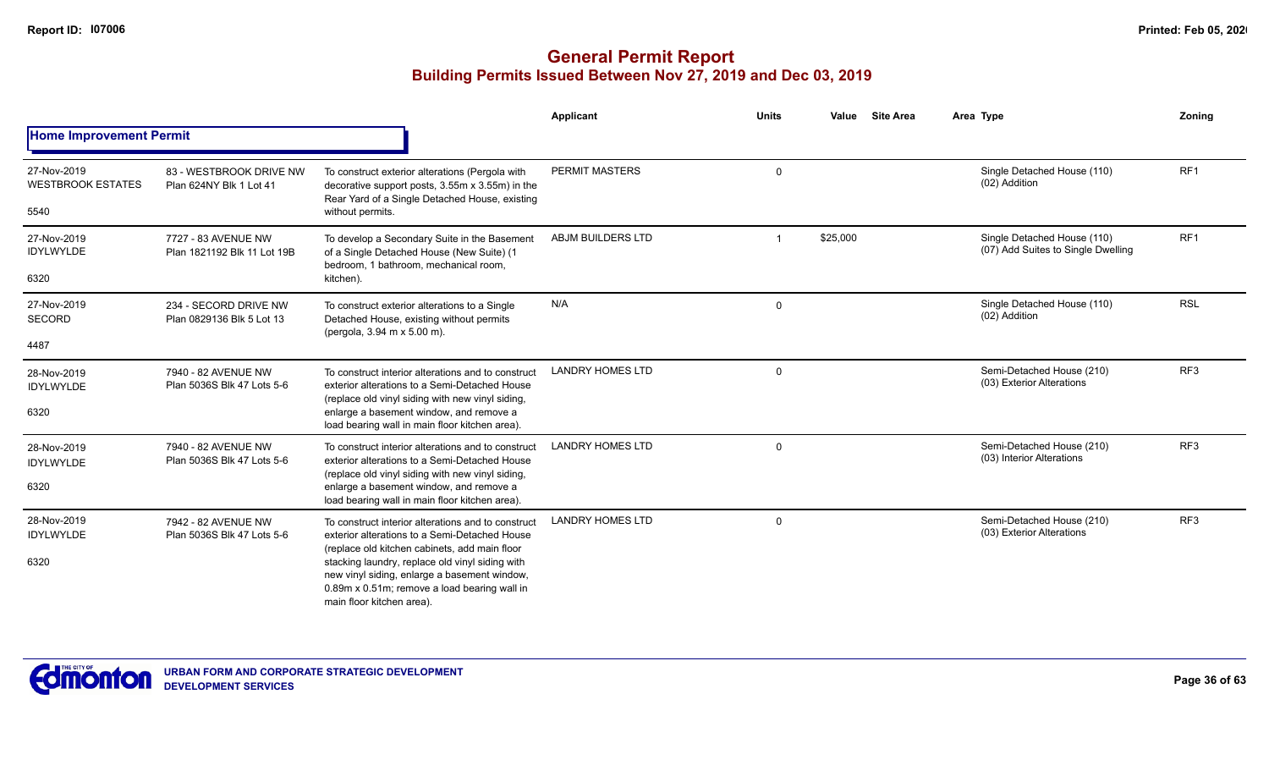|                                                 |                                                    |                                                                                                                                                                                                                                                                                                                                      | <b>Applicant</b>        | <b>Units</b> | Value    | <b>Site Area</b> | Area Type                                                         | Zoning          |
|-------------------------------------------------|----------------------------------------------------|--------------------------------------------------------------------------------------------------------------------------------------------------------------------------------------------------------------------------------------------------------------------------------------------------------------------------------------|-------------------------|--------------|----------|------------------|-------------------------------------------------------------------|-----------------|
| <b>Home Improvement Permit</b>                  |                                                    |                                                                                                                                                                                                                                                                                                                                      |                         |              |          |                  |                                                                   |                 |
| 27-Nov-2019<br><b>WESTBROOK ESTATES</b><br>5540 | 83 - WESTBROOK DRIVE NW<br>Plan 624NY Blk 1 Lot 41 | To construct exterior alterations (Pergola with<br>decorative support posts, 3.55m x 3.55m) in the<br>Rear Yard of a Single Detached House, existing<br>without permits.                                                                                                                                                             | <b>PERMIT MASTERS</b>   | $\mathbf 0$  |          |                  | Single Detached House (110)<br>(02) Addition                      | RF <sub>1</sub> |
| 27-Nov-2019<br><b>IDYLWYLDE</b><br>6320         | 7727 - 83 AVENUE NW<br>Plan 1821192 Blk 11 Lot 19B | To develop a Secondary Suite in the Basement<br>of a Single Detached House (New Suite) (1<br>bedroom, 1 bathroom, mechanical room,<br>kitchen).                                                                                                                                                                                      | ABJM BUILDERS LTD       |              | \$25,000 |                  | Single Detached House (110)<br>(07) Add Suites to Single Dwelling | RF <sub>1</sub> |
| 27-Nov-2019<br><b>SECORD</b><br>4487            | 234 - SECORD DRIVE NW<br>Plan 0829136 Blk 5 Lot 13 | To construct exterior alterations to a Single<br>Detached House, existing without permits<br>(pergola, 3.94 m x 5.00 m).                                                                                                                                                                                                             | N/A                     | $\mathbf 0$  |          |                  | Single Detached House (110)<br>(02) Addition                      | <b>RSL</b>      |
| 28-Nov-2019<br><b>IDYLWYLDE</b><br>6320         | 7940 - 82 AVENUE NW<br>Plan 5036S Blk 47 Lots 5-6  | To construct interior alterations and to construct<br>exterior alterations to a Semi-Detached House<br>(replace old vinyl siding with new vinyl siding,<br>enlarge a basement window, and remove a<br>load bearing wall in main floor kitchen area).                                                                                 | <b>LANDRY HOMES LTD</b> | $\Omega$     |          |                  | Semi-Detached House (210)<br>(03) Exterior Alterations            | RF <sub>3</sub> |
| 28-Nov-2019<br><b>IDYLWYLDE</b><br>6320         | 7940 - 82 AVENUE NW<br>Plan 5036S Blk 47 Lots 5-6  | To construct interior alterations and to construct<br>exterior alterations to a Semi-Detached House<br>(replace old vinyl siding with new vinyl siding,<br>enlarge a basement window, and remove a<br>load bearing wall in main floor kitchen area).                                                                                 | <b>LANDRY HOMES LTD</b> | 0            |          |                  | Semi-Detached House (210)<br>(03) Interior Alterations            | RF <sub>3</sub> |
| 28-Nov-2019<br><b>IDYLWYLDE</b><br>6320         | 7942 - 82 AVENUE NW<br>Plan 5036S Blk 47 Lots 5-6  | To construct interior alterations and to construct<br>exterior alterations to a Semi-Detached House<br>(replace old kitchen cabinets, add main floor<br>stacking laundry, replace old vinyl siding with<br>new vinyl siding, enlarge a basement window,<br>0.89m x 0.51m; remove a load bearing wall in<br>main floor kitchen area). | <b>LANDRY HOMES LTD</b> | $\mathbf 0$  |          |                  | Semi-Detached House (210)<br>(03) Exterior Alterations            | RF <sub>3</sub> |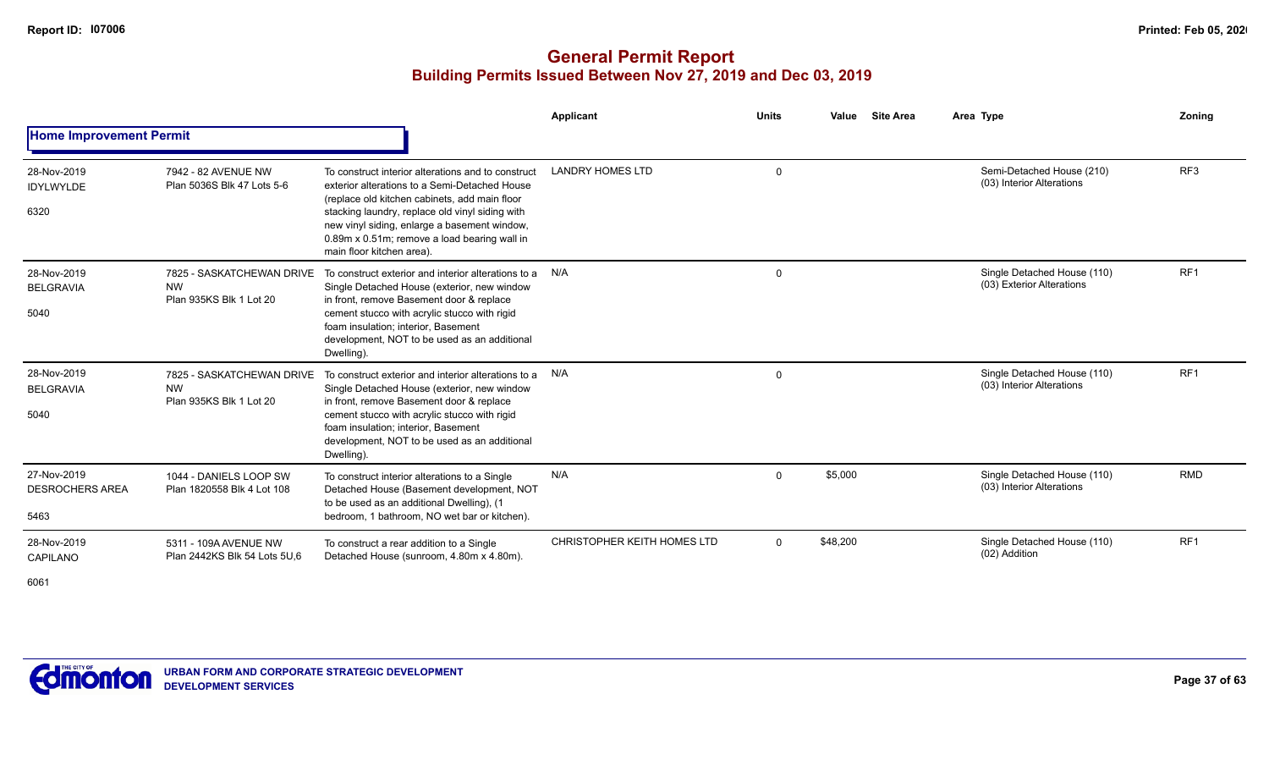|                                               |                                                                   |                                                                                                                                                                                                                                                                                                                                      | Applicant                   | <b>Units</b> | <b>Site Area</b><br>Value | Area Type                                                | Zonina          |
|-----------------------------------------------|-------------------------------------------------------------------|--------------------------------------------------------------------------------------------------------------------------------------------------------------------------------------------------------------------------------------------------------------------------------------------------------------------------------------|-----------------------------|--------------|---------------------------|----------------------------------------------------------|-----------------|
| <b>Home Improvement Permit</b>                |                                                                   |                                                                                                                                                                                                                                                                                                                                      |                             |              |                           |                                                          |                 |
| 28-Nov-2019<br><b>IDYLWYLDE</b><br>6320       | 7942 - 82 AVENUE NW<br>Plan 5036S Blk 47 Lots 5-6                 | To construct interior alterations and to construct<br>exterior alterations to a Semi-Detached House<br>(replace old kitchen cabinets, add main floor<br>stacking laundry, replace old vinyl siding with<br>new vinyl siding, enlarge a basement window,<br>0.89m x 0.51m; remove a load bearing wall in<br>main floor kitchen area). | <b>LANDRY HOMES LTD</b>     | $\mathbf 0$  |                           | Semi-Detached House (210)<br>(03) Interior Alterations   | RF <sub>3</sub> |
| 28-Nov-2019<br><b>BELGRAVIA</b><br>5040       | 7825 - SASKATCHEWAN DRIVE<br><b>NW</b><br>Plan 935KS Blk 1 Lot 20 | To construct exterior and interior alterations to a<br>Single Detached House (exterior, new window<br>in front, remove Basement door & replace<br>cement stucco with acrylic stucco with rigid<br>foam insulation; interior, Basement<br>development, NOT to be used as an additional<br>Dwelling).                                  | N/A                         | $\mathbf 0$  |                           | Single Detached House (110)<br>(03) Exterior Alterations | RF <sub>1</sub> |
| 28-Nov-2019<br><b>BELGRAVIA</b><br>5040       | 7825 - SASKATCHEWAN DRIVE<br><b>NW</b><br>Plan 935KS Blk 1 Lot 20 | To construct exterior and interior alterations to a<br>Single Detached House (exterior, new window<br>in front, remove Basement door & replace<br>cement stucco with acrylic stucco with rigid<br>foam insulation; interior, Basement<br>development, NOT to be used as an additional<br>Dwelling).                                  | N/A                         | $\Omega$     |                           | Single Detached House (110)<br>(03) Interior Alterations | RF <sub>1</sub> |
| 27-Nov-2019<br><b>DESROCHERS AREA</b><br>5463 | 1044 - DANIELS LOOP SW<br>Plan 1820558 Blk 4 Lot 108              | To construct interior alterations to a Single<br>Detached House (Basement development, NOT<br>to be used as an additional Dwelling), (1<br>bedroom, 1 bathroom, NO wet bar or kitchen).                                                                                                                                              | N/A                         | $\Omega$     | \$5,000                   | Single Detached House (110)<br>(03) Interior Alterations | <b>RMD</b>      |
| 28-Nov-2019<br>CAPILANO<br>6061               | 5311 - 109A AVENUE NW<br>Plan 2442KS Blk 54 Lots 5U.6             | To construct a rear addition to a Single<br>Detached House (sunroom, 4.80m x 4.80m).                                                                                                                                                                                                                                                 | CHRISTOPHER KEITH HOMES LTD | $\Omega$     | \$48,200                  | Single Detached House (110)<br>(02) Addition             | RF <sub>1</sub> |

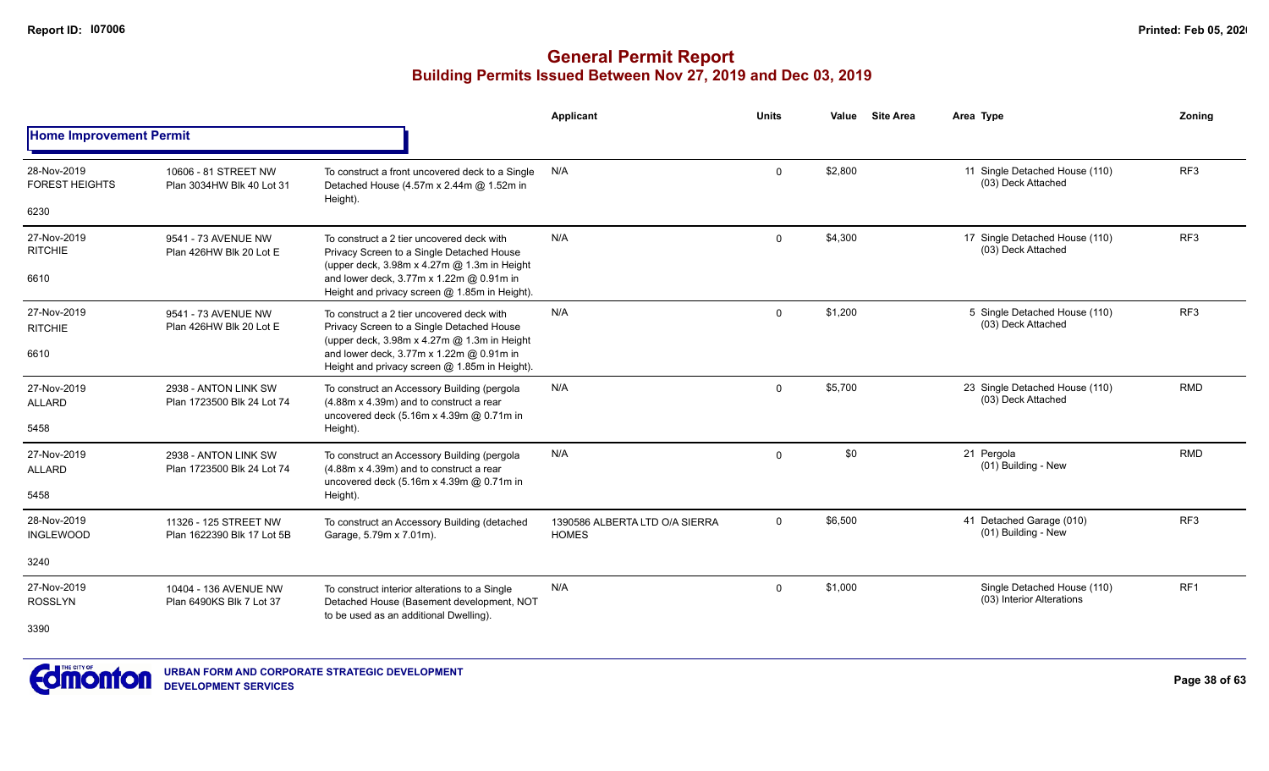|                                      |                                                     |                                                                                                                                          | <b>Applicant</b>                               | <b>Units</b> | Value   | <b>Site Area</b> | Area Type                                                | Zoning          |
|--------------------------------------|-----------------------------------------------------|------------------------------------------------------------------------------------------------------------------------------------------|------------------------------------------------|--------------|---------|------------------|----------------------------------------------------------|-----------------|
| <b>Home Improvement Permit</b>       |                                                     |                                                                                                                                          |                                                |              |         |                  |                                                          |                 |
| 28-Nov-2019<br><b>FOREST HEIGHTS</b> | 10606 - 81 STREET NW<br>Plan 3034HW Blk 40 Lot 31   | To construct a front uncovered deck to a Single<br>Detached House (4.57m x 2.44m @ 1.52m in<br>Height).                                  | N/A                                            | $\mathbf{0}$ | \$2,800 |                  | 11 Single Detached House (110)<br>(03) Deck Attached     | RF3             |
| 6230                                 |                                                     |                                                                                                                                          |                                                |              |         |                  |                                                          |                 |
| 27-Nov-2019<br><b>RITCHIE</b>        | 9541 - 73 AVENUE NW<br>Plan 426HW Blk 20 Lot E      | To construct a 2 tier uncovered deck with<br>Privacy Screen to a Single Detached House<br>(upper deck, 3.98m x 4.27m @ 1.3m in Height    | N/A                                            | $\mathbf 0$  | \$4,300 |                  | 17 Single Detached House (110)<br>(03) Deck Attached     | RF <sub>3</sub> |
| 6610                                 |                                                     | and lower deck, 3.77m x 1.22m @ 0.91m in<br>Height and privacy screen @ 1.85m in Height).                                                |                                                |              |         |                  |                                                          |                 |
| 27-Nov-2019<br><b>RITCHIE</b>        | 9541 - 73 AVENUE NW<br>Plan 426HW Blk 20 Lot E      | To construct a 2 tier uncovered deck with<br>Privacy Screen to a Single Detached House                                                   | N/A                                            | $\mathbf{0}$ | \$1,200 |                  | 5 Single Detached House (110)<br>(03) Deck Attached      | RF <sub>3</sub> |
| 6610                                 |                                                     | (upper deck, 3.98m x 4.27m @ 1.3m in Height<br>and lower deck, 3.77m x 1.22m @ 0.91m in<br>Height and privacy screen @ 1.85m in Height). |                                                |              |         |                  |                                                          |                 |
| 27-Nov-2019<br><b>ALLARD</b>         | 2938 - ANTON LINK SW<br>Plan 1723500 Blk 24 Lot 74  | To construct an Accessory Building (pergola<br>(4.88m x 4.39m) and to construct a rear                                                   | N/A                                            | $\mathbf{0}$ | \$5,700 |                  | 23 Single Detached House (110)<br>(03) Deck Attached     | <b>RMD</b>      |
| 5458                                 |                                                     | uncovered deck (5.16m x 4.39m @ 0.71m in<br>Height).                                                                                     |                                                |              |         |                  |                                                          |                 |
| 27-Nov-2019<br><b>ALLARD</b>         | 2938 - ANTON LINK SW<br>Plan 1723500 Blk 24 Lot 74  | To construct an Accessory Building (pergola<br>(4.88m x 4.39m) and to construct a rear                                                   | N/A                                            | $\Omega$     | \$0     |                  | 21 Pergola<br>(01) Building - New                        | <b>RMD</b>      |
| 5458                                 |                                                     | uncovered deck (5.16m x 4.39m @ 0.71m in<br>Height).                                                                                     |                                                |              |         |                  |                                                          |                 |
| 28-Nov-2019<br><b>INGLEWOOD</b>      | 11326 - 125 STREET NW<br>Plan 1622390 Blk 17 Lot 5B | To construct an Accessory Building (detached<br>Garage, 5.79m x 7.01m).                                                                  | 1390586 ALBERTA LTD O/A SIERRA<br><b>HOMES</b> | $\mathbf 0$  | \$6,500 |                  | 41 Detached Garage (010)<br>(01) Building - New          | RF <sub>3</sub> |
| 3240                                 |                                                     |                                                                                                                                          |                                                |              |         |                  |                                                          |                 |
| 27-Nov-2019<br><b>ROSSLYN</b>        | 10404 - 136 AVENUE NW<br>Plan 6490KS Blk 7 Lot 37   | To construct interior alterations to a Single<br>Detached House (Basement development, NOT                                               | N/A                                            | $\Omega$     | \$1,000 |                  | Single Detached House (110)<br>(03) Interior Alterations | RF <sub>1</sub> |
| 3390                                 |                                                     | to be used as an additional Dwelling).                                                                                                   |                                                |              |         |                  |                                                          |                 |
|                                      |                                                     |                                                                                                                                          |                                                |              |         |                  |                                                          |                 |

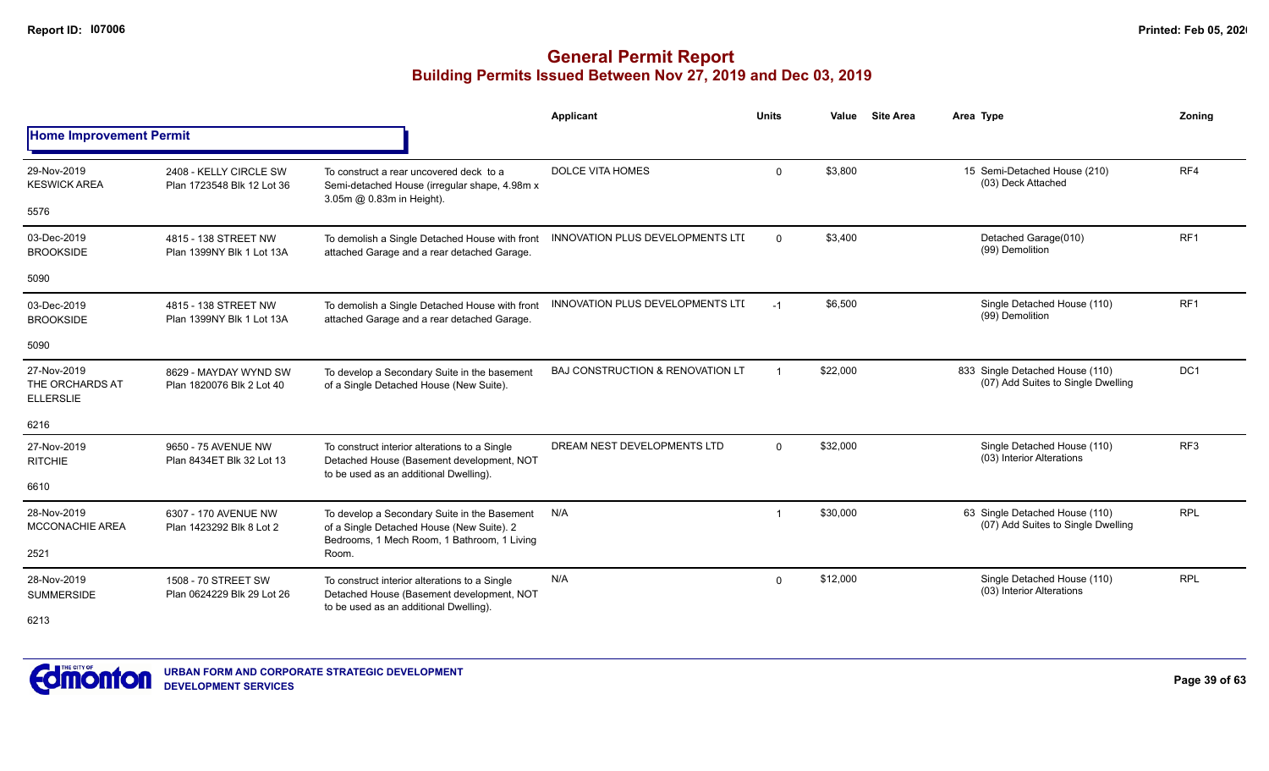|                                                    |                                                      |                                                                                                                                          | Applicant                                   | <b>Units</b> | Value    | <b>Site Area</b> | Area Type                                                             | Zoning          |
|----------------------------------------------------|------------------------------------------------------|------------------------------------------------------------------------------------------------------------------------------------------|---------------------------------------------|--------------|----------|------------------|-----------------------------------------------------------------------|-----------------|
| <b>Home Improvement Permit</b>                     |                                                      |                                                                                                                                          |                                             |              |          |                  |                                                                       |                 |
| 29-Nov-2019<br><b>KESWICK AREA</b>                 | 2408 - KELLY CIRCLE SW<br>Plan 1723548 Blk 12 Lot 36 | To construct a rear uncovered deck to a<br>Semi-detached House (irregular shape, 4.98m x<br>3.05m @ 0.83m in Height).                    | <b>DOLCE VITA HOMES</b>                     | $\Omega$     | \$3,800  |                  | 15 Semi-Detached House (210)<br>(03) Deck Attached                    | RF4             |
| 5576                                               |                                                      |                                                                                                                                          |                                             |              |          |                  |                                                                       |                 |
| 03-Dec-2019<br><b>BROOKSIDE</b>                    | 4815 - 138 STREET NW<br>Plan 1399NY Blk 1 Lot 13A    | To demolish a Single Detached House with front<br>attached Garage and a rear detached Garage.                                            | <b>INNOVATION PLUS DEVELOPMENTS LTD</b>     | $\Omega$     | \$3,400  |                  | Detached Garage(010)<br>(99) Demolition                               | RF <sub>1</sub> |
| 5090                                               |                                                      |                                                                                                                                          |                                             |              |          |                  |                                                                       |                 |
| 03-Dec-2019<br><b>BROOKSIDE</b>                    | 4815 - 138 STREET NW<br>Plan 1399NY Blk 1 Lot 13A    | To demolish a Single Detached House with front<br>attached Garage and a rear detached Garage.                                            | <b>INNOVATION PLUS DEVELOPMENTS LTD</b>     | $-1$         | \$6,500  |                  | Single Detached House (110)<br>(99) Demolition                        | RF <sub>1</sub> |
| 5090                                               |                                                      |                                                                                                                                          |                                             |              |          |                  |                                                                       |                 |
| 27-Nov-2019<br>THE ORCHARDS AT<br><b>ELLERSLIE</b> | 8629 - MAYDAY WYND SW<br>Plan 1820076 Blk 2 Lot 40   | To develop a Secondary Suite in the basement<br>of a Single Detached House (New Suite).                                                  | <b>BAJ CONSTRUCTION &amp; RENOVATION LT</b> | -1           | \$22,000 |                  | 833 Single Detached House (110)<br>(07) Add Suites to Single Dwelling | DC <sub>1</sub> |
| 6216                                               |                                                      |                                                                                                                                          |                                             |              |          |                  |                                                                       |                 |
| 27-Nov-2019<br><b>RITCHIE</b>                      | 9650 - 75 AVENUE NW<br>Plan 8434ET Blk 32 Lot 13     | To construct interior alterations to a Single<br>Detached House (Basement development, NOT<br>to be used as an additional Dwelling).     | DREAM NEST DEVELOPMENTS LTD                 | $\Omega$     | \$32,000 |                  | Single Detached House (110)<br>(03) Interior Alterations              | RF <sub>3</sub> |
| 6610                                               |                                                      |                                                                                                                                          |                                             |              |          |                  |                                                                       |                 |
| 28-Nov-2019<br><b>MCCONACHIE AREA</b>              | 6307 - 170 AVENUE NW<br>Plan 1423292 Blk 8 Lot 2     | To develop a Secondary Suite in the Basement<br>of a Single Detached House (New Suite). 2<br>Bedrooms, 1 Mech Room, 1 Bathroom, 1 Living | N/A                                         | -1           | \$30,000 |                  | 63 Single Detached House (110)<br>(07) Add Suites to Single Dwelling  | <b>RPL</b>      |
| 2521                                               |                                                      | Room.                                                                                                                                    |                                             |              |          |                  |                                                                       |                 |
| 28-Nov-2019<br><b>SUMMERSIDE</b>                   | 1508 - 70 STREET SW<br>Plan 0624229 Blk 29 Lot 26    | To construct interior alterations to a Single<br>Detached House (Basement development, NOT<br>to be used as an additional Dwelling).     | N/A                                         | $\Omega$     | \$12,000 |                  | Single Detached House (110)<br>(03) Interior Alterations              | <b>RPL</b>      |
| 6213                                               |                                                      |                                                                                                                                          |                                             |              |          |                  |                                                                       |                 |

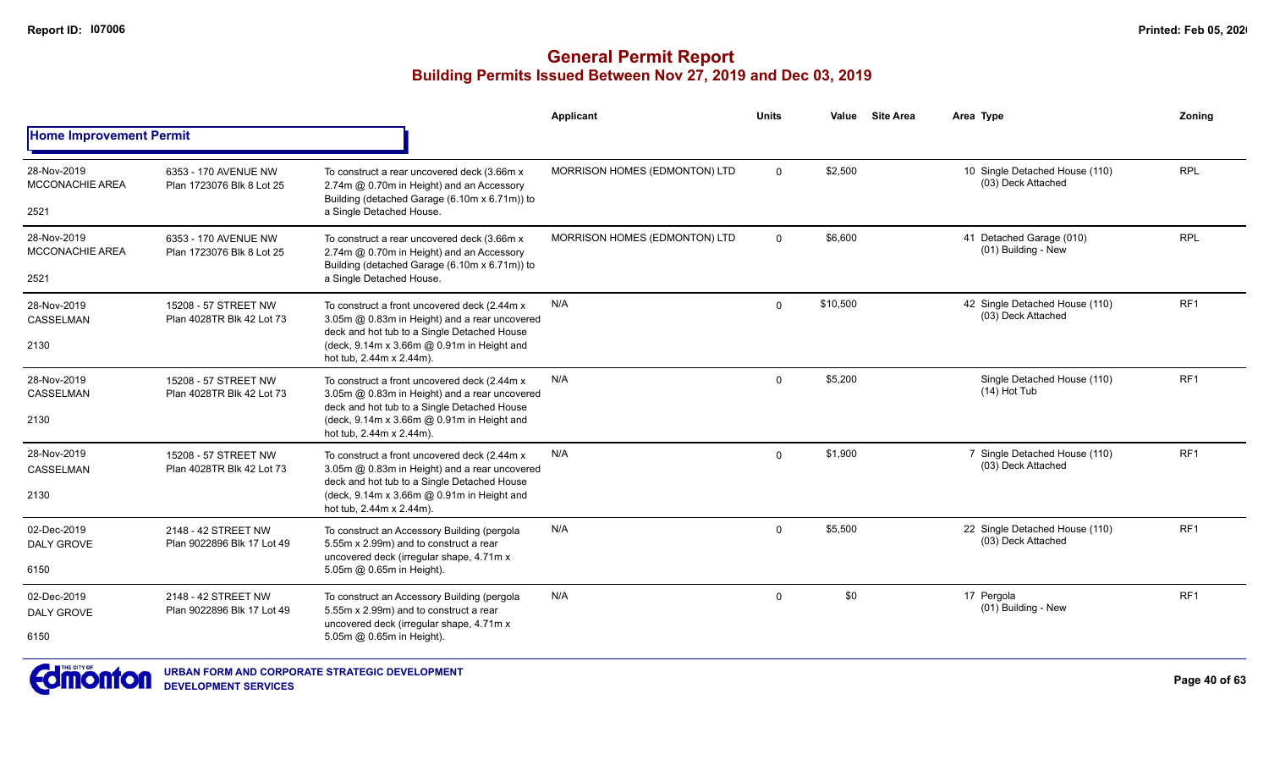|                                               |                                                   |                                                                                                                                                                                                                         | Applicant                     | <b>Units</b> | Value    | <b>Site Area</b> | Area Type                                            | Zoning          |
|-----------------------------------------------|---------------------------------------------------|-------------------------------------------------------------------------------------------------------------------------------------------------------------------------------------------------------------------------|-------------------------------|--------------|----------|------------------|------------------------------------------------------|-----------------|
| <b>Home Improvement Permit</b>                |                                                   |                                                                                                                                                                                                                         |                               |              |          |                  |                                                      |                 |
| 28-Nov-2019<br>MCCONACHIE AREA<br>2521        | 6353 - 170 AVENUE NW<br>Plan 1723076 Blk 8 Lot 25 | To construct a rear uncovered deck (3.66m x<br>2.74m @ 0.70m in Height) and an Accessory<br>Building (detached Garage (6.10m x 6.71m)) to<br>a Single Detached House.                                                   | MORRISON HOMES (EDMONTON) LTD | $\mathbf{0}$ | \$2,500  |                  | 10 Single Detached House (110)<br>(03) Deck Attached | <b>RPL</b>      |
| 28-Nov-2019<br><b>MCCONACHIE AREA</b><br>2521 | 6353 - 170 AVENUE NW<br>Plan 1723076 Blk 8 Lot 25 | To construct a rear uncovered deck (3.66m x<br>2.74m @ 0.70m in Height) and an Accessory<br>Building (detached Garage (6.10m x 6.71m)) to<br>a Single Detached House.                                                   | MORRISON HOMES (EDMONTON) LTD | $\mathbf 0$  | \$6,600  |                  | 41 Detached Garage (010)<br>(01) Building - New      | <b>RPL</b>      |
| 28-Nov-2019<br>CASSELMAN<br>2130              | 15208 - 57 STREET NW<br>Plan 4028TR Blk 42 Lot 73 | To construct a front uncovered deck (2.44m x<br>3.05m @ 0.83m in Height) and a rear uncovered<br>deck and hot tub to a Single Detached House<br>(deck, 9.14m x 3.66m @ 0.91m in Height and<br>hot tub. 2.44m x 2.44m).  | N/A                           | $\mathbf 0$  | \$10,500 |                  | 42 Single Detached House (110)<br>(03) Deck Attached | RF <sub>1</sub> |
| 28-Nov-2019<br><b>CASSELMAN</b><br>2130       | 15208 - 57 STREET NW<br>Plan 4028TR Blk 42 Lot 73 | To construct a front uncovered deck (2.44m x)<br>3.05m @ 0.83m in Height) and a rear uncovered<br>deck and hot tub to a Single Detached House<br>(deck, 9.14m x 3.66m @ 0.91m in Height and<br>hot tub, 2.44m x 2.44m). | N/A                           | $\mathbf 0$  | \$5,200  |                  | Single Detached House (110)<br>(14) Hot Tub          | RF <sub>1</sub> |
| 28-Nov-2019<br><b>CASSELMAN</b><br>2130       | 15208 - 57 STREET NW<br>Plan 4028TR Blk 42 Lot 73 | To construct a front uncovered deck (2.44m x)<br>3.05m @ 0.83m in Height) and a rear uncovered<br>deck and hot tub to a Single Detached House<br>(deck, 9.14m x 3.66m @ 0.91m in Height and<br>hot tub, 2.44m x 2.44m). | N/A                           | $\Omega$     | \$1,900  |                  | 7 Single Detached House (110)<br>(03) Deck Attached  | RF <sub>1</sub> |
| 02-Dec-2019<br><b>DALY GROVE</b><br>6150      | 2148 - 42 STREET NW<br>Plan 9022896 Blk 17 Lot 49 | To construct an Accessory Building (pergola<br>5.55m x 2.99m) and to construct a rear<br>uncovered deck (irregular shape, 4.71m x<br>5.05m @ 0.65m in Height).                                                          | N/A                           | $\mathbf{0}$ | \$5,500  |                  | 22 Single Detached House (110)<br>(03) Deck Attached | RF <sub>1</sub> |
| 02-Dec-2019<br><b>DALY GROVE</b><br>6150      | 2148 - 42 STREET NW<br>Plan 9022896 Blk 17 Lot 49 | To construct an Accessory Building (pergola<br>5.55m x 2.99m) and to construct a rear<br>uncovered deck (irregular shape, 4.71m x<br>5.05m @ 0.65m in Height).                                                          | N/A                           | $\mathbf{0}$ | \$0      |                  | 17 Pergola<br>(01) Building - New                    | RF <sub>1</sub> |

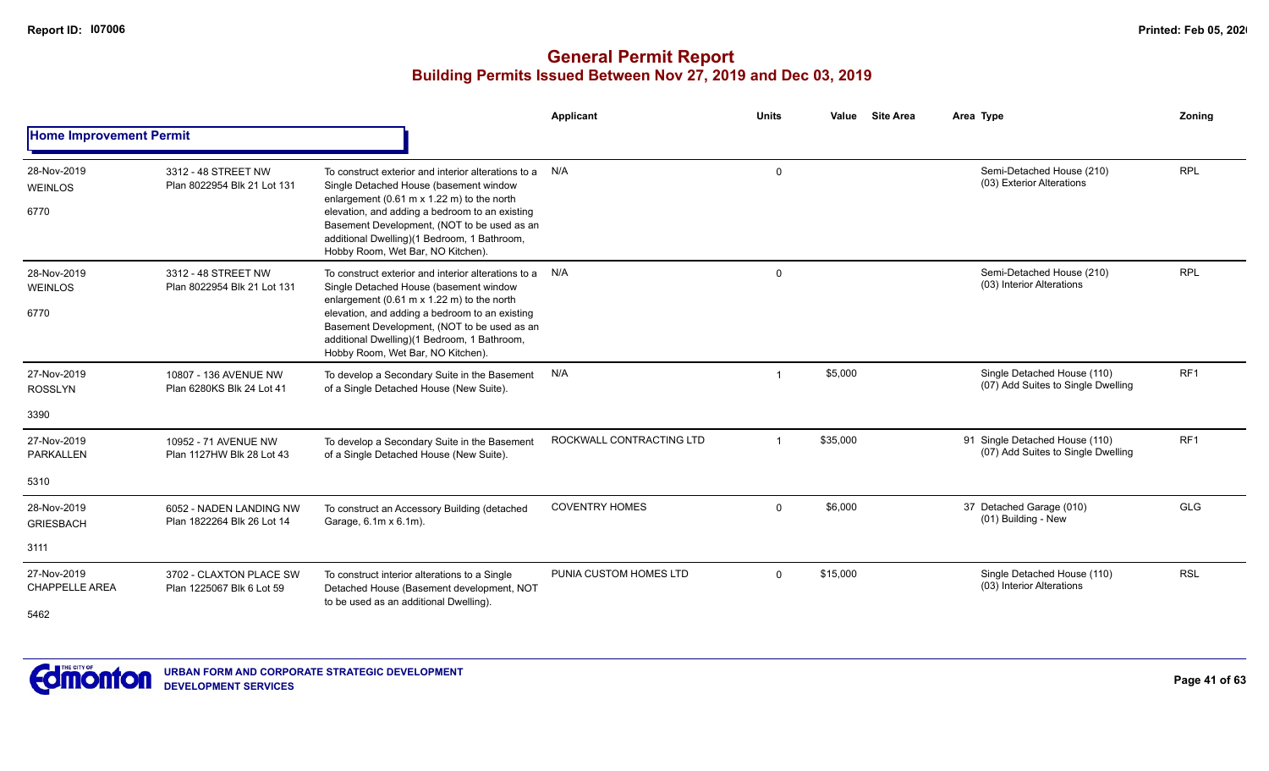|                                              |                                                       |                                                                                                                                                                                                                                                                                                                                  | Applicant                | <b>Units</b> | <b>Site Area</b><br>Value | Area Type                                                            | Zoning          |
|----------------------------------------------|-------------------------------------------------------|----------------------------------------------------------------------------------------------------------------------------------------------------------------------------------------------------------------------------------------------------------------------------------------------------------------------------------|--------------------------|--------------|---------------------------|----------------------------------------------------------------------|-----------------|
| <b>Home Improvement Permit</b>               |                                                       |                                                                                                                                                                                                                                                                                                                                  |                          |              |                           |                                                                      |                 |
| 28-Nov-2019<br><b>WEINLOS</b>                | 3312 - 48 STREET NW<br>Plan 8022954 Blk 21 Lot 131    | To construct exterior and interior alterations to a<br>Single Detached House (basement window                                                                                                                                                                                                                                    | N/A                      | $\mathbf 0$  |                           | Semi-Detached House (210)<br>(03) Exterior Alterations               | <b>RPL</b>      |
| 6770                                         |                                                       | enlargement (0.61 m $\times$ 1.22 m) to the north<br>elevation, and adding a bedroom to an existing<br>Basement Development, (NOT to be used as an<br>additional Dwelling)(1 Bedroom, 1 Bathroom,<br>Hobby Room, Wet Bar, NO Kitchen).                                                                                           |                          |              |                           |                                                                      |                 |
| 28-Nov-2019<br><b>WEINLOS</b><br>6770        | 3312 - 48 STREET NW<br>Plan 8022954 Blk 21 Lot 131    | To construct exterior and interior alterations to a<br>Single Detached House (basement window<br>enlargement (0.61 m x 1.22 m) to the north<br>elevation, and adding a bedroom to an existing<br>Basement Development, (NOT to be used as an<br>additional Dwelling)(1 Bedroom, 1 Bathroom,<br>Hobby Room, Wet Bar, NO Kitchen). | N/A                      | $\Omega$     |                           | Semi-Detached House (210)<br>(03) Interior Alterations               | <b>RPL</b>      |
| 27-Nov-2019<br><b>ROSSLYN</b>                | 10807 - 136 AVENUE NW<br>Plan 6280KS Blk 24 Lot 41    | To develop a Secondary Suite in the Basement<br>of a Single Detached House (New Suite).                                                                                                                                                                                                                                          | N/A                      |              | \$5,000                   | Single Detached House (110)<br>(07) Add Suites to Single Dwelling    | RF <sub>1</sub> |
| 3390                                         |                                                       |                                                                                                                                                                                                                                                                                                                                  |                          |              |                           |                                                                      |                 |
| 27-Nov-2019<br><b>PARKALLEN</b>              | 10952 - 71 AVENUE NW<br>Plan 1127HW Blk 28 Lot 43     | To develop a Secondary Suite in the Basement<br>of a Single Detached House (New Suite).                                                                                                                                                                                                                                          | ROCKWALL CONTRACTING LTD |              | \$35,000                  | 91 Single Detached House (110)<br>(07) Add Suites to Single Dwelling | RF <sub>1</sub> |
| 5310                                         |                                                       |                                                                                                                                                                                                                                                                                                                                  |                          |              |                           |                                                                      |                 |
| 28-Nov-2019<br><b>GRIESBACH</b>              | 6052 - NADEN LANDING NW<br>Plan 1822264 Blk 26 Lot 14 | To construct an Accessory Building (detached<br>Garage, 6.1m x 6.1m).                                                                                                                                                                                                                                                            | <b>COVENTRY HOMES</b>    | $\Omega$     | \$6,000                   | 37 Detached Garage (010)<br>(01) Building - New                      | <b>GLG</b>      |
| 3111                                         |                                                       |                                                                                                                                                                                                                                                                                                                                  |                          |              |                           |                                                                      |                 |
| 27-Nov-2019<br><b>CHAPPELLE AREA</b><br>5462 | 3702 - CLAXTON PLACE SW<br>Plan 1225067 Blk 6 Lot 59  | To construct interior alterations to a Single<br>Detached House (Basement development, NOT<br>to be used as an additional Dwelling).                                                                                                                                                                                             | PUNIA CUSTOM HOMES LTD   | $\Omega$     | \$15,000                  | Single Detached House (110)<br>(03) Interior Alterations             | <b>RSL</b>      |

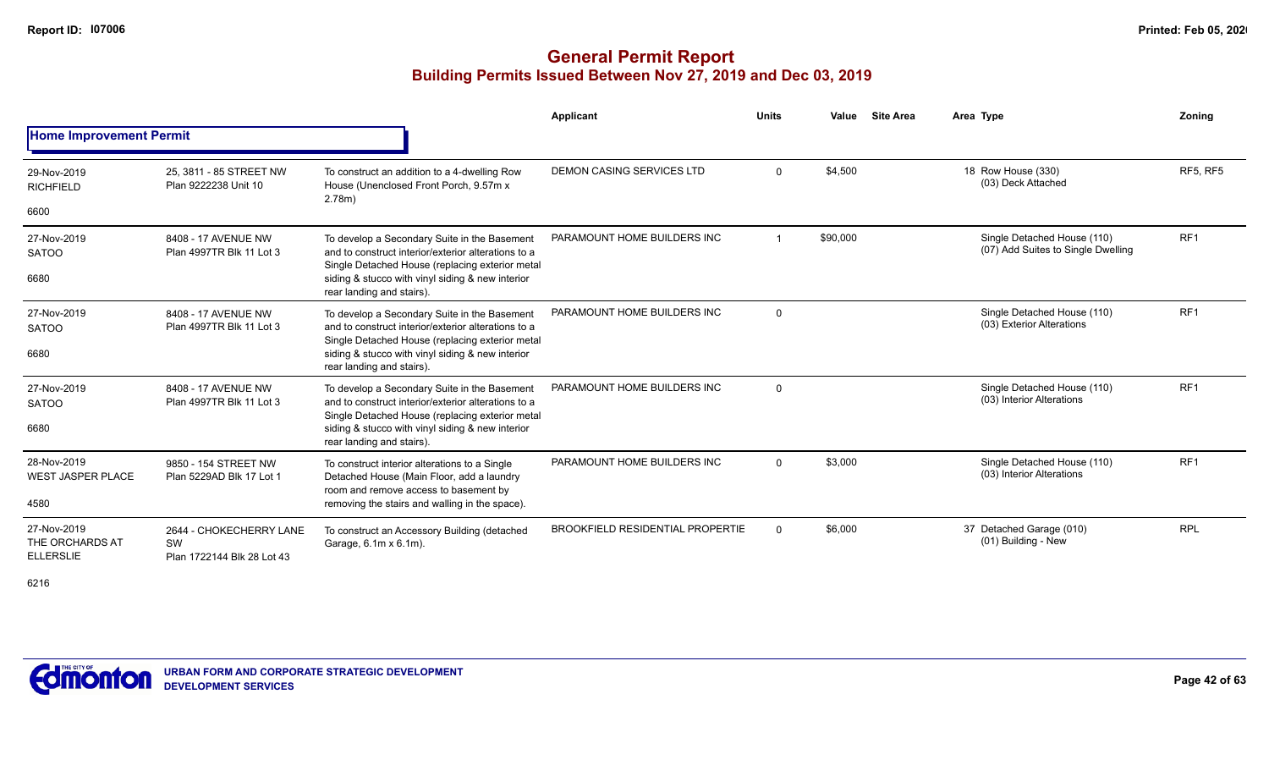# **General Permit Report Building Permits Issued Between Nov 27, 2019 and Dec 03, 2019**

|                                                    |                                                             |                                                                                                                                                        | Applicant                               | <b>Units</b> | Value    | <b>Site Area</b> | Area Type                                                         | Zoning          |
|----------------------------------------------------|-------------------------------------------------------------|--------------------------------------------------------------------------------------------------------------------------------------------------------|-----------------------------------------|--------------|----------|------------------|-------------------------------------------------------------------|-----------------|
| <b>Home Improvement Permit</b>                     |                                                             |                                                                                                                                                        |                                         |              |          |                  |                                                                   |                 |
| 29-Nov-2019<br><b>RICHFIELD</b>                    | 25. 3811 - 85 STREET NW<br>Plan 9222238 Unit 10             | To construct an addition to a 4-dwelling Row<br>House (Unenclosed Front Porch, 9.57m x<br>2.78m)                                                       | DEMON CASING SERVICES LTD               | $\Omega$     | \$4.500  |                  | 18 Row House (330)<br>(03) Deck Attached                          | <b>RF5. RF5</b> |
| 6600                                               |                                                             |                                                                                                                                                        |                                         |              |          |                  |                                                                   |                 |
| 27-Nov-2019<br><b>SATOO</b>                        | 8408 - 17 AVENUE NW<br>Plan 4997TR Blk 11 Lot 3             | To develop a Secondary Suite in the Basement<br>and to construct interior/exterior alterations to a<br>Single Detached House (replacing exterior metal | PARAMOUNT HOME BUILDERS INC             |              | \$90,000 |                  | Single Detached House (110)<br>(07) Add Suites to Single Dwelling | RF <sub>1</sub> |
| 6680                                               |                                                             | siding & stucco with vinyl siding & new interior<br>rear landing and stairs).                                                                          |                                         |              |          |                  |                                                                   |                 |
| 27-Nov-2019<br><b>SATOO</b>                        | 8408 - 17 AVENUE NW<br>Plan 4997TR Blk 11 Lot 3             | To develop a Secondary Suite in the Basement<br>and to construct interior/exterior alterations to a<br>Single Detached House (replacing exterior metal | PARAMOUNT HOME BUILDERS INC             | $\Omega$     |          |                  | Single Detached House (110)<br>(03) Exterior Alterations          | RF <sub>1</sub> |
| 6680                                               |                                                             | siding & stucco with vinyl siding & new interior<br>rear landing and stairs).                                                                          |                                         |              |          |                  |                                                                   |                 |
| 27-Nov-2019<br><b>SATOO</b>                        | 8408 - 17 AVENUE NW<br>Plan 4997TR Blk 11 Lot 3             | To develop a Secondary Suite in the Basement<br>and to construct interior/exterior alterations to a                                                    | PARAMOUNT HOME BUILDERS INC             | $\Omega$     |          |                  | Single Detached House (110)<br>(03) Interior Alterations          | RF <sub>1</sub> |
| 6680                                               |                                                             | Single Detached House (replacing exterior metal<br>siding & stucco with vinyl siding & new interior<br>rear landing and stairs).                       |                                         |              |          |                  |                                                                   |                 |
| 28-Nov-2019<br><b>WEST JASPER PLACE</b>            | 9850 - 154 STREET NW<br>Plan 5229AD Blk 17 Lot 1            | To construct interior alterations to a Single<br>Detached House (Main Floor, add a laundry                                                             | PARAMOUNT HOME BUILDERS INC             | $\Omega$     | \$3,000  |                  | Single Detached House (110)<br>(03) Interior Alterations          | RF <sub>1</sub> |
| 4580                                               |                                                             | room and remove access to basement by<br>removing the stairs and walling in the space).                                                                |                                         |              |          |                  |                                                                   |                 |
| 27-Nov-2019<br>THE ORCHARDS AT<br><b>ELLERSLIE</b> | 2644 - CHOKECHERRY LANE<br>SW<br>Plan 1722144 Blk 28 Lot 43 | To construct an Accessory Building (detached<br>Garage, 6.1m x 6.1m).                                                                                  | <b>BROOKFIELD RESIDENTIAL PROPERTIE</b> | $\Omega$     | \$6,000  |                  | 37 Detached Garage (010)<br>(01) Building - New                   | <b>RPL</b>      |

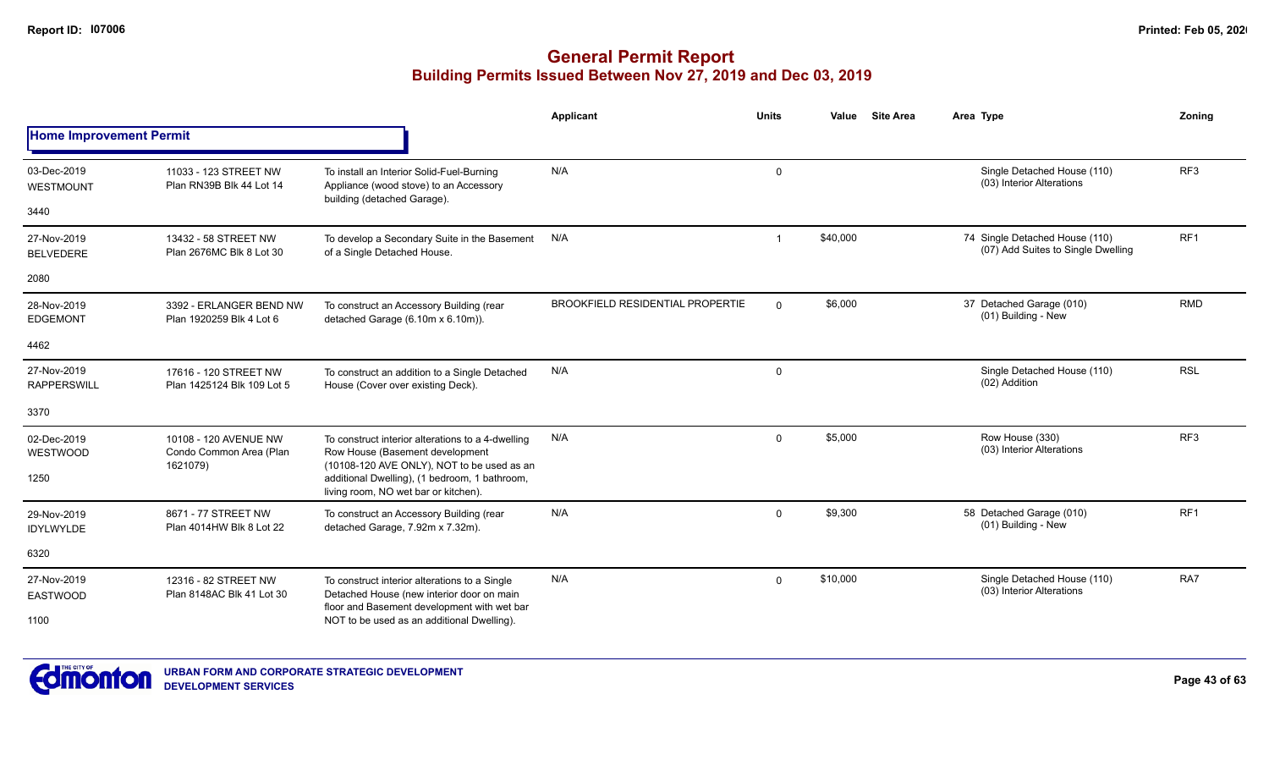|                                   |                                                              |                                                                                                                                    | <b>Applicant</b>                        | <b>Units</b>            | <b>Site Area</b><br>Value | Area Type                                                            | Zoning          |
|-----------------------------------|--------------------------------------------------------------|------------------------------------------------------------------------------------------------------------------------------------|-----------------------------------------|-------------------------|---------------------------|----------------------------------------------------------------------|-----------------|
| <b>Home Improvement Permit</b>    |                                                              |                                                                                                                                    |                                         |                         |                           |                                                                      |                 |
| 03-Dec-2019<br>WESTMOUNT          | 11033 - 123 STREET NW<br>Plan RN39B Blk 44 Lot 14            | To install an Interior Solid-Fuel-Burning<br>Appliance (wood stove) to an Accessory                                                | N/A                                     | $\mathbf 0$             |                           | Single Detached House (110)<br>(03) Interior Alterations             | RF3             |
| 3440                              |                                                              | building (detached Garage).                                                                                                        |                                         |                         |                           |                                                                      |                 |
| 27-Nov-2019<br><b>BELVEDERE</b>   | 13432 - 58 STREET NW<br>Plan 2676MC Blk 8 Lot 30             | To develop a Secondary Suite in the Basement<br>of a Single Detached House.                                                        | N/A                                     | $\overline{\mathbf{1}}$ | \$40,000                  | 74 Single Detached House (110)<br>(07) Add Suites to Single Dwelling | RF <sub>1</sub> |
| 2080                              |                                                              |                                                                                                                                    |                                         |                         |                           |                                                                      |                 |
| 28-Nov-2019<br><b>EDGEMONT</b>    | 3392 - ERLANGER BEND NW<br>Plan 1920259 Blk 4 Lot 6          | To construct an Accessory Building (rear<br>detached Garage (6.10m x 6.10m)).                                                      | <b>BROOKFIELD RESIDENTIAL PROPERTIE</b> | $\Omega$                | \$6,000                   | 37 Detached Garage (010)<br>(01) Building - New                      | <b>RMD</b>      |
| 4462                              |                                                              |                                                                                                                                    |                                         |                         |                           |                                                                      |                 |
| 27-Nov-2019<br><b>RAPPERSWILL</b> | 17616 - 120 STREET NW<br>Plan 1425124 Blk 109 Lot 5          | To construct an addition to a Single Detached<br>House (Cover over existing Deck).                                                 | N/A                                     | $\mathsf{O}$            |                           | Single Detached House (110)<br>(02) Addition                         | <b>RSL</b>      |
| 3370                              |                                                              |                                                                                                                                    |                                         |                         |                           |                                                                      |                 |
| 02-Dec-2019<br>WESTWOOD           | 10108 - 120 AVENUE NW<br>Condo Common Area (Plan<br>1621079) | To construct interior alterations to a 4-dwelling<br>Row House (Basement development<br>(10108-120 AVE ONLY), NOT to be used as an | N/A                                     | $\Omega$                | \$5,000                   | Row House (330)<br>(03) Interior Alterations                         | RF3             |
| 1250                              |                                                              | additional Dwelling), (1 bedroom, 1 bathroom,<br>living room, NO wet bar or kitchen).                                              |                                         |                         |                           |                                                                      |                 |
| 29-Nov-2019<br><b>IDYLWYLDE</b>   | 8671 - 77 STREET NW<br>Plan 4014HW Blk 8 Lot 22              | To construct an Accessory Building (rear<br>detached Garage, 7.92m x 7.32m).                                                       | N/A                                     | $\Omega$                | \$9,300                   | 58 Detached Garage (010)<br>(01) Building - New                      | RF <sub>1</sub> |
| 6320                              |                                                              |                                                                                                                                    |                                         |                         |                           |                                                                      |                 |
| 27-Nov-2019<br><b>EASTWOOD</b>    | 12316 - 82 STREET NW<br>Plan 8148AC Blk 41 Lot 30            | To construct interior alterations to a Single<br>Detached House (new interior door on main                                         | N/A                                     | $\Omega$                | \$10,000                  | Single Detached House (110)<br>(03) Interior Alterations             | RA7             |
| 1100                              |                                                              | floor and Basement development with wet bar<br>NOT to be used as an additional Dwelling).                                          |                                         |                         |                           |                                                                      |                 |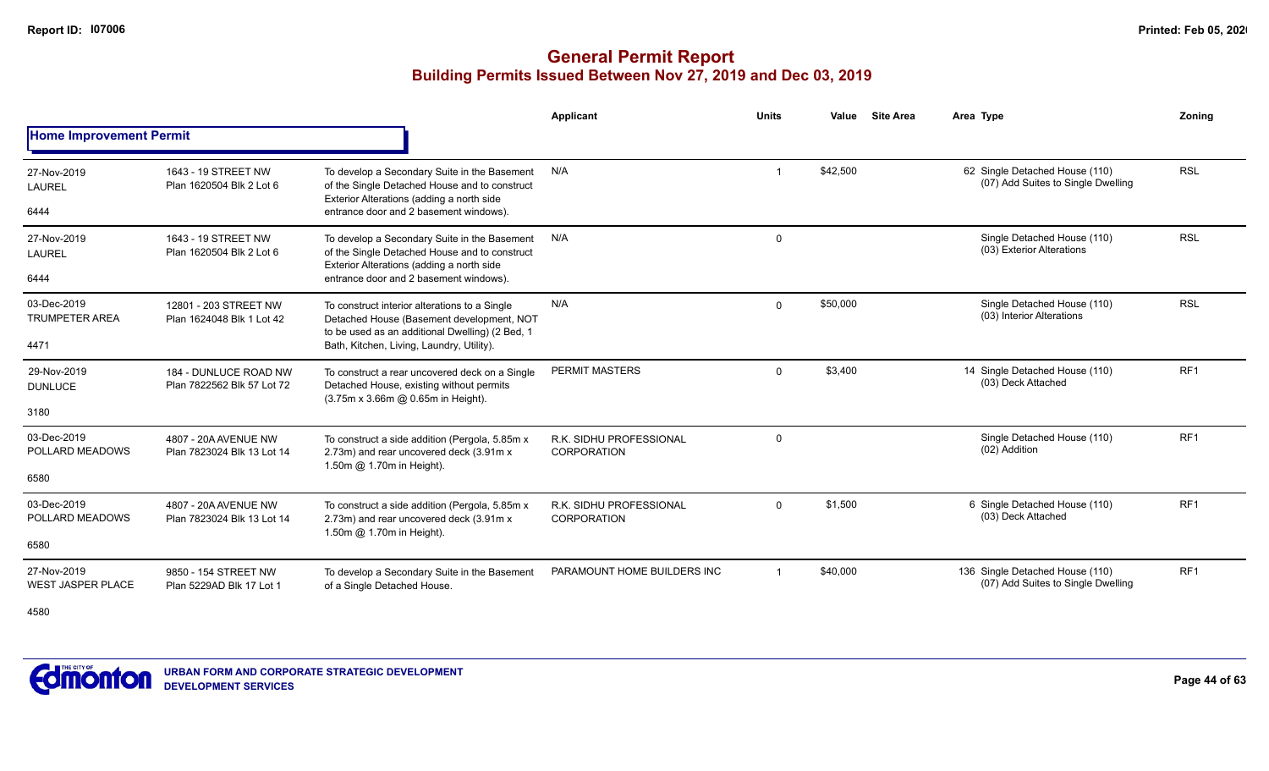#### **General Permit Report Building Permits Issued Between Nov 27, 2019 and Dec 03, 2019**

|                                              |                                                     |                                                                                                                                                                                            | Applicant                                     | <b>Units</b>   | Value    | <b>Site Area</b> | Area Type                                                             | Zonina          |
|----------------------------------------------|-----------------------------------------------------|--------------------------------------------------------------------------------------------------------------------------------------------------------------------------------------------|-----------------------------------------------|----------------|----------|------------------|-----------------------------------------------------------------------|-----------------|
| <b>Home Improvement Permit</b>               |                                                     |                                                                                                                                                                                            |                                               |                |          |                  |                                                                       |                 |
| 27-Nov-2019<br>LAUREL<br>6444                | 1643 - 19 STREET NW<br>Plan 1620504 Blk 2 Lot 6     | To develop a Secondary Suite in the Basement<br>of the Single Detached House and to construct<br>Exterior Alterations (adding a north side<br>entrance door and 2 basement windows).       | N/A                                           |                | \$42,500 |                  | 62 Single Detached House (110)<br>(07) Add Suites to Single Dwelling  | <b>RSL</b>      |
| 27-Nov-2019<br>LAUREL<br>6444                | 1643 - 19 STREET NW<br>Plan 1620504 Blk 2 Lot 6     | To develop a Secondary Suite in the Basement<br>of the Single Detached House and to construct<br>Exterior Alterations (adding a north side<br>entrance door and 2 basement windows).       | N/A                                           | $\mathbf 0$    |          |                  | Single Detached House (110)<br>(03) Exterior Alterations              | <b>RSL</b>      |
| 03-Dec-2019<br><b>TRUMPETER AREA</b><br>4471 | 12801 - 203 STREET NW<br>Plan 1624048 Blk 1 Lot 42  | To construct interior alterations to a Single<br>Detached House (Basement development, NOT<br>to be used as an additional Dwelling) (2 Bed, 1<br>Bath, Kitchen, Living, Laundry, Utility). | N/A                                           | $\Omega$       | \$50,000 |                  | Single Detached House (110)<br>(03) Interior Alterations              | <b>RSL</b>      |
| 29-Nov-2019<br><b>DUNLUCE</b><br>3180        | 184 - DUNLUCE ROAD NW<br>Plan 7822562 Blk 57 Lot 72 | To construct a rear uncovered deck on a Single<br>Detached House, existing without permits<br>(3.75m x 3.66m @ 0.65m in Height).                                                           | PERMIT MASTERS                                | $\Omega$       | \$3.400  |                  | 14 Single Detached House (110)<br>(03) Deck Attached                  | RF <sub>1</sub> |
| 03-Dec-2019<br>POLLARD MEADOWS<br>6580       | 4807 - 20A AVENUE NW<br>Plan 7823024 Blk 13 Lot 14  | To construct a side addition (Pergola, 5.85m x<br>2.73m) and rear uncovered deck (3.91m x<br>1.50m @ 1.70m in Height).                                                                     | R.K. SIDHU PROFESSIONAL<br>CORPORATION        | 0              |          |                  | Single Detached House (110)<br>(02) Addition                          | RF <sub>1</sub> |
| 03-Dec-2019<br>POLLARD MEADOWS<br>6580       | 4807 - 20A AVENUE NW<br>Plan 7823024 Blk 13 Lot 14  | To construct a side addition (Pergola, 5.85m x<br>2.73m) and rear uncovered deck (3.91m x<br>1.50m @ 1.70m in Height).                                                                     | R.K. SIDHU PROFESSIONAL<br><b>CORPORATION</b> | $\mathbf 0$    | \$1,500  |                  | 6 Single Detached House (110)<br>(03) Deck Attached                   | RF <sub>1</sub> |
| 27-Nov-2019<br><b>WEST JASPER PLACE</b>      | 9850 - 154 STREET NW<br>Plan 5229AD Blk 17 Lot 1    | To develop a Secondary Suite in the Basement<br>of a Single Detached House.                                                                                                                | PARAMOUNT HOME BUILDERS INC                   | $\overline{1}$ | \$40,000 |                  | 136 Single Detached House (110)<br>(07) Add Suites to Single Dwelling | RF <sub>1</sub> |

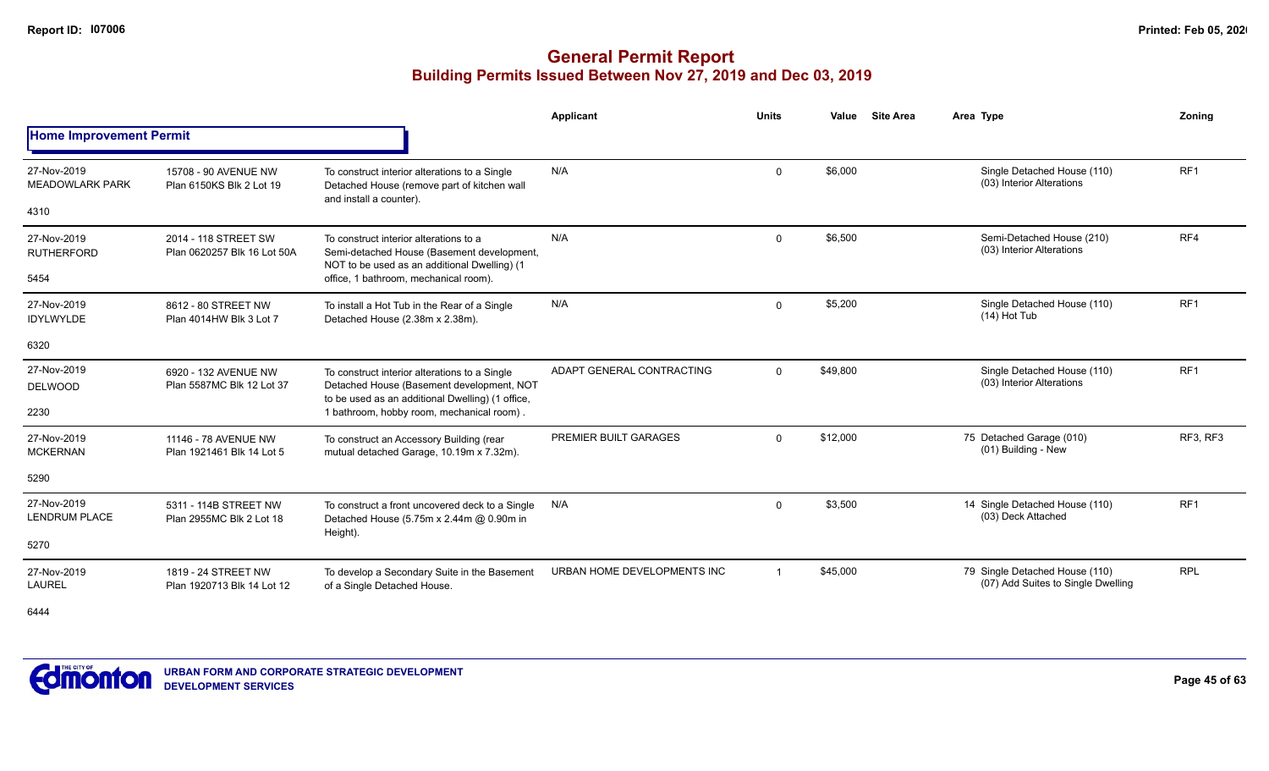# **General Permit Report Building Permits Issued Between Nov 27, 2019 and Dec 03, 2019**

|                                       |                                                     |                                                                                                                                                | <b>Applicant</b>            | <b>Units</b>   | Value    | <b>Site Area</b> | Area Type                                                            | Zonina          |
|---------------------------------------|-----------------------------------------------------|------------------------------------------------------------------------------------------------------------------------------------------------|-----------------------------|----------------|----------|------------------|----------------------------------------------------------------------|-----------------|
| <b>Home Improvement Permit</b>        |                                                     |                                                                                                                                                |                             |                |          |                  |                                                                      |                 |
| 27-Nov-2019<br><b>MEADOWLARK PARK</b> | 15708 - 90 AVENUE NW<br>Plan 6150KS Blk 2 Lot 19    | To construct interior alterations to a Single<br>Detached House (remove part of kitchen wall<br>and install a counter).                        | N/A                         | $\mathbf{0}$   | \$6,000  |                  | Single Detached House (110)<br>(03) Interior Alterations             | RF <sub>1</sub> |
| 4310                                  |                                                     |                                                                                                                                                |                             |                |          |                  |                                                                      |                 |
| 27-Nov-2019<br><b>RUTHERFORD</b>      | 2014 - 118 STREET SW<br>Plan 0620257 Blk 16 Lot 50A | To construct interior alterations to a<br>Semi-detached House (Basement development,<br>NOT to be used as an additional Dwelling) (1           | N/A                         | $\mathbf{0}$   | \$6,500  |                  | Semi-Detached House (210)<br>(03) Interior Alterations               | RF4             |
| 5454                                  |                                                     | office, 1 bathroom, mechanical room).                                                                                                          |                             |                |          |                  |                                                                      |                 |
| 27-Nov-2019<br><b>IDYLWYLDE</b>       | 8612 - 80 STREET NW<br>Plan 4014HW Blk 3 Lot 7      | To install a Hot Tub in the Rear of a Single<br>Detached House (2.38m x 2.38m).                                                                | N/A                         | $\Omega$       | \$5,200  |                  | Single Detached House (110)<br>$(14)$ Hot Tub                        | RF <sub>1</sub> |
| 6320                                  |                                                     |                                                                                                                                                |                             |                |          |                  |                                                                      |                 |
| 27-Nov-2019<br><b>DELWOOD</b>         | 6920 - 132 AVENUE NW<br>Plan 5587MC Blk 12 Lot 37   | To construct interior alterations to a Single<br>Detached House (Basement development, NOT<br>to be used as an additional Dwelling) (1 office, | ADAPT GENERAL CONTRACTING   | $\Omega$       | \$49,800 |                  | Single Detached House (110)<br>(03) Interior Alterations             | RF <sub>1</sub> |
| 2230                                  |                                                     | 1 bathroom, hobby room, mechanical room).                                                                                                      |                             |                |          |                  |                                                                      |                 |
| 27-Nov-2019<br><b>MCKERNAN</b>        | 11146 - 78 AVENUE NW<br>Plan 1921461 Blk 14 Lot 5   | To construct an Accessory Building (rear<br>mutual detached Garage, 10.19m x 7.32m).                                                           | PREMIER BUILT GARAGES       | $\mathbf{0}$   | \$12,000 |                  | 75 Detached Garage (010)<br>(01) Building - New                      | RF3, RF3        |
| 5290                                  |                                                     |                                                                                                                                                |                             |                |          |                  |                                                                      |                 |
| 27-Nov-2019<br><b>LENDRUM PLACE</b>   | 5311 - 114B STREET NW<br>Plan 2955MC Blk 2 Lot 18   | To construct a front uncovered deck to a Single<br>Detached House (5.75m x 2.44m @ 0.90m in                                                    | N/A                         | $\mathbf 0$    | \$3,500  |                  | 14 Single Detached House (110)<br>(03) Deck Attached                 | RF <sub>1</sub> |
| 5270                                  |                                                     | Height).                                                                                                                                       |                             |                |          |                  |                                                                      |                 |
| 27-Nov-2019<br><b>LAUREL</b>          | 1819 - 24 STREET NW<br>Plan 1920713 Blk 14 Lot 12   | To develop a Secondary Suite in the Basement<br>of a Single Detached House.                                                                    | URBAN HOME DEVELOPMENTS INC | $\overline{1}$ | \$45,000 |                  | 79 Single Detached House (110)<br>(07) Add Suites to Single Dwelling | <b>RPL</b>      |

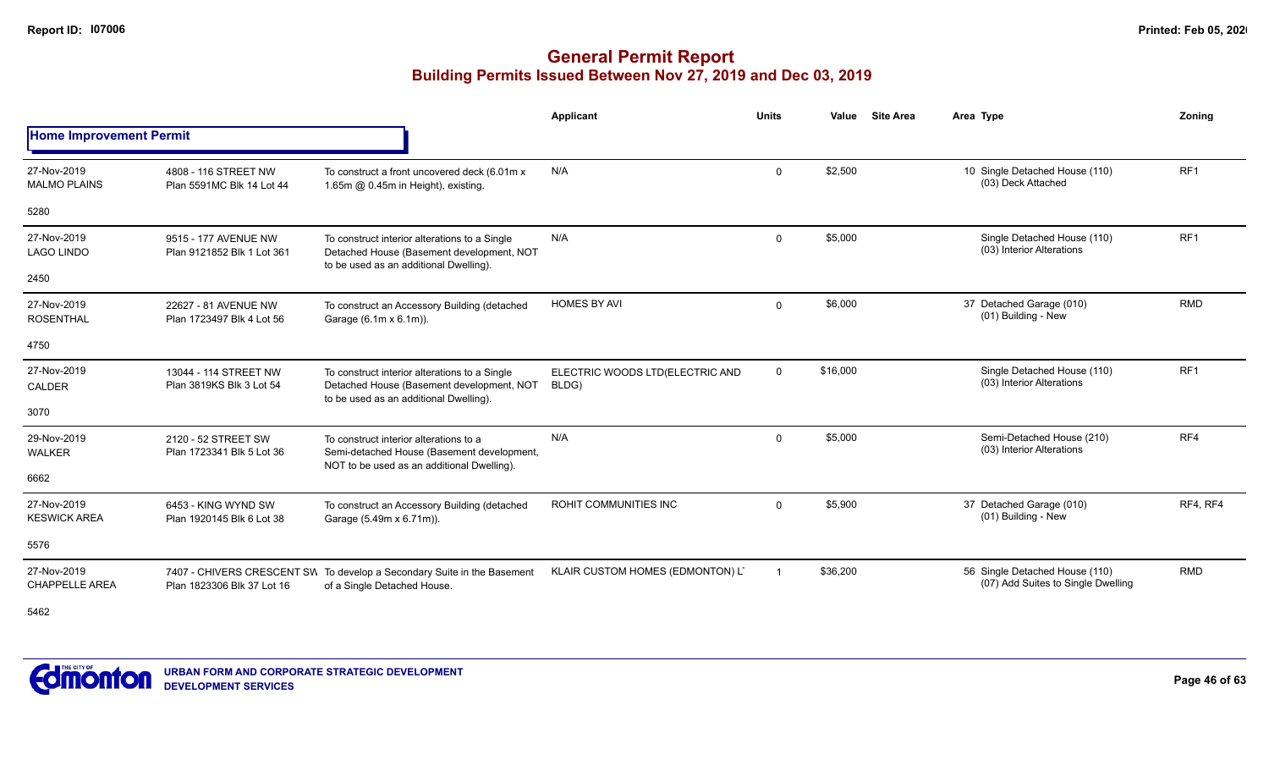# **General Permit Report Building Permits Issued Between Nov 27, 2019 and Dec 03, 2019**

|                                      |                                                    |                                                                                                                                      | <b>Applicant</b>                         | <b>Units</b> | Value    | <b>Site Area</b> | Area Type                                                            | Zonina          |
|--------------------------------------|----------------------------------------------------|--------------------------------------------------------------------------------------------------------------------------------------|------------------------------------------|--------------|----------|------------------|----------------------------------------------------------------------|-----------------|
| <b>Home Improvement Permit</b>       |                                                    |                                                                                                                                      |                                          |              |          |                  |                                                                      |                 |
| 27-Nov-2019<br><b>MALMO PLAINS</b>   | 4808 - 116 STREET NW<br>Plan 5591MC Blk 14 Lot 44  | To construct a front uncovered deck (6.01m x<br>1.65m @ 0.45m in Height), existing.                                                  | N/A                                      | $\mathbf 0$  | \$2,500  |                  | 10 Single Detached House (110)<br>(03) Deck Attached                 | RF <sub>1</sub> |
| 5280                                 |                                                    |                                                                                                                                      |                                          |              |          |                  |                                                                      |                 |
| 27-Nov-2019<br><b>LAGO LINDO</b>     | 9515 - 177 AVENUE NW<br>Plan 9121852 Blk 1 Lot 361 | To construct interior alterations to a Single<br>Detached House (Basement development, NOT<br>to be used as an additional Dwelling). | N/A                                      | $\Omega$     | \$5,000  |                  | Single Detached House (110)<br>(03) Interior Alterations             | RF <sub>1</sub> |
| 2450                                 |                                                    |                                                                                                                                      |                                          |              |          |                  |                                                                      |                 |
| 27-Nov-2019<br><b>ROSENTHAL</b>      | 22627 - 81 AVENUE NW<br>Plan 1723497 Blk 4 Lot 56  | To construct an Accessory Building (detached<br>Garage (6.1m x 6.1m)).                                                               | <b>HOMES BY AVI</b>                      | $\mathbf 0$  | \$6,000  |                  | 37 Detached Garage (010)<br>(01) Building - New                      | <b>RMD</b>      |
| 4750                                 |                                                    |                                                                                                                                      |                                          |              |          |                  |                                                                      |                 |
| 27-Nov-2019<br><b>CALDER</b>         | 13044 - 114 STREET NW<br>Plan 3819KS Blk 3 Lot 54  | To construct interior alterations to a Single<br>Detached House (Basement development, NOT<br>to be used as an additional Dwelling). | ELECTRIC WOODS LTD(ELECTRIC AND<br>BLDG) | $\mathbf 0$  | \$16,000 |                  | Single Detached House (110)<br>(03) Interior Alterations             | RF <sub>1</sub> |
| 3070                                 |                                                    |                                                                                                                                      |                                          |              |          |                  |                                                                      |                 |
| 29-Nov-2019<br><b>WALKER</b>         | 2120 - 52 STREET SW<br>Plan 1723341 Blk 5 Lot 36   | To construct interior alterations to a<br>Semi-detached House (Basement development,<br>NOT to be used as an additional Dwelling).   | N/A                                      | $\mathbf 0$  | \$5,000  |                  | Semi-Detached House (210)<br>(03) Interior Alterations               | RF4             |
| 6662                                 |                                                    |                                                                                                                                      |                                          |              |          |                  |                                                                      |                 |
| 27-Nov-2019<br><b>KESWICK AREA</b>   | 6453 - KING WYND SW<br>Plan 1920145 Blk 6 Lot 38   | To construct an Accessory Building (detached<br>Garage (5.49m x 6.71m)).                                                             | ROHIT COMMUNITIES INC                    | $\mathbf 0$  | \$5,900  |                  | 37 Detached Garage (010)<br>(01) Building - New                      | RF4, RF4        |
| 5576                                 |                                                    |                                                                                                                                      |                                          |              |          |                  |                                                                      |                 |
| 27-Nov-2019<br><b>CHAPPELLE AREA</b> | Plan 1823306 Blk 37 Lot 16                         | 7407 - CHIVERS CRESCENT SW To develop a Secondary Suite in the Basement<br>of a Single Detached House.                               | KLAIR CUSTOM HOMES (EDMONTON) LT         |              | \$36,200 |                  | 56 Single Detached House (110)<br>(07) Add Suites to Single Dwelling | <b>RMD</b>      |

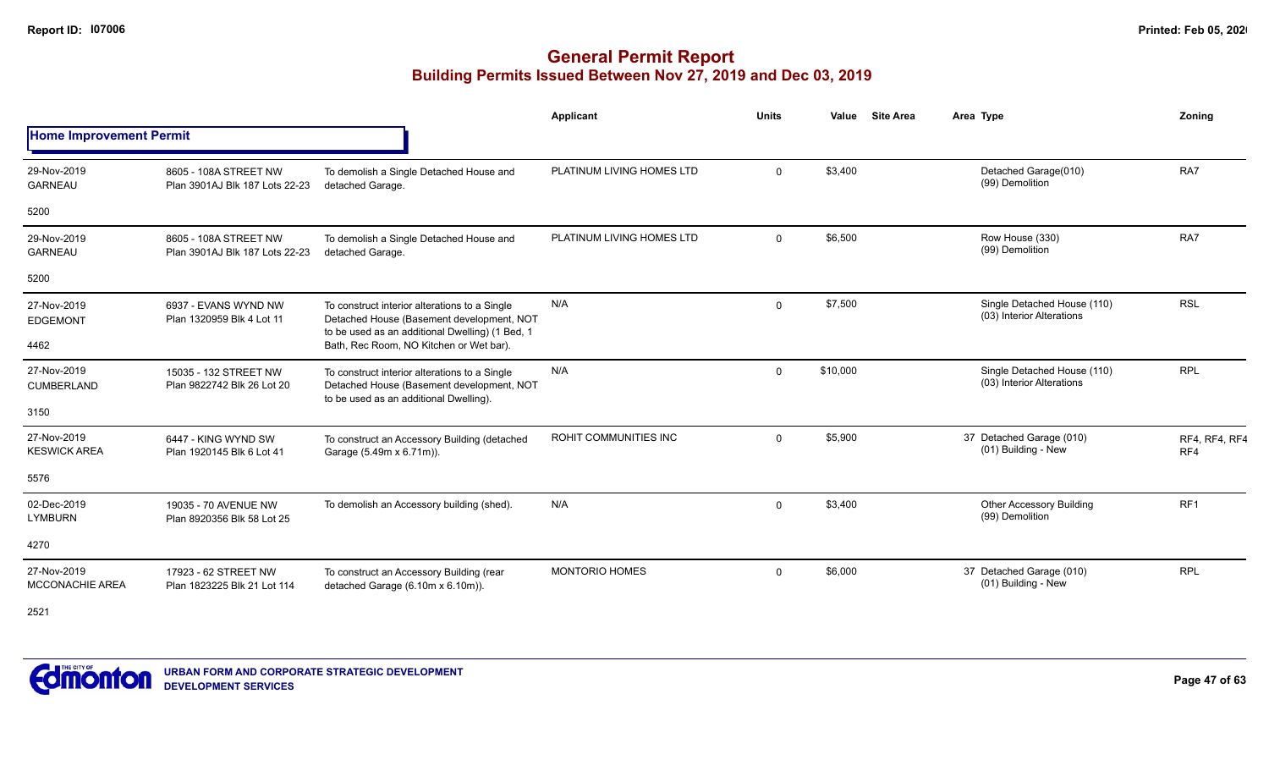|                                       |                                                         |                                                                                                                                               | Applicant                 | <b>Units</b> | Value    | <b>Site Area</b> | Area Type                                                | Zoning               |
|---------------------------------------|---------------------------------------------------------|-----------------------------------------------------------------------------------------------------------------------------------------------|---------------------------|--------------|----------|------------------|----------------------------------------------------------|----------------------|
| <b>Home Improvement Permit</b>        |                                                         |                                                                                                                                               |                           |              |          |                  |                                                          |                      |
| 29-Nov-2019<br><b>GARNEAU</b>         | 8605 - 108A STREET NW<br>Plan 3901AJ Blk 187 Lots 22-23 | To demolish a Single Detached House and<br>detached Garage.                                                                                   | PLATINUM LIVING HOMES LTD | $\Omega$     | \$3,400  |                  | Detached Garage(010)<br>(99) Demolition                  | RA7                  |
| 5200                                  |                                                         |                                                                                                                                               |                           |              |          |                  |                                                          |                      |
| 29-Nov-2019<br><b>GARNEAU</b>         | 8605 - 108A STREET NW<br>Plan 3901AJ Blk 187 Lots 22-23 | To demolish a Single Detached House and<br>detached Garage.                                                                                   | PLATINUM LIVING HOMES LTD | 0            | \$6,500  |                  | Row House (330)<br>(99) Demolition                       | RA7                  |
| 5200                                  |                                                         |                                                                                                                                               |                           |              |          |                  |                                                          |                      |
| 27-Nov-2019<br><b>EDGEMONT</b>        | 6937 - EVANS WYND NW<br>Plan 1320959 Blk 4 Lot 11       | To construct interior alterations to a Single<br>Detached House (Basement development, NOT<br>to be used as an additional Dwelling) (1 Bed, 1 | N/A                       | 0            | \$7,500  |                  | Single Detached House (110)<br>(03) Interior Alterations | <b>RSL</b>           |
| 4462                                  |                                                         | Bath, Rec Room, NO Kitchen or Wet bar).                                                                                                       |                           |              |          |                  |                                                          |                      |
| 27-Nov-2019<br><b>CUMBERLAND</b>      | 15035 - 132 STREET NW<br>Plan 9822742 Blk 26 Lot 20     | To construct interior alterations to a Single<br>Detached House (Basement development, NOT<br>to be used as an additional Dwelling).          | N/A                       | $\Omega$     | \$10,000 |                  | Single Detached House (110)<br>(03) Interior Alterations | <b>RPL</b>           |
| 3150                                  |                                                         |                                                                                                                                               |                           |              |          |                  |                                                          |                      |
| 27-Nov-2019<br><b>KESWICK AREA</b>    | 6447 - KING WYND SW<br>Plan 1920145 Blk 6 Lot 41        | To construct an Accessory Building (detached<br>Garage (5.49m x 6.71m)).                                                                      | ROHIT COMMUNITIES INC     | $\Omega$     | \$5,900  |                  | 37 Detached Garage (010)<br>(01) Building - New          | RF4, RF4, RF4<br>RF4 |
| 5576                                  |                                                         |                                                                                                                                               |                           |              |          |                  |                                                          |                      |
| 02-Dec-2019<br><b>LYMBURN</b>         | 19035 - 70 AVENUE NW<br>Plan 8920356 Blk 58 Lot 25      | To demolish an Accessory building (shed).                                                                                                     | N/A                       | $\mathbf{0}$ | \$3,400  |                  | <b>Other Accessory Building</b><br>(99) Demolition       | RF <sub>1</sub>      |
| 4270                                  |                                                         |                                                                                                                                               |                           |              |          |                  |                                                          |                      |
| 27-Nov-2019<br><b>MCCONACHIE AREA</b> | 17923 - 62 STREET NW<br>Plan 1823225 Blk 21 Lot 114     | To construct an Accessory Building (rear<br>detached Garage (6.10m x 6.10m)).                                                                 | <b>MONTORIO HOMES</b>     | $\Omega$     | \$6,000  |                  | 37 Detached Garage (010)<br>(01) Building - New          | <b>RPL</b>           |

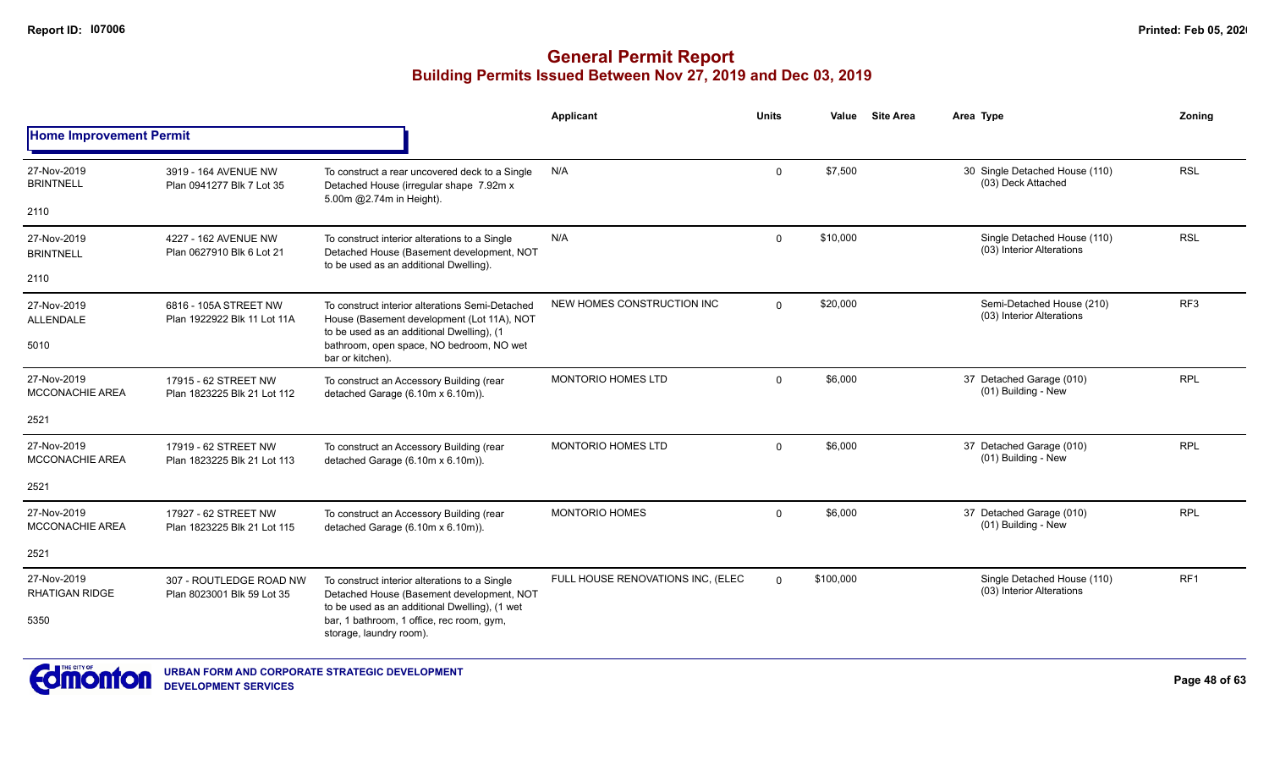|                                       |                                                                                                                       |                                                                                                                                            | <b>Applicant</b>                  | <b>Units</b> | Value     | <b>Site Area</b> | Area Type                                                | Zoning          |
|---------------------------------------|-----------------------------------------------------------------------------------------------------------------------|--------------------------------------------------------------------------------------------------------------------------------------------|-----------------------------------|--------------|-----------|------------------|----------------------------------------------------------|-----------------|
| <b>Home Improvement Permit</b>        |                                                                                                                       |                                                                                                                                            |                                   |              |           |                  |                                                          |                 |
| 27-Nov-2019<br><b>BRINTNELL</b>       | 3919 - 164 AVENUE NW<br>Plan 0941277 Blk 7 Lot 35                                                                     | To construct a rear uncovered deck to a Single<br>Detached House (irregular shape 7.92m x<br>5.00m @2.74m in Height).                      | N/A                               | $\mathbf 0$  | \$7,500   |                  | 30 Single Detached House (110)<br>(03) Deck Attached     | <b>RSL</b>      |
| 2110                                  |                                                                                                                       |                                                                                                                                            |                                   |              |           |                  |                                                          |                 |
| 27-Nov-2019<br><b>BRINTNELL</b>       | 4227 - 162 AVENUE NW<br>Plan 0627910 Blk 6 Lot 21                                                                     | To construct interior alterations to a Single<br>Detached House (Basement development, NOT<br>to be used as an additional Dwelling).       | N/A                               | $\Omega$     | \$10,000  |                  | Single Detached House (110)<br>(03) Interior Alterations | <b>RSL</b>      |
| 2110                                  |                                                                                                                       |                                                                                                                                            |                                   |              |           |                  |                                                          |                 |
| 27-Nov-2019<br><b>ALLENDALE</b>       | 6816 - 105A STREET NW<br>Plan 1922922 Blk 11 Lot 11A                                                                  | To construct interior alterations Semi-Detached<br>House (Basement development (Lot 11A), NOT<br>to be used as an additional Dwelling), (1 | NEW HOMES CONSTRUCTION INC        | $\Omega$     | \$20,000  |                  | Semi-Detached House (210)<br>(03) Interior Alterations   | RF <sub>3</sub> |
| 5010                                  |                                                                                                                       | bathroom, open space, NO bedroom, NO wet<br>bar or kitchen).                                                                               |                                   |              |           |                  |                                                          |                 |
| 27-Nov-2019<br><b>MCCONACHIE AREA</b> | 17915 - 62 STREET NW<br>Plan 1823225 Blk 21 Lot 112                                                                   | To construct an Accessory Building (rear<br>detached Garage (6.10m x 6.10m)).                                                              | MONTORIO HOMES LTD                | $\mathbf 0$  | \$6,000   |                  | 37 Detached Garage (010)<br>(01) Building - New          | <b>RPL</b>      |
| 2521                                  |                                                                                                                       |                                                                                                                                            |                                   |              |           |                  |                                                          |                 |
| 27-Nov-2019<br><b>MCCONACHIE AREA</b> | 17919 - 62 STREET NW<br>Plan 1823225 Blk 21 Lot 113                                                                   | To construct an Accessory Building (rear<br>detached Garage (6.10m x 6.10m)).                                                              | <b>MONTORIO HOMES LTD</b>         | $\Omega$     | \$6,000   |                  | 37 Detached Garage (010)<br>(01) Building - New          | <b>RPL</b>      |
| 2521                                  |                                                                                                                       |                                                                                                                                            |                                   |              |           |                  |                                                          |                 |
| 27-Nov-2019<br><b>MCCONACHIE AREA</b> | 17927 - 62 STREET NW<br>Plan 1823225 Blk 21 Lot 115                                                                   | To construct an Accessory Building (rear<br>detached Garage (6.10m x 6.10m)).                                                              | <b>MONTORIO HOMES</b>             | $\mathbf 0$  | \$6,000   |                  | 37 Detached Garage (010)<br>(01) Building - New          | <b>RPL</b>      |
| 2521                                  |                                                                                                                       |                                                                                                                                            |                                   |              |           |                  |                                                          |                 |
| 27-Nov-2019<br><b>RHATIGAN RIDGE</b>  | 307 - ROUTLEDGE ROAD NW<br>Plan 8023001 Blk 59 Lot 35                                                                 | To construct interior alterations to a Single<br>Detached House (Basement development, NOT                                                 | FULL HOUSE RENOVATIONS INC, (ELEC | $\Omega$     | \$100.000 |                  | Single Detached House (110)<br>(03) Interior Alterations | RF <sub>1</sub> |
| 5350                                  | to be used as an additional Dwelling), (1 wet<br>bar, 1 bathroom, 1 office, rec room, gym,<br>storage, laundry room). |                                                                                                                                            |                                   |              |           |                  |                                                          |                 |

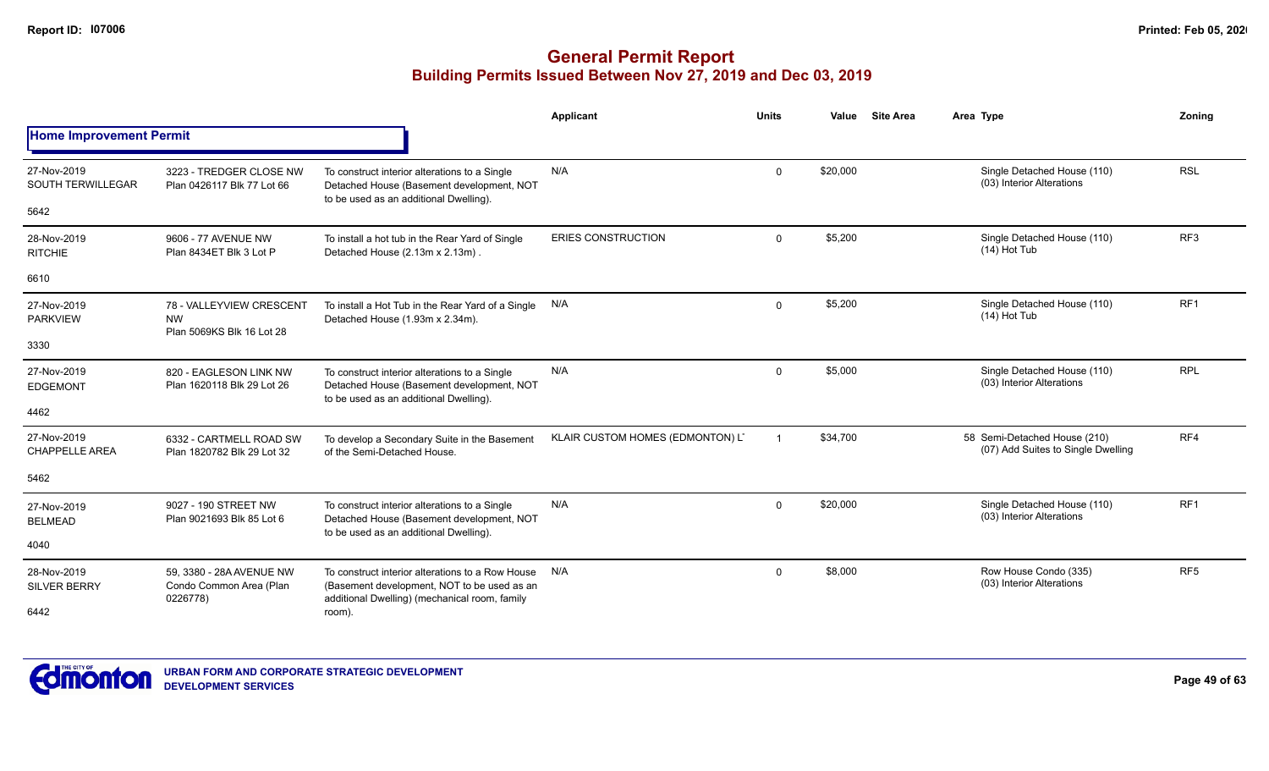|                                         |                                                                    |                                                                                                                                                  | Applicant                        | <b>Units</b> | Value    | <b>Site Area</b> | Area Type                                                          | Zoning          |
|-----------------------------------------|--------------------------------------------------------------------|--------------------------------------------------------------------------------------------------------------------------------------------------|----------------------------------|--------------|----------|------------------|--------------------------------------------------------------------|-----------------|
| <b>Home Improvement Permit</b>          |                                                                    |                                                                                                                                                  |                                  |              |          |                  |                                                                    |                 |
| 27-Nov-2019<br><b>SOUTH TERWILLEGAR</b> | 3223 - TREDGER CLOSE NW<br>Plan 0426117 Blk 77 Lot 66              | To construct interior alterations to a Single<br>Detached House (Basement development, NOT<br>to be used as an additional Dwelling).             | N/A                              | $\Omega$     | \$20,000 |                  | Single Detached House (110)<br>(03) Interior Alterations           | <b>RSL</b>      |
| 5642                                    |                                                                    |                                                                                                                                                  |                                  |              |          |                  |                                                                    |                 |
| 28-Nov-2019<br><b>RITCHIE</b>           | 9606 - 77 AVENUE NW<br>Plan 8434ET Blk 3 Lot P                     | To install a hot tub in the Rear Yard of Single<br>Detached House (2.13m x 2.13m).                                                               | <b>ERIES CONSTRUCTION</b>        | $\mathbf 0$  | \$5,200  |                  | Single Detached House (110)<br>(14) Hot Tub                        | RF <sub>3</sub> |
| 6610                                    |                                                                    |                                                                                                                                                  |                                  |              |          |                  |                                                                    |                 |
| 27-Nov-2019<br><b>PARKVIEW</b>          | 78 - VALLEYVIEW CRESCENT<br><b>NW</b><br>Plan 5069KS Blk 16 Lot 28 | To install a Hot Tub in the Rear Yard of a Single<br>Detached House (1.93m x 2.34m).                                                             | N/A                              | $\mathbf{0}$ | \$5,200  |                  | Single Detached House (110)<br>(14) Hot Tub                        | RF <sub>1</sub> |
| 3330                                    |                                                                    |                                                                                                                                                  |                                  |              |          |                  |                                                                    |                 |
| 27-Nov-2019<br><b>EDGEMONT</b>          | 820 - EAGLESON LINK NW<br>Plan 1620118 Blk 29 Lot 26               | To construct interior alterations to a Single<br>Detached House (Basement development, NOT<br>to be used as an additional Dwelling).             | N/A                              | $\mathbf{0}$ | \$5,000  |                  | Single Detached House (110)<br>(03) Interior Alterations           | <b>RPL</b>      |
| 4462                                    |                                                                    |                                                                                                                                                  |                                  |              |          |                  |                                                                    |                 |
| 27-Nov-2019<br><b>CHAPPELLE AREA</b>    | 6332 - CARTMELL ROAD SW<br>Plan 1820782 Blk 29 Lot 32              | To develop a Secondary Suite in the Basement<br>of the Semi-Detached House.                                                                      | KLAIR CUSTOM HOMES (EDMONTON) LT |              | \$34,700 |                  | 58 Semi-Detached House (210)<br>(07) Add Suites to Single Dwelling | RF4             |
| 5462                                    |                                                                    |                                                                                                                                                  |                                  |              |          |                  |                                                                    |                 |
| 27-Nov-2019<br><b>BELMEAD</b>           | 9027 - 190 STREET NW<br>Plan 9021693 Blk 85 Lot 6                  | To construct interior alterations to a Single<br>Detached House (Basement development, NOT                                                       | N/A                              | $\mathbf{0}$ | \$20,000 |                  | Single Detached House (110)<br>(03) Interior Alterations           | RF <sub>1</sub> |
| 4040                                    | to be used as an additional Dwelling).                             |                                                                                                                                                  |                                  |              |          |                  |                                                                    |                 |
| 28-Nov-2019<br><b>SILVER BERRY</b>      | 59, 3380 - 28A AVENUE NW<br>Condo Common Area (Plan<br>0226778)    | To construct interior alterations to a Row House<br>(Basement development, NOT to be used as an<br>additional Dwelling) (mechanical room, family | N/A                              | $\mathbf 0$  | \$8,000  |                  | Row House Condo (335)<br>(03) Interior Alterations                 | RF <sub>5</sub> |
| 6442                                    |                                                                    | room).                                                                                                                                           |                                  |              |          |                  |                                                                    |                 |

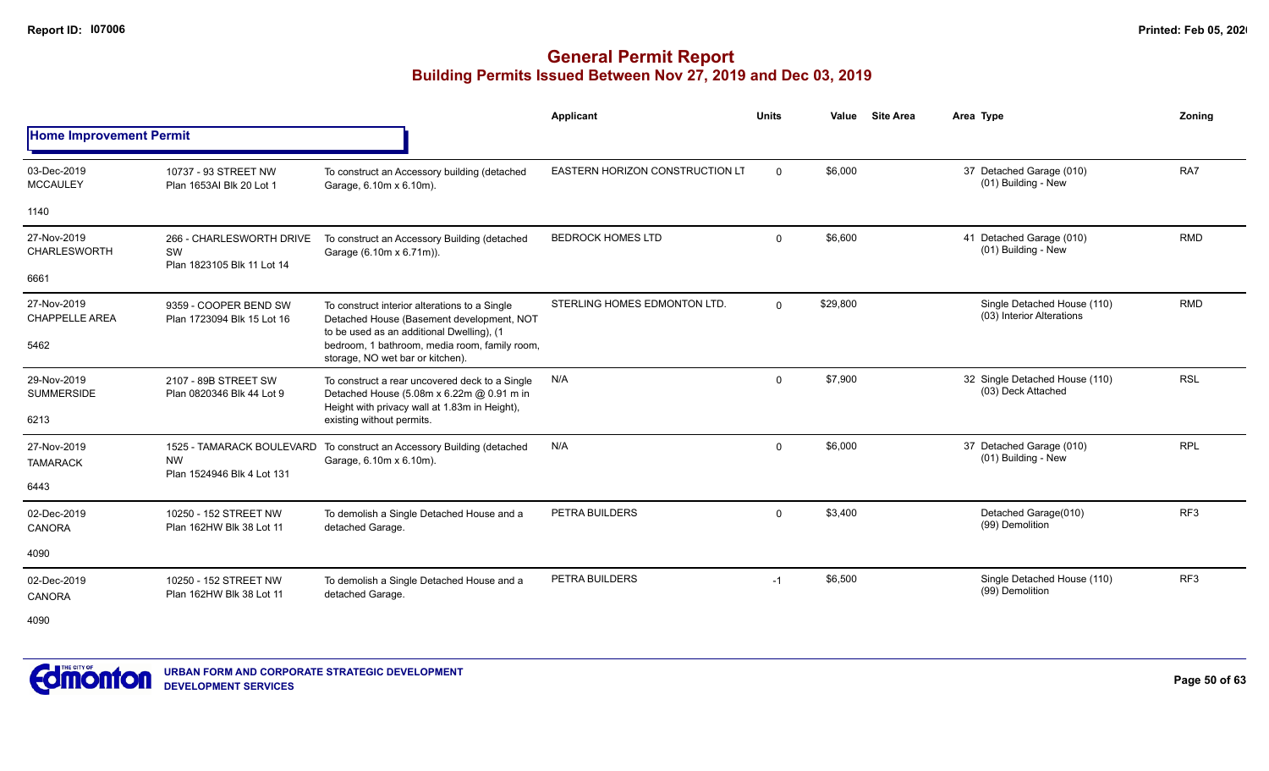|                                      |                                                              |                                                                                                                                              | Applicant                              | <b>Units</b> | Value    | <b>Site Area</b> | Area Type                                                | Zoning          |
|--------------------------------------|--------------------------------------------------------------|----------------------------------------------------------------------------------------------------------------------------------------------|----------------------------------------|--------------|----------|------------------|----------------------------------------------------------|-----------------|
| <b>Home Improvement Permit</b>       |                                                              |                                                                                                                                              |                                        |              |          |                  |                                                          |                 |
| 03-Dec-2019<br><b>MCCAULEY</b>       | 10737 - 93 STREET NW<br>Plan 1653AI Blk 20 Lot 1             | To construct an Accessory building (detached<br>Garage, 6.10m x 6.10m).                                                                      | <b>EASTERN HORIZON CONSTRUCTION LT</b> | $\Omega$     | \$6,000  |                  | 37 Detached Garage (010)<br>(01) Building - New          | RA7             |
| 1140                                 |                                                              |                                                                                                                                              |                                        |              |          |                  |                                                          |                 |
| 27-Nov-2019<br><b>CHARLESWORTH</b>   | 266 - CHARLESWORTH DRIVE<br>SW<br>Plan 1823105 Blk 11 Lot 14 | To construct an Accessory Building (detached<br>Garage (6.10m x 6.71m)).                                                                     | <b>BEDROCK HOMES LTD</b>               | $\mathbf{0}$ | \$6,600  |                  | 41 Detached Garage (010)<br>(01) Building - New          | <b>RMD</b>      |
| 6661                                 |                                                              |                                                                                                                                              |                                        |              |          |                  |                                                          |                 |
| 27-Nov-2019<br><b>CHAPPELLE AREA</b> | 9359 - COOPER BEND SW<br>Plan 1723094 Blk 15 Lot 16          | To construct interior alterations to a Single<br>Detached House (Basement development, NOT<br>to be used as an additional Dwelling), (1      | STERLING HOMES EDMONTON LTD.           | $\Omega$     | \$29,800 |                  | Single Detached House (110)<br>(03) Interior Alterations | <b>RMD</b>      |
| 5462                                 |                                                              | bedroom, 1 bathroom, media room, family room,<br>storage, NO wet bar or kitchen).                                                            |                                        |              |          |                  |                                                          |                 |
| 29-Nov-2019<br><b>SUMMERSIDE</b>     | 2107 - 89B STREET SW<br>Plan 0820346 Blk 44 Lot 9            | To construct a rear uncovered deck to a Single<br>Detached House (5.08m x 6.22m @ 0.91 m in<br>Height with privacy wall at 1.83m in Height), | N/A                                    | $\mathbf{0}$ | \$7,900  |                  | 32 Single Detached House (110)<br>(03) Deck Attached     | <b>RSL</b>      |
| 6213                                 |                                                              | existing without permits.                                                                                                                    |                                        |              |          |                  |                                                          |                 |
| 27-Nov-2019<br><b>TAMARACK</b>       | <b>NW</b><br>Plan 1524946 Blk 4 Lot 131                      | 1525 - TAMARACK BOULEVARD To construct an Accessory Building (detached<br>Garage, 6.10m x 6.10m).                                            | N/A                                    | $\Omega$     | \$6,000  |                  | 37 Detached Garage (010)<br>(01) Building - New          | <b>RPL</b>      |
| 6443                                 |                                                              |                                                                                                                                              |                                        |              |          |                  |                                                          |                 |
| 02-Dec-2019<br><b>CANORA</b>         | 10250 - 152 STREET NW<br>Plan 162HW Blk 38 Lot 11            | To demolish a Single Detached House and a<br>detached Garage.                                                                                | PETRA BUILDERS                         | $\mathbf{0}$ | \$3,400  |                  | Detached Garage(010)<br>(99) Demolition                  | RF <sub>3</sub> |
| 4090                                 |                                                              |                                                                                                                                              |                                        |              |          |                  |                                                          |                 |
| 02-Dec-2019<br><b>CANORA</b>         | 10250 - 152 STREET NW<br>Plan 162HW Blk 38 Lot 11            | To demolish a Single Detached House and a<br>detached Garage.                                                                                | PETRA BUILDERS                         | $-1$         | \$6,500  |                  | Single Detached House (110)<br>(99) Demolition           | RF3             |
| 4090                                 |                                                              |                                                                                                                                              |                                        |              |          |                  |                                                          |                 |

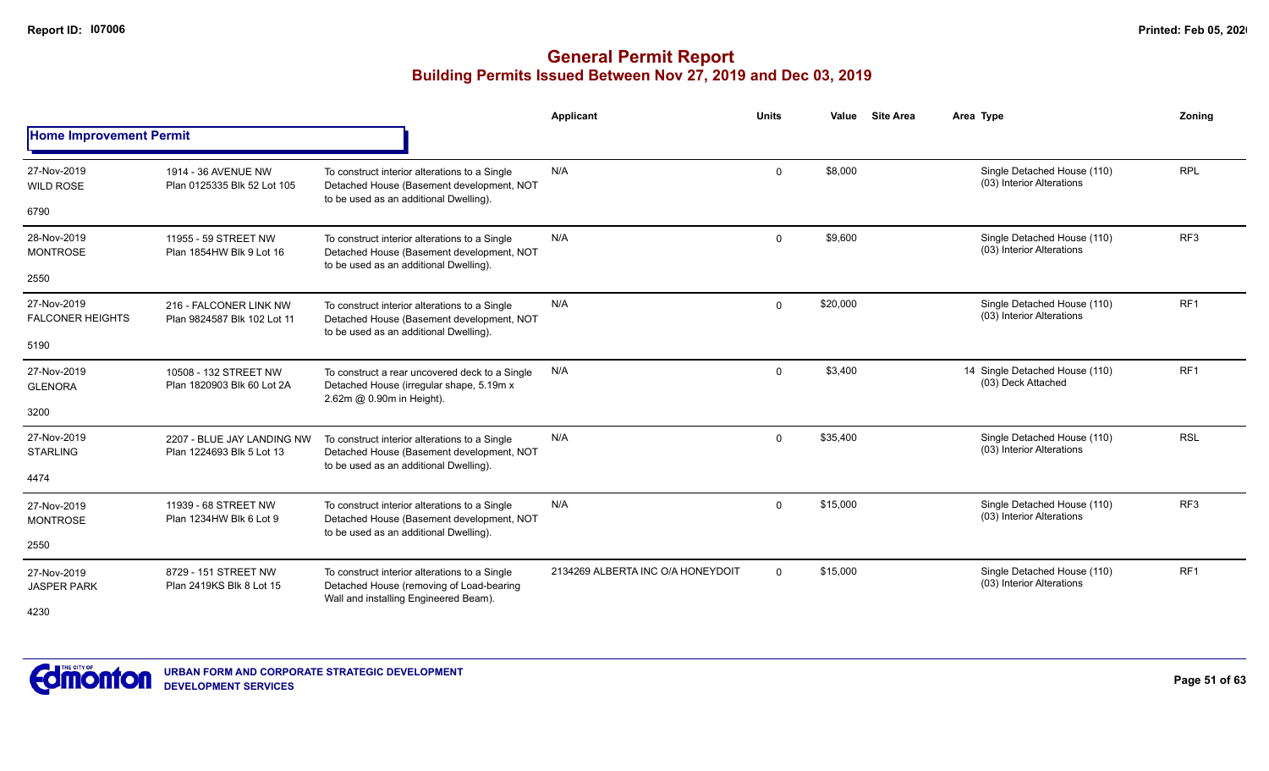|                                        |                                                         |                                                                                                                                      | Applicant                         | <b>Units</b> | Value    | <b>Site Area</b> | Area Type                                                | Zoning          |
|----------------------------------------|---------------------------------------------------------|--------------------------------------------------------------------------------------------------------------------------------------|-----------------------------------|--------------|----------|------------------|----------------------------------------------------------|-----------------|
| <b>Home Improvement Permit</b>         |                                                         |                                                                                                                                      |                                   |              |          |                  |                                                          |                 |
| 27-Nov-2019<br><b>WILD ROSE</b>        | 1914 - 36 AVENUE NW<br>Plan 0125335 Blk 52 Lot 105      | To construct interior alterations to a Single<br>Detached House (Basement development, NOT<br>to be used as an additional Dwelling). | N/A                               | $\mathbf 0$  | \$8,000  |                  | Single Detached House (110)<br>(03) Interior Alterations | <b>RPL</b>      |
| 6790                                   |                                                         |                                                                                                                                      |                                   |              |          |                  |                                                          |                 |
| 28-Nov-2019<br><b>MONTROSE</b>         | 11955 - 59 STREET NW<br>Plan 1854HW Blk 9 Lot 16        | To construct interior alterations to a Single<br>Detached House (Basement development, NOT<br>to be used as an additional Dwelling). | N/A                               | $\mathbf 0$  | \$9,600  |                  | Single Detached House (110)<br>(03) Interior Alterations | RF <sub>3</sub> |
| 2550                                   |                                                         |                                                                                                                                      |                                   |              |          |                  |                                                          |                 |
| 27-Nov-2019<br><b>FALCONER HEIGHTS</b> | 216 - FALCONER LINK NW<br>Plan 9824587 Blk 102 Lot 11   | To construct interior alterations to a Single<br>Detached House (Basement development, NOT<br>to be used as an additional Dwelling). | N/A                               | $\mathbf 0$  | \$20,000 |                  | Single Detached House (110)<br>(03) Interior Alterations | RF1             |
| 5190                                   |                                                         |                                                                                                                                      |                                   |              |          |                  |                                                          |                 |
| 27-Nov-2019<br><b>GLENORA</b>          | 10508 - 132 STREET NW<br>Plan 1820903 Blk 60 Lot 2A     | To construct a rear uncovered deck to a Single<br>Detached House (irregular shape, 5.19m x<br>2.62m @ 0.90m in Height).              | N/A                               | $\mathbf 0$  | \$3,400  |                  | 14 Single Detached House (110)<br>(03) Deck Attached     | RF <sub>1</sub> |
| 3200                                   |                                                         |                                                                                                                                      |                                   |              |          |                  |                                                          |                 |
| 27-Nov-2019<br><b>STARLING</b>         | 2207 - BLUE JAY LANDING NW<br>Plan 1224693 Blk 5 Lot 13 | To construct interior alterations to a Single<br>Detached House (Basement development, NOT<br>to be used as an additional Dwelling). | N/A                               | $\mathbf 0$  | \$35,400 |                  | Single Detached House (110)<br>(03) Interior Alterations | <b>RSL</b>      |
| 4474                                   |                                                         |                                                                                                                                      |                                   |              |          |                  |                                                          |                 |
| 27-Nov-2019<br><b>MONTROSE</b>         | 11939 - 68 STREET NW<br>Plan 1234HW Blk 6 Lot 9         | To construct interior alterations to a Single<br>Detached House (Basement development, NOT<br>to be used as an additional Dwelling). | N/A                               | $\mathbf 0$  | \$15,000 |                  | Single Detached House (110)<br>(03) Interior Alterations | RF <sub>3</sub> |
| 2550                                   |                                                         |                                                                                                                                      |                                   |              |          |                  |                                                          |                 |
| 27-Nov-2019<br><b>JASPER PARK</b>      | 8729 - 151 STREET NW<br>Plan 2419KS Blk 8 Lot 15        | To construct interior alterations to a Single<br>Detached House (removing of Load-bearing<br>Wall and installing Engineered Beam).   | 2134269 ALBERTA INC O/A HONEYDOIT | $\Omega$     | \$15,000 |                  | Single Detached House (110)<br>(03) Interior Alterations | RF1             |
| 4230                                   |                                                         |                                                                                                                                      |                                   |              |          |                  |                                                          |                 |

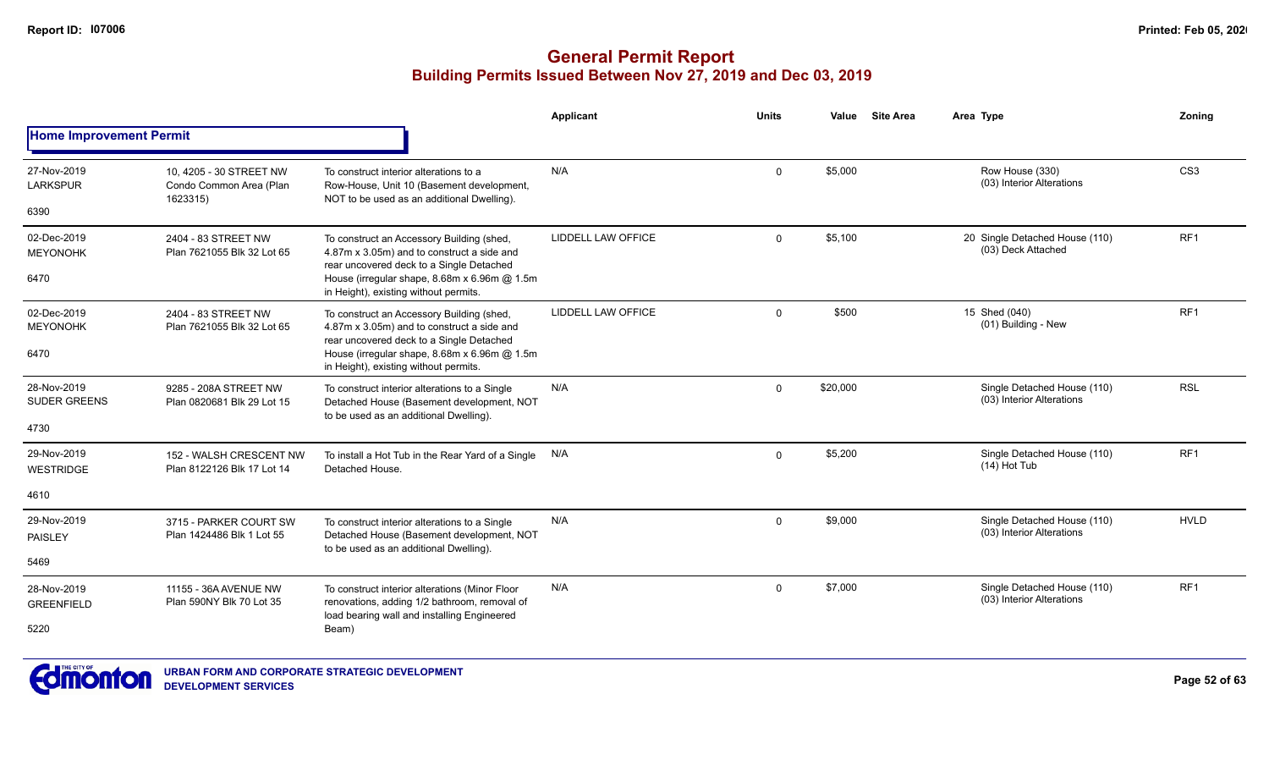|                                    |                                                                |                                                                                                                                      | Applicant          | <b>Units</b> | Value    | <b>Site Area</b> | Area Type                                                | Zoning          |
|------------------------------------|----------------------------------------------------------------|--------------------------------------------------------------------------------------------------------------------------------------|--------------------|--------------|----------|------------------|----------------------------------------------------------|-----------------|
| <b>Home Improvement Permit</b>     |                                                                |                                                                                                                                      |                    |              |          |                  |                                                          |                 |
| 27-Nov-2019<br><b>LARKSPUR</b>     | 10, 4205 - 30 STREET NW<br>Condo Common Area (Plan<br>1623315) | To construct interior alterations to a<br>Row-House, Unit 10 (Basement development,<br>NOT to be used as an additional Dwelling).    | N/A                | $\mathbf 0$  | \$5,000  |                  | Row House (330)<br>(03) Interior Alterations             | CS <sub>3</sub> |
| 6390                               |                                                                |                                                                                                                                      |                    |              |          |                  |                                                          |                 |
| 02-Dec-2019<br><b>MEYONOHK</b>     | 2404 - 83 STREET NW<br>Plan 7621055 Blk 32 Lot 65              | To construct an Accessory Building (shed,<br>4.87m x 3.05m) and to construct a side and<br>rear uncovered deck to a Single Detached  | LIDDELL LAW OFFICE | $\Omega$     | \$5,100  |                  | 20 Single Detached House (110)<br>(03) Deck Attached     | RF <sub>1</sub> |
| 6470                               |                                                                | House (irregular shape, 8.68m x 6.96m @ 1.5m<br>in Height), existing without permits.                                                |                    |              |          |                  |                                                          |                 |
| 02-Dec-2019<br><b>MEYONOHK</b>     | 2404 - 83 STREET NW<br>Plan 7621055 Blk 32 Lot 65              | To construct an Accessory Building (shed,<br>4.87m x 3.05m) and to construct a side and<br>rear uncovered deck to a Single Detached  | LIDDELL LAW OFFICE | $\Omega$     | \$500    |                  | 15 Shed (040)<br>(01) Building - New                     | RF <sub>1</sub> |
| 6470                               |                                                                | House (irregular shape, 8.68m x 6.96m @ 1.5m<br>in Height), existing without permits.                                                |                    |              |          |                  |                                                          |                 |
| 28-Nov-2019<br><b>SUDER GREENS</b> | 9285 - 208A STREET NW<br>Plan 0820681 Blk 29 Lot 15            | To construct interior alterations to a Single<br>Detached House (Basement development, NOT<br>to be used as an additional Dwelling). | N/A                | $\Omega$     | \$20,000 |                  | Single Detached House (110)<br>(03) Interior Alterations | <b>RSL</b>      |
| 4730                               |                                                                |                                                                                                                                      |                    |              |          |                  |                                                          |                 |
| 29-Nov-2019<br><b>WESTRIDGE</b>    | 152 - WALSH CRESCENT NW<br>Plan 8122126 Blk 17 Lot 14          | To install a Hot Tub in the Rear Yard of a Single<br>Detached House.                                                                 | N/A                | $\mathbf 0$  | \$5,200  |                  | Single Detached House (110)<br>$(14)$ Hot Tub            | RF <sub>1</sub> |
| 4610                               |                                                                |                                                                                                                                      |                    |              |          |                  |                                                          |                 |
| 29-Nov-2019<br>PAISLEY             | 3715 - PARKER COURT SW<br>Plan 1424486 Blk 1 Lot 55            | To construct interior alterations to a Single<br>Detached House (Basement development, NOT<br>to be used as an additional Dwelling). | N/A                | $\mathbf 0$  | \$9,000  |                  | Single Detached House (110)<br>(03) Interior Alterations | <b>HVLD</b>     |
| 5469                               |                                                                |                                                                                                                                      |                    |              |          |                  |                                                          |                 |
| 28-Nov-2019<br><b>GREENFIELD</b>   | 11155 - 36A AVENUE NW<br>Plan 590NY Blk 70 Lot 35              | To construct interior alterations (Minor Floor<br>renovations, adding 1/2 bathroom, removal of                                       | N/A                | $\Omega$     | \$7,000  |                  | Single Detached House (110)<br>(03) Interior Alterations | RF1             |
| 5220                               |                                                                | load bearing wall and installing Engineered<br>Beam)                                                                                 |                    |              |          |                  |                                                          |                 |

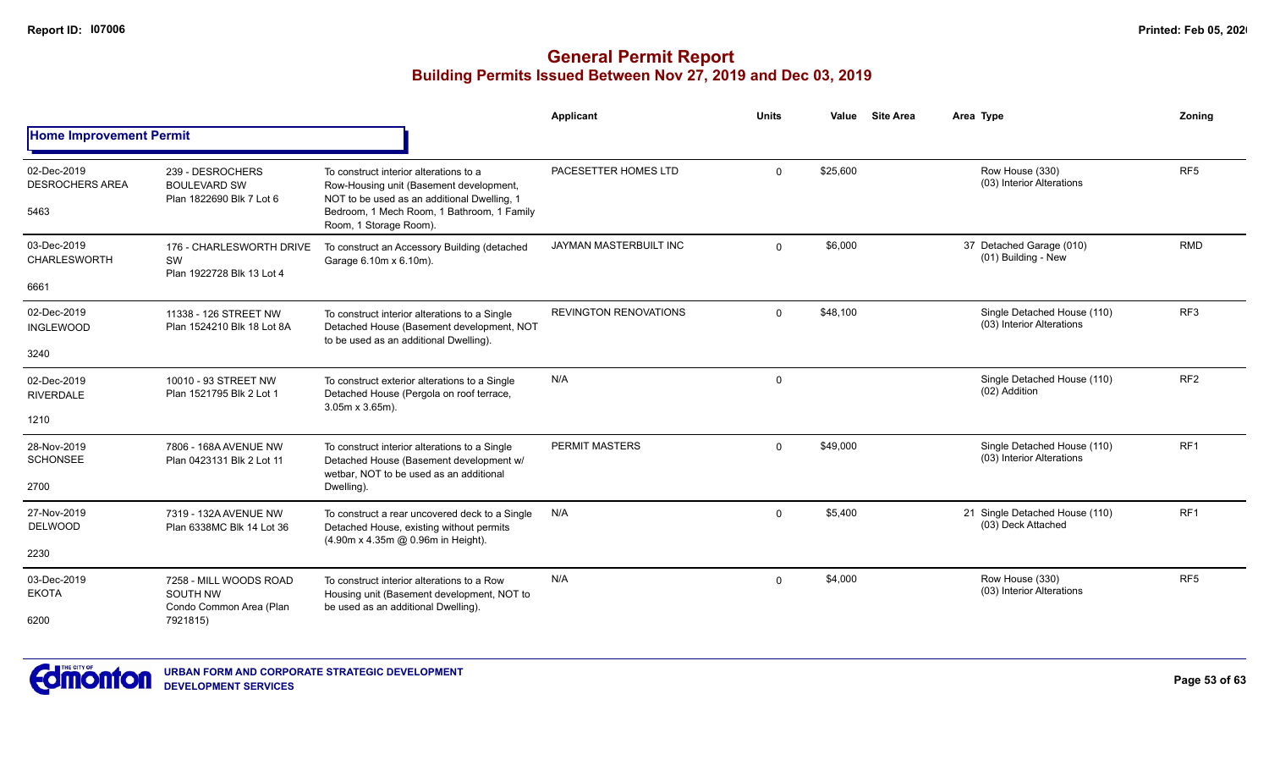|                                               |                                                                           |                                                                                                                                                                                                          | Applicant                    | <b>Units</b> | Value    | <b>Site Area</b> | Area Type                                                | <b>Zoning</b>   |
|-----------------------------------------------|---------------------------------------------------------------------------|----------------------------------------------------------------------------------------------------------------------------------------------------------------------------------------------------------|------------------------------|--------------|----------|------------------|----------------------------------------------------------|-----------------|
| <b>Home Improvement Permit</b>                |                                                                           |                                                                                                                                                                                                          |                              |              |          |                  |                                                          |                 |
| 02-Dec-2019<br><b>DESROCHERS AREA</b><br>5463 | 239 - DESROCHERS<br><b>BOULEVARD SW</b><br>Plan 1822690 Blk 7 Lot 6       | To construct interior alterations to a<br>Row-Housing unit (Basement development,<br>NOT to be used as an additional Dwelling, 1<br>Bedroom, 1 Mech Room, 1 Bathroom, 1 Family<br>Room, 1 Storage Room). | PACESETTER HOMES LTD         | $\Omega$     | \$25,600 |                  | Row House (330)<br>(03) Interior Alterations             | RF <sub>5</sub> |
| 03-Dec-2019<br><b>CHARLESWORTH</b><br>6661    | 176 - CHARLESWORTH DRIVE<br>SW<br>Plan 1922728 Blk 13 Lot 4               | To construct an Accessory Building (detached<br>Garage 6.10m x 6.10m).                                                                                                                                   | JAYMAN MASTERBUILT INC       | $\Omega$     | \$6,000  |                  | 37 Detached Garage (010)<br>(01) Building - New          | <b>RMD</b>      |
| 02-Dec-2019<br><b>INGLEWOOD</b><br>3240       | 11338 - 126 STREET NW<br>Plan 1524210 Blk 18 Lot 8A                       | To construct interior alterations to a Single<br>Detached House (Basement development, NOT<br>to be used as an additional Dwelling).                                                                     | <b>REVINGTON RENOVATIONS</b> | $\Omega$     | \$48,100 |                  | Single Detached House (110)<br>(03) Interior Alterations | RF3             |
| 02-Dec-2019<br><b>RIVERDALE</b><br>1210       | 10010 - 93 STREET NW<br>Plan 1521795 Blk 2 Lot 1                          | To construct exterior alterations to a Single<br>Detached House (Pergola on roof terrace,<br>$3.05m \times 3.65m$ ).                                                                                     | N/A                          | $\Omega$     |          |                  | Single Detached House (110)<br>(02) Addition             | RF <sub>2</sub> |
| 28-Nov-2019<br><b>SCHONSEE</b><br>2700        | 7806 - 168A AVENUE NW<br>Plan 0423131 Blk 2 Lot 11                        | To construct interior alterations to a Single<br>Detached House (Basement development w/<br>wetbar. NOT to be used as an additional<br>Dwelling).                                                        | PERMIT MASTERS               | $\Omega$     | \$49,000 |                  | Single Detached House (110)<br>(03) Interior Alterations | RF <sub>1</sub> |
| 27-Nov-2019<br><b>DELWOOD</b><br>2230         | 7319 - 132A AVENUE NW<br>Plan 6338MC Blk 14 Lot 36                        | To construct a rear uncovered deck to a Single<br>Detached House, existing without permits<br>(4.90m x 4.35m @ 0.96m in Height).                                                                         | N/A                          | $\Omega$     | \$5.400  |                  | 21 Single Detached House (110)<br>(03) Deck Attached     | RF1             |
| 03-Dec-2019<br><b>EKOTA</b><br>6200           | 7258 - MILL WOODS ROAD<br>SOUTH NW<br>Condo Common Area (Plan<br>7921815) | To construct interior alterations to a Row<br>Housing unit (Basement development, NOT to<br>be used as an additional Dwelling).                                                                          | N/A                          | $\mathbf{0}$ | \$4,000  |                  | Row House (330)<br>(03) Interior Alterations             | RF <sub>5</sub> |

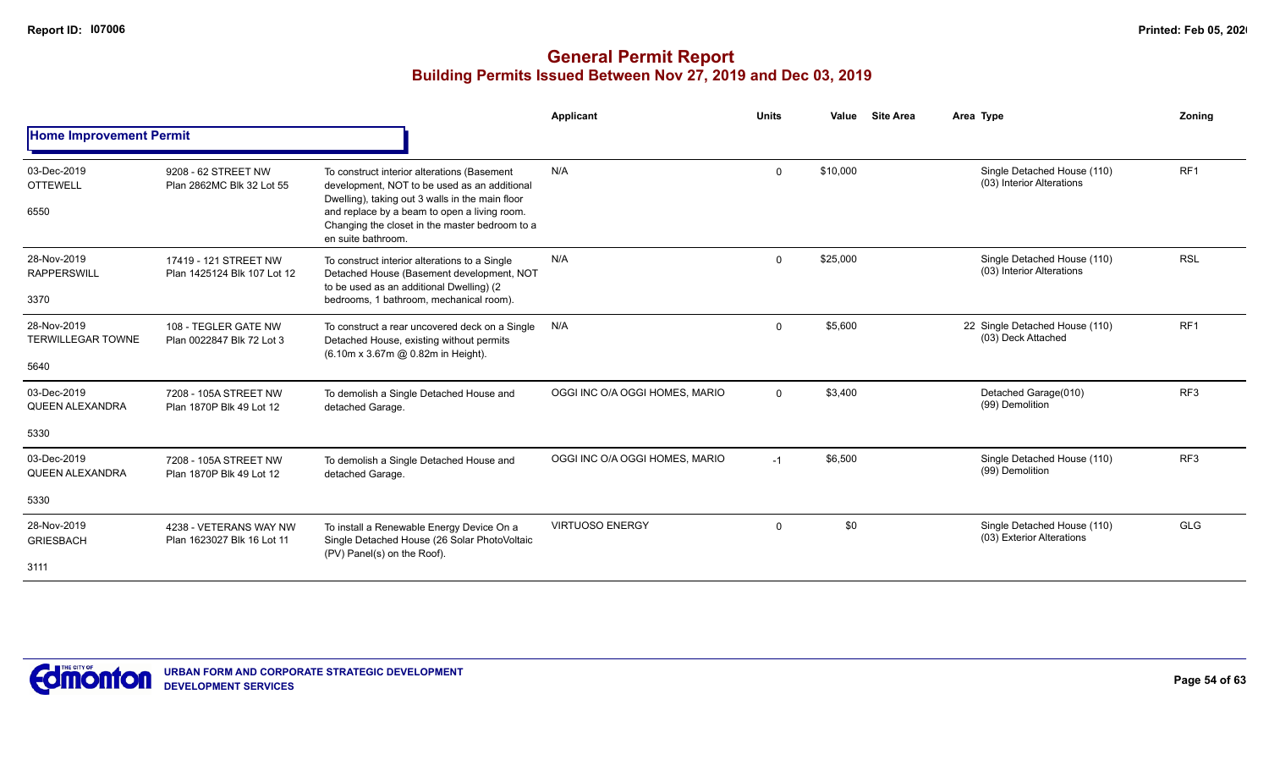|                                                 |                                                      |                                                                                                                                                                                                                                                                        | Applicant                      | <b>Units</b> | Value    | <b>Site Area</b> | Area Type                                                | Zoning          |
|-------------------------------------------------|------------------------------------------------------|------------------------------------------------------------------------------------------------------------------------------------------------------------------------------------------------------------------------------------------------------------------------|--------------------------------|--------------|----------|------------------|----------------------------------------------------------|-----------------|
| <b>Home Improvement Permit</b>                  |                                                      |                                                                                                                                                                                                                                                                        |                                |              |          |                  |                                                          |                 |
| 03-Dec-2019<br><b>OTTEWELL</b><br>6550          | 9208 - 62 STREET NW<br>Plan 2862MC Blk 32 Lot 55     | To construct interior alterations (Basement<br>development, NOT to be used as an additional<br>Dwelling), taking out 3 walls in the main floor<br>and replace by a beam to open a living room.<br>Changing the closet in the master bedroom to a<br>en suite bathroom. | N/A                            | $\mathbf 0$  | \$10,000 |                  | Single Detached House (110)<br>(03) Interior Alterations | RF <sub>1</sub> |
| 28-Nov-2019<br><b>RAPPERSWILL</b><br>3370       | 17419 - 121 STREET NW<br>Plan 1425124 Blk 107 Lot 12 | To construct interior alterations to a Single<br>Detached House (Basement development, NOT<br>to be used as an additional Dwelling) (2<br>bedrooms, 1 bathroom, mechanical room).                                                                                      | N/A                            | $\Omega$     | \$25,000 |                  | Single Detached House (110)<br>(03) Interior Alterations | <b>RSL</b>      |
| 28-Nov-2019<br><b>TERWILLEGAR TOWNE</b><br>5640 | 108 - TEGLER GATE NW<br>Plan 0022847 Blk 72 Lot 3    | To construct a rear uncovered deck on a Single<br>Detached House, existing without permits<br>(6.10m x 3.67m @ 0.82m in Height).                                                                                                                                       | N/A                            | $\mathbf 0$  | \$5,600  |                  | 22 Single Detached House (110)<br>(03) Deck Attached     | RF <sub>1</sub> |
| 03-Dec-2019<br><b>QUEEN ALEXANDRA</b><br>5330   | 7208 - 105A STREET NW<br>Plan 1870P Blk 49 Lot 12    | To demolish a Single Detached House and<br>detached Garage.                                                                                                                                                                                                            | OGGI INC O/A OGGI HOMES, MARIO | $\Omega$     | \$3,400  |                  | Detached Garage(010)<br>(99) Demolition                  | RF <sub>3</sub> |
| 03-Dec-2019<br><b>QUEEN ALEXANDRA</b><br>5330   | 7208 - 105A STREET NW<br>Plan 1870P Blk 49 Lot 12    | To demolish a Single Detached House and<br>detached Garage.                                                                                                                                                                                                            | OGGI INC O/A OGGI HOMES, MARIO | $-1$         | \$6,500  |                  | Single Detached House (110)<br>(99) Demolition           | RF <sub>3</sub> |
| 28-Nov-2019<br><b>GRIESBACH</b><br>3111         | 4238 - VETERANS WAY NW<br>Plan 1623027 Blk 16 Lot 11 | To install a Renewable Energy Device On a<br>Single Detached House (26 Solar PhotoVoltaic<br>(PV) Panel(s) on the Roof).                                                                                                                                               | <b>VIRTUOSO ENERGY</b>         | $\mathbf 0$  | \$0      |                  | Single Detached House (110)<br>(03) Exterior Alterations | <b>GLG</b>      |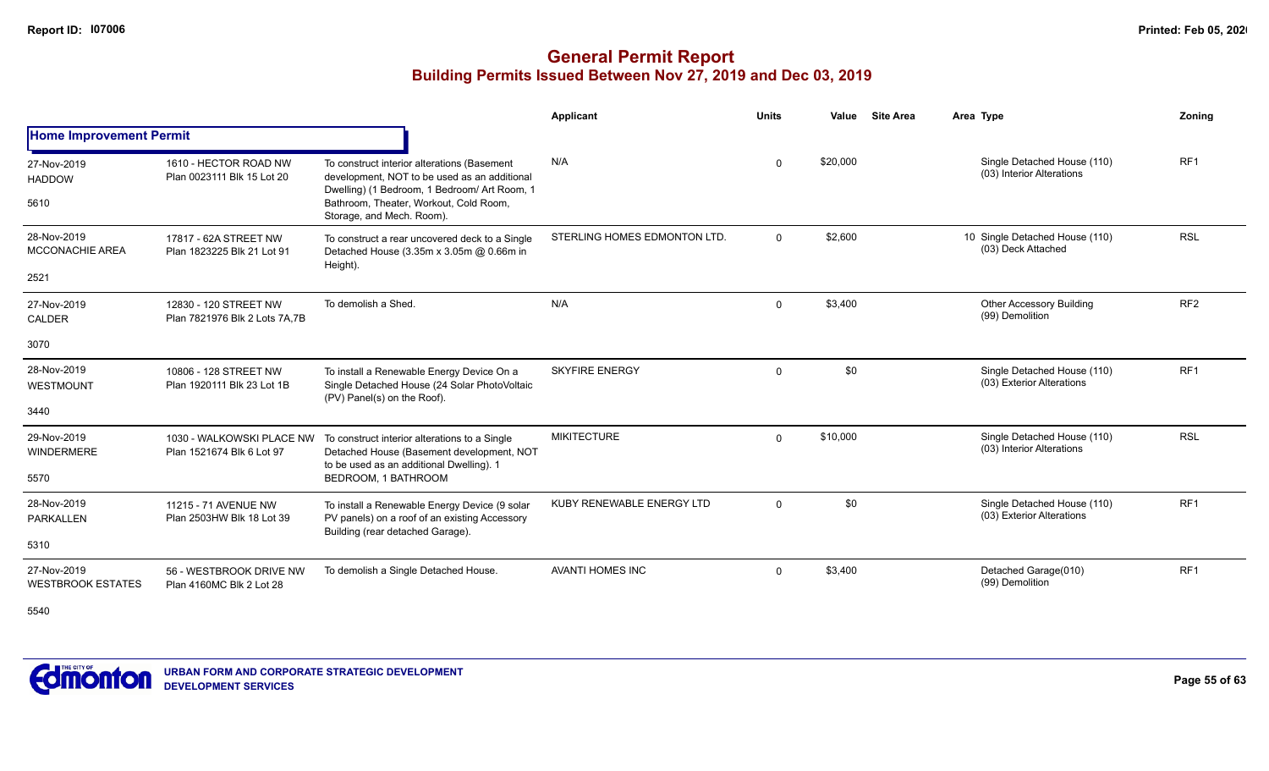# **General Permit Report Building Permits Issued Between Nov 27, 2019 and Dec 03, 2019**

|                                               |                                                         |                                                                                                                                                                                                                    | Applicant                    | <b>Units</b> | Value    | <b>Site Area</b> | Area Type                                                | Zoning          |
|-----------------------------------------------|---------------------------------------------------------|--------------------------------------------------------------------------------------------------------------------------------------------------------------------------------------------------------------------|------------------------------|--------------|----------|------------------|----------------------------------------------------------|-----------------|
| <b>Home Improvement Permit</b>                |                                                         |                                                                                                                                                                                                                    |                              |              |          |                  |                                                          |                 |
| 27-Nov-2019<br><b>HADDOW</b><br>5610          | 1610 - HECTOR ROAD NW<br>Plan 0023111 Blk 15 Lot 20     | To construct interior alterations (Basement<br>development, NOT to be used as an additional<br>Dwelling) (1 Bedroom, 1 Bedroom/ Art Room, 1<br>Bathroom, Theater, Workout, Cold Room,<br>Storage, and Mech. Room). | N/A                          | $\Omega$     | \$20,000 |                  | Single Detached House (110)<br>(03) Interior Alterations | RF <sub>1</sub> |
| 28-Nov-2019<br><b>MCCONACHIE AREA</b><br>2521 | 17817 - 62A STREET NW<br>Plan 1823225 Blk 21 Lot 91     | To construct a rear uncovered deck to a Single<br>Detached House (3.35m x 3.05m @ 0.66m in<br>Height).                                                                                                             | STERLING HOMES EDMONTON LTD. | $\Omega$     | \$2,600  |                  | 10 Single Detached House (110)<br>(03) Deck Attached     | <b>RSL</b>      |
| 27-Nov-2019<br>CALDER                         | 12830 - 120 STREET NW<br>Plan 7821976 Blk 2 Lots 7A, 7B | To demolish a Shed.                                                                                                                                                                                                | N/A                          | $\mathbf 0$  | \$3,400  |                  | <b>Other Accessory Building</b><br>(99) Demolition       | RF <sub>2</sub> |
| 3070                                          |                                                         |                                                                                                                                                                                                                    |                              |              |          |                  |                                                          |                 |
| 28-Nov-2019<br>WESTMOUNT<br>3440              | 10806 - 128 STREET NW<br>Plan 1920111 Blk 23 Lot 1B     | To install a Renewable Energy Device On a<br>Single Detached House (24 Solar PhotoVoltaic<br>(PV) Panel(s) on the Roof).                                                                                           | <b>SKYFIRE ENERGY</b>        | $\Omega$     | \$0      |                  | Single Detached House (110)<br>(03) Exterior Alterations | RF <sub>1</sub> |
| 29-Nov-2019<br><b>WINDERMERE</b><br>5570      | 1030 - WALKOWSKI PLACE NW<br>Plan 1521674 Blk 6 Lot 97  | To construct interior alterations to a Single<br>Detached House (Basement development, NOT<br>to be used as an additional Dwelling). 1<br>BEDROOM, 1 BATHROOM                                                      | <b>MIKITECTURE</b>           | $\Omega$     | \$10,000 |                  | Single Detached House (110)<br>(03) Interior Alterations | <b>RSL</b>      |
| 28-Nov-2019<br>PARKALLEN<br>5310              | 11215 - 71 AVENUE NW<br>Plan 2503HW Blk 18 Lot 39       | To install a Renewable Energy Device (9 solar<br>PV panels) on a roof of an existing Accessory<br>Building (rear detached Garage).                                                                                 | KUBY RENEWABLE ENERGY LTD    | $\Omega$     | \$0      |                  | Single Detached House (110)<br>(03) Exterior Alterations | RF <sub>1</sub> |
| 27-Nov-2019<br><b>WESTBROOK ESTATES</b>       | 56 - WESTBROOK DRIVE NW<br>Plan 4160MC Blk 2 Lot 28     | To demolish a Single Detached House.                                                                                                                                                                               | <b>AVANTI HOMES INC</b>      | $\Omega$     | \$3,400  |                  | Detached Garage(010)<br>(99) Demolition                  | RF <sub>1</sub> |

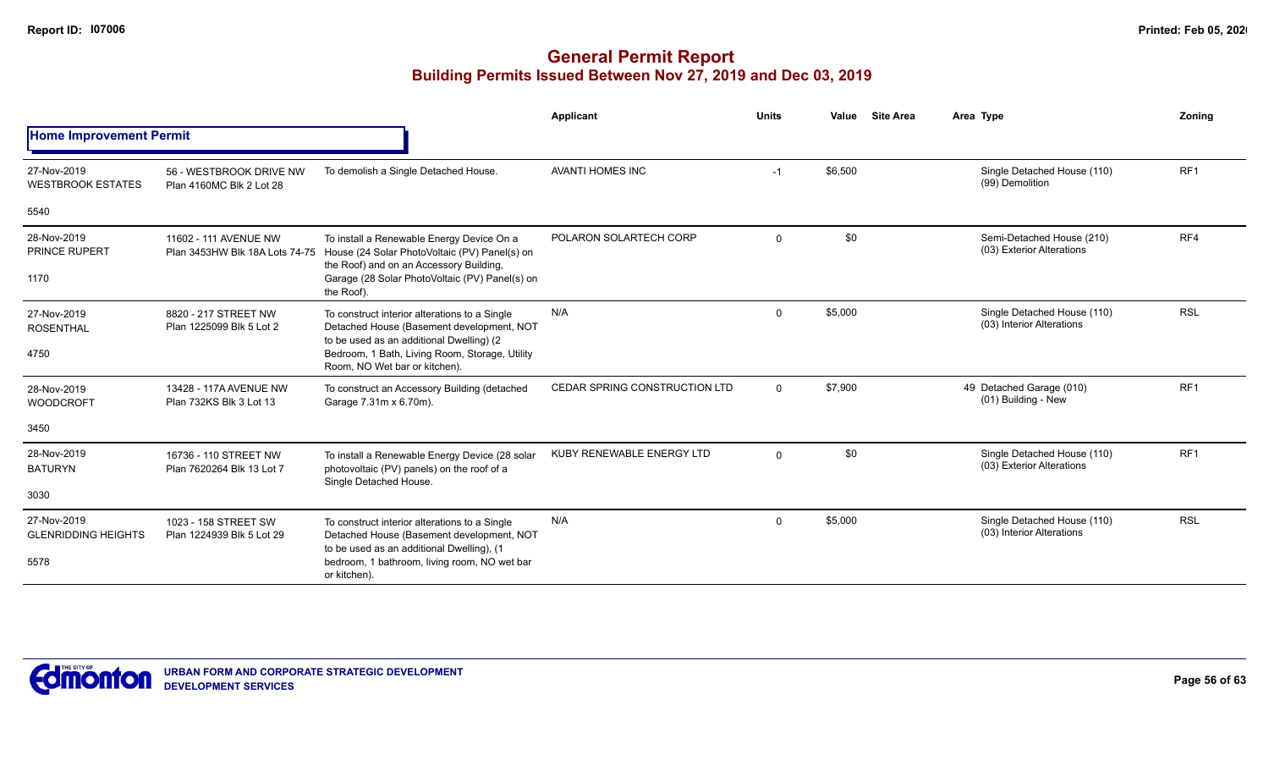|                                           |                                                     |                                                                                                                                                                      | <b>Applicant</b>              | <b>Units</b> | Value   | <b>Site Area</b> | Area Type                                                | Zonina          |
|-------------------------------------------|-----------------------------------------------------|----------------------------------------------------------------------------------------------------------------------------------------------------------------------|-------------------------------|--------------|---------|------------------|----------------------------------------------------------|-----------------|
| <b>Home Improvement Permit</b>            |                                                     |                                                                                                                                                                      |                               |              |         |                  |                                                          |                 |
| 27-Nov-2019<br><b>WESTBROOK ESTATES</b>   | 56 - WESTBROOK DRIVE NW<br>Plan 4160MC Blk 2 Lot 28 | To demolish a Single Detached House.                                                                                                                                 | <b>AVANTI HOMES INC</b>       | $-1$         | \$6,500 |                  | Single Detached House (110)<br>(99) Demolition           | RF <sub>1</sub> |
| 5540                                      |                                                     |                                                                                                                                                                      |                               |              |         |                  |                                                          |                 |
| 28-Nov-2019<br><b>PRINCE RUPERT</b>       | 11602 - 111 AVENUE NW                               | To install a Renewable Energy Device On a<br>Plan 3453HW Blk 18A Lots 74-75 House (24 Solar PhotoVoltaic (PV) Panel(s) on<br>the Roof) and on an Accessory Building, | POLARON SOLARTECH CORP        | $\mathbf 0$  | \$0     |                  | Semi-Detached House (210)<br>(03) Exterior Alterations   | RF4             |
| 1170                                      |                                                     | Garage (28 Solar PhotoVoltaic (PV) Panel(s) on<br>the Roof)                                                                                                          |                               |              |         |                  |                                                          |                 |
| 27-Nov-2019<br><b>ROSENTHAL</b>           | 8820 - 217 STREET NW<br>Plan 1225099 Blk 5 Lot 2    | To construct interior alterations to a Single<br>Detached House (Basement development, NOT<br>to be used as an additional Dwelling) (2                               | N/A                           | $\mathbf 0$  | \$5,000 |                  | Single Detached House (110)<br>(03) Interior Alterations | <b>RSL</b>      |
| 4750                                      |                                                     | Bedroom, 1 Bath, Living Room, Storage, Utility<br>Room, NO Wet bar or kitchen).                                                                                      |                               |              |         |                  |                                                          |                 |
| 28-Nov-2019<br><b>WOODCROFT</b>           | 13428 - 117A AVENUE NW<br>Plan 732KS Blk 3 Lot 13   | To construct an Accessory Building (detached<br>Garage 7.31m x 6.70m).                                                                                               | CEDAR SPRING CONSTRUCTION LTD | $\mathbf 0$  | \$7,900 |                  | 49 Detached Garage (010)<br>(01) Building - New          | RF <sub>1</sub> |
| 3450                                      |                                                     |                                                                                                                                                                      |                               |              |         |                  |                                                          |                 |
| 28-Nov-2019<br><b>BATURYN</b>             | 16736 - 110 STREET NW<br>Plan 7620264 Blk 13 Lot 7  | To install a Renewable Energy Device (28 solar<br>photovoltaic (PV) panels) on the roof of a<br>Single Detached House.                                               | KUBY RENEWABLE ENERGY LTD     | $\mathbf{0}$ | \$0     |                  | Single Detached House (110)<br>(03) Exterior Alterations | RF <sub>1</sub> |
| 3030                                      |                                                     |                                                                                                                                                                      |                               |              |         |                  |                                                          |                 |
| 27-Nov-2019<br><b>GLENRIDDING HEIGHTS</b> | 1023 - 158 STREET SW<br>Plan 1224939 Blk 5 Lot 29   | To construct interior alterations to a Single<br>Detached House (Basement development, NOT<br>to be used as an additional Dwelling), (1                              | N/A                           | $\Omega$     | \$5,000 |                  | Single Detached House (110)<br>(03) Interior Alterations | <b>RSL</b>      |
| 5578                                      |                                                     | bedroom, 1 bathroom, living room, NO wet bar<br>or kitchen).                                                                                                         |                               |              |         |                  |                                                          |                 |

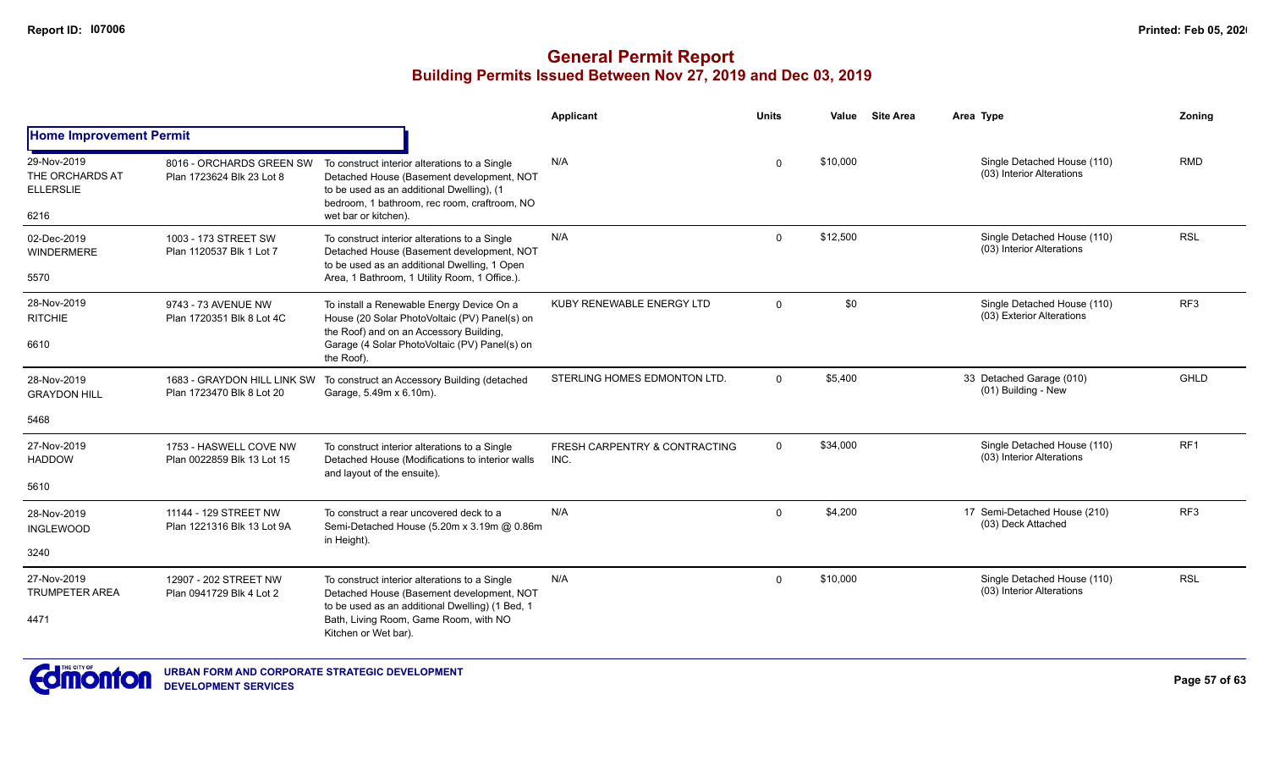|                                                            |                                                       |                                                                                                                                                                                                                 | Applicant                             | <b>Units</b> | Value    | <b>Site Area</b> | Area Type                                                | Zoning          |
|------------------------------------------------------------|-------------------------------------------------------|-----------------------------------------------------------------------------------------------------------------------------------------------------------------------------------------------------------------|---------------------------------------|--------------|----------|------------------|----------------------------------------------------------|-----------------|
| <b>Home Improvement Permit</b>                             |                                                       |                                                                                                                                                                                                                 |                                       |              |          |                  |                                                          |                 |
| 29-Nov-2019<br>THE ORCHARDS AT<br><b>ELLERSLIE</b><br>6216 | 8016 - ORCHARDS GREEN SW<br>Plan 1723624 Blk 23 Lot 8 | To construct interior alterations to a Single<br>Detached House (Basement development, NOT<br>to be used as an additional Dwelling), (1<br>bedroom, 1 bathroom, rec room, craftroom, NO<br>wet bar or kitchen). | N/A                                   | $\Omega$     | \$10,000 |                  | Single Detached House (110)<br>(03) Interior Alterations | <b>RMD</b>      |
| 02-Dec-2019<br><b>WINDERMERE</b><br>5570                   | 1003 - 173 STREET SW<br>Plan 1120537 Blk 1 Lot 7      | To construct interior alterations to a Single<br>Detached House (Basement development, NOT<br>to be used as an additional Dwelling, 1 Open<br>Area, 1 Bathroom, 1 Utility Room, 1 Office.).                     | N/A                                   | $\Omega$     | \$12,500 |                  | Single Detached House (110)<br>(03) Interior Alterations | <b>RSL</b>      |
| 28-Nov-2019<br><b>RITCHIE</b><br>6610                      | 9743 - 73 AVENUE NW<br>Plan 1720351 Blk 8 Lot 4C      | To install a Renewable Energy Device On a<br>House (20 Solar PhotoVoltaic (PV) Panel(s) on<br>the Roof) and on an Accessory Building,<br>Garage (4 Solar PhotoVoltaic (PV) Panel(s) on<br>the Roof).            | KUBY RENEWABLE ENERGY LTD             | $\Omega$     | \$0      |                  | Single Detached House (110)<br>(03) Exterior Alterations | RF <sub>3</sub> |
| 28-Nov-2019<br><b>GRAYDON HILL</b><br>5468                 | Plan 1723470 Blk 8 Lot 20                             | 1683 - GRAYDON HILL LINK SW To construct an Accessory Building (detached<br>Garage, 5.49m x 6.10m).                                                                                                             | STERLING HOMES EDMONTON LTD.          | $\Omega$     | \$5,400  |                  | 33 Detached Garage (010)<br>(01) Building - New          | GHLD            |
| 27-Nov-2019<br><b>HADDOW</b><br>5610                       | 1753 - HASWELL COVE NW<br>Plan 0022859 Blk 13 Lot 15  | To construct interior alterations to a Single<br>Detached House (Modifications to interior walls<br>and layout of the ensuite).                                                                                 | FRESH CARPENTRY & CONTRACTING<br>INC. | $\Omega$     | \$34,000 |                  | Single Detached House (110)<br>(03) Interior Alterations | RF <sub>1</sub> |
| 28-Nov-2019<br><b>INGLEWOOD</b><br>3240                    | 11144 - 129 STREET NW<br>Plan 1221316 Blk 13 Lot 9A   | To construct a rear uncovered deck to a<br>Semi-Detached House (5.20m x 3.19m @ 0.86m<br>in Height).                                                                                                            | N/A                                   | $\Omega$     | \$4,200  |                  | 17 Semi-Detached House (210)<br>(03) Deck Attached       | RF <sub>3</sub> |
| 27-Nov-2019<br><b>TRUMPETER AREA</b><br>4471               | 12907 - 202 STREET NW<br>Plan 0941729 Blk 4 Lot 2     | To construct interior alterations to a Single<br>Detached House (Basement development, NOT<br>to be used as an additional Dwelling) (1 Bed, 1<br>Bath, Living Room, Game Room, with NO<br>Kitchen or Wet bar).  | N/A                                   | $\Omega$     | \$10,000 |                  | Single Detached House (110)<br>(03) Interior Alterations | <b>RSL</b>      |

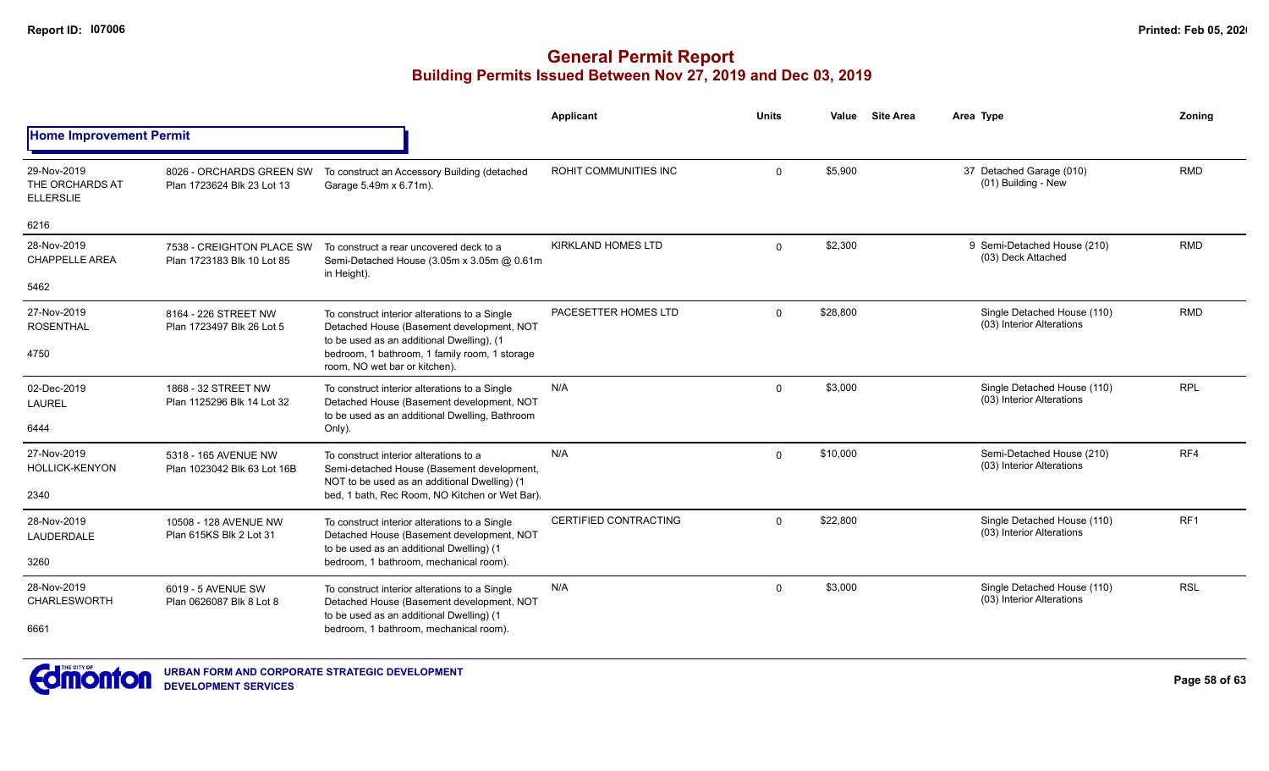|                                                    |                                                         |                                                                                                                             | Applicant                 | <b>Units</b> | Value    | <b>Site Area</b> | Area Type                                                | Zonina          |
|----------------------------------------------------|---------------------------------------------------------|-----------------------------------------------------------------------------------------------------------------------------|---------------------------|--------------|----------|------------------|----------------------------------------------------------|-----------------|
| <b>Home Improvement Permit</b>                     |                                                         |                                                                                                                             |                           |              |          |                  |                                                          |                 |
| 29-Nov-2019<br>THE ORCHARDS AT<br><b>ELLERSLIE</b> | 8026 - ORCHARDS GREEN SW<br>Plan 1723624 Blk 23 Lot 13  | To construct an Accessory Building (detached<br>Garage 5.49m x 6.71m).                                                      | ROHIT COMMUNITIES INC     | $\Omega$     | \$5,900  |                  | 37 Detached Garage (010)<br>(01) Building - New          | <b>RMD</b>      |
| 6216                                               |                                                         |                                                                                                                             |                           |              |          |                  |                                                          |                 |
| 28-Nov-2019<br><b>CHAPPELLE AREA</b>               | 7538 - CREIGHTON PLACE SW<br>Plan 1723183 Blk 10 Lot 85 | To construct a rear uncovered deck to a<br>Semi-Detached House (3.05m x 3.05m @ 0.61m<br>in Height).                        | <b>KIRKLAND HOMES LTD</b> | $\Omega$     | \$2,300  |                  | 9 Semi-Detached House (210)<br>(03) Deck Attached        | <b>RMD</b>      |
| 5462                                               |                                                         |                                                                                                                             |                           |              |          |                  |                                                          |                 |
| 27-Nov-2019<br><b>ROSENTHAL</b>                    | 8164 - 226 STREET NW<br>Plan 1723497 Blk 26 Lot 5       | To construct interior alterations to a Single<br>Detached House (Basement development, NOT                                  | PACESETTER HOMES LTD      | $\Omega$     | \$28,800 |                  | Single Detached House (110)<br>(03) Interior Alterations | <b>RMD</b>      |
| 4750                                               |                                                         | to be used as an additional Dwelling), (1<br>bedroom, 1 bathroom, 1 family room, 1 storage<br>room, NO wet bar or kitchen). |                           |              |          |                  |                                                          |                 |
| 02-Dec-2019<br>LAUREL                              | 1868 - 32 STREET NW<br>Plan 1125296 Blk 14 Lot 32       | To construct interior alterations to a Single<br>Detached House (Basement development, NOT                                  | N/A                       | $\Omega$     | \$3,000  |                  | Single Detached House (110)<br>(03) Interior Alterations | <b>RPL</b>      |
| 6444                                               |                                                         | to be used as an additional Dwelling, Bathroom<br>Only).                                                                    |                           |              |          |                  |                                                          |                 |
| 27-Nov-2019<br><b>HOLLICK-KENYON</b>               | 5318 - 165 AVENUE NW<br>Plan 1023042 Blk 63 Lot 16B     | To construct interior alterations to a<br>Semi-detached House (Basement development,                                        | N/A                       | $\Omega$     | \$10,000 |                  | Semi-Detached House (210)<br>(03) Interior Alterations   | RF4             |
| 2340                                               |                                                         | NOT to be used as an additional Dwelling) (1<br>bed, 1 bath, Rec Room, NO Kitchen or Wet Bar).                              |                           |              |          |                  |                                                          |                 |
| 28-Nov-2019<br><b>LAUDERDALE</b>                   | 10508 - 128 AVENUE NW<br>Plan 615KS Blk 2 Lot 31        | To construct interior alterations to a Single<br>Detached House (Basement development, NOT                                  | CERTIFIED CONTRACTING     | $\Omega$     | \$22,800 |                  | Single Detached House (110)<br>(03) Interior Alterations | RF <sub>1</sub> |
| 3260                                               |                                                         | to be used as an additional Dwelling) (1<br>bedroom, 1 bathroom, mechanical room).                                          |                           |              |          |                  |                                                          |                 |
| 28-Nov-2019<br><b>CHARLESWORTH</b>                 | 6019 - 5 AVENUE SW<br>Plan 0626087 Blk 8 Lot 8          | To construct interior alterations to a Single<br>Detached House (Basement development, NOT                                  | N/A                       | $\Omega$     | \$3,000  |                  | Single Detached House (110)<br>(03) Interior Alterations | <b>RSL</b>      |
| 6661                                               |                                                         | to be used as an additional Dwelling) (1<br>bedroom, 1 bathroom, mechanical room).                                          |                           |              |          |                  |                                                          |                 |

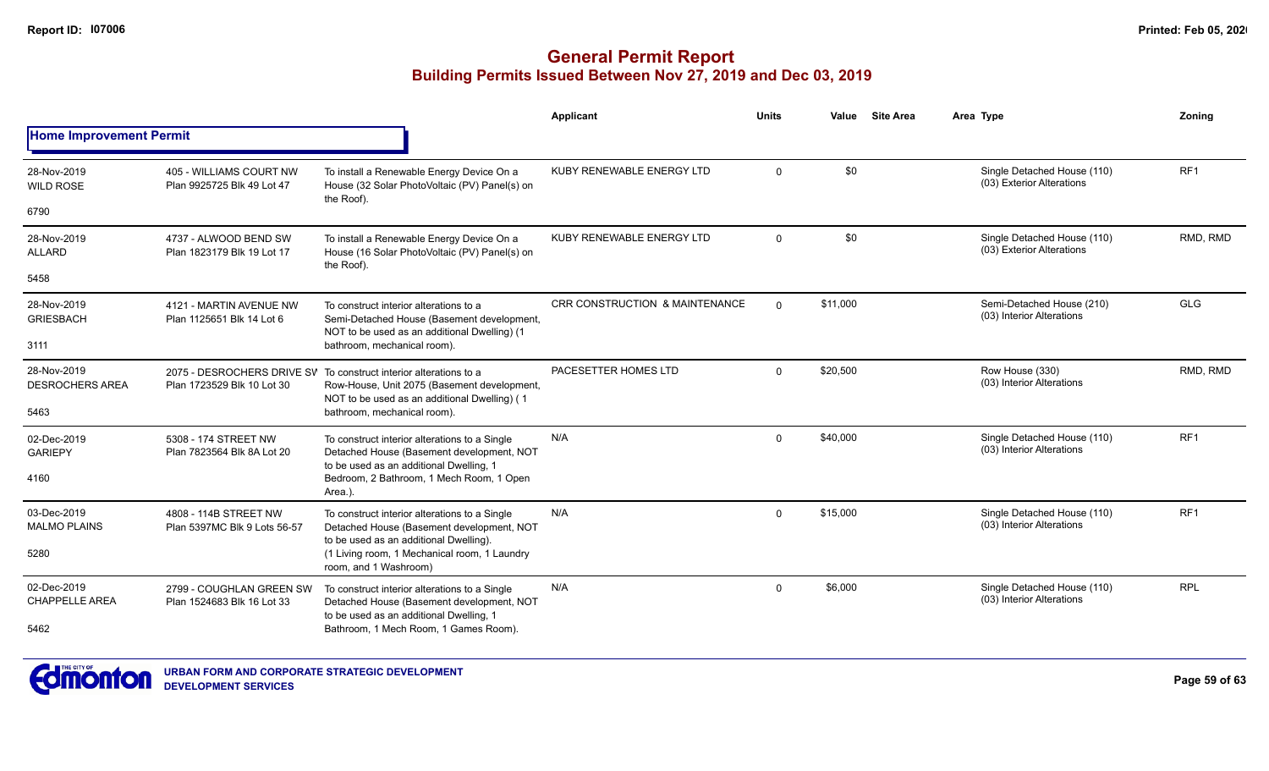|                                       |                                                        |                                                                                                                                                                  | Applicant                                 | <b>Units</b> | Value    | <b>Site Area</b> | Area Type                                                | Zoning          |
|---------------------------------------|--------------------------------------------------------|------------------------------------------------------------------------------------------------------------------------------------------------------------------|-------------------------------------------|--------------|----------|------------------|----------------------------------------------------------|-----------------|
| <b>Home Improvement Permit</b>        |                                                        |                                                                                                                                                                  |                                           |              |          |                  |                                                          |                 |
| 28-Nov-2019<br><b>WILD ROSE</b>       | 405 - WILLIAMS COURT NW<br>Plan 9925725 Blk 49 Lot 47  | To install a Renewable Energy Device On a<br>House (32 Solar PhotoVoltaic (PV) Panel(s) on<br>the Roof).                                                         | KUBY RENEWABLE ENERGY LTD                 | $\Omega$     | \$0      |                  | Single Detached House (110)<br>(03) Exterior Alterations | RF <sub>1</sub> |
| 6790                                  |                                                        |                                                                                                                                                                  |                                           |              |          |                  |                                                          |                 |
| 28-Nov-2019<br><b>ALLARD</b>          | 4737 - ALWOOD BEND SW<br>Plan 1823179 Blk 19 Lot 17    | To install a Renewable Energy Device On a<br>House (16 Solar PhotoVoltaic (PV) Panel(s) on<br>the Roof).                                                         | KUBY RENEWABLE ENERGY LTD                 | $\mathbf 0$  | \$0      |                  | Single Detached House (110)<br>(03) Exterior Alterations | RMD, RMD        |
| 5458                                  |                                                        |                                                                                                                                                                  |                                           |              |          |                  |                                                          |                 |
| 28-Nov-2019<br><b>GRIESBACH</b>       | 4121 - MARTIN AVENUE NW<br>Plan 1125651 Blk 14 Lot 6   | To construct interior alterations to a<br>Semi-Detached House (Basement development,<br>NOT to be used as an additional Dwelling) (1                             | <b>CRR CONSTRUCTION &amp; MAINTENANCE</b> | $\Omega$     | \$11,000 |                  | Semi-Detached House (210)<br>(03) Interior Alterations   | <b>GLG</b>      |
| 3111                                  |                                                        | bathroom, mechanical room).                                                                                                                                      |                                           |              |          |                  |                                                          |                 |
| 28-Nov-2019<br><b>DESROCHERS AREA</b> | Plan 1723529 Blk 10 Lot 30                             | 2075 - DESROCHERS DRIVE SV To construct interior alterations to a<br>Row-House, Unit 2075 (Basement development,<br>NOT to be used as an additional Dwelling) (1 | PACESETTER HOMES LTD                      | $\mathbf 0$  | \$20,500 |                  | Row House (330)<br>(03) Interior Alterations             | RMD, RMD        |
| 5463                                  |                                                        | bathroom, mechanical room).                                                                                                                                      |                                           |              |          |                  |                                                          |                 |
| 02-Dec-2019<br><b>GARIEPY</b>         | 5308 - 174 STREET NW<br>Plan 7823564 Blk 8A Lot 20     | To construct interior alterations to a Single<br>Detached House (Basement development, NOT<br>to be used as an additional Dwelling, 1                            | N/A                                       | $\Omega$     | \$40,000 |                  | Single Detached House (110)<br>(03) Interior Alterations | RF <sub>1</sub> |
| 4160                                  |                                                        | Bedroom, 2 Bathroom, 1 Mech Room, 1 Open<br>Area.).                                                                                                              |                                           |              |          |                  |                                                          |                 |
| 03-Dec-2019<br><b>MALMO PLAINS</b>    | 4808 - 114B STREET NW<br>Plan 5397MC Blk 9 Lots 56-57  | To construct interior alterations to a Single<br>Detached House (Basement development, NOT                                                                       | N/A                                       | $\Omega$     | \$15,000 |                  | Single Detached House (110)<br>(03) Interior Alterations | RF <sub>1</sub> |
| 5280                                  |                                                        | to be used as an additional Dwelling).<br>(1 Living room, 1 Mechanical room, 1 Laundry<br>room, and 1 Washroom)                                                  |                                           |              |          |                  |                                                          |                 |
| 02-Dec-2019<br><b>CHAPPELLE AREA</b>  | 2799 - COUGHLAN GREEN SW<br>Plan 1524683 Blk 16 Lot 33 | To construct interior alterations to a Single<br>Detached House (Basement development, NOT                                                                       | N/A                                       | $\mathbf{0}$ | \$6,000  |                  | Single Detached House (110)<br>(03) Interior Alterations | <b>RPL</b>      |
| 5462                                  |                                                        | to be used as an additional Dwelling, 1<br>Bathroom, 1 Mech Room, 1 Games Room).                                                                                 |                                           |              |          |                  |                                                          |                 |

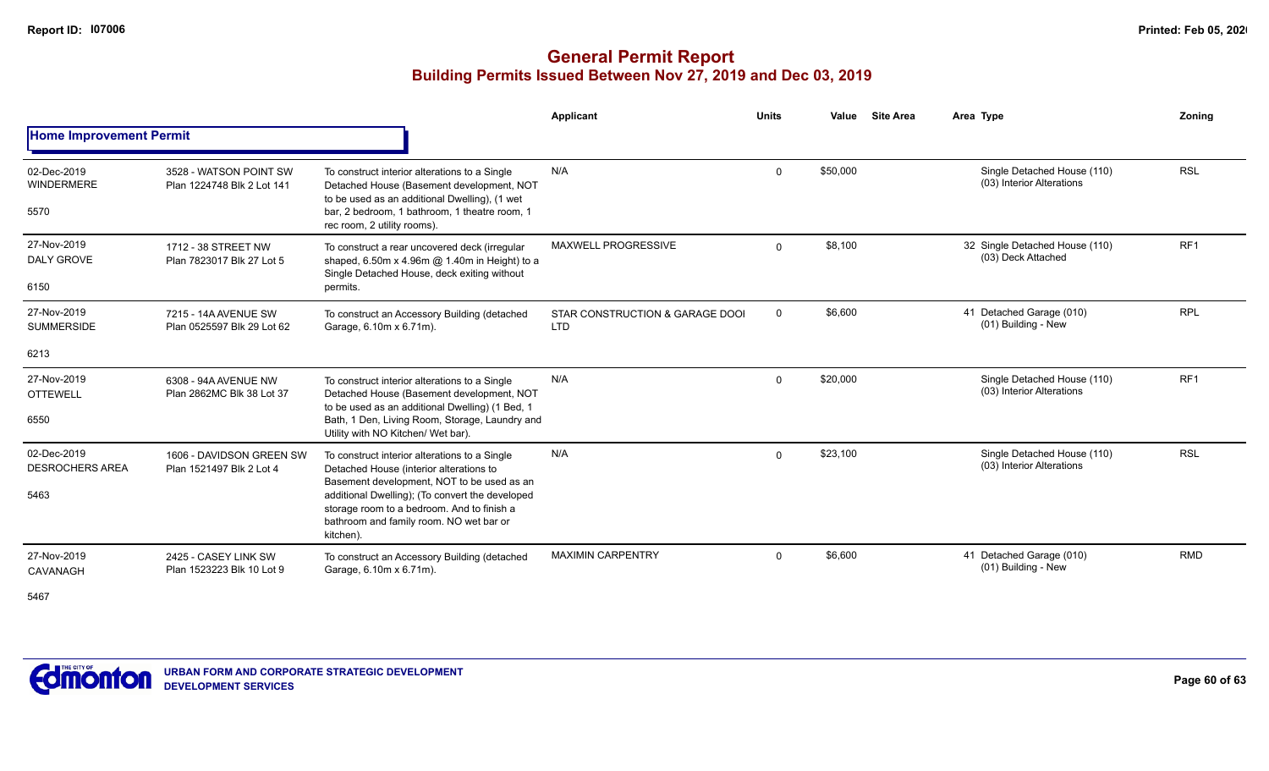|                                               |                                                      |                                                                                                                                                                                                                                                                                                 | <b>Applicant</b>                              | <b>Units</b> | Value    | <b>Site Area</b> | Area Type                                                | Zonina          |
|-----------------------------------------------|------------------------------------------------------|-------------------------------------------------------------------------------------------------------------------------------------------------------------------------------------------------------------------------------------------------------------------------------------------------|-----------------------------------------------|--------------|----------|------------------|----------------------------------------------------------|-----------------|
| <b>Home Improvement Permit</b>                |                                                      |                                                                                                                                                                                                                                                                                                 |                                               |              |          |                  |                                                          |                 |
| 02-Dec-2019<br><b>WINDERMERE</b><br>5570      | 3528 - WATSON POINT SW<br>Plan 1224748 Blk 2 Lot 141 | To construct interior alterations to a Single<br>Detached House (Basement development, NOT<br>to be used as an additional Dwelling), (1 wet<br>bar, 2 bedroom, 1 bathroom, 1 theatre room, 1<br>rec room, 2 utility rooms).                                                                     | N/A                                           | $\Omega$     | \$50,000 |                  | Single Detached House (110)<br>(03) Interior Alterations | <b>RSL</b>      |
| 27-Nov-2019<br>DALY GROVE<br>6150             | 1712 - 38 STREET NW<br>Plan 7823017 Blk 27 Lot 5     | To construct a rear uncovered deck (irregular<br>shaped, 6.50m x 4.96m @ 1.40m in Height) to a<br>Single Detached House, deck exiting without<br>permits.                                                                                                                                       | <b>MAXWELL PROGRESSIVE</b>                    | $\Omega$     | \$8,100  |                  | 32 Single Detached House (110)<br>(03) Deck Attached     | RF1             |
| 27-Nov-2019<br><b>SUMMERSIDE</b><br>6213      | 7215 - 14A AVENUE SW<br>Plan 0525597 Blk 29 Lot 62   | To construct an Accessory Building (detached<br>Garage, 6.10m x 6.71m).                                                                                                                                                                                                                         | STAR CONSTRUCTION & GARAGE DOOI<br><b>LTD</b> | $\mathbf 0$  | \$6,600  |                  | 41 Detached Garage (010)<br>(01) Building - New          | <b>RPL</b>      |
| 27-Nov-2019<br><b>OTTEWELL</b><br>6550        | 6308 - 94A AVENUE NW<br>Plan 2862MC Blk 38 Lot 37    | To construct interior alterations to a Single<br>Detached House (Basement development, NOT<br>to be used as an additional Dwelling) (1 Bed, 1<br>Bath, 1 Den, Living Room, Storage, Laundry and<br>Utility with NO Kitchen/ Wet bar).                                                           | N/A                                           | $\Omega$     | \$20,000 |                  | Single Detached House (110)<br>(03) Interior Alterations | RF <sub>1</sub> |
| 02-Dec-2019<br><b>DESROCHERS AREA</b><br>5463 | 1606 - DAVIDSON GREEN SW<br>Plan 1521497 Blk 2 Lot 4 | To construct interior alterations to a Single<br>Detached House (interior alterations to<br>Basement development, NOT to be used as an<br>additional Dwelling); (To convert the developed<br>storage room to a bedroom. And to finish a<br>bathroom and family room. NO wet bar or<br>kitchen). | N/A                                           | $\Omega$     | \$23,100 |                  | Single Detached House (110)<br>(03) Interior Alterations | <b>RSL</b>      |
| 27-Nov-2019<br>CAVANAGH<br>5467               | 2425 - CASEY LINK SW<br>Plan 1523223 Blk 10 Lot 9    | To construct an Accessory Building (detached<br>Garage, 6.10m x 6.71m).                                                                                                                                                                                                                         | <b>MAXIMIN CARPENTRY</b>                      | $\Omega$     | \$6,600  |                  | 41 Detached Garage (010)<br>(01) Building - New          | <b>RMD</b>      |

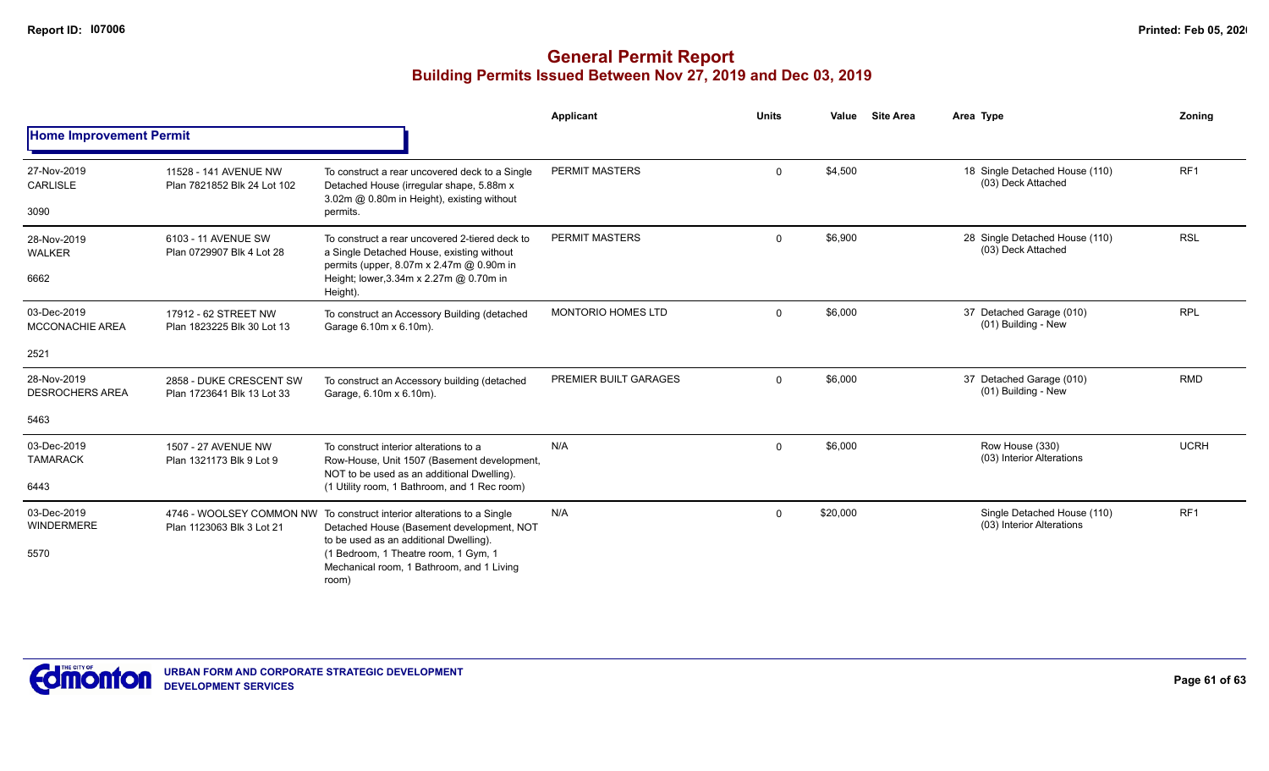|                                          |                                                       |                                                                                                                                                                                                                                                             | Applicant                 | <b>Units</b> | Value    | <b>Site Area</b> | Area Type                                                | Zoning          |
|------------------------------------------|-------------------------------------------------------|-------------------------------------------------------------------------------------------------------------------------------------------------------------------------------------------------------------------------------------------------------------|---------------------------|--------------|----------|------------------|----------------------------------------------------------|-----------------|
| <b>Home Improvement Permit</b>           |                                                       |                                                                                                                                                                                                                                                             |                           |              |          |                  |                                                          |                 |
| 27-Nov-2019<br><b>CARLISLE</b><br>3090   | 11528 - 141 AVENUE NW<br>Plan 7821852 Blk 24 Lot 102  | To construct a rear uncovered deck to a Single<br>Detached House (irregular shape, 5.88m x<br>3.02m @ 0.80m in Height), existing without<br>permits.                                                                                                        | <b>PERMIT MASTERS</b>     | $\Omega$     | \$4,500  |                  | 18 Single Detached House (110)<br>(03) Deck Attached     | RF <sub>1</sub> |
| 28-Nov-2019<br><b>WALKER</b><br>6662     | 6103 - 11 AVENUE SW<br>Plan 0729907 Blk 4 Lot 28      | To construct a rear uncovered 2-tiered deck to<br>a Single Detached House, existing without<br>permits (upper, 8.07m x 2.47m @ 0.90m in<br>Height; lower, 3.34m x 2.27m @ 0.70m in<br>Height).                                                              | <b>PERMIT MASTERS</b>     | $\Omega$     | \$6,900  |                  | 28 Single Detached House (110)<br>(03) Deck Attached     | <b>RSL</b>      |
| 03-Dec-2019<br>MCCONACHIE AREA           | 17912 - 62 STREET NW<br>Plan 1823225 Blk 30 Lot 13    | To construct an Accessory Building (detached<br>Garage 6.10m x 6.10m).                                                                                                                                                                                      | <b>MONTORIO HOMES LTD</b> | $\Omega$     | \$6,000  |                  | 37 Detached Garage (010)<br>(01) Building - New          | <b>RPL</b>      |
| 2521                                     |                                                       |                                                                                                                                                                                                                                                             |                           |              |          |                  |                                                          |                 |
| 28-Nov-2019<br><b>DESROCHERS AREA</b>    | 2858 - DUKE CRESCENT SW<br>Plan 1723641 Blk 13 Lot 33 | To construct an Accessory building (detached<br>Garage, 6.10m x 6.10m).                                                                                                                                                                                     | PREMIER BUILT GARAGES     | $\Omega$     | \$6,000  |                  | 37 Detached Garage (010)<br>(01) Building - New          | <b>RMD</b>      |
| 5463                                     |                                                       |                                                                                                                                                                                                                                                             |                           |              |          |                  |                                                          |                 |
| 03-Dec-2019<br><b>TAMARACK</b><br>6443   | 1507 - 27 AVENUE NW<br>Plan 1321173 Blk 9 Lot 9       | To construct interior alterations to a<br>Row-House, Unit 1507 (Basement development,<br>NOT to be used as an additional Dwelling).<br>(1 Utility room, 1 Bathroom, and 1 Rec room)                                                                         | N/A                       | 0            | \$6,000  |                  | Row House (330)<br>(03) Interior Alterations             | <b>UCRH</b>     |
| 03-Dec-2019<br><b>WINDERMERE</b><br>5570 | Plan 1123063 Blk 3 Lot 21                             | 4746 - WOOLSEY COMMON NW To construct interior alterations to a Single<br>Detached House (Basement development, NOT<br>to be used as an additional Dwelling).<br>(1 Bedroom, 1 Theatre room, 1 Gym, 1<br>Mechanical room, 1 Bathroom, and 1 Living<br>room) | N/A                       | $\mathbf 0$  | \$20,000 |                  | Single Detached House (110)<br>(03) Interior Alterations | RF <sub>1</sub> |

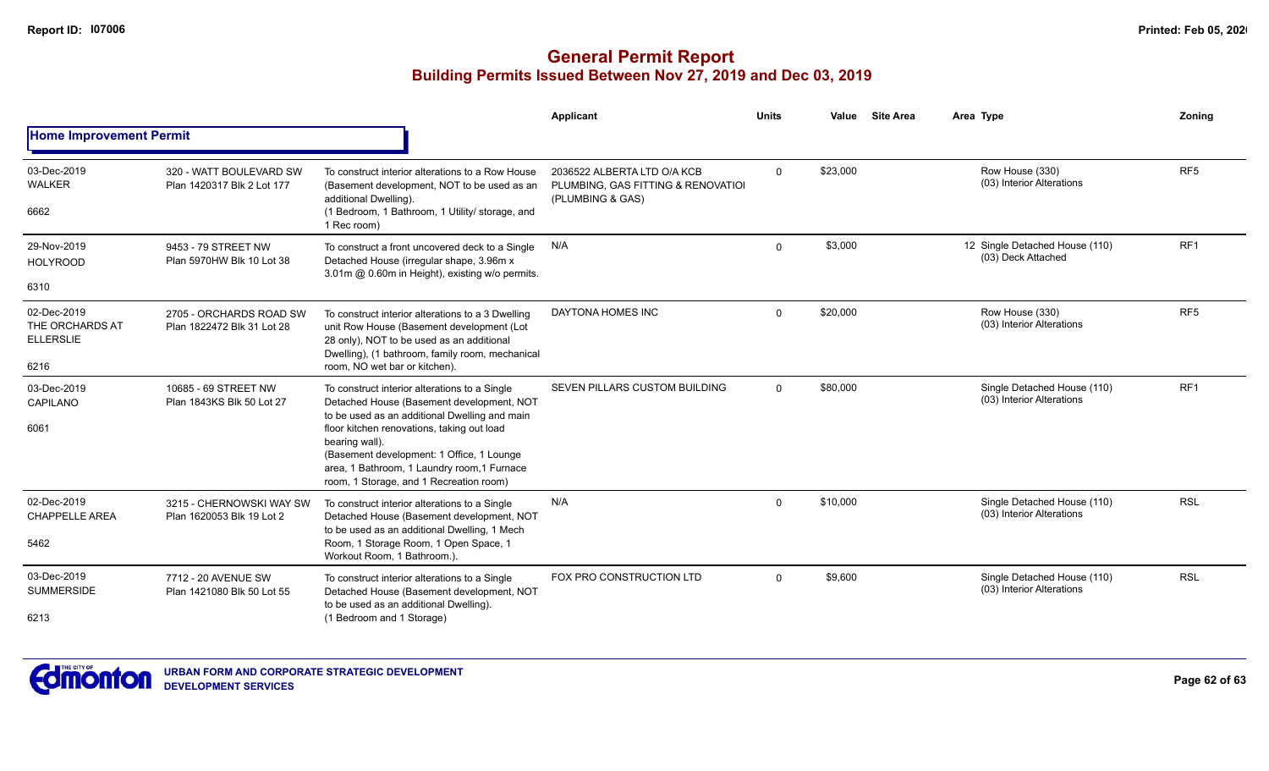|                                                    |                                                       |                                                                                                                                                                                                                                                                                                                                                    | Applicant                                                                             | <b>Units</b> | Value    | <b>Site Area</b> | Area Type                                                | Zoning          |
|----------------------------------------------------|-------------------------------------------------------|----------------------------------------------------------------------------------------------------------------------------------------------------------------------------------------------------------------------------------------------------------------------------------------------------------------------------------------------------|---------------------------------------------------------------------------------------|--------------|----------|------------------|----------------------------------------------------------|-----------------|
| <b>Home Improvement Permit</b>                     |                                                       |                                                                                                                                                                                                                                                                                                                                                    |                                                                                       |              |          |                  |                                                          |                 |
| 03-Dec-2019<br><b>WALKER</b>                       | 320 - WATT BOULEVARD SW<br>Plan 1420317 Blk 2 Lot 177 | To construct interior alterations to a Row House<br>(Basement development, NOT to be used as an<br>additional Dwelling).                                                                                                                                                                                                                           | 2036522 ALBERTA LTD O/A KCB<br>PLUMBING, GAS FITTING & RENOVATIOL<br>(PLUMBING & GAS) | $\Omega$     | \$23,000 |                  | Row House (330)<br>(03) Interior Alterations             | RF <sub>5</sub> |
| 6662                                               |                                                       | (1 Bedroom, 1 Bathroom, 1 Utility/ storage, and<br>1 Rec room)                                                                                                                                                                                                                                                                                     |                                                                                       |              |          |                  |                                                          |                 |
| 29-Nov-2019<br><b>HOLYROOD</b>                     | 9453 - 79 STREET NW<br>Plan 5970HW Blk 10 Lot 38      | To construct a front uncovered deck to a Single<br>Detached House (irregular shape, 3.96m x                                                                                                                                                                                                                                                        | N/A                                                                                   | $\Omega$     | \$3,000  |                  | 12 Single Detached House (110)<br>(03) Deck Attached     | RF <sub>1</sub> |
| 6310                                               |                                                       | 3.01m @ 0.60m in Height), existing w/o permits.                                                                                                                                                                                                                                                                                                    |                                                                                       |              |          |                  |                                                          |                 |
| 02-Dec-2019<br>THE ORCHARDS AT<br><b>ELLERSLIE</b> | 2705 - ORCHARDS ROAD SW<br>Plan 1822472 Blk 31 Lot 28 | To construct interior alterations to a 3 Dwelling<br>unit Row House (Basement development (Lot<br>28 only), NOT to be used as an additional<br>Dwelling), (1 bathroom, family room, mechanical                                                                                                                                                     | DAYTONA HOMES INC                                                                     | $\Omega$     | \$20,000 |                  | Row House (330)<br>(03) Interior Alterations             | RF <sub>5</sub> |
| 6216                                               |                                                       | room, NO wet bar or kitchen).                                                                                                                                                                                                                                                                                                                      |                                                                                       |              |          |                  |                                                          |                 |
| 03-Dec-2019<br>CAPILANO                            | 10685 - 69 STREET NW<br>Plan 1843KS Blk 50 Lot 27     | To construct interior alterations to a Single<br>Detached House (Basement development, NOT<br>to be used as an additional Dwelling and main<br>floor kitchen renovations, taking out load<br>bearing wall).<br>(Basement development: 1 Office, 1 Lounge<br>area, 1 Bathroom, 1 Laundry room, 1 Furnace<br>room, 1 Storage, and 1 Recreation room) | <b>SEVEN PILLARS CUSTOM BUILDING</b>                                                  | $\mathbf 0$  | \$80,000 |                  | Single Detached House (110)<br>(03) Interior Alterations | RF <sub>1</sub> |
| 6061                                               |                                                       |                                                                                                                                                                                                                                                                                                                                                    |                                                                                       |              |          |                  |                                                          |                 |
| 02-Dec-2019<br><b>CHAPPELLE AREA</b>               | 3215 - CHERNOWSKI WAY SW<br>Plan 1620053 Blk 19 Lot 2 | To construct interior alterations to a Single<br>Detached House (Basement development, NOT                                                                                                                                                                                                                                                         | N/A                                                                                   | $\mathbf 0$  | \$10,000 |                  | Single Detached House (110)<br>(03) Interior Alterations | <b>RSL</b>      |
| 5462                                               |                                                       | to be used as an additional Dwelling, 1 Mech<br>Room, 1 Storage Room, 1 Open Space, 1<br>Workout Room, 1 Bathroom.).                                                                                                                                                                                                                               |                                                                                       |              |          |                  |                                                          |                 |
| 03-Dec-2019<br><b>SUMMERSIDE</b>                   | 7712 - 20 AVENUE SW<br>Plan 1421080 Blk 50 Lot 55     | To construct interior alterations to a Single<br>Detached House (Basement development, NOT                                                                                                                                                                                                                                                         | FOX PRO CONSTRUCTION LTD                                                              | $\Omega$     | \$9,600  |                  | Single Detached House (110)<br>(03) Interior Alterations | <b>RSL</b>      |
| 6213                                               |                                                       | to be used as an additional Dwelling).<br>(1 Bedroom and 1 Storage)                                                                                                                                                                                                                                                                                |                                                                                       |              |          |                  |                                                          |                 |